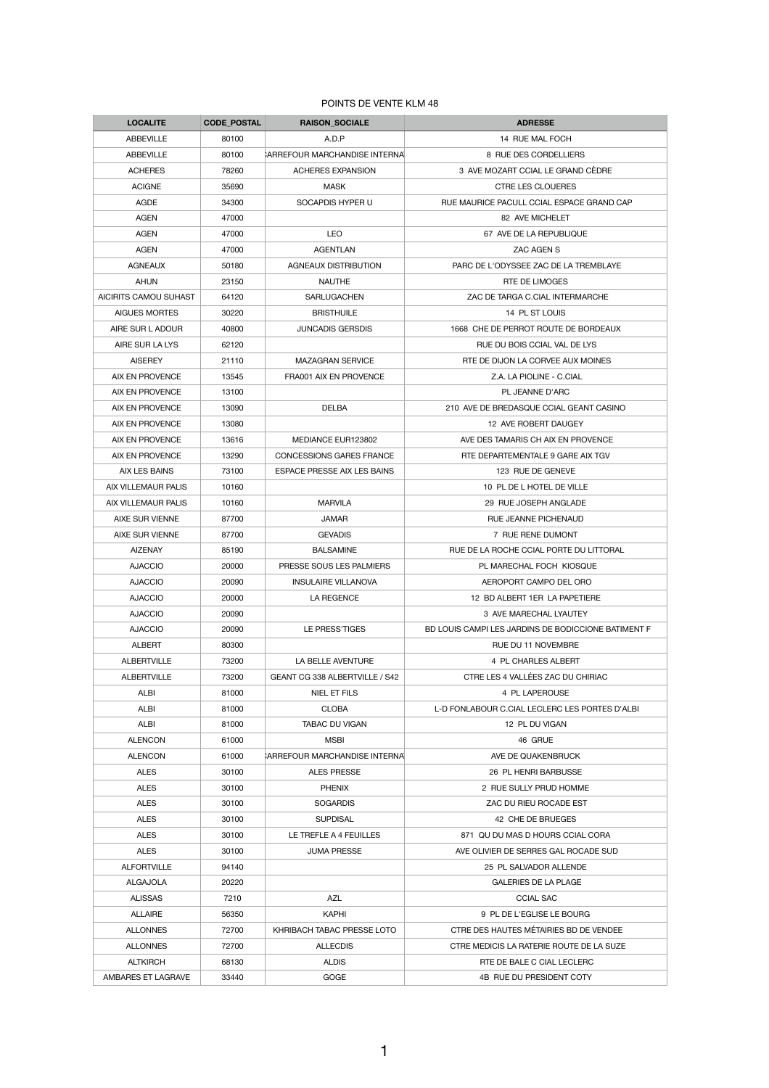## POINTS DE VENTE KLM 48

| <b>LOCALITE</b>              | <b>CODE POSTAL</b> | <b>RAISON_SOCIALE</b>                | <b>ADRESSE</b>                                      |
|------------------------------|--------------------|--------------------------------------|-----------------------------------------------------|
| <b>ABBEVILLE</b>             | 80100              | A.D.P                                | 14 RUE MAL FOCH                                     |
| <b>ABBEVILLE</b>             | 80100              | <b>ARREFOUR MARCHANDISE INTERNAL</b> | 8 RUE DES CORDELLIERS                               |
| <b>ACHERES</b>               | 78260              | <b>ACHERES EXPANSION</b>             | 3 AVE MOZART CCIAL LE GRAND CÈDRE                   |
| <b>ACIGNE</b>                | 35690              | <b>MASK</b>                          | <b>CTRE LES CLOUERES</b>                            |
| <b>AGDE</b>                  | 34300              | SOCAPDIS HYPER U                     | RUE MAURICE PACULL CCIAL ESPACE GRAND CAP           |
| <b>AGEN</b>                  | 47000              |                                      | 82 AVE MICHELET                                     |
| <b>AGEN</b>                  | 47000              | <b>LEO</b>                           | 67 AVE DE LA REPUBLIQUE                             |
| <b>AGEN</b>                  | 47000              | <b>AGENTLAN</b>                      | <b>ZAC AGEN S</b>                                   |
| <b>AGNEAUX</b>               | 50180              | <b>AGNEAUX DISTRIBUTION</b>          | PARC DE L'ODYSSEE ZAC DE LA TREMBLAYE               |
| <b>AHUN</b>                  | 23150              | <b>NAUTHE</b>                        | RTE DE LIMOGES                                      |
| <b>AICIRITS CAMOU SUHAST</b> | 64120              | <b>SARLUGACHEN</b>                   | ZAC DE TARGA C.CIAL INTERMARCHE                     |
| <b>AIGUES MORTES</b>         | 30220              | <b>BRISTHUILE</b>                    | 14 PL ST LOUIS                                      |
| AIRE SUR L ADOUR             | 40800              | <b>JUNCADIS GERSDIS</b>              | 1668 CHE DE PERROT ROUTE DE BORDEAUX                |
| AIRE SUR LA LYS              | 62120              |                                      | RUE DU BOIS CCIAL VAL DE LYS                        |
| <b>AISEREY</b>               | 21110              | <b>MAZAGRAN SERVICE</b>              | RTE DE DIJON LA CORVEE AUX MOINES                   |
| <b>AIX EN PROVENCE</b>       | 13545              | FRA001 AIX EN PROVENCE               | Z.A. LA PIOLINE - C.CIAL                            |
| <b>AIX EN PROVENCE</b>       | 13100              |                                      | PL JEANNE D'ARC                                     |
| AIX EN PROVENCE              | 13090              | <b>DELBA</b>                         | 210 AVE DE BREDASQUE CCIAL GEANT CASINO             |
| <b>AIX EN PROVENCE</b>       | 13080              |                                      | 12 AVE ROBERT DAUGEY                                |
| <b>AIX EN PROVENCE</b>       | 13616              | MEDIANCE EUR123802                   | AVE DES TAMARIS CH AIX EN PROVENCE                  |
| AIX EN PROVENCE              | 13290              | <b>CONCESSIONS GARES FRANCE</b>      | RTE DEPARTEMENTALE 9 GARE AIX TGV                   |
| <b>AIX LES BAINS</b>         | 73100              | <b>ESPACE PRESSE AIX LES BAINS</b>   | 123 RUE DE GENEVE                                   |
| AIX VILLEMAUR PALIS          | 10160              |                                      | 10 PL DE L HOTEL DE VILLE                           |
| AIX VILLEMAUR PALIS          | 10160              | <b>MARVILA</b>                       | 29 RUE JOSEPH ANGLADE                               |
| <b>AIXE SUR VIENNE</b>       | 87700              | <b>JAMAR</b>                         | <b>RUE JEANNE PICHENAUD</b>                         |
| <b>AIXE SUR VIENNE</b>       | 87700              | <b>GEVADIS</b>                       | 7 RUE RENE DUMONT                                   |
| <b>AIZENAY</b>               | 85190              | <b>BALSAMINE</b>                     | RUE DE LA ROCHE CCIAL PORTE DU LITTORAL             |
| <b>AJACCIO</b>               | 20000              | PRESSE SOUS LES PALMIERS             | PL MARECHAL FOCH KIOSQUE                            |
| <b>AJACCIO</b>               | 20090              | <b>INSULAIRE VILLANOVA</b>           | AEROPORT CAMPO DEL ORO                              |
| <b>AJACCIO</b>               | 20000              | LA REGENCE                           | 12 BD ALBERT 1ER LA PAPETIERE                       |
| <b>AJACCIO</b>               | 20090              |                                      | 3 AVE MARECHAL LYAUTEY                              |
| <b>AJACCIO</b>               | 20090              | LE PRESS'TIGES                       | BD LOUIS CAMPI LES JARDINS DE BODICCIONE BATIMENT F |
| <b>ALBERT</b>                | 80300              |                                      | RUE DU 11 NOVEMBRE                                  |
| <b>ALBERTVILLE</b>           | 73200              | LA BELLE AVENTURE                    | 4 PL CHARLES ALBERT                                 |
| <b>ALBERTVILLE</b>           | 73200              | GEANT CG 338 ALBERTVILLE / S42       | CTRE LES 4 VALLÉES ZAC DU CHIRIAC                   |
| <b>ALBI</b>                  | 81000              | <b>NIEL ET FILS</b>                  | 4 PL LAPEROUSE                                      |
| <b>ALBI</b>                  | 81000              | <b>CLOBA</b>                         | L-D FONLABOUR C.CIAL LECLERC LES PORTES D'ALBI      |
| <b>ALBI</b>                  | 81000              | <b>TABAC DU VIGAN</b>                | 12 PL DU VIGAN                                      |
| <b>ALENCON</b>               | 61000              | <b>MSBI</b>                          | 46 GRUE                                             |
| <b>ALENCON</b>               | 61000              | <b>ARREFOUR MARCHANDISE INTERNAL</b> | AVE DE QUAKENBRUCK                                  |
| <b>ALES</b>                  | 30100              | <b>ALES PRESSE</b>                   | 26 PL HENRI BARBUSSE                                |
| <b>ALES</b>                  | 30100              | <b>PHENIX</b>                        | 2 RUE SULLY PRUD HOMME                              |
| <b>ALES</b>                  | 30100              | <b>SOGARDIS</b>                      | ZAC DU RIEU ROCADE EST                              |
| <b>ALES</b>                  | 30100              | <b>SUPDISAL</b>                      | 42 CHE DE BRUEGES                                   |
| <b>ALES</b>                  | 30100              | LE TREFLE A 4 FEUILLES               | 871 QU DU MAS D HOURS CCIAL CORA                    |
| <b>ALES</b>                  | 30100              | <b>JUMA PRESSE</b>                   | AVE OLIVIER DE SERRES GAL ROCADE SUD                |
| <b>ALFORTVILLE</b>           | 94140              |                                      | 25 PL SALVADOR ALLENDE                              |
| <b>ALGAJOLA</b>              | 20220              |                                      | <b>GALERIES DE LA PLAGE</b>                         |
| <b>ALISSAS</b>               | 7210               | <b>AZL</b>                           | <b>CCIAL SAC</b>                                    |
| <b>ALLAIRE</b>               | 56350              | <b>KAPHI</b>                         | 9 PL DE L'EGLISE LE BOURG                           |
| <b>ALLONNES</b>              | 72700              | KHRIBACH TABAC PRESSE LOTO           | CTRE DES HAUTES MÉTAIRIES BD DE VENDEE              |
| <b>ALLONNES</b>              | 72700              | <b>ALLECDIS</b>                      | CTRE MEDICIS LA RATERIE ROUTE DE LA SUZE            |
| <b>ALTKIRCH</b>              | 68130              | <b>ALDIS</b>                         | RTE DE BALE C CIAL LECLERC                          |
| AMBARES ET LAGRAVE           | 33440              | <b>GOGE</b>                          | 4B RUE DU PRESIDENT COTY                            |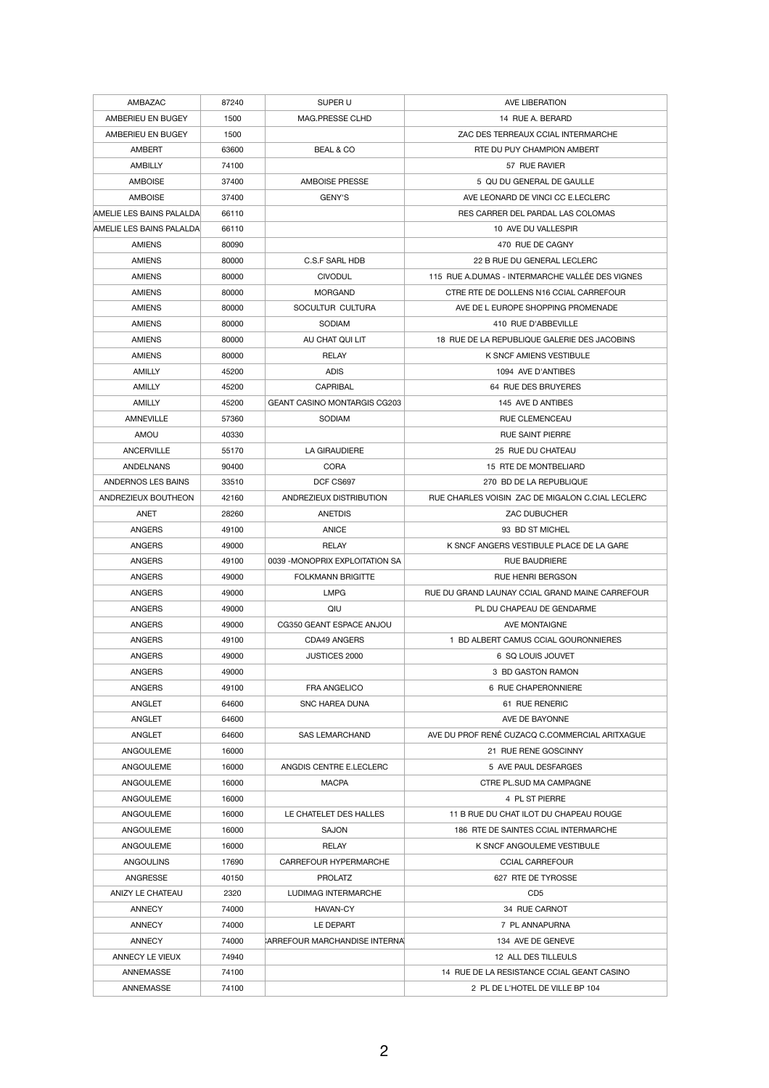| AMBAZAC                       | 87240          | SUPER U                                 | AVE LIBERATION                                   |
|-------------------------------|----------------|-----------------------------------------|--------------------------------------------------|
| AMBERIEU EN BUGEY             | 1500           | <b>MAG.PRESSE CLHD</b>                  | 14 RUE A. BERARD                                 |
| AMBERIEU EN BUGEY             | 1500           |                                         | ZAC DES TERREAUX CCIAL INTERMARCHE               |
| <b>AMBERT</b>                 | 63600          | <b>BEAL &amp; CO</b>                    | RTE DU PUY CHAMPION AMBERT                       |
| <b>AMBILLY</b>                | 74100          |                                         | 57 RUE RAVIER                                    |
| <b>AMBOISE</b>                | 37400          | <b>AMBOISE PRESSE</b>                   | 5 QU DU GENERAL DE GAULLE                        |
| <b>AMBOISE</b>                | 37400          | <b>GENY'S</b>                           | AVE LEONARD DE VINCI CC E.LECLERC                |
| AMELIE LES BAINS PALALDA      | 66110          |                                         | RES CARRER DEL PARDAL LAS COLOMAS                |
| AMELIE LES BAINS PALALDA      | 66110          |                                         | 10 AVE DU VALLESPIR                              |
| <b>AMIENS</b>                 | 80090          |                                         | 470 RUE DE CAGNY                                 |
| <b>AMIENS</b>                 | 80000          | <b>C.S.F SARL HDB</b>                   | 22 B RUE DU GENERAL LECLERC                      |
| <b>AMIENS</b>                 | 80000          | <b>CIVODUL</b>                          | 115 RUE A.DUMAS - INTERMARCHE VALLÉE DES VIGNES  |
| <b>AMIENS</b>                 | 80000          | <b>MORGAND</b>                          | CTRE RTE DE DOLLENS N16 CCIAL CARREFOUR          |
| <b>AMIENS</b>                 | 80000          | SOCULTUR CULTURA                        | AVE DE L EUROPE SHOPPING PROMENADE               |
| <b>AMIENS</b>                 | 80000          | <b>SODIAM</b>                           | 410 RUE D'ABBEVILLE                              |
| <b>AMIENS</b>                 | 80000          | AU CHAT QUI LIT                         | 18 RUE DE LA REPUBLIQUE GALERIE DES JACOBINS     |
| <b>AMIENS</b>                 | 80000          | <b>RELAY</b>                            | K SNCF AMIENS VESTIBULE                          |
| <b>AMILLY</b>                 | 45200          | <b>ADIS</b>                             | 1094 AVE D'ANTIBES                               |
| <b>AMILLY</b>                 | 45200          | <b>CAPRIBAL</b>                         | 64 RUE DES BRUYERES                              |
| <b>AMILLY</b>                 | 45200          | <b>GEANT CASINO MONTARGIS CG203</b>     | 145 AVE D ANTIBES                                |
| <b>AMNEVILLE</b>              | 57360          | <b>SODIAM</b>                           | <b>RUE CLEMENCEAU</b>                            |
| AMOU                          | 40330          |                                         | <b>RUE SAINT PIERRE</b>                          |
| <b>ANCERVILLE</b>             | 55170          | <b>LA GIRAUDIERE</b>                    | 25 RUE DU CHATEAU                                |
| <b>ANDELNANS</b>              | 90400          | <b>CORA</b>                             | 15 RTE DE MONTBELIARD                            |
| ANDERNOS LES BAINS            | 33510          | DCF CS697                               | 270 BD DE LA REPUBLIQUE                          |
| ANDREZIEUX BOUTHEON           | 42160          | ANDREZIEUX DISTRIBUTION                 | RUE CHARLES VOISIN ZAC DE MIGALON C.CIAL LECLERC |
| <b>ANET</b>                   | 28260          | <b>ANETDIS</b>                          | <b>ZAC DUBUCHER</b>                              |
| <b>ANGERS</b>                 | 49100          | <b>ANICE</b>                            | 93 BD ST MICHEL                                  |
| <b>ANGERS</b>                 | 49000          | <b>RELAY</b>                            | K SNCF ANGERS VESTIBULE PLACE DE LA GARE         |
| <b>ANGERS</b>                 | 49100          | 0039 - MONOPRIX EXPLOITATION SA         | <b>RUE BAUDRIERE</b>                             |
| <b>ANGERS</b>                 | 49000          | <b>FOLKMANN BRIGITTE</b>                | <b>RUE HENRI BERGSON</b>                         |
| <b>ANGERS</b>                 | 49000          | <b>LMPG</b>                             | RUE DU GRAND LAUNAY CCIAL GRAND MAINE CARREFOUR  |
| <b>ANGERS</b>                 | 49000          | QIU                                     | PL DU CHAPEAU DE GENDARME                        |
| <b>ANGERS</b>                 | 49000          | CG350 GEANT ESPACE ANJOU                | AVE MONTAIGNE                                    |
| <b>ANGERS</b>                 | 49100          | <b>CDA49 ANGERS</b>                     | 1 BD ALBERT CAMUS CCIAL GOURONNIERES             |
| <b>ANGERS</b>                 | 49000          | <b>JUSTICES 2000</b>                    | 6 SQ LOUIS JOUVET                                |
| <b>ANGERS</b>                 | 49000          |                                         | 3 BD GASTON RAMON                                |
| <b>ANGERS</b>                 | 49100          | FRA ANGELICO                            | 6 RUE CHAPERONNIERE                              |
| <b>ANGLET</b>                 | 64600          | <b>SNC HAREA DUNA</b>                   | 61 RUE RENERIC                                   |
| <b>ANGLET</b>                 | 64600          |                                         | AVE DE BAYONNE                                   |
| <b>ANGLET</b>                 | 64600          | <b>SAS LEMARCHAND</b>                   | AVE DU PROF RENÉ CUZACO C.COMMERCIAL ARITXAGUE   |
| ANGOULEME                     | 16000          |                                         | 21 RUE RENE GOSCINNY                             |
| ANGOULEME                     | 16000          | ANGDIS CENTRE E.LECLERC<br><b>MACPA</b> | 5 AVE PAUL DESFARGES<br>CTRE PL SUD MA CAMPAGNE  |
| ANGOULEME<br><b>ANGOULEME</b> | 16000<br>16000 |                                         | 4 PL ST PIERRE                                   |
| ANGOULEME                     | 16000          | LE CHATELET DES HALLES                  | 11 B RUE DU CHAT ILOT DU CHAPEAU ROUGE           |
| ANGOULEME                     | 16000          | <b>SAJON</b>                            | 186 RTE DE SAINTES CCIAL INTERMARCHE             |
| ANGOULEME                     | 16000          | <b>RELAY</b>                            | K SNCF ANGOULEME VESTIBULE                       |
| <b>ANGOULINS</b>              | 17690          | <b>CARREFOUR HYPERMARCHE</b>            | <b>CCIAL CARREFOUR</b>                           |
| ANGRESSE                      | 40150          | <b>PROLATZ</b>                          | 627 RTE DE TYROSSE                               |
| ANIZY LE CHATEAU              | 2320           | <b>LUDIMAG INTERMARCHE</b>              | CD <sub>5</sub>                                  |
| <b>ANNECY</b>                 | 74000          | <b>HAVAN-CY</b>                         | 34 RUE CARNOT                                    |
| <b>ANNECY</b>                 | 74000          | LE DEPART                               | 7 PL ANNAPURNA                                   |
| <b>ANNECY</b>                 | 74000          | CARREFOUR MARCHANDISE INTERNAT          | 134 AVE DE GENEVE                                |
| ANNECY LE VIEUX               | 74940          |                                         | 12 ALL DES TILLEULS                              |
| <b>ANNEMASSE</b>              | 74100          |                                         | 14 RUE DE LA RESISTANCE CCIAL GEANT CASINO       |
| ANNEMASSE                     | 74100          |                                         | 2 PL DE L'HOTEL DE VILLE BP 104                  |
|                               |                |                                         |                                                  |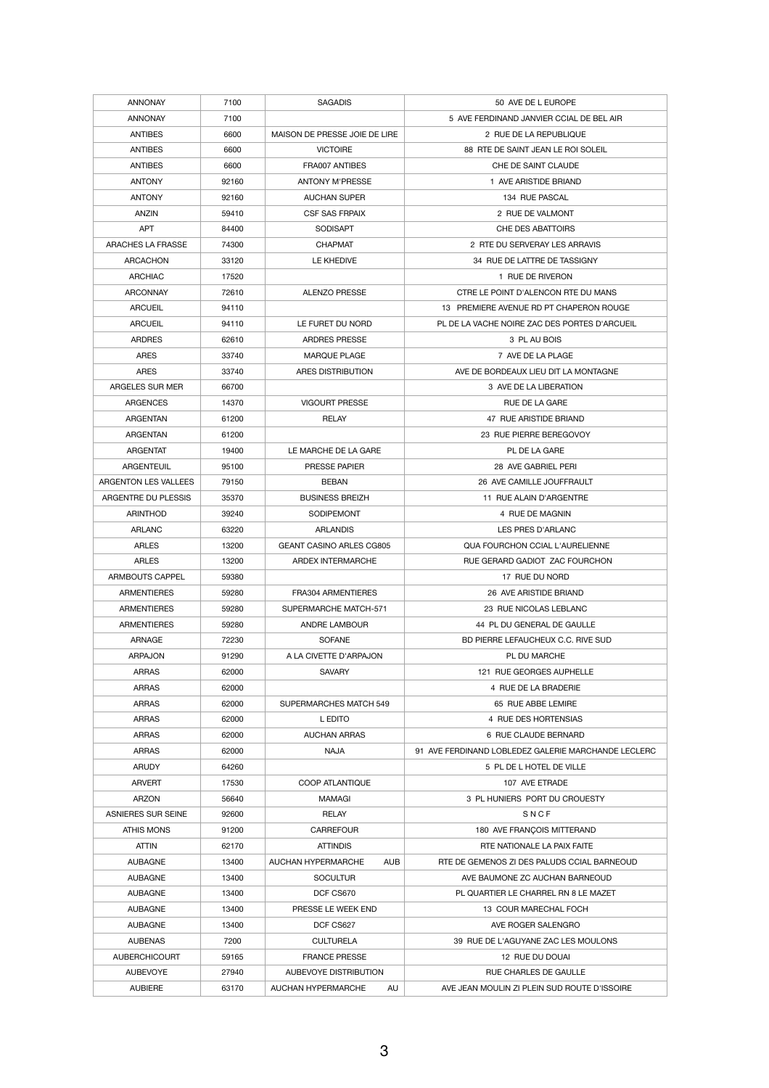| <b>ANNONAY</b>            | 7100  | <b>SAGADIS</b>                   | 50 AVE DE L EUROPE                                  |
|---------------------------|-------|----------------------------------|-----------------------------------------------------|
| <b>ANNONAY</b>            | 7100  |                                  | 5 AVE FERDINAND JANVIER CCIAL DE BEL AIR            |
| <b>ANTIBES</b>            | 6600  | MAISON DE PRESSE JOIE DE LIRE    | 2 RUE DE LA REPUBLIQUE                              |
| <b>ANTIBES</b>            | 6600  | <b>VICTOIRE</b>                  | 88 RTE DE SAINT JEAN LE ROI SOLEIL                  |
| <b>ANTIBES</b>            | 6600  | FRA007 ANTIBES                   | CHE DE SAINT CLAUDE                                 |
| <b>ANTONY</b>             | 92160 | <b>ANTONY M'PRESSE</b>           | 1 AVE ARISTIDE BRIAND                               |
| <b>ANTONY</b>             | 92160 | <b>AUCHAN SUPER</b>              | 134 RUE PASCAL                                      |
| <b>ANZIN</b>              | 59410 | <b>CSF SAS FRPAIX</b>            | 2 RUE DE VALMONT                                    |
| <b>APT</b>                | 84400 | <b>SODISAPT</b>                  | <b>CHE DES ABATTOIRS</b>                            |
| <b>ARACHES LA FRASSE</b>  | 74300 | <b>CHAPMAT</b>                   | 2 RTE DU SERVERAY LES ARRAVIS                       |
| ARCACHON                  | 33120 | LE KHEDIVE                       | 34 RUE DE LATTRE DE TASSIGNY                        |
| <b>ARCHIAC</b>            | 17520 |                                  | 1 RUE DE RIVERON                                    |
| <b>ARCONNAY</b>           | 72610 | <b>ALENZO PRESSE</b>             | CTRE LE POINT D'ALENCON RTE DU MANS                 |
| <b>ARCUEIL</b>            | 94110 |                                  | 13 PREMIERE AVENUE RD PT CHAPERON ROUGE             |
| <b>ARCUEIL</b>            | 94110 | LE FURET DU NORD                 | PL DE LA VACHE NOIRE ZAC DES PORTES D'ARCUEIL       |
| <b>ARDRES</b>             | 62610 | <b>ARDRES PRESSE</b>             | 3 PL AU BOIS                                        |
| <b>ARES</b>               | 33740 | <b>MARQUE PLAGE</b>              | 7 AVE DE LA PLAGE                                   |
| <b>ARES</b>               | 33740 | ARES DISTRIBUTION                | AVE DE BORDEAUX LIEU DIT LA MONTAGNE                |
| ARGELES SUR MER           | 66700 |                                  | 3 AVE DE LA LIBERATION                              |
| <b>ARGENCES</b>           | 14370 | <b>VIGOURT PRESSE</b>            | RUE DE LA GARE                                      |
| <b>ARGENTAN</b>           | 61200 | <b>RELAY</b>                     | 47 RUE ARISTIDE BRIAND                              |
| <b>ARGENTAN</b>           | 61200 |                                  | 23 RUE PIERRE BEREGOVOY                             |
| <b>ARGENTAT</b>           | 19400 | LE MARCHE DE LA GARE             | PL DE LA GARE                                       |
|                           |       |                                  |                                                     |
| <b>ARGENTEUIL</b>         | 95100 | <b>PRESSE PAPIER</b>             | 28 AVE GABRIEL PERI                                 |
| ARGENTON LES VALLEES      | 79150 | <b>BEBAN</b>                     | 26 AVE CAMILLE JOUFFRAULT                           |
| ARGENTRE DU PLESSIS       | 35370 | <b>BUSINESS BREIZH</b>           | 11 RUE ALAIN D'ARGENTRE                             |
| <b>ARINTHOD</b>           | 39240 | <b>SODIPEMONT</b>                | 4 RUE DE MAGNIN                                     |
| <b>ARLANC</b>             | 63220 | <b>ARLANDIS</b>                  | LES PRES D'ARLANC                                   |
| <b>ARLES</b>              | 13200 | <b>GEANT CASINO ARLES CG805</b>  | <b>QUA FOURCHON CCIAL L'AURELIENNE</b>              |
| <b>ARLES</b>              | 13200 | ARDEX INTERMARCHE                | RUE GERARD GADIOT ZAC FOURCHON                      |
| ARMBOUTS CAPPEL           | 59380 |                                  | 17 RUE DU NORD                                      |
| <b>ARMENTIERES</b>        | 59280 | <b>FRA304 ARMENTIERES</b>        | 26 AVE ARISTIDE BRIAND                              |
| <b>ARMENTIERES</b>        | 59280 | SUPERMARCHE MATCH-571            | 23 RUE NICOLAS LEBLANC                              |
| <b>ARMENTIERES</b>        | 59280 | <b>ANDRE LAMBOUR</b>             | 44 PL DU GENERAL DE GAULLE                          |
| <b>ARNAGE</b>             | 72230 | <b>SOFANE</b>                    | BD PIERRE LEFAUCHEUX C.C. RIVE SUD                  |
| <b>ARPAJON</b>            | 91290 | A LA CIVETTE D'ARPAJON           | PL DU MARCHE                                        |
| <b>ARRAS</b>              | 62000 | <b>SAVARY</b>                    | 121 RUE GEORGES AUPHELLE                            |
| <b>ARRAS</b>              | 62000 |                                  | 4 RUE DE LA BRADERIE                                |
| <b>ARRAS</b>              | 62000 | <b>SUPERMARCHES MATCH 549</b>    | 65 RUE ABBE LEMIRE                                  |
| <b>ARRAS</b>              | 62000 | L EDITO                          | 4 RUE DES HORTENSIAS                                |
| <b>ARRAS</b>              | 62000 | <b>AUCHAN ARRAS</b>              | 6 RUE CLAUDE BERNARD                                |
| <b>ARRAS</b>              | 62000 | <b>NAJA</b>                      | 91 AVE FERDINAND LOBLEDEZ GALERIE MARCHANDE LECLERC |
| <b>ARUDY</b>              | 64260 |                                  | 5 PL DE L HOTEL DE VILLE                            |
| <b>ARVERT</b>             | 17530 | <b>COOP ATLANTIQUE</b>           | 107 AVE ETRADE                                      |
| <b>ARZON</b>              | 56640 | MAMAGI                           | 3 PL HUNIERS PORT DU CROUESTY                       |
| <b>ASNIERES SUR SEINE</b> | 92600 | <b>RELAY</b>                     | SNCF                                                |
| <b>ATHIS MONS</b>         | 91200 | <b>CARREFOUR</b>                 | 180 AVE FRANÇOIS MITTERAND                          |
| <b>ATTIN</b>              | 62170 | <b>ATTINDIS</b>                  | RTE NATIONALE LA PAIX FAITE                         |
| <b>AUBAGNE</b>            | 13400 | AUCHAN HYPERMARCHE<br><b>AUB</b> | RTE DE GEMENOS ZI DES PALUDS CCIAL BARNEOUD         |
| <b>AUBAGNE</b>            | 13400 | <b>SOCULTUR</b>                  | AVE BAUMONE ZC AUCHAN BARNEOUD                      |
| <b>AUBAGNE</b>            | 13400 | DCF CS670                        | PL QUARTIER LE CHARREL RN 8 LE MAZET                |
| <b>AUBAGNE</b>            | 13400 | PRESSE LE WEEK END               | 13 COUR MARECHAL FOCH                               |
| <b>AUBAGNE</b>            | 13400 | DCF CS627                        | AVE ROGER SALENGRO                                  |
| <b>AUBENAS</b>            | 7200  | <b>CULTURELA</b>                 | 39 RUE DE L'AGUYANE ZAC LES MOULONS                 |
| <b>AUBERCHICOURT</b>      | 59165 | <b>FRANCE PRESSE</b>             | 12 RUE DU DOUAI                                     |
| <b>AUBEVOYE</b>           | 27940 | AUBEVOYE DISTRIBUTION            | <b>RUE CHARLES DE GAULLE</b>                        |
|                           |       |                                  |                                                     |
| <b>AUBIERE</b>            | 63170 | AUCHAN HYPERMARCHE<br>AU         | AVE JEAN MOULIN ZI PLEIN SUD ROUTE D'ISSOIRE        |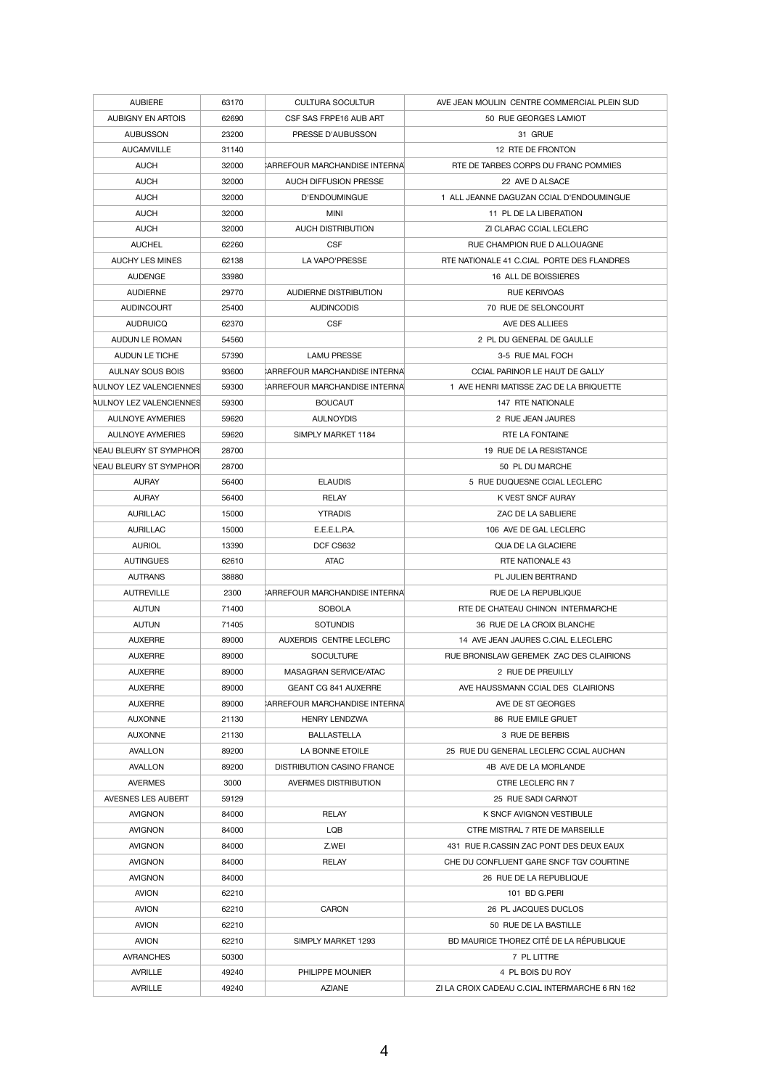| <b>AUBIERE</b>                 | 63170          | <b>CULTURA SOCULTUR</b>              | AVE JEAN MOULIN CENTRE COMMERCIAL PLEIN SUD    |
|--------------------------------|----------------|--------------------------------------|------------------------------------------------|
| <b>AUBIGNY EN ARTOIS</b>       | 62690          | CSF SAS FRPE16 AUB ART               | 50 RUE GEORGES LAMIOT                          |
| <b>AUBUSSON</b>                | 23200          | PRESSE D'AUBUSSON                    | 31 GRUE                                        |
| <b>AUCAMVILLE</b>              | 31140          |                                      | 12 RTE DE FRONTON                              |
| <b>AUCH</b>                    | 32000          | <b>ARREFOUR MARCHANDISE INTERNAL</b> | RTE DE TARBES CORPS DU FRANC POMMIES           |
| <b>AUCH</b>                    | 32000          | <b>AUCH DIFFUSION PRESSE</b>         | 22 AVE D ALSACE                                |
| <b>AUCH</b>                    | 32000          | D'ENDOUMINGUE                        | 1 ALL JEANNE DAGUZAN CCIAL D'ENDOUMINGUE       |
| <b>AUCH</b>                    | 32000          | <b>MINI</b>                          | 11 PL DE LA LIBERATION                         |
| <b>AUCH</b>                    | 32000          | <b>AUCH DISTRIBUTION</b>             | ZI CLARAC CCIAL LECLERC                        |
| <b>AUCHEL</b>                  | 62260          | <b>CSF</b>                           | RUE CHAMPION RUE D ALLOUAGNE                   |
| <b>AUCHY LES MINES</b>         | 62138          | LA VAPO'PRESSE                       | RTE NATIONALE 41 C.CIAL PORTE DES FLANDRES     |
| <b>AUDENGE</b>                 | 33980          |                                      | 16 ALL DE BOISSIERES                           |
| <b>AUDIERNE</b>                | 29770          | AUDIERNE DISTRIBUTION                | <b>RUE KERIVOAS</b>                            |
| <b>AUDINCOURT</b>              | 25400          | <b>AUDINCODIS</b>                    | 70 RUE DE SELONCOURT                           |
| <b>AUDRUICQ</b>                | 62370          | <b>CSF</b>                           | AVE DES ALLIEES                                |
| AUDUN LE ROMAN                 | 54560          |                                      | 2 PL DU GENERAL DE GAULLE                      |
| <b>AUDUN LE TICHE</b>          | 57390          | <b>LAMU PRESSE</b>                   | 3-5 RUE MAL FOCH                               |
| <b>AULNAY SOUS BOIS</b>        | 93600          | <b>ARREFOUR MARCHANDISE INTERNAL</b> | CCIAL PARINOR LE HAUT DE GALLY                 |
| AULNOY LEZ VALENCIENNES        | 59300          | <b>ARREFOUR MARCHANDISE INTERNAL</b> | 1 AVE HENRI MATISSE ZAC DE LA BRIQUETTE        |
| <b>AULNOY LEZ VALENCIENNES</b> | 59300          | <b>BOUCAUT</b>                       | 147 RTE NATIONALE                              |
| <b>AULNOYE AYMERIES</b>        |                | <b>AULNOYDIS</b>                     | 2 RUE JEAN JAURES                              |
| <b>AULNOYE AYMERIES</b>        | 59620<br>59620 | SIMPLY MARKET 1184                   | RTE LA FONTAINE                                |
| <b>NEAU BLEURY ST SYMPHOR</b>  |                |                                      | 19 RUE DE LA RESISTANCE                        |
|                                | 28700          |                                      |                                                |
| NEAU BLEURY ST SYMPHOR         | 28700          |                                      | 50 PL DU MARCHE                                |
| <b>AURAY</b>                   | 56400          | <b>ELAUDIS</b>                       | 5 RUE DUQUESNE CCIAL LECLERC                   |
| <b>AURAY</b>                   | 56400          | <b>RELAY</b>                         | K VEST SNCF AURAY                              |
| <b>AURILLAC</b>                | 15000          | <b>YTRADIS</b>                       | ZAC DE LA SABLIERE                             |
| <b>AURILLAC</b>                | 15000          | E.E.E.L.P.A.                         | 106 AVE DE GAL LECLERC                         |
| <b>AURIOL</b>                  | 13390          | DCF CS632                            | <b>QUA DE LA GLACIERE</b>                      |
| <b>AUTINGUES</b>               | 62610          | <b>ATAC</b>                          | RTE NATIONALE 43                               |
| <b>AUTRANS</b>                 | 38880          |                                      | PL JULIEN BERTRAND                             |
| <b>AUTREVILLE</b>              | 2300           | <b>ARREFOUR MARCHANDISE INTERNA</b>  | RUE DE LA REPUBLIQUE                           |
| <b>AUTUN</b>                   | 71400          | <b>SOBOLA</b>                        | RTE DE CHATEAU CHINON INTERMARCHE              |
| AUTUN                          | 71405          | <b>SOTUNDIS</b>                      | 36 RUE DE LA CROIX BLANCHE                     |
| <b>AUXERRE</b>                 | 89000          | AUXERDIS CENTRE LECLERC              | 14 AVE JEAN JAURES C.CIAL E.LECLERC            |
| <b>AUXERRE</b>                 | 89000          | <b>SOCULTURE</b>                     | RUE BRONISLAW GEREMEK ZAC DES CLAIRIONS        |
| <b>AUXERRE</b>                 | 89000          | MASAGRAN SERVICE/ATAC                | 2 RUE DE PREUILLY                              |
| <b>AUXERRE</b>                 | 89000          | <b>GEANT CG 841 AUXERRE</b>          | AVE HAUSSMANN CCIAL DES CLAIRIONS              |
| <b>AUXERRE</b>                 | 89000          | <b>ARREFOUR MARCHANDISE INTERNAL</b> | AVE DE ST GEORGES                              |
| <b>AUXONNE</b>                 | 21130          | <b>HENRY LENDZWA</b>                 | <b>86 RUE EMILE GRUET</b>                      |
| <b>AUXONNE</b>                 | 21130          | <b>BALLASTELLA</b>                   | 3 RUE DE BERBIS                                |
| <b>AVALLON</b>                 | 89200          | LA BONNE ETOILE                      | 25 RUE DU GENERAL LECLERC CCIAL AUCHAN         |
| <b>AVALLON</b>                 | 89200          | <b>DISTRIBUTION CASINO FRANCE</b>    | 4B AVE DE LA MORLANDE                          |
| <b>AVERMES</b>                 | 3000           | <b>AVERMES DISTRIBUTION</b>          | CTRE LECLERC RN 7                              |
| AVESNES LES AUBERT             | 59129          |                                      | 25 RUE SADI CARNOT                             |
| <b>AVIGNON</b>                 | 84000          | <b>RELAY</b>                         | K SNCF AVIGNON VESTIBULE                       |
| <b>AVIGNON</b>                 | 84000          | <b>LQB</b>                           | CTRE MISTRAL 7 RTE DE MARSEILLE                |
| <b>AVIGNON</b>                 | 84000          | Z.WEI                                | 431 RUE R.CASSIN ZAC PONT DES DEUX EAUX        |
| <b>AVIGNON</b>                 | 84000          | <b>RELAY</b>                         | CHE DU CONFLUENT GARE SNCF TGV COURTINE        |
| <b>AVIGNON</b>                 | 84000          |                                      | 26 RUE DE LA REPUBLIQUE                        |
| <b>AVION</b>                   | 62210          |                                      | 101 BD G.PERI                                  |
| <b>AVION</b>                   | 62210          | <b>CARON</b>                         | 26 PL JACQUES DUCLOS                           |
| <b>AVION</b>                   | 62210          |                                      | 50 RUE DE LA BASTILLE                          |
| <b>AVION</b>                   | 62210          | SIMPLY MARKET 1293                   | BD MAURICE THOREZ CITÉ DE LA RÉPUBLIQUE        |
| <b>AVRANCHES</b>               | 50300          |                                      | 7 PL LITTRE                                    |
| <b>AVRILLE</b>                 | 49240          | PHILIPPE MOUNIER                     | 4 PL BOIS DU ROY                               |
| <b>AVRILLE</b>                 | 49240          | <b>AZIANE</b>                        | ZI LA CROIX CADEAU C.CIAL INTERMARCHE 6 RN 162 |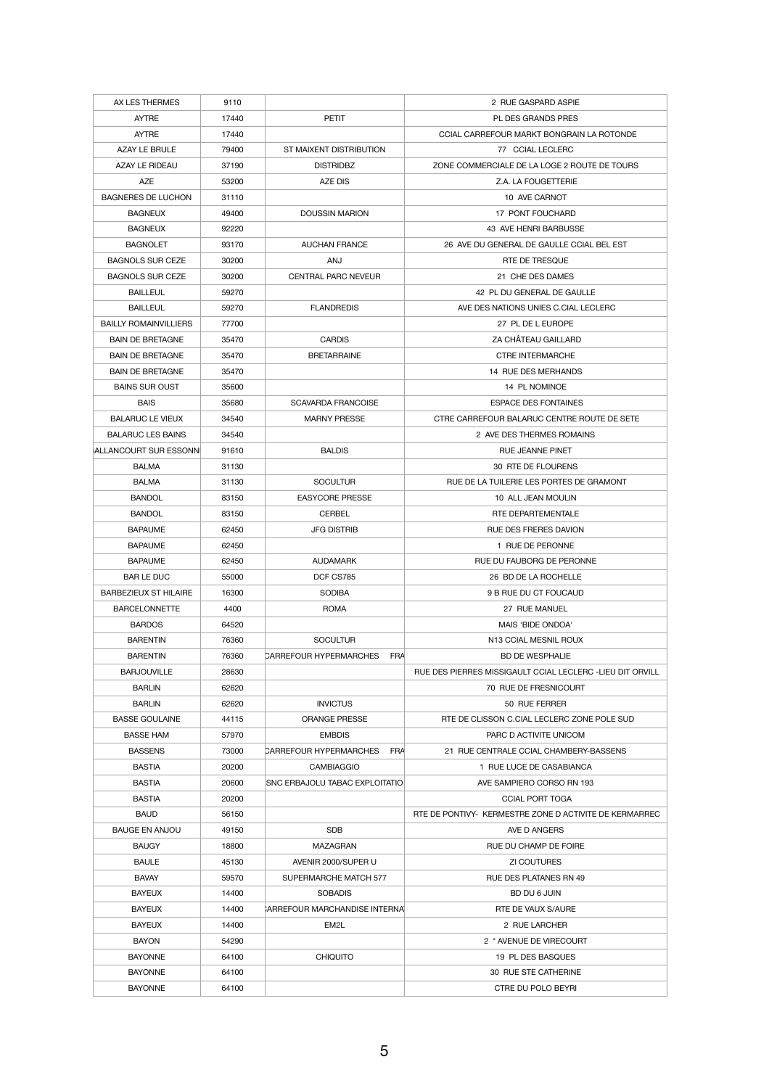| AX LES THERMES               | 9110  |                                       | 2 RUE GASPARD ASPIE                                       |
|------------------------------|-------|---------------------------------------|-----------------------------------------------------------|
| <b>AYTRE</b>                 | 17440 | <b>PETIT</b>                          | PL DES GRANDS PRES                                        |
| <b>AYTRE</b>                 | 17440 |                                       | CCIAL CARREFOUR MARKT BONGRAIN LA ROTONDE                 |
| <b>AZAY LE BRULE</b>         | 79400 | ST MAIXENT DISTRIBUTION               | 77 CCIAL LECLERC                                          |
| AZAY LE RIDEAU               | 37190 | <b>DISTRIDBZ</b>                      | ZONE COMMERCIALE DE LA LOGE 2 ROUTE DE TOURS              |
| <b>AZE</b>                   | 53200 | AZE DIS                               | Z.A. LA FOUGETTERIE                                       |
| <b>BAGNERES DE LUCHON</b>    | 31110 |                                       | 10 AVE CARNOT                                             |
| <b>BAGNEUX</b>               | 49400 | <b>DOUSSIN MARION</b>                 | 17 PONT FOUCHARD                                          |
| <b>BAGNEUX</b>               | 92220 |                                       | 43 AVE HENRI BARBUSSE                                     |
| <b>BAGNOLET</b>              | 93170 | <b>AUCHAN FRANCE</b>                  | 26 AVE DU GENERAL DE GAULLE CCIAL BEL EST                 |
| <b>BAGNOLS SUR CEZE</b>      | 30200 | ANJ                                   | RTE DE TRESQUE                                            |
| <b>BAGNOLS SUR CEZE</b>      | 30200 | <b>CENTRAL PARC NEVEUR</b>            | 21 CHE DES DAMES                                          |
| <b>BAILLEUL</b>              | 59270 |                                       | 42 PL DU GENERAL DE GAULLE                                |
| <b>BAILLEUL</b>              | 59270 | <b>FLANDREDIS</b>                     | AVE DES NATIONS UNIES C.CIAL LECLERC                      |
| <b>BAILLY ROMAINVILLIERS</b> | 77700 |                                       | 27 PL DE L EUROPE                                         |
| <b>BAIN DE BRETAGNE</b>      | 35470 | <b>CARDIS</b>                         | ZA CHÂTEAU GAILLARD                                       |
| <b>BAIN DE BRETAGNE</b>      | 35470 | <b>BRETARRAINE</b>                    | <b>CTRE INTERMARCHE</b>                                   |
| <b>BAIN DE BRETAGNE</b>      | 35470 |                                       | 14 RUE DES MERHANDS                                       |
| <b>BAINS SUR OUST</b>        | 35600 |                                       | 14 PL NOMINOE                                             |
| <b>BAIS</b>                  | 35680 | <b>SCAVARDA FRANCOISE</b>             | <b>ESPACE DES FONTAINES</b>                               |
| <b>BALARUC LE VIEUX</b>      | 34540 | <b>MARNY PRESSE</b>                   | CTRE CARREFOUR BALARUC CENTRE ROUTE DE SETE               |
| <b>BALARUC LES BAINS</b>     | 34540 |                                       | 2 AVE DES THERMES ROMAINS                                 |
| <b>ALLANCOURT SUR ESSONN</b> | 91610 | <b>BALDIS</b>                         | <b>RUE JEANNE PINET</b>                                   |
| <b>BALMA</b>                 | 31130 |                                       | 30 RTE DE FLOURENS                                        |
| <b>BALMA</b>                 | 31130 | <b>SOCULTUR</b>                       | RUE DE LA TUILERIE LES PORTES DE GRAMONT                  |
| <b>BANDOL</b>                | 83150 | <b>EASYCORE PRESSE</b>                | 10 ALL JEAN MOULIN                                        |
| <b>BANDOL</b>                | 83150 | <b>CERBEL</b>                         | RTE DEPARTEMENTALE                                        |
| <b>BAPAUME</b>               | 62450 | <b>JFG DISTRIB</b>                    | <b>RUE DES FRERES DAVION</b>                              |
| <b>BAPAUME</b>               | 62450 |                                       | 1 RUE DE PERONNE                                          |
| <b>BAPAUME</b>               | 62450 | <b>AUDAMARK</b>                       | RUE DU FAUBORG DE PERONNE                                 |
| <b>BAR LE DUC</b>            | 55000 | DCF CS785                             | 26 BD DE LA ROCHELLE                                      |
| <b>BARBEZIEUX ST HILAIRE</b> | 16300 | <b>SODIBA</b>                         | 9 B RUE DU CT FOUCAUD                                     |
| <b>BARCELONNETTE</b>         | 4400  | <b>ROMA</b>                           | 27 RUE MANUEL                                             |
| <b>BARDOS</b>                | 64520 |                                       | MAIS 'BIDE ONDOA'                                         |
| <b>BARENTIN</b>              | 76360 | <b>SOCULTUR</b>                       | N13 CCIAL MESNIL ROUX                                     |
| <b>BARENTIN</b>              | 76360 | <b>CARREFOUR HYPERMARCHES</b><br>FRA  | <b>BD DE WESPHALIE</b>                                    |
| <b>BARJOUVILLE</b>           | 28630 |                                       | RUE DES PIERRES MISSIGAULT CCIAL LECLERC -LIEU DIT ORVILL |
| <b>BARLIN</b>                | 62620 |                                       | 70 RUE DE FRESNICOURT                                     |
| <b>BARLIN</b>                | 62620 | <b>INVICTUS</b>                       | 50 RUE FERRER                                             |
| <b>BASSE GOULAINE</b>        | 44115 | <b>ORANGE PRESSE</b>                  | RTE DE CLISSON C.CIAL LECLERC ZONE POLE SUD               |
| <b>BASSE HAM</b>             | 57970 | <b>EMBDIS</b>                         | PARC D ACTIVITE UNICOM                                    |
| <b>BASSENS</b>               | 73000 | <b>CARREFOUR HYPERMARCHES</b><br>FRA  | 21 RUE CENTRALE CCIAL CHAMBERY-BASSENS                    |
| <b>BASTIA</b>                | 20200 | <b>CAMBIAGGIO</b>                     | 1 RUE LUCE DE CASABIANCA                                  |
| <b>BASTIA</b>                | 20600 | <b>SNC ERBAJOLU TABAC EXPLOITATIO</b> | AVE SAMPIERO CORSO RN 193                                 |
| <b>BASTIA</b>                | 20200 |                                       | <b>CCIAL PORT TOGA</b>                                    |
| <b>BAUD</b>                  | 56150 |                                       | RTE DE PONTIVY- KERMESTRE ZONE D ACTIVITE DE KERMARREC    |
| <b>BAUGE EN ANJOU</b>        | 49150 | <b>SDB</b>                            | AVE D ANGERS                                              |
| <b>BAUGY</b>                 | 18800 | <b>MAZAGRAN</b>                       | RUE DU CHAMP DE FOIRE                                     |
| <b>BAULE</b>                 | 45130 | AVENIR 2000/SUPER U                   | <b>ZI COUTURES</b>                                        |
| <b>BAVAY</b>                 | 59570 | SUPERMARCHE MATCH 577                 | <b>RUE DES PLATANES RN 49</b>                             |
| <b>BAYEUX</b>                | 14400 | <b>SOBADIS</b>                        | BD DU 6 JUIN                                              |
| <b>BAYEUX</b>                | 14400 | CARREFOUR MARCHANDISE INTERNAL        | RTE DE VAUX S/AURE                                        |
| <b>BAYEUX</b>                | 14400 | EM <sub>2</sub> L                     | 2 RUE LARCHER                                             |
| <b>BAYON</b>                 | 54290 |                                       | 2 * AVENUE DE VIRECOURT                                   |
| <b>BAYONNE</b>               | 64100 | <b>CHIQUITO</b>                       | 19 PL DES BASQUES                                         |
| <b>BAYONNE</b>               | 64100 |                                       | 30 RUE STE CATHERINE                                      |
| <b>BAYONNE</b>               | 64100 |                                       | CTRE DU POLO BEYRI                                        |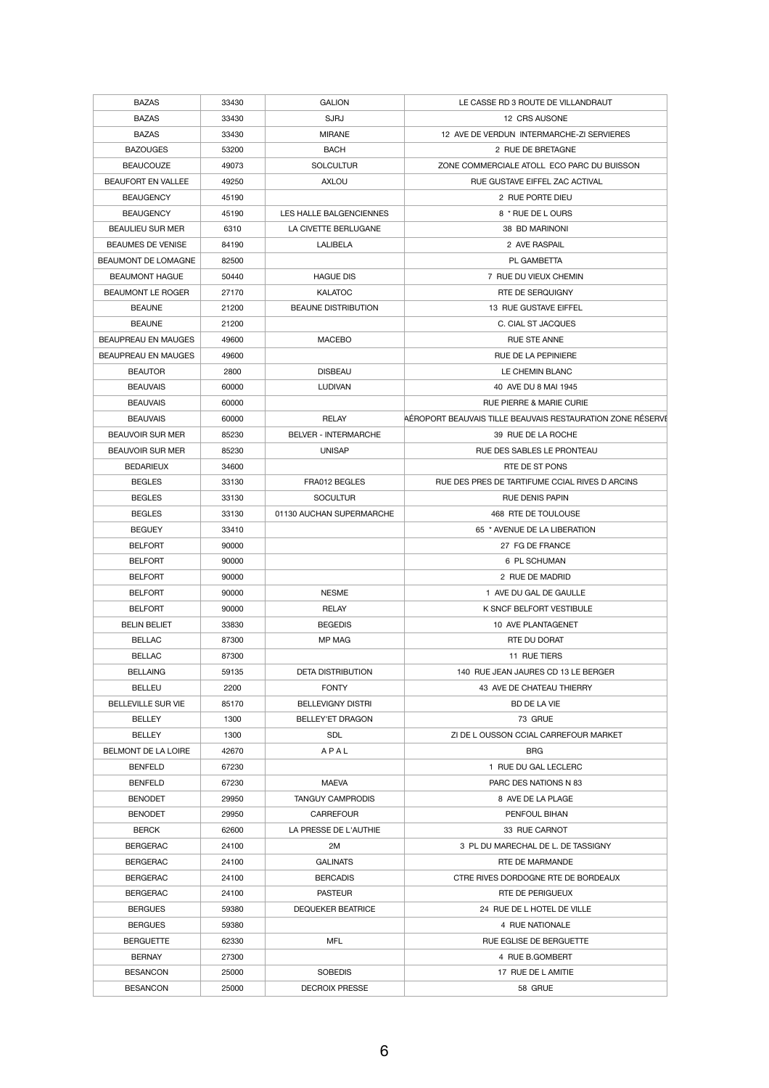| <b>BAZAS</b>                         | 33430          | <b>GALION</b>                   | LE CASSE RD 3 ROUTE DE VILLANDRAUT                         |
|--------------------------------------|----------------|---------------------------------|------------------------------------------------------------|
| <b>BAZAS</b>                         | 33430          | <b>SJRJ</b>                     | 12 CRS AUSONE                                              |
| <b>BAZAS</b>                         | 33430          | <b>MIRANE</b>                   | 12 AVE DE VERDUN INTERMARCHE-ZI SERVIERES                  |
| <b>BAZOUGES</b>                      | 53200          | <b>BACH</b>                     | 2 RUE DE BRETAGNE                                          |
| <b>BEAUCOUZE</b>                     | 49073          | <b>SOLCULTUR</b>                | ZONE COMMERCIALE ATOLL ECO PARC DU BUISSON                 |
| <b>BEAUFORT EN VALLEE</b>            | 49250          | <b>AXLOU</b>                    | RUE GUSTAVE EIFFEL ZAC ACTIVAL                             |
| <b>BEAUGENCY</b>                     | 45190          |                                 | 2 RUE PORTE DIEU                                           |
| <b>BEAUGENCY</b>                     | 45190          | LES HALLE BALGENCIENNES         | 8 * RUE DE L OURS                                          |
| <b>BEAULIEU SUR MER</b>              | 6310           | LA CIVETTE BERLUGANE            | 38 BD MARINONI                                             |
| <b>BEAUMES DE VENISE</b>             | 84190          | LALIBELA                        | 2 AVE RASPAIL                                              |
| BEAUMONT DE LOMAGNE                  | 82500          |                                 | PL GAMBETTA                                                |
| <b>BEAUMONT HAGUE</b>                | 50440          | <b>HAGUE DIS</b>                | 7 RUE DU VIEUX CHEMIN                                      |
| <b>BEAUMONT LE ROGER</b>             | 27170          | <b>KALATOC</b>                  | RTE DE SERQUIGNY                                           |
| <b>BEAUNE</b>                        | 21200          | <b>BEAUNE DISTRIBUTION</b>      | 13 RUE GUSTAVE EIFFEL                                      |
| <b>BEAUNE</b>                        | 21200          |                                 | C. CIAL ST JACQUES                                         |
| <b>BEAUPREAU EN MAUGES</b>           | 49600          | <b>MACEBO</b>                   | <b>RUE STE ANNE</b>                                        |
| <b>BEAUPREAU EN MAUGES</b>           | 49600          |                                 | RUE DE LA PEPINIERE                                        |
| <b>BEAUTOR</b>                       | 2800           | <b>DISBEAU</b>                  | LE CHEMIN BLANC                                            |
| <b>BEAUVAIS</b>                      | 60000          | <b>LUDIVAN</b>                  | 40 AVE DU 8 MAI 1945                                       |
| <b>BEAUVAIS</b>                      | 60000          |                                 | <b>RUE PIERRE &amp; MARIE CURIE</b>                        |
| <b>BEAUVAIS</b>                      | 60000          | <b>RELAY</b>                    | AÉROPORT BEAUVAIS TILLE BEAUVAIS RESTAURATION ZONE RÉSERVÉ |
| <b>BEAUVOIR SUR MER</b>              | 85230          | <b>BELVER - INTERMARCHE</b>     | 39 RUE DE LA ROCHE                                         |
| <b>BEAUVOIR SUR MER</b>              | 85230          | <b>UNISAP</b>                   | RUE DES SABLES LE PRONTEAU                                 |
| <b>BEDARIEUX</b>                     | 34600          |                                 | RTE DE ST PONS                                             |
| <b>BEGLES</b>                        | 33130          | FRA012 BEGLES                   | RUE DES PRES DE TARTIFUME CCIAL RIVES D ARCINS             |
| <b>BEGLES</b>                        | 33130          | <b>SOCULTUR</b>                 | <b>RUE DENIS PAPIN</b>                                     |
| <b>BEGLES</b>                        | 33130          | 01130 AUCHAN SUPERMARCHE        | 468 RTE DE TOULOUSE                                        |
|                                      |                |                                 |                                                            |
| <b>BEGUEY</b><br><b>BELFORT</b>      | 33410          |                                 | 65 * AVENUE DE LA LIBERATION<br>27 FG DE FRANCE            |
| <b>BELFORT</b>                       | 90000          |                                 | 6 PL SCHUMAN                                               |
| <b>BELFORT</b>                       | 90000<br>90000 |                                 | 2 RUE DE MADRID                                            |
| <b>BELFORT</b>                       | 90000          | <b>NESME</b>                    | 1 AVE DU GAL DE GAULLE                                     |
|                                      |                |                                 |                                                            |
| <b>BELFORT</b>                       | 90000          | <b>RELAY</b>                    | K SNCF BELFORT VESTIBULE                                   |
| <b>BELIN BELIET</b><br><b>BELLAC</b> | 33830          | <b>BEGEDIS</b><br><b>MP MAG</b> | 10 AVE PLANTAGENET<br>RTE DU DORAT                         |
| <b>BELLAC</b>                        | 87300          |                                 | 11 RUE TIERS                                               |
|                                      | 87300          |                                 |                                                            |
| <b>BELLAING</b>                      | 59135          | <b>DETA DISTRIBUTION</b>        | 140 RUE JEAN JAURES CD 13 LE BERGER                        |
| <b>BELLEU</b>                        | 2200           | <b>FONTY</b>                    | 43 AVE DE CHATEAU THIERRY                                  |
| <b>BELLEVILLE SUR VIE</b>            | 85170          | <b>BELLEVIGNY DISTRI</b>        | BD DE LA VIE                                               |
| <b>BELLEY</b>                        | 1300           | <b>BELLEY'ET DRAGON</b>         | 73 GRUE                                                    |
| <b>BELLEY</b>                        | 1300           | <b>SDL</b>                      | ZI DE LOUSSON CCIAL CARREFOUR MARKET                       |
| <b>BELMONT DE LA LOIRE</b>           | 42670          | APAL                            | <b>BRG</b>                                                 |
| <b>BENFELD</b>                       | 67230          |                                 | 1 RUE DU GAL LECLERC                                       |
| <b>BENFELD</b>                       | 67230          | <b>MAEVA</b>                    | PARC DES NATIONS N 83                                      |
| <b>BENODET</b>                       | 29950          | <b>TANGUY CAMPRODIS</b>         | 8 AVE DE LA PLAGE                                          |
| <b>BENODET</b>                       | 29950          | <b>CARREFOUR</b>                | PENFOUL BIHAN                                              |
| <b>BERCK</b>                         | 62600          | LA PRESSE DE L'AUTHIE           | 33 RUE CARNOT                                              |
| <b>BERGERAC</b>                      | 24100          | 2M                              | 3 PL DU MARECHAL DE L. DE TASSIGNY                         |
| <b>BERGERAC</b>                      | 24100          | <b>GALINATS</b>                 | RTE DE MARMANDE                                            |
| <b>BERGERAC</b>                      | 24100          | <b>BERCADIS</b>                 | CTRE RIVES DORDOGNE RTE DE BORDEAUX                        |
| <b>BERGERAC</b>                      | 24100          | <b>PASTEUR</b>                  | RTE DE PERIGUEUX                                           |
| <b>BERGUES</b>                       | 59380          | <b>DEQUEKER BEATRICE</b>        | 24 RUE DE L HOTEL DE VILLE                                 |
| <b>BERGUES</b>                       | 59380          |                                 | 4 RUE NATIONALE                                            |
| <b>BERGUETTE</b>                     | 62330          | <b>MFL</b>                      | RUE EGLISE DE BERGUETTE                                    |
| <b>BERNAY</b>                        | 27300          |                                 | 4 RUE B.GOMBERT                                            |
| <b>BESANCON</b>                      | 25000          | <b>SOBEDIS</b>                  | 17 RUE DE L AMITIE                                         |
| <b>BESANCON</b>                      | 25000          | <b>DECROIX PRESSE</b>           | 58 GRUE                                                    |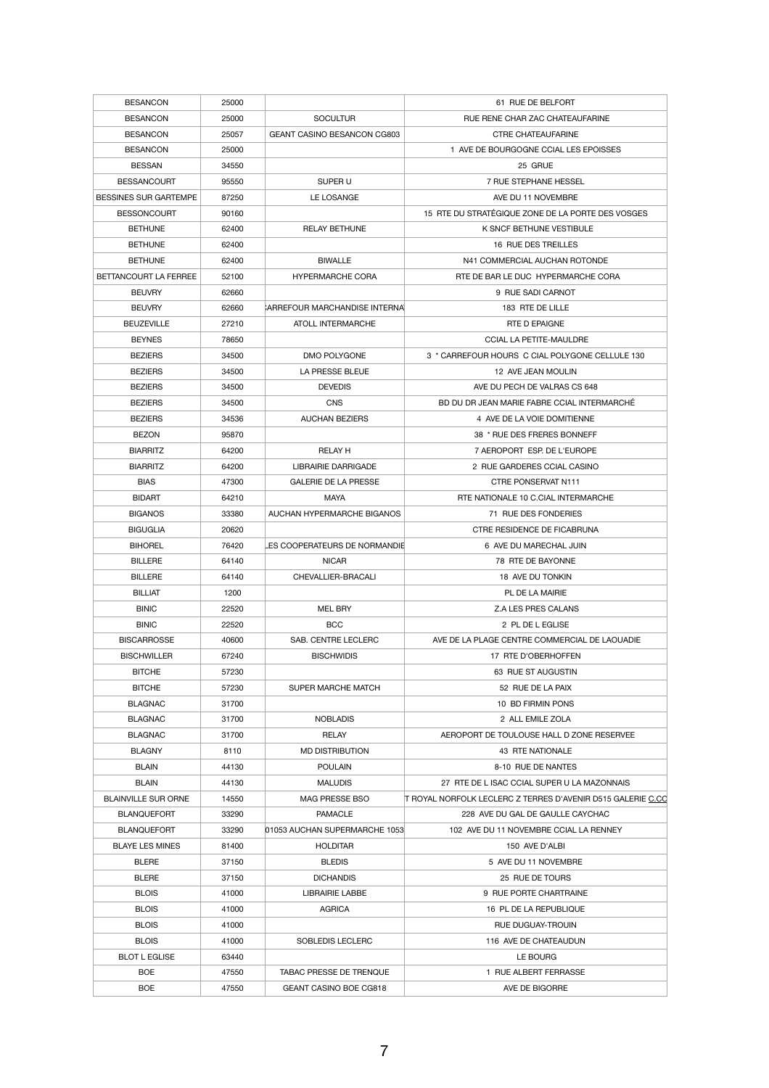| <b>BESANCON</b>              | 25000 |                                    | 61 RUE DE BELFORT                                           |
|------------------------------|-------|------------------------------------|-------------------------------------------------------------|
| <b>BESANCON</b>              | 25000 | <b>SOCULTUR</b>                    | RUE RENE CHAR ZAC CHATEAUFARINE                             |
| <b>BESANCON</b>              | 25057 | <b>GEANT CASINO BESANCON CG803</b> | <b>CTRE CHATEAUFARINE</b>                                   |
| <b>BESANCON</b>              | 25000 |                                    | 1 AVE DE BOURGOGNE CCIAL LES EPOISSES                       |
| <b>BESSAN</b>                | 34550 |                                    | 25 GRUE                                                     |
| <b>BESSANCOURT</b>           | 95550 | SUPER U                            | 7 RUE STEPHANE HESSEL                                       |
| <b>BESSINES SUR GARTEMPE</b> | 87250 | LE LOSANGE                         | AVE DU 11 NOVEMBRE                                          |
| <b>BESSONCOURT</b>           | 90160 |                                    | 15 RTE DU STRATÉGIQUE ZONE DE LA PORTE DES VOSGES           |
| <b>BETHUNE</b>               | 62400 | <b>RELAY BETHUNE</b>               | K SNCF BETHUNE VESTIBULE                                    |
| <b>BETHUNE</b>               | 62400 |                                    | 16 RUE DES TREILLES                                         |
| <b>BETHUNE</b>               | 62400 | <b>BIWALLE</b>                     | N41 COMMERCIAL AUCHAN ROTONDE                               |
| BETTANCOURT LA FERREE        |       |                                    | RTE DE BAR LE DUC HYPERMARCHE CORA                          |
|                              | 52100 | <b>HYPERMARCHE CORA</b>            |                                                             |
| <b>BEUVRY</b>                | 62660 |                                    | 9 RUE SADI CARNOT                                           |
| <b>BEUVRY</b>                | 62660 | CARREFOUR MARCHANDISE INTERNAL     | 183 RTE DE LILLE                                            |
| <b>BEUZEVILLE</b>            | 27210 | <b>ATOLL INTERMARCHE</b>           | RTE D EPAIGNE                                               |
| <b>BEYNES</b>                | 78650 |                                    | <b>CCIAL LA PETITE-MAULDRE</b>                              |
| <b>BEZIERS</b>               | 34500 | DMO POLYGONE                       | 3 * CARREFOUR HOURS C CIAL POLYGONE CELLULE 130             |
| <b>BEZIERS</b>               | 34500 | LA PRESSE BLEUE                    | 12 AVE JEAN MOULIN                                          |
| <b>BEZIERS</b>               | 34500 | <b>DEVEDIS</b>                     | AVE DU PECH DE VALRAS CS 648                                |
| <b>BEZIERS</b>               | 34500 | <b>CNS</b>                         | BD DU DR JEAN MARIE FABRE CCIAL INTERMARCHÉ                 |
| <b>BEZIERS</b>               | 34536 | <b>AUCHAN BEZIERS</b>              | 4 AVE DE LA VOIE DOMITIENNE                                 |
| <b>BEZON</b>                 | 95870 |                                    | 38 * RUE DES FRERES BONNEFF                                 |
| <b>BIARRITZ</b>              | 64200 | <b>RELAY H</b>                     | 7 AEROPORT ESP. DE L'EUROPE                                 |
| <b>BIARRITZ</b>              | 64200 | <b>LIBRAIRIE DARRIGADE</b>         | 2 RUE GARDERES CCIAL CASINO                                 |
| <b>BIAS</b>                  | 47300 | <b>GALERIE DE LA PRESSE</b>        | CTRE PONSERVAT N111                                         |
| <b>BIDART</b>                | 64210 | <b>MAYA</b>                        | RTE NATIONALE 10 C.CIAL INTERMARCHE                         |
| <b>BIGANOS</b>               | 33380 | AUCHAN HYPERMARCHE BIGANOS         | 71 RUE DES FONDERIES                                        |
| <b>BIGUGLIA</b>              | 20620 |                                    | CTRE RESIDENCE DE FICABRUNA                                 |
| <b>BIHOREL</b>               | 76420 | LES COOPERATEURS DE NORMANDIE      | 6 AVE DU MARECHAL JUIN                                      |
| <b>BILLERE</b>               | 64140 | <b>NICAR</b>                       | 78 RTE DE BAYONNE                                           |
| <b>BILLERE</b>               | 64140 | CHEVALLIER-BRACALI                 | 18 AVE DU TONKIN                                            |
| <b>BILLIAT</b>               | 1200  |                                    | PL DE LA MAIRIE                                             |
| <b>BINIC</b>                 |       | <b>MEL BRY</b>                     | Z.A LES PRES CALANS                                         |
|                              | 22520 |                                    |                                                             |
| <b>BINIC</b>                 | 22520 | <b>BCC</b>                         | 2 PL DE L EGLISE                                            |
| <b>BISCARROSSE</b>           | 40600 | SAB. CENTRE LECLERC                | AVE DE LA PLAGE CENTRE COMMERCIAL DE LAOUADIE               |
| <b>BISCHWILLER</b>           | 67240 | <b>BISCHWIDIS</b>                  | 17 RTE D'OBERHOFFEN                                         |
| <b>BITCHE</b>                | 57230 |                                    | 63 RUE ST AUGUSTIN                                          |
| <b>BITCHE</b>                | 57230 | <b>SUPER MARCHE MATCH</b>          | 52 RUE DE LA PAIX                                           |
| <b>BLAGNAC</b>               | 31700 |                                    | 10 BD FIRMIN PONS                                           |
| <b>BLAGNAC</b>               | 31700 | <b>NOBLADIS</b>                    | 2 ALL EMILE ZOLA                                            |
| <b>BLAGNAC</b>               | 31700 | <b>RELAY</b>                       | AEROPORT DE TOULOUSE HALL D ZONE RESERVEE                   |
| <b>BLAGNY</b>                | 8110  | <b>MD DISTRIBUTION</b>             | 43 RTE NATIONALE                                            |
| <b>BLAIN</b>                 | 44130 | <b>POULAIN</b>                     | 8-10 RUE DE NANTES                                          |
| <b>BLAIN</b>                 | 44130 | <b>MALUDIS</b>                     | 27 RTE DE L ISAC CCIAL SUPER U LA MAZONNAIS                 |
| <b>BLAINVILLE SUR ORNE</b>   | 14550 | MAG PRESSE BSO                     | T ROYAL NORFOLK LECLERC Z TERRES D'AVENIR D515 GALERIE C.CO |
| <b>BLANQUEFORT</b>           | 33290 | <b>PAMACLE</b>                     | 228 AVE DU GAL DE GAULLE CAYCHAC                            |
| <b>BLANQUEFORT</b>           | 33290 | 01053 AUCHAN SUPERMARCHE 1053      | 102 AVE DU 11 NOVEMBRE CCIAL LA RENNEY                      |
| <b>BLAYE LES MINES</b>       | 81400 | <b>HOLDITAR</b>                    | 150 AVE D'ALBI                                              |
| <b>BLERE</b>                 | 37150 | <b>BLEDIS</b>                      | 5 AVE DU 11 NOVEMBRE                                        |
| <b>BLERE</b>                 | 37150 | <b>DICHANDIS</b>                   | 25 RUE DE TOURS                                             |
| <b>BLOIS</b>                 | 41000 | <b>LIBRAIRIE LABBE</b>             | 9 RUE PORTE CHARTRAINE                                      |
| <b>BLOIS</b>                 | 41000 | <b>AGRICA</b>                      | 16 PL DE LA REPUBLIQUE                                      |
|                              |       |                                    |                                                             |
| <b>BLOIS</b>                 | 41000 |                                    | RUE DUGUAY-TROUIN                                           |
| <b>BLOIS</b>                 | 41000 | SOBLEDIS LECLERC                   | 116 AVE DE CHATEAUDUN                                       |
| <b>BLOT L EGLISE</b>         | 63440 |                                    | LE BOURG                                                    |
| <b>BOE</b>                   | 47550 | <b>TABAC PRESSE DE TRENQUE</b>     | 1 RUE ALBERT FERRASSE                                       |
| <b>BOE</b>                   | 47550 | <b>GEANT CASINO BOE CG818</b>      | AVE DE BIGORRE                                              |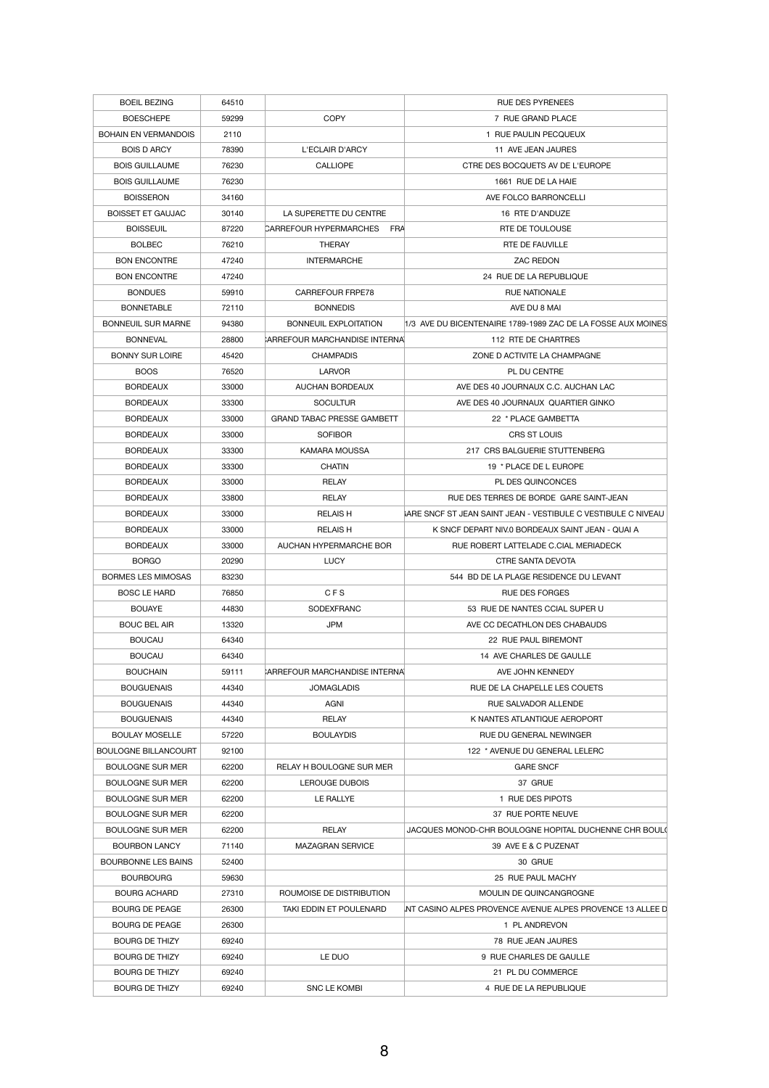| <b>BOEIL BEZING</b>         | 64510 |                                             | <b>RUE DES PYRENEES</b>                                      |
|-----------------------------|-------|---------------------------------------------|--------------------------------------------------------------|
| <b>BOESCHEPE</b>            | 59299 | <b>COPY</b>                                 | 7 RUE GRAND PLACE                                            |
| <b>BOHAIN EN VERMANDOIS</b> | 2110  |                                             | 1 RUE PAULIN PECQUEUX                                        |
| <b>BOIS D ARCY</b>          | 78390 | L'ECLAIR D'ARCY                             | 11 AVE JEAN JAURES                                           |
| <b>BOIS GUILLAUME</b>       | 76230 | <b>CALLIOPE</b>                             | CTRE DES BOCQUETS AV DE L'EUROPE                             |
| <b>BOIS GUILLAUME</b>       | 76230 |                                             | 1661 RUE DE LA HAIE                                          |
| <b>BOISSERON</b>            | 34160 |                                             | AVE FOLCO BARRONCELLI                                        |
| <b>BOISSET ET GAUJAC</b>    | 30140 | LA SUPERETTE DU CENTRE                      | 16 RTE D'ANDUZE                                              |
| <b>BOISSEUIL</b>            | 87220 | <b>CARREFOUR HYPERMARCHES</b><br><b>FRA</b> | RTE DE TOULOUSE                                              |
| <b>BOLBEC</b>               | 76210 | <b>THERAY</b>                               | RTE DE FAUVILLE                                              |
| <b>BON ENCONTRE</b>         | 47240 | <b>INTERMARCHE</b>                          | <b>ZAC REDON</b>                                             |
| <b>BON ENCONTRE</b>         | 47240 |                                             | 24 RUE DE LA REPUBLIQUE                                      |
| <b>BONDUES</b>              | 59910 | <b>CARREFOUR FRPE78</b>                     | <b>RUE NATIONALE</b>                                         |
| <b>BONNETABLE</b>           | 72110 | <b>BONNEDIS</b>                             | AVE DU 8 MAI                                                 |
| <b>BONNEUIL SUR MARNE</b>   | 94380 | <b>BONNEUIL EXPLOITATION</b>                | 1/3 AVE DU BICENTENAIRE 1789-1989 ZAC DE LA FOSSE AUX MOINES |
| <b>BONNEVAL</b>             | 28800 | CARREFOUR MARCHANDISE INTERNAL              | 112 RTE DE CHARTRES                                          |
| <b>BONNY SUR LOIRE</b>      | 45420 | <b>CHAMPADIS</b>                            | ZONE D ACTIVITE LA CHAMPAGNE                                 |
| <b>BOOS</b>                 | 76520 | <b>LARVOR</b>                               | PL DU CENTRE                                                 |
| <b>BORDEAUX</b>             | 33000 | AUCHAN BORDEAUX                             | AVE DES 40 JOURNAUX C.C. AUCHAN LAC                          |
| <b>BORDEAUX</b>             | 33300 | <b>SOCULTUR</b>                             | AVE DES 40 JOURNAUX QUARTIER GINKO                           |
| <b>BORDEAUX</b>             | 33000 | <b>GRAND TABAC PRESSE GAMBETT</b>           | 22 * PLACE GAMBETTA                                          |
| <b>BORDEAUX</b>             | 33000 | <b>SOFIBOR</b>                              | CRS ST LOUIS                                                 |
| <b>BORDEAUX</b>             | 33300 | <b>KAMARA MOUSSA</b>                        | 217 CRS BALGUERIE STUTTENBERG                                |
| <b>BORDEAUX</b>             | 33300 | <b>CHATIN</b>                               | 19 * PLACE DE L EUROPE                                       |
| <b>BORDEAUX</b>             | 33000 | <b>RELAY</b>                                | <b>PL DES QUINCONCES</b>                                     |
| <b>BORDEAUX</b>             | 33800 | <b>RELAY</b>                                | RUE DES TERRES DE BORDE GARE SAINT-JEAN                      |
| <b>BORDEAUX</b>             | 33000 | <b>RELAISH</b>                              | ARE SNCF ST JEAN SAINT JEAN - VESTIBULE C VESTIBULE C NIVEAU |
| <b>BORDEAUX</b>             | 33000 | <b>RELAIS H</b>                             | K SNCF DEPART NIV.0 BORDEAUX SAINT JEAN - QUAI A             |
| <b>BORDEAUX</b>             | 33000 | AUCHAN HYPERMARCHE BOR                      | RUE ROBERT LATTELADE C.CIAL MERIADECK                        |
| <b>BORGO</b>                | 20290 | <b>LUCY</b>                                 | <b>CTRE SANTA DEVOTA</b>                                     |
| <b>BORMES LES MIMOSAS</b>   | 83230 |                                             | 544 BD DE LA PLAGE RESIDENCE DU LEVANT                       |
| <b>BOSC LE HARD</b>         | 76850 | <b>CFS</b>                                  | <b>RUE DES FORGES</b>                                        |
| <b>BOUAYE</b>               | 44830 | <b>SODEXFRANC</b>                           | 53 RUE DE NANTES CCIAL SUPER U                               |
| <b>BOUC BEL AIR</b>         | 13320 | <b>JPM</b>                                  | AVE CC DECATHLON DES CHABAUDS                                |
| <b>BOUCAU</b>               | 64340 |                                             | 22 RUE PAUL BIREMONT                                         |
| <b>BOUCAU</b>               | 64340 |                                             | 14 AVE CHARLES DE GAULLE                                     |
| <b>BOUCHAIN</b>             | 59111 | CARREFOUR MARCHANDISE INTERNAL              | AVE JOHN KENNEDY                                             |
| <b>BOUGUENAIS</b>           | 44340 | <b>JOMAGLADIS</b>                           | RUE DE LA CHAPELLE LES COUETS                                |
| <b>BOUGUENAIS</b>           | 44340 | <b>AGNI</b>                                 | <b>RUE SALVADOR ALLENDE</b>                                  |
| <b>BOUGUENAIS</b>           | 44340 | <b>RELAY</b>                                | K NANTES ATLANTIQUE AEROPORT                                 |
| <b>BOULAY MOSELLE</b>       | 57220 | <b>BOULAYDIS</b>                            | RUE DU GENERAL NEWINGER                                      |
| <b>BOULOGNE BILLANCOURT</b> | 92100 |                                             | 122 * AVENUE DU GENERAL LELERC                               |
| <b>BOULOGNE SUR MER</b>     | 62200 | RELAY H BOULOGNE SUR MER                    | <b>GARE SNCF</b>                                             |
| <b>BOULOGNE SUR MER</b>     | 62200 | LEROUGE DUBOIS                              | 37 GRUE                                                      |
| <b>BOULOGNE SUR MER</b>     | 62200 | LE RALIYE                                   | 1 RUE DES PIPOTS                                             |
| <b>BOULOGNE SUR MER</b>     | 62200 |                                             | 37 RUE PORTE NEUVE                                           |
| <b>BOULOGNE SUR MER</b>     | 62200 | <b>RELAY</b>                                | JACQUES MONOD-CHR BOULOGNE HOPITAL DUCHENNE CHR BOUL(        |
| <b>BOURBON LANCY</b>        | 71140 | <b>MAZAGRAN SERVICE</b>                     | 39 AVE E & C PUZENAT                                         |
| <b>BOURBONNE LES BAINS</b>  | 52400 |                                             | 30 GRUE                                                      |
| <b>BOURBOURG</b>            | 59630 |                                             | 25 RUE PAUL MACHY                                            |
| <b>BOURG ACHARD</b>         | 27310 | ROUMOISE DE DISTRIBUTION                    | MOULIN DE QUINCANGROGNE                                      |
| <b>BOURG DE PEAGE</b>       | 26300 | TAKI EDDIN ET POULENARD                     | INT CASINO ALPES PROVENCE AVENUE ALPES PROVENCE 13 ALLEE D   |
| <b>BOURG DE PEAGE</b>       | 26300 |                                             | 1 PL ANDREVON                                                |
| <b>BOURG DE THIZY</b>       | 69240 |                                             | 78 RUE JEAN JAURES                                           |
| <b>BOURG DE THIZY</b>       | 69240 | LE DUO                                      | 9 RUE CHARLES DE GAULLE                                      |
| <b>BOURG DE THIZY</b>       | 69240 |                                             | 21 PL DU COMMERCE                                            |
| <b>BOURG DE THIZY</b>       | 69240 | SNC LE KOMBI                                | 4 RUE DE LA REPUBLIQUE                                       |
|                             |       |                                             |                                                              |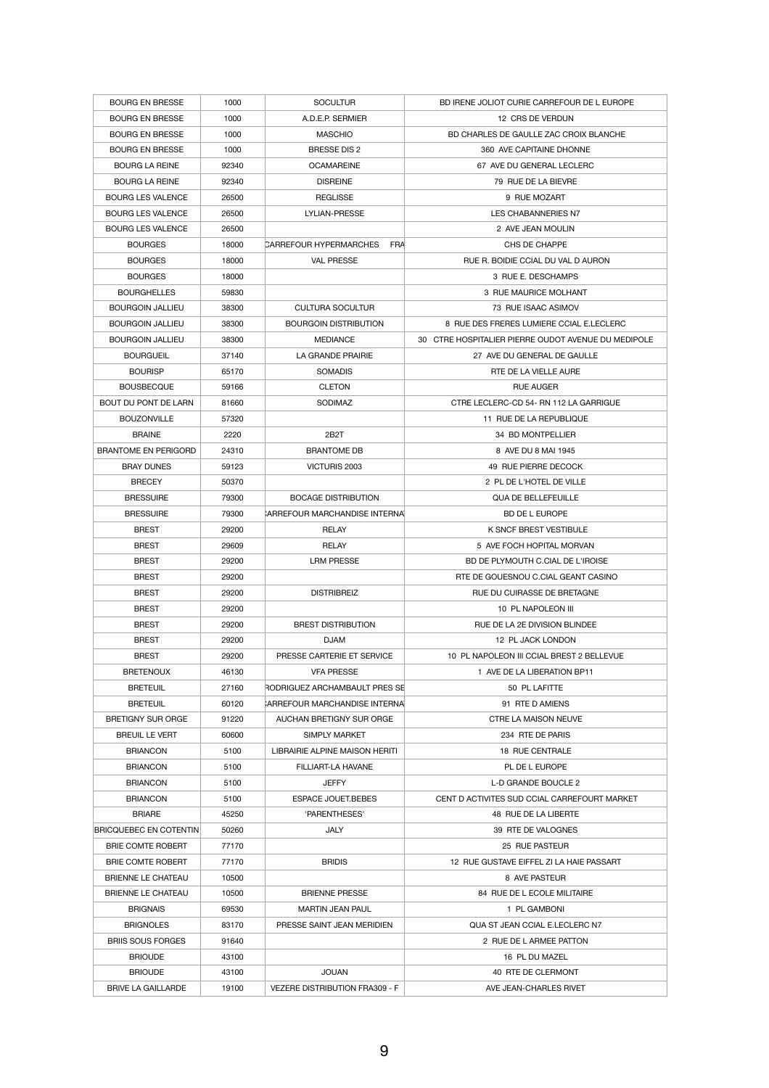| <b>BOURG EN BRESSE</b>        | 1000  | <b>SOCULTUR</b>                | BD IRENE JOLIOT CURIE CARREFOUR DE L EUROPE         |
|-------------------------------|-------|--------------------------------|-----------------------------------------------------|
| <b>BOURG EN BRESSE</b>        | 1000  | A.D.E.P. SERMIER               | 12 CRS DE VERDUN                                    |
| <b>BOURG EN BRESSE</b>        | 1000  | <b>MASCHIO</b>                 | BD CHARLES DE GAULLE ZAC CROIX BLANCHE              |
| <b>BOURG EN BRESSE</b>        | 1000  | <b>BRESSE DIS 2</b>            | 360 AVE CAPITAINE DHONNE                            |
| <b>BOURG LA REINE</b>         | 92340 | <b>OCAMAREINE</b>              | 67 AVE DU GENERAL LECLERC                           |
| <b>BOURG LA REINE</b>         | 92340 | <b>DISREINE</b>                | 79 RUE DE LA BIEVRE                                 |
| <b>BOURG LES VALENCE</b>      | 26500 | <b>REGLISSE</b>                | 9 RUE MOZART                                        |
| <b>BOURG LES VALENCE</b>      | 26500 | <b>LYLIAN-PRESSE</b>           | <b>LES CHABANNERIES N7</b>                          |
| <b>BOURG LES VALENCE</b>      | 26500 |                                | 2 AVE JEAN MOULIN                                   |
| <b>BOURGES</b>                | 18000 | CARREFOUR HYPERMARCHES<br>FRA  | CHS DE CHAPPE                                       |
| <b>BOURGES</b>                | 18000 | <b>VAL PRESSE</b>              | RUE R. BOIDIE CCIAL DU VAL D AURON                  |
| <b>BOURGES</b>                | 18000 |                                | 3 RUE E. DESCHAMPS                                  |
| <b>BOURGHELLES</b>            | 59830 |                                | 3 RUE MAURICE MOLHANT                               |
| <b>BOURGOIN JALLIEU</b>       | 38300 | <b>CULTURA SOCULTUR</b>        | 73 RUE ISAAC ASIMOV                                 |
| <b>BOURGOIN JALLIEU</b>       | 38300 | <b>BOURGOIN DISTRIBUTION</b>   | 8 RUE DES FRERES LUMIERE CCIAL E.LECLERC            |
| <b>BOURGOIN JALLIEU</b>       | 38300 | <b>MEDIANCE</b>                | 30 CTRE HOSPITALIER PIERRE OUDOT AVENUE DU MEDIPOLE |
| <b>BOURGUEIL</b>              | 37140 | LA GRANDE PRAIRIE              | 27 AVE DU GENERAL DE GAULLE                         |
| <b>BOURISP</b>                | 65170 | <b>SOMADIS</b>                 | RTE DE LA VIELLE AURE                               |
| <b>BOUSBECQUE</b>             | 59166 | <b>CLETON</b>                  | <b>RUE AUGER</b>                                    |
| BOUT DU PONT DE LARN          | 81660 | <b>SODIMAZ</b>                 | CTRE LECLERC-CD 54- RN 112 LA GARRIGUE              |
| <b>BOUZONVILLE</b>            | 57320 |                                | 11 RUE DE LA REPUBLIQUE                             |
| <b>BRAINE</b>                 | 2220  | 2B <sub>2</sub> T              | 34 BD MONTPELLIER                                   |
| <b>BRANTOME EN PERIGORD</b>   |       | <b>BRANTOME DB</b>             | 8 AVE DU 8 MAI 1945                                 |
|                               | 24310 | VICTURIS 2003                  |                                                     |
| <b>BRAY DUNES</b>             | 59123 |                                | 49 RUE PIERRE DECOCK                                |
| <b>BRECEY</b>                 | 50370 |                                | 2 PL DE L'HOTEL DE VILLE                            |
| <b>BRESSUIRE</b>              | 79300 | <b>BOCAGE DISTRIBUTION</b>     | <b>QUA DE BELLEFEUILLE</b>                          |
| <b>BRESSUIRE</b>              | 79300 | CARREFOUR MARCHANDISE INTERNAL | <b>BD DE L EUROPE</b>                               |
| <b>BREST</b>                  | 29200 | <b>RELAY</b>                   | <b>K SNCF BREST VESTIBULE</b>                       |
| <b>BREST</b>                  | 29609 | <b>RELAY</b>                   | 5 AVE FOCH HOPITAL MORVAN                           |
| <b>BREST</b>                  | 29200 | <b>LRM PRESSE</b>              | BD DE PLYMOUTH C.CIAL DE L'IROISE                   |
| <b>BREST</b>                  | 29200 |                                | RTE DE GOUESNOU C.CIAL GEANT CASINO                 |
| <b>BREST</b>                  | 29200 | <b>DISTRIBREIZ</b>             | RUE DU CUIRASSE DE BRETAGNE                         |
| <b>BREST</b>                  | 29200 |                                | 10 PL NAPOLEON III                                  |
| <b>BREST</b>                  | 29200 | <b>BREST DISTRIBUTION</b>      | RUE DE LA 2E DIVISION BLINDEE                       |
| <b>BREST</b>                  | 29200 | <b>DJAM</b>                    | 12 PL JACK LONDON                                   |
| <b>BREST</b>                  | 29200 | PRESSE CARTERIE ET SERVICE     | 10 PL NAPOLEON III CCIAL BREST 2 BELLEVUE           |
| <b>BRETENOUX</b>              | 46130 | <b>VFA PRESSE</b>              | 1 AVE DE LA LIBERATION BP11                         |
| <b>BRETEUIL</b>               | 27160 | RODRIGUEZ ARCHAMBAULT PRES SE  | 50 PL LAFITTE                                       |
| <b>BRETEUIL</b>               | 60120 | CARREFOUR MARCHANDISE INTERNAL | 91 RTE D AMIENS                                     |
| <b>BRETIGNY SUR ORGE</b>      | 91220 | AUCHAN BRETIGNY SUR ORGE       | <b>CTRE LA MAISON NEUVE</b>                         |
| <b>BREUIL LE VERT</b>         | 60600 | <b>SIMPLY MARKET</b>           | 234 RTE DE PARIS                                    |
| <b>BRIANCON</b>               | 5100  | LIBRAIRIE ALPINE MAISON HERITI | <b>18 RUE CENTRALE</b>                              |
| <b>BRIANCON</b>               | 5100  | FILLIART-LA HAVANE             | PL DE L EUROPE                                      |
| <b>BRIANCON</b>               | 5100  | <b>JEFFY</b>                   | <b>L-D GRANDE BOUCLE 2</b>                          |
| <b>BRIANCON</b>               | 5100  | ESPACE JOUET.BEBES             | CENT D ACTIVITES SUD CCIAL CARREFOURT MARKET        |
| <b>BRIARE</b>                 | 45250 | 'PARENTHESES'                  | 48 RUE DE LA LIBERTE                                |
| <b>BRICQUEBEC EN COTENTIN</b> | 50260 | <b>JALY</b>                    | 39 RTE DE VALOGNES                                  |
| <b>BRIE COMTE ROBERT</b>      | 77170 |                                | 25 RUE PASTEUR                                      |
| <b>BRIE COMTE ROBERT</b>      | 77170 | <b>BRIDIS</b>                  | 12 RUE GUSTAVE EIFFEL ZI LA HAIE PASSART            |
| <b>BRIENNE LE CHATEAU</b>     |       |                                |                                                     |
|                               | 10500 |                                | 8 AVE PASTEUR                                       |
| <b>BRIENNE LE CHATEAU</b>     | 10500 | <b>BRIENNE PRESSE</b>          | 84 RUE DE L ECOLE MILITAIRE                         |
| <b>BRIGNAIS</b>               | 69530 | <b>MARTIN JEAN PAUL</b>        | 1 PL GAMBONI                                        |
| <b>BRIGNOLES</b>              | 83170 | PRESSE SAINT JEAN MERIDIEN     | QUA ST JEAN CCIAL E.LECLERC N7                      |
| <b>BRIIS SOUS FORGES</b>      | 91640 |                                | 2 RUE DE L ARMEE PATTON                             |
| <b>BRIOUDE</b>                | 43100 |                                | 16 PL DU MAZEL                                      |
| <b>BRIOUDE</b>                | 43100 | <b>JOUAN</b>                   | 40 RTE DE CLERMONT                                  |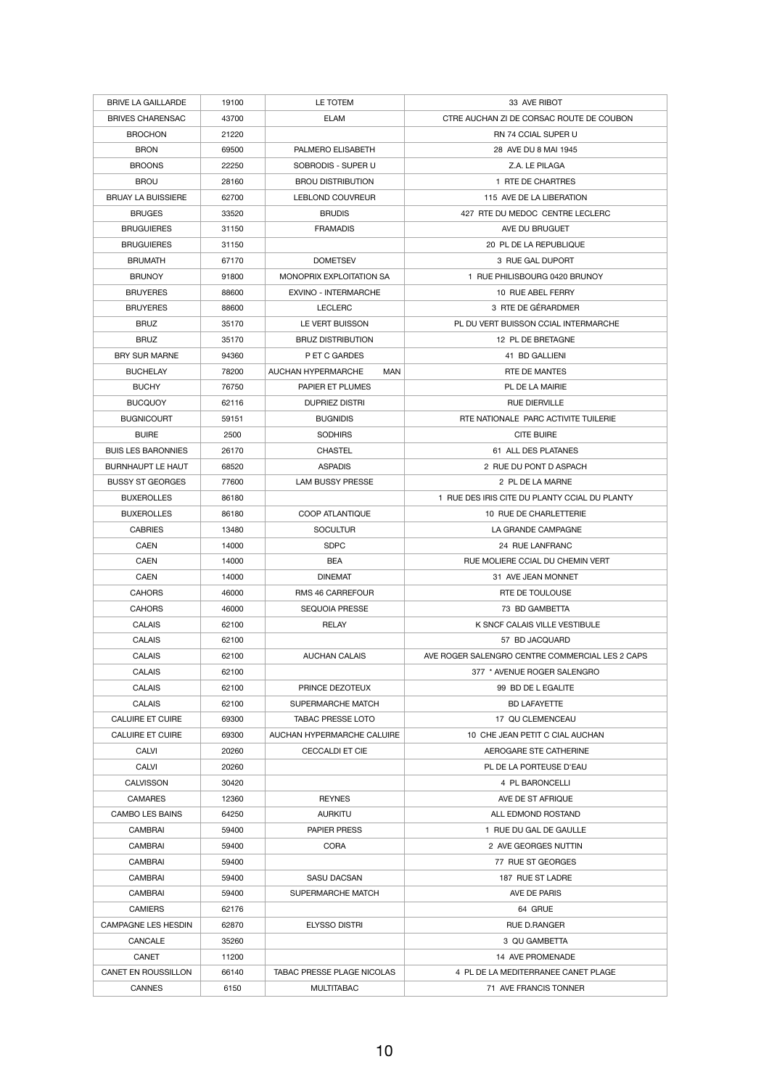| <b>BRIVE LA GAILLARDE</b>  | 19100 | LE TOTEM                          | 33 AVE RIBOT                                    |
|----------------------------|-------|-----------------------------------|-------------------------------------------------|
| <b>BRIVES CHARENSAC</b>    | 43700 | <b>ELAM</b>                       | CTRE AUCHAN ZI DE CORSAC ROUTE DE COUBON        |
| <b>BROCHON</b>             | 21220 |                                   | RN 74 CCIAL SUPER U                             |
| <b>BRON</b>                | 69500 | PALMERO ELISABETH                 | 28 AVE DU 8 MAI 1945                            |
| <b>BROONS</b>              | 22250 | SOBRODIS - SUPER U                | Z.A. LE PILAGA                                  |
| <b>BROU</b>                | 28160 | <b>BROU DISTRIBUTION</b>          | 1 RTE DE CHARTRES                               |
| <b>BRUAY LA BUISSIERE</b>  | 62700 | <b>LEBLOND COUVREUR</b>           | 115 AVE DE LA LIBERATION                        |
| <b>BRUGES</b>              | 33520 | <b>BRUDIS</b>                     | 427 RTE DU MEDOC CENTRE LECLERC                 |
|                            |       |                                   |                                                 |
| <b>BRUGUIERES</b>          | 31150 | <b>FRAMADIS</b>                   | AVE DU BRUGUET                                  |
| <b>BRUGUIERES</b>          | 31150 |                                   | 20 PL DE LA REPUBLIQUE                          |
| <b>BRUMATH</b>             | 67170 | <b>DOMETSEV</b>                   | 3 RUE GAL DUPORT                                |
| <b>BRUNOY</b>              | 91800 | MONOPRIX EXPLOITATION SA          | 1 RUE PHILISBOURG 0420 BRUNOY                   |
| <b>BRUYERES</b>            | 88600 | <b>EXVINO - INTERMARCHE</b>       | 10 RUE ABEL FERRY                               |
| <b>BRUYERES</b>            | 88600 | <b>LECLERC</b>                    | 3 RTE DE GÉRARDMER                              |
| <b>BRUZ</b>                | 35170 | LE VERT BUISSON                   | PL DU VERT BUISSON CCIAL INTERMARCHE            |
| <b>BRUZ</b>                | 35170 | <b>BRUZ DISTRIBUTION</b>          | 12 PL DE BRETAGNE                               |
| <b>BRY SUR MARNE</b>       | 94360 | P ET C GARDES                     | 41 BD GALLIENI                                  |
| <b>BUCHELAY</b>            | 78200 | AUCHAN HYPERMARCHE<br><b>MAN</b>  | RTE DE MANTES                                   |
| <b>BUCHY</b>               | 76750 | PAPIER ET PLUMES                  | PL DE LA MAIRIE                                 |
| <b>BUCQUOY</b>             | 62116 | <b>DUPRIEZ DISTRI</b>             | <b>RUE DIERVILLE</b>                            |
| <b>BUGNICOURT</b>          | 59151 | <b>BUGNIDIS</b>                   | RTE NATIONALE PARC ACTIVITE TUILERIE            |
| <b>BUIRE</b>               | 2500  | <b>SODHIRS</b>                    | <b>CITE BUIRE</b>                               |
| <b>BUIS LES BARONNIES</b>  | 26170 | <b>CHASTEL</b>                    | 61 ALL DES PLATANES                             |
| <b>BURNHAUPT LE HAUT</b>   | 68520 | <b>ASPADIS</b>                    | 2 RUE DU PONT D ASPACH                          |
| <b>BUSSY ST GEORGES</b>    | 77600 | <b>LAM BUSSY PRESSE</b>           | 2 PL DE LA MARNE                                |
| <b>BUXEROLLES</b>          | 86180 |                                   | 1 RUE DES IRIS CITE DU PLANTY CCIAL DU PLANTY   |
| <b>BUXEROLLES</b>          | 86180 | COOP ATLANTIQUE                   | 10 RUE DE CHARLETTERIE                          |
| <b>CABRIES</b>             | 13480 | <b>SOCULTUR</b>                   | LA GRANDE CAMPAGNE                              |
| <b>CAEN</b>                | 14000 | <b>SDPC</b>                       | 24 RUE LANFRANC                                 |
| <b>CAEN</b>                |       | <b>BEA</b>                        | RUE MOLIERE CCIAL DU CHEMIN VERT                |
|                            | 14000 |                                   |                                                 |
| <b>CAEN</b>                | 14000 | <b>DINEMAT</b>                    | 31 AVE JEAN MONNET                              |
| <b>CAHORS</b>              | 46000 | <b>RMS 46 CARREFOUR</b>           | RTE DE TOULOUSE                                 |
| <b>CAHORS</b>              | 46000 | <b>SEQUOIA PRESSE</b>             | 73 BD GAMBETTA                                  |
| <b>CALAIS</b>              | 62100 | <b>RELAY</b>                      | K SNCF CALAIS VILLE VESTIBULE                   |
| <b>CALAIS</b>              | 62100 |                                   | 57 BD JACQUARD                                  |
| <b>CALAIS</b>              | 62100 | <b>AUCHAN CALAIS</b>              | AVE ROGER SALENGRO CENTRE COMMERCIAL LES 2 CAPS |
| <b>CALAIS</b>              | 62100 |                                   | 377 * AVENUE ROGER SALENGRO                     |
| <b>CALAIS</b>              | 62100 | PRINCE DEZOTEUX                   | 99 BD DE L EGALITE                              |
| <b>CALAIS</b>              | 62100 | <b>SUPERMARCHE MATCH</b>          | <b>BD LAFAYETTE</b>                             |
| <b>CALUIRE ET CUIRE</b>    | 69300 | <b>TABAC PRESSE LOTO</b>          | 17 QU CLEMENCEAU                                |
| <b>CALUIRE ET CUIRE</b>    | 69300 | AUCHAN HYPERMARCHE CALUIRE        | 10 CHE JEAN PETIT C CIAL AUCHAN                 |
| <b>CALVI</b>               | 20260 | <b>CECCALDI ET CIE</b>            | AEROGARE STE CATHERINE                          |
| <b>CALVI</b>               | 20260 |                                   | PL DE LA PORTEUSE D'EAU                         |
| <b>CALVISSON</b>           | 30420 |                                   | 4 PL BARONCELLI                                 |
| <b>CAMARES</b>             | 12360 | <b>REYNES</b>                     | AVE DE ST AFRIQUE                               |
| <b>CAMBO LES BAINS</b>     | 64250 | <b>AURKITU</b>                    | ALL EDMOND ROSTAND                              |
| <b>CAMBRAI</b>             | 59400 | <b>PAPIER PRESS</b>               | 1 RUE DU GAL DE GAULLE                          |
| <b>CAMBRAI</b>             | 59400 | <b>CORA</b>                       | 2 AVE GEORGES NUTTIN                            |
| <b>CAMBRAI</b>             | 59400 |                                   | 77 RUE ST GEORGES                               |
| <b>CAMBRAI</b>             | 59400 | <b>SASU DACSAN</b>                | 187 RUE ST LADRE                                |
| <b>CAMBRAI</b>             | 59400 | SUPERMARCHE MATCH                 | AVE DE PARIS                                    |
| <b>CAMIERS</b>             | 62176 |                                   | 64 GRUE                                         |
| <b>CAMPAGNE LES HESDIN</b> |       | <b>ELYSSO DISTRI</b>              | <b>RUE D.RANGER</b>                             |
|                            | 62870 |                                   |                                                 |
| CANCALE                    | 35260 |                                   | 3 QU GAMBETTA                                   |
| <b>CANET</b>               | 11200 |                                   | 14 AVE PROMENADE                                |
| <b>CANET EN ROUSSILLON</b> | 66140 | <b>TABAC PRESSE PLAGE NICOLAS</b> | 4 PL DE LA MEDITERRANEE CANET PLAGE             |
| <b>CANNES</b>              | 6150  | <b>MULTITABAC</b>                 | 71 AVE FRANCIS TONNER                           |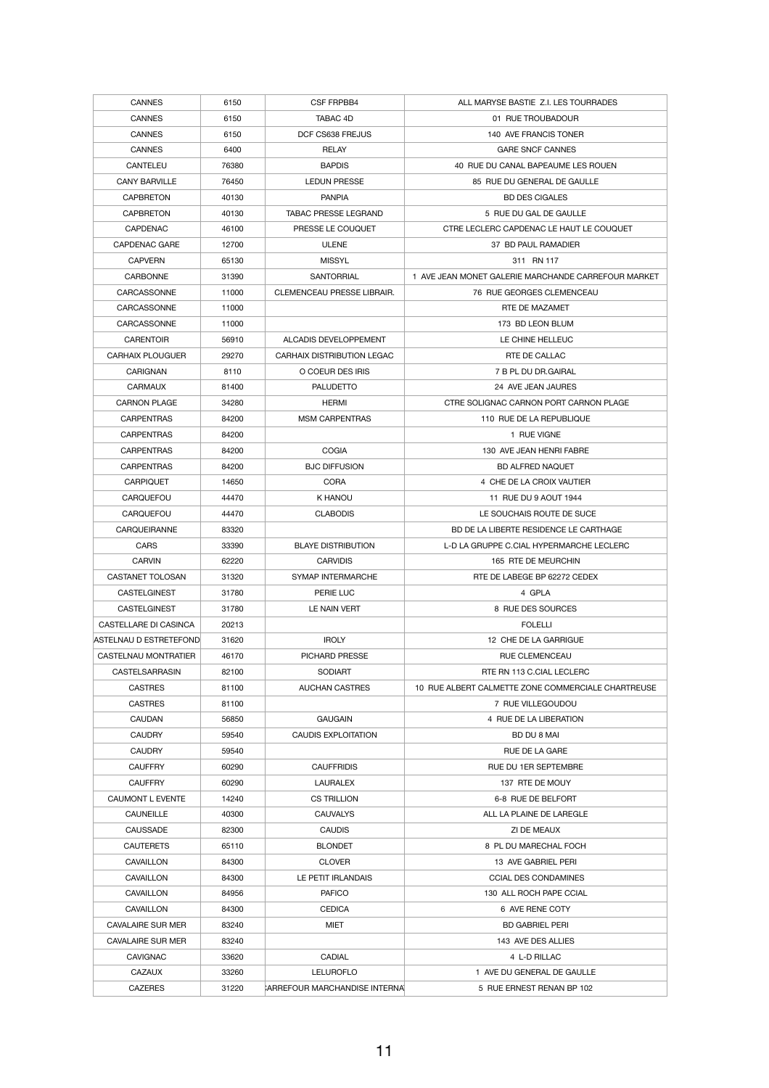| <b>CANNES</b>            | 6150  | <b>CSF FRPBB4</b>             | ALL MARYSE BASTIE Z.I. LES TOURRADES                |
|--------------------------|-------|-------------------------------|-----------------------------------------------------|
| <b>CANNES</b>            | 6150  | TABAC 4D                      | 01 RUE TROUBADOUR                                   |
| <b>CANNES</b>            | 6150  | DCF CS638 FREJUS              | 140 AVE FRANCIS TONER                               |
| <b>CANNES</b>            | 6400  | <b>RELAY</b>                  | <b>GARE SNCF CANNES</b>                             |
| <b>CANTELEU</b>          | 76380 | <b>BAPDIS</b>                 | 40 RUE DU CANAL BAPEAUME LES ROUEN                  |
| <b>CANY BARVILLE</b>     | 76450 | <b>LEDUN PRESSE</b>           | 85 RUE DU GENERAL DE GAULLE                         |
| <b>CAPBRETON</b>         | 40130 | <b>PANPIA</b>                 | <b>BD DES CIGALES</b>                               |
| <b>CAPBRETON</b>         | 40130 | <b>TABAC PRESSE LEGRAND</b>   | 5 RUE DU GAL DE GAULLE                              |
| <b>CAPDENAC</b>          | 46100 | PRESSE LE COUQUET             | CTRE LECLERC CAPDENAC LE HAUT LE COUQUET            |
|                          |       |                               |                                                     |
| <b>CAPDENAC GARE</b>     | 12700 | <b>ULENE</b>                  | 37 BD PAUL RAMADIER                                 |
| <b>CAPVERN</b>           | 65130 | <b>MISSYL</b>                 | 311 RN 117                                          |
| <b>CARBONNE</b>          | 31390 | <b>SANTORRIAL</b>             | 1 AVE JEAN MONET GALERIE MARCHANDE CARREFOUR MARKET |
| CARCASSONNE              | 11000 | CLEMENCEAU PRESSE LIBRAIR.    | 76 RUE GEORGES CLEMENCEAU                           |
| CARCASSONNE              | 11000 |                               | RTE DE MAZAMET                                      |
| CARCASSONNE              | 11000 |                               | 173 BD LEON BLUM                                    |
| <b>CARENTOIR</b>         | 56910 | ALCADIS DEVELOPPEMENT         | LE CHINE HELLEUC                                    |
| <b>CARHAIX PLOUGUER</b>  | 29270 | CARHAIX DISTRIBUTION LEGAC    | RTE DE CALLAC                                       |
| <b>CARIGNAN</b>          | 8110  | O COEUR DES IRIS              | 7 B PL DU DR.GAIRAL                                 |
| <b>CARMAUX</b>           | 81400 | <b>PALUDETTO</b>              | 24 AVE JEAN JAURES                                  |
| <b>CARNON PLAGE</b>      | 34280 | <b>HERMI</b>                  | CTRE SOLIGNAC CARNON PORT CARNON PLAGE              |
| <b>CARPENTRAS</b>        | 84200 | <b>MSM CARPENTRAS</b>         | 110 RUE DE LA REPUBLIQUE                            |
| <b>CARPENTRAS</b>        | 84200 |                               | 1 RUE VIGNE                                         |
| <b>CARPENTRAS</b>        | 84200 | <b>COGIA</b>                  | 130 AVE JEAN HENRI FABRE                            |
| <b>CARPENTRAS</b>        | 84200 | <b>BJC DIFFUSION</b>          | <b>BD ALFRED NAQUET</b>                             |
| <b>CARPIQUET</b>         | 14650 | <b>CORA</b>                   | 4 CHE DE LA CROIX VAUTIER                           |
| <b>CARQUEFOU</b>         | 44470 | K HANOU                       | 11 RUE DU 9 AOUT 1944                               |
| <b>CARQUEFOU</b>         | 44470 | <b>CLABODIS</b>               | LE SOUCHAIS ROUTE DE SUCE                           |
| <b>CARQUEIRANNE</b>      | 83320 |                               | BD DE LA LIBERTE RESIDENCE LE CARTHAGE              |
| <b>CARS</b>              | 33390 | <b>BLAYE DISTRIBUTION</b>     | L-D LA GRUPPE C.CIAL HYPERMARCHE LECLERC            |
| <b>CARVIN</b>            | 62220 | <b>CARVIDIS</b>               | 165 RTE DE MEURCHIN                                 |
| CASTANET TOLOSAN         | 31320 | <b>SYMAP INTERMARCHE</b>      | RTE DE LABEGE BP 62272 CEDEX                        |
| <b>CASTELGINEST</b>      | 31780 | PERIE LUC                     | 4 GPLA                                              |
| <b>CASTELGINEST</b>      | 31780 | LE NAIN VERT                  | 8 RUE DES SOURCES                                   |
| CASTELLARE DI CASINCA    | 20213 |                               | <b>FOLELLI</b>                                      |
| ASTELNAU D ESTRETEFOND   | 31620 | <b>IROLY</b>                  | 12 CHE DE LA GARRIGUE                               |
| CASTELNAU MONTRATIER     | 46170 | <b>PICHARD PRESSE</b>         | <b>RUE CLEMENCEAU</b>                               |
| <b>CASTELSARRASIN</b>    | 82100 | <b>SODIART</b>                | RTE RN 113 C.CIAL LECLERC                           |
| <b>CASTRES</b>           | 81100 | <b>AUCHAN CASTRES</b>         | 10 RUE ALBERT CALMETTE ZONE COMMERCIALE CHARTREUSE  |
| <b>CASTRES</b>           | 81100 |                               | 7 RUE VILLEGOUDOU                                   |
| <b>CAUDAN</b>            | 56850 | <b>GAUGAIN</b>                | 4 RUE DE LA LIBERATION                              |
| <b>CAUDRY</b>            | 59540 | <b>CAUDIS EXPLOITATION</b>    | BD DU 8 MAI                                         |
| <b>CAUDRY</b>            |       |                               |                                                     |
| <b>CAUFFRY</b>           | 59540 | <b>CAUFFRIDIS</b>             | RUE DE LA GARE<br>RUE DU 1ER SEPTEMBRE              |
|                          | 60290 |                               |                                                     |
| <b>CAUFFRY</b>           | 60290 | <b>LAURALEX</b>               | 137 RTE DE MOUY                                     |
| <b>CAUMONT L EVENTE</b>  | 14240 | <b>CS TRILLION</b>            | 6-8 RUE DE BELFORT                                  |
| <b>CAUNEILLE</b>         | 40300 | <b>CAUVALYS</b>               | ALL LA PLAINE DE LAREGLE                            |
| <b>CAUSSADE</b>          | 82300 | <b>CAUDIS</b>                 | ZI DE MEAUX                                         |
| <b>CAUTERETS</b>         | 65110 | <b>BLONDET</b>                | 8 PL DU MARECHAL FOCH                               |
| <b>CAVAILLON</b>         | 84300 | <b>CLOVER</b>                 | 13 AVE GABRIEL PERI                                 |
| <b>CAVAILLON</b>         | 84300 | LE PETIT IRLANDAIS            | <b>CCIAL DES CONDAMINES</b>                         |
| <b>CAVAILLON</b>         | 84956 | <b>PAFICO</b>                 | 130 ALL ROCH PAPE CCIAL                             |
| <b>CAVAILLON</b>         | 84300 | <b>CEDICA</b>                 | 6 AVE RENE COTY                                     |
| <b>CAVALAIRE SUR MER</b> | 83240 | <b>MIET</b>                   | <b>BD GABRIEL PERI</b>                              |
| <b>CAVALAIRE SUR MER</b> | 83240 |                               | 143 AVE DES ALLIES                                  |
| <b>CAVIGNAC</b>          | 33620 | <b>CADIAL</b>                 | 4 L-D RILLAC                                        |
| <b>CAZAUX</b>            | 33260 | <b>LELUROFLO</b>              | 1 AVE DU GENERAL DE GAULLE                          |
| <b>CAZERES</b>           | 31220 | CARREFOUR MARCHANDISE INTERNA | 5 RUE ERNEST RENAN BP 102                           |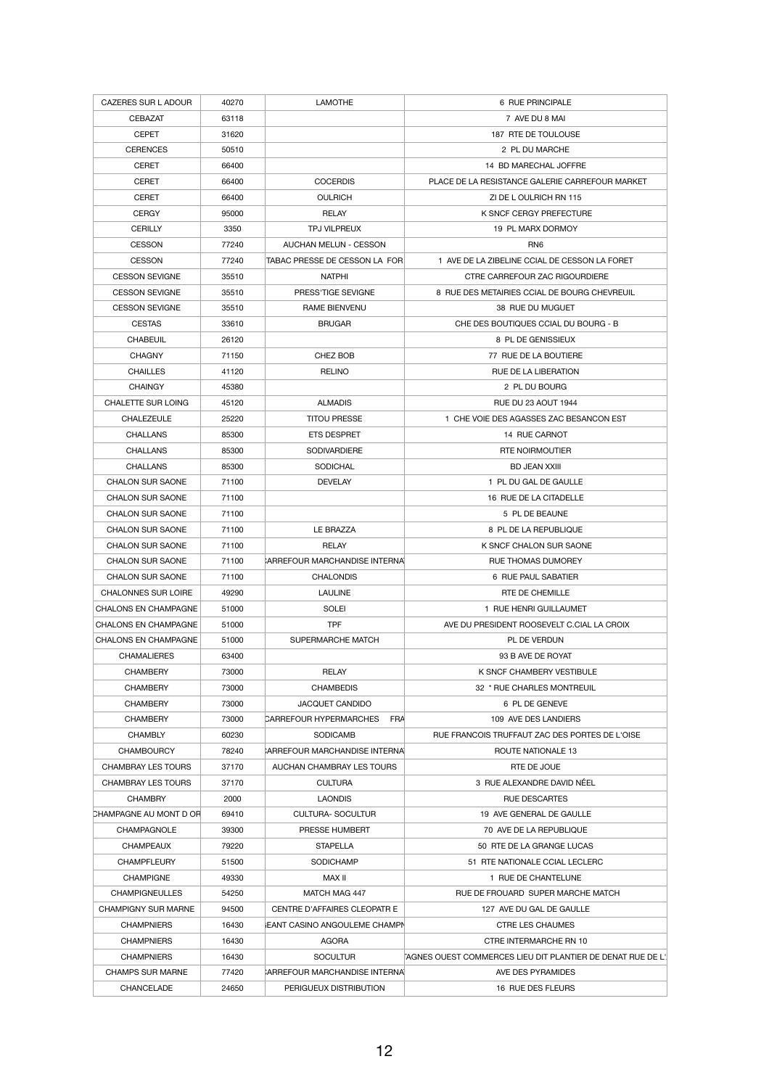| CAZERES SUR L ADOUR         | 40270          | <b>LAMOTHE</b>                       | 6 RUE PRINCIPALE                                                    |
|-----------------------------|----------------|--------------------------------------|---------------------------------------------------------------------|
| <b>CEBAZAT</b>              | 63118          |                                      | 7 AVE DU 8 MAI                                                      |
| <b>CEPET</b>                | 31620          |                                      | 187 RTE DE TOULOUSE                                                 |
| <b>CERENCES</b>             | 50510          |                                      | 2 PL DU MARCHE                                                      |
| <b>CERET</b>                | 66400          |                                      | 14 BD MARECHAL JOFFRE                                               |
| <b>CERET</b>                | 66400          | <b>COCERDIS</b>                      | PLACE DE LA RESISTANCE GALERIE CARREFOUR MARKET                     |
| <b>CERET</b>                | 66400          | <b>OULRICH</b>                       | ZI DE LOULRICH RN 115                                               |
| <b>CERGY</b>                | 95000          | RELAY                                | K SNCF CERGY PREFECTURE                                             |
| <b>CERILLY</b>              | 3350           | TPJ VILPREUX                         | 19 PL MARX DORMOY                                                   |
| <b>CESSON</b>               | 77240          | <b>AUCHAN MELUN - CESSON</b>         | RN <sub>6</sub>                                                     |
| <b>CESSON</b>               | 77240          | TABAC PRESSE DE CESSON LA FOR        | 1 AVE DE LA ZIBELINE CCIAL DE CESSON LA FORET                       |
| <b>CESSON SEVIGNE</b>       | 35510          | <b>NATPHI</b>                        | CTRE CARREFOUR ZAC RIGOURDIERE                                      |
| <b>CESSON SEVIGNE</b>       | 35510          | PRESS'TIGE SEVIGNE                   | 8 RUE DES METAIRIES CCIAL DE BOURG CHEVREUIL                        |
| <b>CESSON SEVIGNE</b>       | 35510          | <b>RAME BIENVENU</b>                 | 38 RUE DU MUGUET                                                    |
| <b>CESTAS</b>               | 33610          | <b>BRUGAR</b>                        | CHE DES BOUTIQUES CCIAL DU BOURG - B                                |
| <b>CHABEUIL</b>             | 26120          |                                      | 8 PL DE GENISSIEUX                                                  |
| <b>CHAGNY</b>               | 71150          | CHEZ BOB                             | 77 RUE DE LA BOUTIERE                                               |
| <b>CHAILLES</b>             | 41120          | <b>RELINO</b>                        | RUE DE LA LIBERATION                                                |
| <b>CHAINGY</b>              | 45380          |                                      | 2 PL DU BOURG                                                       |
| <b>CHALETTE SUR LOING</b>   | 45120          | <b>ALMADIS</b>                       | <b>RUE DU 23 AOUT 1944</b>                                          |
| <b>CHALEZEULE</b>           | 25220          | <b>TITOU PRESSE</b>                  | 1 CHE VOIE DES AGASSES ZAC BESANCON EST                             |
| <b>CHALLANS</b>             |                | ETS DESPRET                          |                                                                     |
| <b>CHALLANS</b>             | 85300<br>85300 | <b>SODIVARDIERE</b>                  | 14 RUE CARNOT<br><b>RTE NOIRMOUTIER</b>                             |
|                             |                |                                      |                                                                     |
| <b>CHALLANS</b>             | 85300          | <b>SODICHAL</b>                      | <b>BD JEAN XXIII</b>                                                |
| <b>CHALON SUR SAONE</b>     | 71100          | <b>DEVELAY</b>                       | 1 PL DU GAL DE GAULLE                                               |
| <b>CHALON SUR SAONE</b>     | 71100          |                                      | 16 RUE DE LA CITADELLE                                              |
| <b>CHALON SUR SAONE</b>     | 71100          |                                      | 5 PL DE BEAUNE                                                      |
| <b>CHALON SUR SAONE</b>     | 71100          | LE BRAZZA                            | 8 PL DE LA REPUBLIQUE                                               |
| CHALON SUR SAONE            | 71100          | <b>RELAY</b>                         | K SNCF CHALON SUR SAONE                                             |
| <b>CHALON SUR SAONE</b>     | 71100          | <b>ARREFOUR MARCHANDISE INTERNAL</b> | RUE THOMAS DUMOREY                                                  |
| <b>CHALON SUR SAONE</b>     | 71100          | <b>CHALONDIS</b>                     | 6 RUE PAUL SABATIER                                                 |
| <b>CHALONNES SUR LOIRE</b>  | 49290          | <b>LAULINE</b>                       | RTE DE CHEMILLE                                                     |
| <b>CHALONS EN CHAMPAGNE</b> | 51000          | <b>SOLEI</b>                         | 1 RUE HENRI GUILLAUMET                                              |
| <b>CHALONS EN CHAMPAGNE</b> | 51000          | <b>TPF</b>                           | AVE DU PRESIDENT ROOSEVELT C.CIAL LA CROIX                          |
| <b>CHALONS EN CHAMPAGNE</b> | 51000          | SUPERMARCHE MATCH                    | PL DE VERDUN                                                        |
| <b>CHAMALIERES</b>          | 63400          |                                      | 93 B AVE DE ROYAT                                                   |
| <b>CHAMBERY</b>             | 73000          | <b>RELAY</b>                         | K SNCF CHAMBERY VESTIBULE                                           |
| <b>CHAMBERY</b>             | 73000          | <b>CHAMBEDIS</b>                     | 32 * RUE CHARLES MONTREUIL                                          |
| <b>CHAMBERY</b>             | 73000          | <b>JACQUET CANDIDO</b>               | 6 PL DE GENEVE                                                      |
| <b>CHAMBERY</b>             | 73000          | <b>CARREFOUR HYPERMARCHES</b><br>FRA | 109 AVE DES LANDIERS                                                |
| <b>CHAMBLY</b>              | 60230          | <b>SODICAMB</b>                      | RUE FRANCOIS TRUFFAUT ZAC DES PORTES DE L'OISE                      |
| <b>CHAMBOURCY</b>           | 78240          | <b>ARREFOUR MARCHANDISE INTERNA</b>  | ROUTE NATIONALE 13                                                  |
| <b>CHAMBRAY LES TOURS</b>   | 37170          | AUCHAN CHAMBRAY LES TOURS            | RTE DE JOUE                                                         |
| <b>CHAMBRAY LES TOURS</b>   | 37170          | <b>CULTURA</b>                       | 3 RUE ALEXANDRE DAVID NÉEL                                          |
| <b>CHAMBRY</b>              | 2000           | <b>LAONDIS</b>                       | <b>RUE DESCARTES</b>                                                |
| CHAMPAGNE AU MONT D OR      | 69410          | <b>CULTURA-SOCULTUR</b>              | 19 AVE GENERAL DE GAULLE                                            |
| <b>CHAMPAGNOLE</b>          | 39300          | <b>PRESSE HUMBERT</b>                | 70 AVE DE LA REPUBLIQUE                                             |
| <b>CHAMPEAUX</b>            | 79220          | <b>STAPELLA</b>                      | 50 RTE DE LA GRANGE LUCAS                                           |
| <b>CHAMPFLEURY</b>          | 51500          | SODICHAMP                            | 51 RTE NATIONALE CCIAL LECLERC                                      |
| <b>CHAMPIGNE</b>            | 49330          | MAX II                               | 1 RUE DE CHANTELUNE                                                 |
| <b>CHAMPIGNEULLES</b>       | 54250          | MATCH MAG 447                        | RUE DE FROUARD SUPER MARCHE MATCH                                   |
| <b>CHAMPIGNY SUR MARNE</b>  | 94500          | CENTRE D'AFFAIRES CLEOPATR E         | 127 AVE DU GAL DE GAULLE                                            |
| <b>CHAMPNIERS</b>           | 16430          | <b>EANT CASINO ANGOULEME CHAMPN</b>  | <b>CTRE LES CHAUMES</b>                                             |
| <b>CHAMPNIERS</b>           | 16430          | AGORA                                | CTRE INTERMARCHE RN 10                                              |
| <b>CHAMPNIERS</b>           | 16430          | <b>SOCULTUR</b>                      | <b>FAGNES OUEST COMMERCES LIEU DIT PLANTIER DE DENAT RUE DE L'.</b> |
| <b>CHAMPS SUR MARNE</b>     | 77420          | <b>ARREFOUR MARCHANDISE INTERNAL</b> | AVE DES PYRAMIDES                                                   |
| <b>CHANCELADE</b>           | 24650          | PERIGUEUX DISTRIBUTION               | 16 RUE DES FLEURS                                                   |
|                             |                |                                      |                                                                     |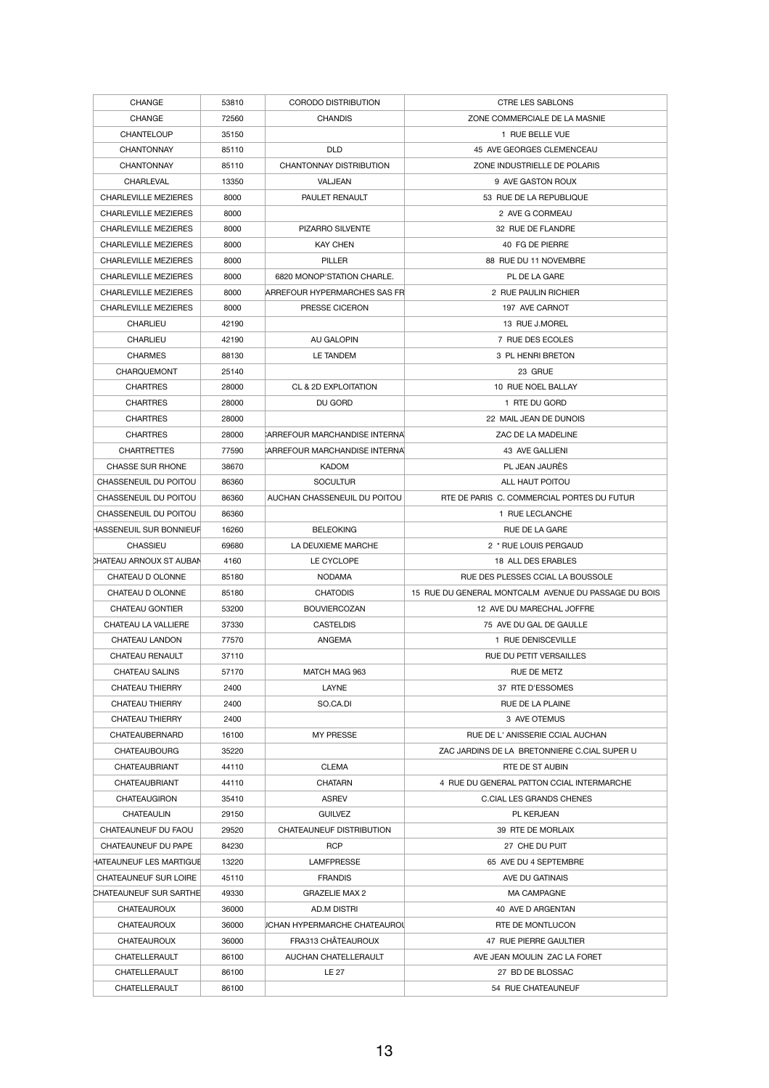| <b>CHANGE</b>                  | 53810 | <b>CORODO DISTRIBUTION</b>          | <b>CTRE LES SABLONS</b>                              |
|--------------------------------|-------|-------------------------------------|------------------------------------------------------|
| <b>CHANGE</b>                  | 72560 | <b>CHANDIS</b>                      | ZONE COMMERCIALE DE LA MASNIE                        |
| <b>CHANTELOUP</b>              | 35150 |                                     | 1 RUE BELLE VUE                                      |
| <b>CHANTONNAY</b>              | 85110 | <b>DLD</b>                          | 45 AVE GEORGES CLEMENCEAU                            |
| <b>CHANTONNAY</b>              | 85110 | <b>CHANTONNAY DISTRIBUTION</b>      | ZONE INDUSTRIELLE DE POLARIS                         |
| <b>CHARLEVAL</b>               | 13350 | VALJEAN                             | 9 AVE GASTON ROUX                                    |
| <b>CHARLEVILLE MEZIERES</b>    | 8000  | PAULET RENAULT                      | 53 RUE DE LA REPUBLIQUE                              |
| <b>CHARLEVILLE MEZIERES</b>    | 8000  |                                     | 2 AVE G CORMEAU                                      |
| <b>CHARLEVILLE MEZIERES</b>    | 8000  | PIZARRO SILVENTE                    | 32 RUE DE FLANDRE                                    |
| <b>CHARLEVILLE MEZIERES</b>    | 8000  | <b>KAY CHEN</b>                     | 40 FG DE PIERRE                                      |
| <b>CHARLEVILLE MEZIERES</b>    | 8000  | <b>PILLER</b>                       | 88 RUE DU 11 NOVEMBRE                                |
| <b>CHARLEVILLE MEZIERES</b>    | 8000  | 6820 MONOP'STATION CHARLE.          | PL DE LA GARE                                        |
| <b>CHARLEVILLE MEZIERES</b>    | 8000  | ARREFOUR HYPERMARCHES SAS FR        | 2 RUE PAULIN RICHIER                                 |
| <b>CHARLEVILLE MEZIERES</b>    | 8000  | PRESSE CICERON                      | 197 AVE CARNOT                                       |
| <b>CHARLIEU</b>                | 42190 |                                     | 13 RUE J.MOREL                                       |
| <b>CHARLIEU</b>                | 42190 | AU GALOPIN                          | 7 RUE DES ECOLES                                     |
| <b>CHARMES</b>                 | 88130 | LE TANDEM                           | 3 PL HENRI BRETON                                    |
| CHARQUEMONT                    | 25140 |                                     | 23 GRUE                                              |
| <b>CHARTRES</b>                | 28000 | CL & 2D EXPLOITATION                | 10 RUE NOEL BALLAY                                   |
| <b>CHARTRES</b>                | 28000 | DU GORD                             | 1 RTE DU GORD                                        |
| <b>CHARTRES</b>                | 28000 |                                     | 22 MAIL JEAN DE DUNOIS                               |
| <b>CHARTRES</b>                | 28000 | CARREFOUR MARCHANDISE INTERNAL      | ZAC DE LA MADELINE                                   |
| <b>CHARTRETTES</b>             | 77590 | CARREFOUR MARCHANDISE INTERNA       | 43 AVE GALLIENI                                      |
| <b>CHASSE SUR RHONE</b>        | 38670 | <b>KADOM</b>                        | PL JEAN JAURÈS                                       |
| CHASSENEUIL DU POITOU          | 86360 | <b>SOCULTUR</b>                     | ALL HAUT POITOU                                      |
| CHASSENEUIL DU POITOU          | 86360 | AUCHAN CHASSENEUIL DU POITOU        | RTE DE PARIS C. COMMERCIAL PORTES DU FUTUR           |
| CHASSENEUIL DU POITOU          | 86360 |                                     | 1 RUE LECLANCHE                                      |
| HASSENEUIL SUR BONNIEUF        | 16260 | <b>BELEOKING</b>                    | RUE DE LA GARE                                       |
| <b>CHASSIEU</b>                | 69680 | LA DEUXIEME MARCHE                  | 2 * RUE LOUIS PERGAUD                                |
| <b>CHATEAU ARNOUX ST AUBAN</b> | 4160  | LE CYCLOPE                          | 18 ALL DES ERABLES                                   |
| CHATEAU D OLONNE               | 85180 | <b>NODAMA</b>                       | RUE DES PLESSES CCIAL LA BOUSSOLE                    |
| CHATEAU D OLONNE               | 85180 | <b>CHATODIS</b>                     | 15 RUE DU GENERAL MONTCALM AVENUE DU PASSAGE DU BOIS |
| <b>CHATEAU GONTIER</b>         | 53200 | <b>BOUVIERCOZAN</b>                 | 12 AVE DU MARECHAL JOFFRE                            |
| <b>CHATEAU LA VALLIERE</b>     | 37330 | <b>CASTELDIS</b>                    | 75 AVE DU GAL DE GAULLE                              |
| <b>CHATEAU LANDON</b>          | 77570 | ANGEMA                              | 1 RUE DENISCEVILLE                                   |
| CHATEAU RENAULT                | 37110 |                                     | RUE DU PETIT VERSAILLES                              |
| <b>CHATEAU SALINS</b>          | 57170 | MATCH MAG 963                       | RUE DE METZ                                          |
| <b>CHATEAU THIERRY</b>         | 2400  | <b>LAYNE</b>                        | 37 RTE D'ESSOMES                                     |
| <b>CHATEAU THIERRY</b>         | 2400  | SO.CA.DI                            | RUE DE LA PLAINE                                     |
| <b>CHATEAU THIERRY</b>         | 2400  |                                     | 3 AVE OTEMUS                                         |
| <b>CHATEAUBERNARD</b>          | 16100 | <b>MY PRESSE</b>                    | RUE DE L'ANISSERIE CCIAL AUCHAN                      |
| <b>CHATEAUBOURG</b>            | 35220 |                                     | ZAC JARDINS DE LA BRETONNIERE C.CIAL SUPER U         |
| <b>CHATEAUBRIANT</b>           | 44110 | <b>CLEMA</b>                        | RTE DE ST AUBIN                                      |
| <b>CHATEAUBRIANT</b>           | 44110 | <b>CHATARN</b>                      | 4 RUE DU GENERAL PATTON CCIAL INTERMARCHE            |
| <b>CHATEAUGIRON</b>            | 35410 | <b>ASREV</b>                        | <b>C.CIAL LES GRANDS CHENES</b>                      |
| <b>CHATEAULIN</b>              | 29150 | <b>GUILVEZ</b>                      | PL KERJEAN                                           |
| CHATEAUNEUF DU FAOU            | 29520 | CHATEAUNEUF DISTRIBUTION            | 39 RTE DE MORLAIX                                    |
| CHATEAUNEUF DU PAPE            | 84230 | <b>RCP</b>                          | 27 CHE DU PUIT                                       |
| HATEAUNEUF LES MARTIGUE        | 13220 | <b>LAMFPRESSE</b>                   | 65 AVE DU 4 SEPTEMBRE                                |
| <b>CHATEAUNEUF SUR LOIRE</b>   | 45110 | <b>FRANDIS</b>                      | AVE DU GATINAIS                                      |
| <b>CHATEAUNEUF SUR SARTHE</b>  | 49330 | <b>GRAZELIE MAX 2</b>               | <b>MA CAMPAGNE</b>                                   |
| <b>CHATEAUROUX</b>             | 36000 | AD.M DISTRI                         | 40 AVE D ARGENTAN                                    |
| <b>CHATEAUROUX</b>             | 36000 | <b>JCHAN HYPERMARCHE CHATEAUROU</b> | RTE DE MONTLUCON                                     |
| <b>CHATEAUROUX</b>             | 36000 | FRA313 CHÂTEAUROUX                  | 47 RUE PIERRE GAULTIER                               |
| <b>CHATELLERAULT</b>           | 86100 | AUCHAN CHATELLERAULT                | AVE JEAN MOULIN ZAC LA FORET                         |
| CHATELLERAULT                  | 86100 | <b>LE 27</b>                        | 27 BD DE BLOSSAC                                     |
| CHATELLERAULT                  | 86100 |                                     | 54 RUE CHATEAUNEUF                                   |
|                                |       |                                     |                                                      |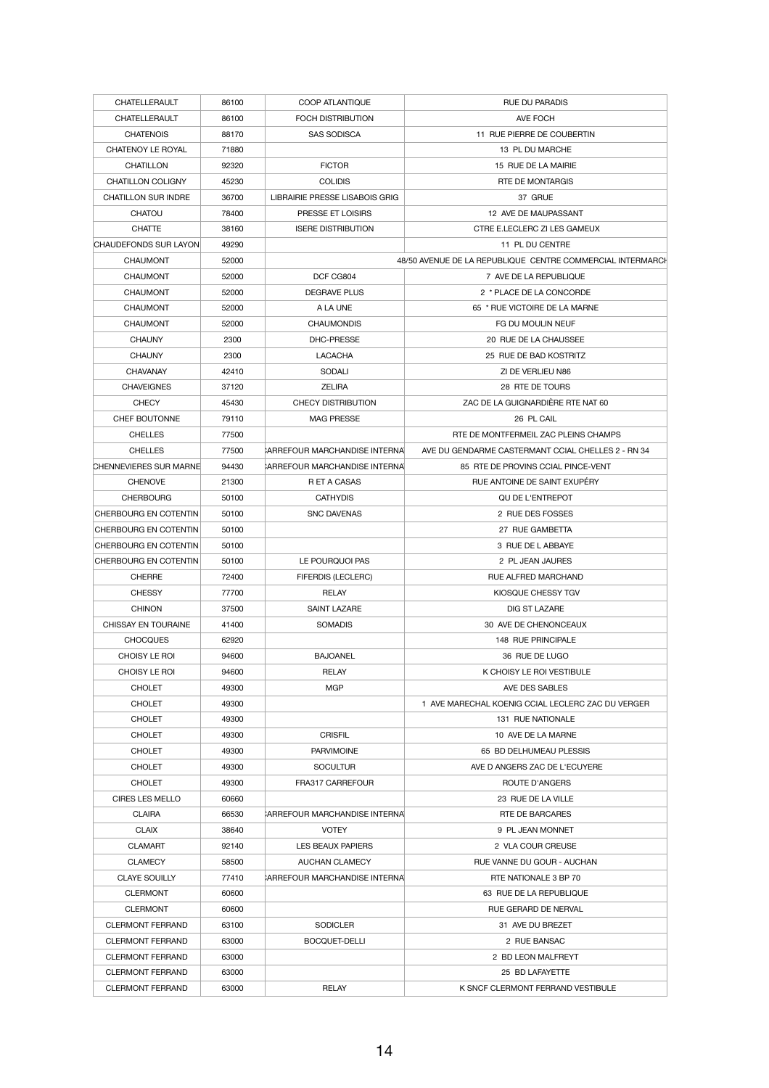| <b>CHATELLERAULT</b>          | 86100 | <b>COOP ATLANTIQUE</b>                | <b>RUE DU PARADIS</b>                                      |
|-------------------------------|-------|---------------------------------------|------------------------------------------------------------|
| CHATELLERAULT                 | 86100 | <b>FOCH DISTRIBUTION</b>              | AVE FOCH                                                   |
|                               |       |                                       |                                                            |
| <b>CHATENOIS</b>              | 88170 | <b>SAS SODISCA</b>                    | 11 RUE PIERRE DE COUBERTIN                                 |
| CHATENOY LE ROYAL             | 71880 |                                       | 13 PL DU MARCHE                                            |
| <b>CHATILLON</b>              | 92320 | <b>FICTOR</b>                         | 15 RUE DE LA MAIRIE                                        |
| <b>CHATILLON COLIGNY</b>      | 45230 | <b>COLIDIS</b>                        | <b>RTE DE MONTARGIS</b>                                    |
| <b>CHATILLON SUR INDRE</b>    | 36700 | <b>LIBRAIRIE PRESSE LISABOIS GRIG</b> | 37 GRUE                                                    |
| <b>CHATOU</b>                 | 78400 | PRESSE ET LOISIRS                     | 12 AVE DE MAUPASSANT                                       |
| <b>CHATTE</b>                 | 38160 | <b>ISERE DISTRIBUTION</b>             | CTRE E.LECLERC ZI LES GAMEUX                               |
| <b>CHAUDEFONDS SUR LAYON</b>  | 49290 |                                       | 11 PL DU CENTRE                                            |
| <b>CHAUMONT</b>               | 52000 |                                       | 48/50 AVENUE DE LA REPUBLIQUE CENTRE COMMERCIAL INTERMARCH |
| <b>CHAUMONT</b>               | 52000 | DCF CG804                             | 7 AVE DE LA REPUBLIQUE                                     |
| <b>CHAUMONT</b>               | 52000 | <b>DEGRAVE PLUS</b>                   | 2 * PLACE DE LA CONCORDE                                   |
| <b>CHAUMONT</b>               | 52000 | A LA UNE                              | 65 * RUE VICTOIRE DE LA MARNE                              |
| <b>CHAUMONT</b>               | 52000 | <b>CHAUMONDIS</b>                     | FG DU MOULIN NEUF                                          |
|                               |       |                                       |                                                            |
| <b>CHAUNY</b>                 | 2300  | DHC-PRESSE                            | 20 RUE DE LA CHAUSSEE                                      |
| <b>CHAUNY</b>                 | 2300  | <b>LACACHA</b>                        | 25 RUE DE BAD KOSTRITZ                                     |
| <b>CHAVANAY</b>               | 42410 | <b>SODALI</b>                         | ZI DE VERLIEU N86                                          |
| <b>CHAVEIGNES</b>             | 37120 | <b>ZELIRA</b>                         | 28 RTE DE TOURS                                            |
| <b>CHECY</b>                  | 45430 | <b>CHECY DISTRIBUTION</b>             | ZAC DE LA GUIGNARDIÈRE RTE NAT 60                          |
| <b>CHEF BOUTONNE</b>          | 79110 | <b>MAG PRESSE</b>                     | 26 PL CAIL                                                 |
| <b>CHELLES</b>                | 77500 |                                       | RTE DE MONTFERMEIL ZAC PLEINS CHAMPS                       |
| <b>CHELLES</b>                | 77500 | CARREFOUR MARCHANDISE INTERNAL        | AVE DU GENDARME CASTERMANT CCIAL CHELLES 2 - RN 34         |
| <b>CHENNEVIERES SUR MARNE</b> | 94430 | CARREFOUR MARCHANDISE INTERNAL        | 85 RTE DE PROVINS CCIAL PINCE-VENT                         |
| <b>CHENOVE</b>                | 21300 | R ET A CASAS                          | RUE ANTOINE DE SAINT EXUPÉRY                               |
| <b>CHERBOURG</b>              | 50100 | <b>CATHYDIS</b>                       | QU DE L'ENTREPOT                                           |
| <b>CHERBOURG EN COTENTIN</b>  | 50100 | SNC DAVENAS                           | 2 RUE DES FOSSES                                           |
| <b>CHERBOURG EN COTENTIN</b>  | 50100 |                                       | 27 RUE GAMBETTA                                            |
| CHERBOURG EN COTENTIN         | 50100 |                                       | 3 RUE DE L ABBAYE                                          |
| <b>CHERBOURG EN COTENTIN</b>  | 50100 | LE POURQUOI PAS                       | 2 PL JEAN JAURES                                           |
|                               |       |                                       |                                                            |
| <b>CHERRE</b>                 | 72400 | FIFERDIS (LECLERC)                    | RUE ALFRED MARCHAND                                        |
| <b>CHESSY</b>                 | 77700 | <b>RELAY</b>                          | KIOSQUE CHESSY TGV                                         |
| <b>CHINON</b>                 | 37500 | <b>SAINT LAZARE</b>                   | <b>DIG ST LAZARE</b>                                       |
| <b>CHISSAY EN TOURAINE</b>    | 41400 | <b>SOMADIS</b>                        | 30 AVE DE CHENONCEAUX                                      |
| <b>CHOCQUES</b>               | 62920 |                                       | 148 RUE PRINCIPALE                                         |
| CHOISY LE ROI                 | 94600 | <b>BAJOANEL</b>                       | 36 RUE DE LUGO                                             |
| CHOISY LE ROI                 | 94600 | <b>RELAY</b>                          | K CHOISY LE ROI VESTIBULE                                  |
| <b>CHOLET</b>                 | 49300 | <b>MGP</b>                            | AVE DES SABLES                                             |
| <b>CHOLET</b>                 | 49300 |                                       | 1 AVE MARECHAL KOENIG CCIAL LECLERC ZAC DU VERGER          |
| <b>CHOLET</b>                 | 49300 |                                       | 131 RUE NATIONALE                                          |
| <b>CHOLET</b>                 | 49300 | <b>CRISFIL</b>                        | 10 AVE DE LA MARNE                                         |
| <b>CHOLET</b>                 | 49300 | <b>PARVIMOINE</b>                     | 65 BD DELHUMEAU PLESSIS                                    |
| <b>CHOLET</b>                 | 49300 | <b>SOCULTUR</b>                       | AVE D ANGERS ZAC DE L'ECUYERE                              |
| <b>CHOLET</b>                 | 49300 | FRA317 CARREFOUR                      | <b>ROUTE D'ANGERS</b>                                      |
| <b>CIRES LES MELLO</b>        | 60660 |                                       | 23 RUE DE LA VILLE                                         |
|                               |       |                                       |                                                            |
| <b>CLAIRA</b>                 | 66530 | CARREFOUR MARCHANDISE INTERNAL        | RTE DE BARCARES                                            |
| <b>CLAIX</b>                  | 38640 | <b>VOTEY</b>                          | 9 PL JEAN MONNET                                           |
| <b>CLAMART</b>                | 92140 | <b>LES BEAUX PAPIERS</b>              | 2 VLA COUR CREUSE                                          |
| <b>CLAMECY</b>                | 58500 | <b>AUCHAN CLAMECY</b>                 | RUE VANNE DU GOUR - AUCHAN                                 |
| <b>CLAYE SOUILLY</b>          | 77410 | CARREFOUR MARCHANDISE INTERNAL        | RTE NATIONALE 3 BP 70                                      |
| <b>CLERMONT</b>               | 60600 |                                       | 63 RUE DE LA REPUBLIQUE                                    |
| <b>CLERMONT</b>               | 60600 |                                       | RUE GERARD DE NERVAL                                       |
| <b>CLERMONT FERRAND</b>       | 63100 | <b>SODICLER</b>                       | 31 AVE DU BREZET                                           |
| <b>CLERMONT FERRAND</b>       | 63000 | <b>BOCQUET-DELLI</b>                  | 2 RUE BANSAC                                               |
| <b>CLERMONT FERRAND</b>       | 63000 |                                       | 2 BD LEON MALFREYT                                         |
| <b>CLERMONT FERRAND</b>       | 63000 |                                       | 25 BD LAFAYETTE                                            |
| <b>CLERMONT FERRAND</b>       | 63000 | <b>RELAY</b>                          | K SNCF CLERMONT FERRAND VESTIBULE                          |
|                               |       |                                       |                                                            |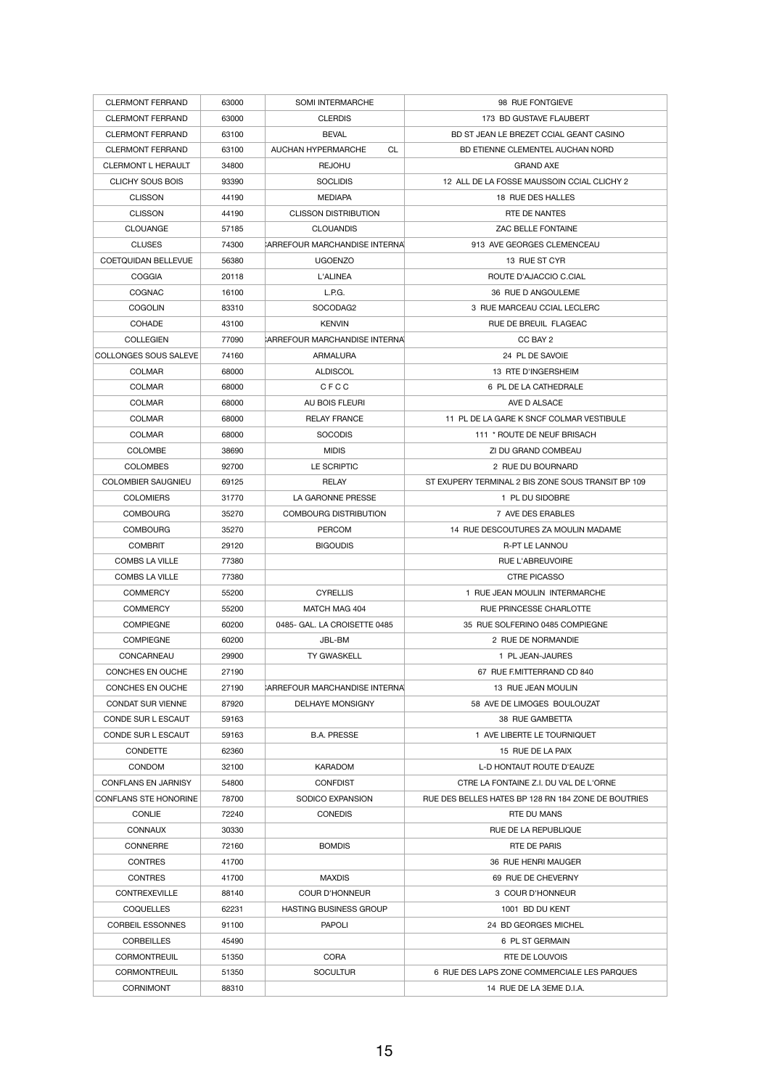| <b>CLERMONT FERRAND</b>      | 63000 | <b>SOMI INTERMARCHE</b>               | 98 RUE FONTGIEVE                                                        |
|------------------------------|-------|---------------------------------------|-------------------------------------------------------------------------|
| <b>CLERMONT FERRAND</b>      | 63000 | <b>CLERDIS</b>                        | 173 BD GUSTAVE FLAUBERT                                                 |
| <b>CLERMONT FERRAND</b>      | 63100 | <b>BEVAL</b>                          | BD ST JEAN LE BREZET CCIAL GEANT CASINO                                 |
| <b>CLERMONT FERRAND</b>      | 63100 | <b>AUCHAN HYPERMARCHE</b><br>CL       | BD ETIENNE CLEMENTEL AUCHAN NORD                                        |
| <b>CLERMONT L HERAULT</b>    | 34800 | <b>REJOHU</b>                         | <b>GRAND AXE</b>                                                        |
| CLICHY SOUS BOIS             | 93390 | <b>SOCLIDIS</b>                       | 12 ALL DE LA FOSSE MAUSSOIN CCIAL CLICHY 2                              |
| <b>CLISSON</b>               | 44190 | <b>MEDIAPA</b>                        | 18 RUE DES HALLES                                                       |
| <b>CLISSON</b>               | 44190 | <b>CLISSON DISTRIBUTION</b>           | RTE DE NANTES                                                           |
| <b>CLOUANGE</b>              | 57185 | <b>CLOUANDIS</b>                      | <b>ZAC BELLE FONTAINE</b>                                               |
| <b>CLUSES</b>                | 74300 | CARREFOUR MARCHANDISE INTERNAL        | 913 AVE GEORGES CLEMENCEAU                                              |
| <b>COETQUIDAN BELLEVUE</b>   | 56380 | <b>UGOENZO</b>                        | 13 RUE ST CYR                                                           |
| <b>COGGIA</b>                | 20118 | <b>L'ALINEA</b>                       | ROUTE D'AJACCIO C.CIAL                                                  |
| <b>COGNAC</b>                | 16100 | L.P.G.                                | 36 RUE D ANGOULEME                                                      |
| <b>COGOLIN</b>               | 83310 | SOCODAG2                              | 3 RUE MARCEAU CCIAL LECLERC                                             |
| <b>COHADE</b>                | 43100 | <b>KENVIN</b>                         | RUE DE BREUIL FLAGEAC                                                   |
| <b>COLLEGIEN</b>             | 77090 | CARREFOUR MARCHANDISE INTERNAL        | CC BAY 2                                                                |
| COLLONGES SOUS SALEVE        | 74160 | <b>ARMALURA</b>                       | 24 PL DE SAVOIE                                                         |
| <b>COLMAR</b>                | 68000 | <b>ALDISCOL</b>                       | 13 RTE D'INGERSHEIM                                                     |
| <b>COLMAR</b>                | 68000 | <b>CFCC</b>                           | 6 PL DE LA CATHEDRALE                                                   |
|                              |       |                                       |                                                                         |
| <b>COLMAR</b>                | 68000 | AU BOIS FLEURI                        | AVE D ALSACE                                                            |
| <b>COLMAR</b>                | 68000 | <b>RELAY FRANCE</b><br><b>SOCODIS</b> | 11 PL DE LA GARE K SNCF COLMAR VESTIBULE<br>111 * ROUTE DE NEUF BRISACH |
| <b>COLMAR</b>                | 68000 |                                       |                                                                         |
| <b>COLOMBE</b>               | 38690 | <b>MIDIS</b>                          | ZI DU GRAND COMBEAU                                                     |
| <b>COLOMBES</b>              | 92700 | LE SCRIPTIC                           | 2 RUE DU BOURNARD                                                       |
| <b>COLOMBIER SAUGNIEU</b>    | 69125 | <b>RELAY</b>                          | ST EXUPERY TERMINAL 2 BIS ZONE SOUS TRANSIT BP 109                      |
| <b>COLOMIERS</b>             | 31770 | LA GARONNE PRESSE                     | 1 PL DU SIDOBRE                                                         |
| <b>COMBOURG</b>              | 35270 | <b>COMBOURG DISTRIBUTION</b>          | 7 AVE DES ERABLES                                                       |
| <b>COMBOURG</b>              | 35270 | <b>PERCOM</b>                         | 14 RUE DESCOUTURES ZA MOULIN MADAME                                     |
| <b>COMBRIT</b>               | 29120 | <b>BIGOUDIS</b>                       | <b>R-PT LE LANNOU</b>                                                   |
| <b>COMBS LA VILLE</b>        | 77380 |                                       | <b>RUE L'ABREUVOIRE</b>                                                 |
| <b>COMBS LA VILLE</b>        | 77380 |                                       | <b>CTRE PICASSO</b>                                                     |
| <b>COMMERCY</b>              | 55200 | <b>CYRELLIS</b>                       | 1 RUE JEAN MOULIN INTERMARCHE                                           |
| <b>COMMERCY</b>              | 55200 | MATCH MAG 404                         | RUE PRINCESSE CHARLOTTE                                                 |
| <b>COMPIEGNE</b>             | 60200 | 0485- GAL. LA CROISETTE 0485          | 35 RUE SOLFERINO 0485 COMPIEGNE                                         |
| <b>COMPIEGNE</b>             | 60200 | JBL-BM                                | 2 RUE DE NORMANDIE                                                      |
| CONCARNEAU                   | 29900 | <b>TY GWASKELL</b>                    | 1 PL JEAN-JAURES                                                        |
| <b>CONCHES EN OUCHE</b>      | 27190 |                                       | 67 RUE F.MITTERRAND CD 840                                              |
| <b>CONCHES EN OUCHE</b>      | 27190 | CARREFOUR MARCHANDISE INTERNAL        | 13 RUE JEAN MOULIN                                                      |
| <b>CONDAT SUR VIENNE</b>     | 87920 | <b>DELHAYE MONSIGNY</b>               | 58 AVE DE LIMOGES BOULOUZAT                                             |
| CONDE SUR L ESCAUT           | 59163 |                                       | 38 RUE GAMBETTA                                                         |
| <b>CONDE SUR L ESCAUT</b>    | 59163 | <b>B.A. PRESSE</b>                    | 1 AVE LIBERTE LE TOURNIQUET                                             |
| <b>CONDETTE</b>              | 62360 |                                       | 15 RUE DE LA PAIX                                                       |
| <b>CONDOM</b>                | 32100 | <b>KARADOM</b>                        | L-D HONTAUT ROUTE D'EAUZE                                               |
| <b>CONFLANS EN JARNISY</b>   | 54800 | <b>CONFDIST</b>                       | CTRE LA FONTAINE Z.I. DU VAL DE L'ORNE                                  |
| <b>CONFLANS STE HONORINE</b> | 78700 | SODICO EXPANSION                      | RUE DES BELLES HATES BP 128 RN 184 ZONE DE BOUTRIES                     |
| <b>CONLIE</b>                | 72240 | <b>CONEDIS</b>                        | <b>RTE DU MANS</b>                                                      |
| <b>CONNAUX</b>               | 30330 |                                       | RUE DE LA REPUBLIQUE                                                    |
| <b>CONNERRE</b>              | 72160 | <b>BOMDIS</b>                         | RTE DE PARIS                                                            |
| <b>CONTRES</b>               | 41700 |                                       | 36 RUE HENRI MAUGER                                                     |
| <b>CONTRES</b>               | 41700 | <b>MAXDIS</b>                         | 69 RUE DE CHEVERNY                                                      |
| <b>CONTREXEVILLE</b>         | 88140 | <b>COUR D'HONNEUR</b>                 | 3 COUR D'HONNEUR                                                        |
| <b>COQUELLES</b>             | 62231 | <b>HASTING BUSINESS GROUP</b>         | 1001 BD DU KENT                                                         |
| <b>CORBEIL ESSONNES</b>      | 91100 | <b>PAPOLI</b>                         | 24 BD GEORGES MICHEL                                                    |
| <b>CORBEILLES</b>            | 45490 |                                       | 6 PL ST GERMAIN                                                         |
| <b>CORMONTREUIL</b>          | 51350 | <b>CORA</b>                           | RTE DE LOUVOIS                                                          |
| <b>CORMONTREUIL</b>          | 51350 | <b>SOCULTUR</b>                       | 6 RUE DES LAPS ZONE COMMERCIALE LES PARQUES                             |
| <b>CORNIMONT</b>             | 88310 |                                       | 14 RUE DE LA 3EME D.I.A.                                                |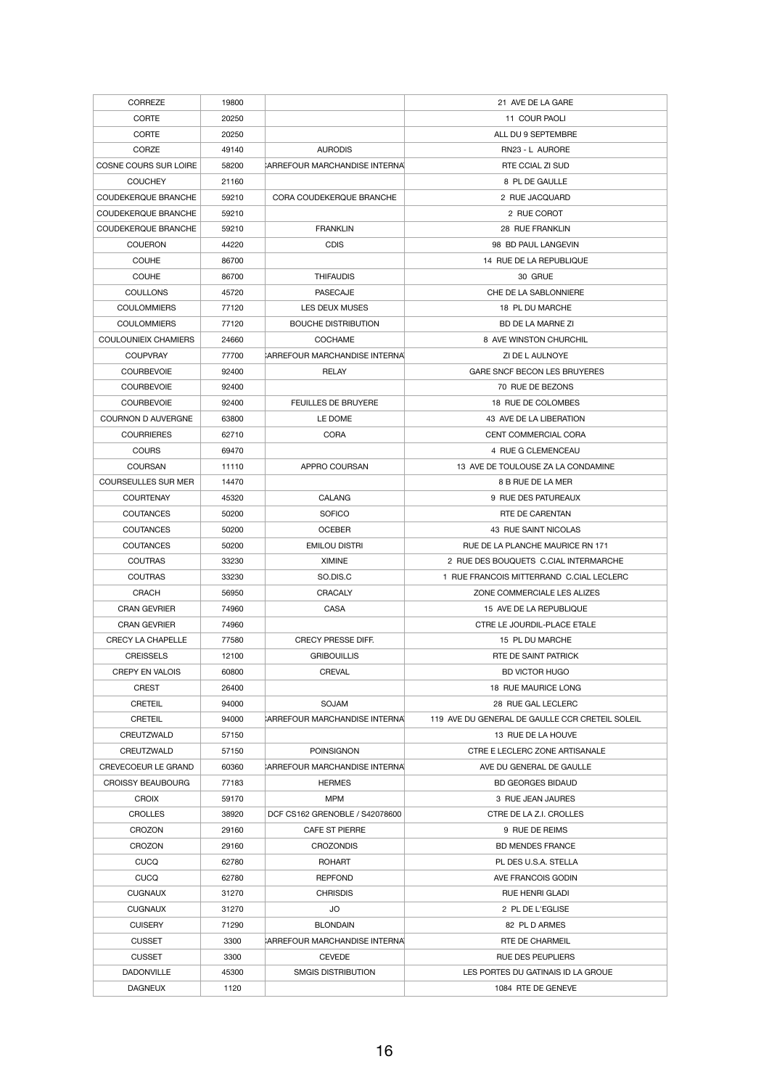| <b>CORREZE</b>                 | 19800          |                                       | 21 AVE DE LA GARE                                                               |
|--------------------------------|----------------|---------------------------------------|---------------------------------------------------------------------------------|
| <b>CORTE</b>                   | 20250          |                                       | 11 COUR PAOLI                                                                   |
| <b>CORTE</b>                   | 20250          |                                       | ALL DU 9 SEPTEMBRE                                                              |
| <b>CORZE</b>                   | 49140          | <b>AURODIS</b>                        | RN23 - L AURORE                                                                 |
| COSNE COURS SUR LOIRE          | 58200          | CARREFOUR MARCHANDISE INTERNAL        | RTE CCIAL ZI SUD                                                                |
| <b>COUCHEY</b>                 | 21160          |                                       | 8 PL DE GAULLE                                                                  |
| <b>COUDEKERQUE BRANCHE</b>     | 59210          | <b>CORA COUDEKERQUE BRANCHE</b>       | 2 RUE JACQUARD                                                                  |
| COUDEKERQUE BRANCHE            | 59210          |                                       | 2 RUE COROT                                                                     |
| <b>COUDEKERQUE BRANCHE</b>     | 59210          | <b>FRANKLIN</b>                       | 28 RUE FRANKLIN                                                                 |
| <b>COUERON</b>                 | 44220          | <b>CDIS</b>                           | 98 BD PAUL LANGEVIN                                                             |
| <b>COUHE</b>                   | 86700          |                                       | 14 RUE DE LA REPUBLIQUE                                                         |
| <b>COUHE</b>                   | 86700          | <b>THIFAUDIS</b>                      | 30 GRUE                                                                         |
| <b>COULLONS</b>                | 45720          | <b>PASECAJE</b>                       | CHE DE LA SABLONNIERE                                                           |
| <b>COULOMMIERS</b>             | 77120          | <b>LES DEUX MUSES</b>                 | 18 PL DU MARCHE                                                                 |
| <b>COULOMMIERS</b>             | 77120          | <b>BOUCHE DISTRIBUTION</b>            | BD DE LA MARNE ZI                                                               |
| <b>COULOUNIEIX CHAMIERS</b>    | 24660          | <b>COCHAME</b>                        | 8 AVE WINSTON CHURCHIL                                                          |
| <b>COUPVRAY</b>                | 77700          | <b>CARREFOUR MARCHANDISE INTERNAL</b> | ZI DE L AULNOYE                                                                 |
| <b>COURBEVOIE</b>              | 92400          | <b>RELAY</b>                          | <b>GARE SNCF BECON LES BRUYERES</b>                                             |
| <b>COURBEVOIE</b>              | 92400          |                                       | 70 RUE DE BEZONS                                                                |
| <b>COURBEVOIE</b>              | 92400          | <b>FEUILLES DE BRUYERE</b>            | 18 RUE DE COLOMBES                                                              |
| <b>COURNON D AUVERGNE</b>      | 63800          | LE DOME                               | 43 AVE DE LA LIBERATION                                                         |
| <b>COURRIERES</b>              | 62710          | <b>CORA</b>                           | CENT COMMERCIAL CORA                                                            |
| <b>COURS</b>                   | 69470          |                                       | 4 RUE G CLEMENCEAU                                                              |
| <b>COURSAN</b>                 | 11110          | APPRO COURSAN                         | 13 AVE DE TOULOUSE ZA LA CONDAMINE                                              |
| <b>COURSEULLES SUR MER</b>     | 14470          |                                       | 8 B RUE DE LA MER                                                               |
| <b>COURTENAY</b>               | 45320          | <b>CALANG</b>                         | 9 RUE DES PATUREAUX                                                             |
| <b>COUTANCES</b>               | 50200          | <b>SOFICO</b>                         | RTE DE CARENTAN                                                                 |
| <b>COUTANCES</b>               |                | <b>OCEBER</b>                         |                                                                                 |
| <b>COUTANCES</b>               | 50200<br>50200 | <b>EMILOU DISTRI</b>                  | 43 RUE SAINT NICOLAS<br>RUE DE LA PLANCHE MAURICE RN 171                        |
| <b>COUTRAS</b>                 |                |                                       |                                                                                 |
| <b>COUTRAS</b>                 | 33230<br>33230 | <b>XIMINE</b><br>SO.DIS.C             | 2 RUE DES BOUQUETS C.CIAL INTERMARCHE<br>RUE FRANCOIS MITTERRAND C.CIAL LECLERC |
| <b>CRACH</b>                   | 56950          | <b>CRACALY</b>                        | ZONE COMMERCIALE LES ALIZES                                                     |
| <b>CRAN GEVRIER</b>            | 74960          | <b>CASA</b>                           | 15 AVE DE LA REPUBLIQUE                                                         |
| <b>CRAN GEVRIER</b>            | 74960          |                                       | CTRE LE JOURDIL-PLACE ETALE                                                     |
| <b>CRECY LA CHAPELLE</b>       | 77580          | <b>CRECY PRESSE DIFF.</b>             | 15 PL DU MARCHE                                                                 |
| <b>CREISSELS</b>               | 12100          | <b>GRIBOUILLIS</b>                    | RTE DE SAINT PATRICK                                                            |
| <b>CREPY EN VALOIS</b>         | 60800          | <b>CREVAL</b>                         | <b>BD VICTOR HUGO</b>                                                           |
| <b>CREST</b>                   | 26400          |                                       | 18 RUE MAURICE LONG                                                             |
| <b>CRETEIL</b>                 |                | <b>SOJAM</b>                          |                                                                                 |
| <b>CRETEIL</b>                 | 94000<br>94000 | <b>CARREFOUR MARCHANDISE INTERNAL</b> | 28 RUE GAL LECLERC<br>119 AVE DU GENERAL DE GAULLE CCR CRETEIL SOLEIL           |
| CREUTZWALD                     | 57150          |                                       | 13 RUE DE LA HOUVE                                                              |
| CREUTZWALD                     | 57150          | <b>POINSIGNON</b>                     | CTRE E LECLERC ZONE ARTISANALE                                                  |
| <b>CREVECOEUR LE GRAND</b>     | 60360          | <b>CARREFOUR MARCHANDISE INTERNAL</b> | AVE DU GENERAL DE GAULLE                                                        |
| <b>CROISSY BEAUBOURG</b>       |                |                                       |                                                                                 |
|                                | 77183          | <b>HERMES</b>                         | <b>BD GEORGES BIDAUD</b><br>3 RUE JEAN JAURES                                   |
| <b>CROIX</b><br><b>CROLLES</b> | 59170<br>38920 | MPM<br>DCF CS162 GRENOBLE / S42078600 | CTRE DE LA Z.I. CROLLES                                                         |
| <b>CROZON</b>                  | 29160          | <b>CAFE ST PIERRE</b>                 | 9 RUE DE REIMS                                                                  |
| <b>CROZON</b>                  | 29160          | <b>CROZONDIS</b>                      | <b>BD MENDES FRANCE</b>                                                         |
|                                |                |                                       | PL DES U.S.A. STELLA                                                            |
| <b>CUCQ</b><br><b>CUCQ</b>     | 62780<br>62780 | <b>ROHART</b><br><b>REPFOND</b>       | AVE FRANCOIS GODIN                                                              |
|                                |                | <b>CHRISDIS</b>                       |                                                                                 |
| <b>CUGNAUX</b>                 | 31270          |                                       | <b>RUE HENRI GLADI</b>                                                          |
| <b>CUGNAUX</b>                 | 31270          | <b>JO</b>                             | 2 PL DE L'EGLISE                                                                |
| <b>CUISERY</b>                 | 71290          | <b>BLONDAIN</b>                       | 82 PL D ARMES                                                                   |
| <b>CUSSET</b>                  | 3300           | CARREFOUR MARCHANDISE INTERNA         | RTE DE CHARMEIL                                                                 |
| <b>CUSSET</b>                  | 3300           | <b>CEVEDE</b>                         | <b>RUE DES PEUPLIERS</b>                                                        |
| <b>DADONVILLE</b>              | 45300          | <b>SMGIS DISTRIBUTION</b>             | LES PORTES DU GATINAIS ID LA GROUE                                              |
| <b>DAGNEUX</b>                 | 1120           |                                       | 1084 RTE DE GENEVE                                                              |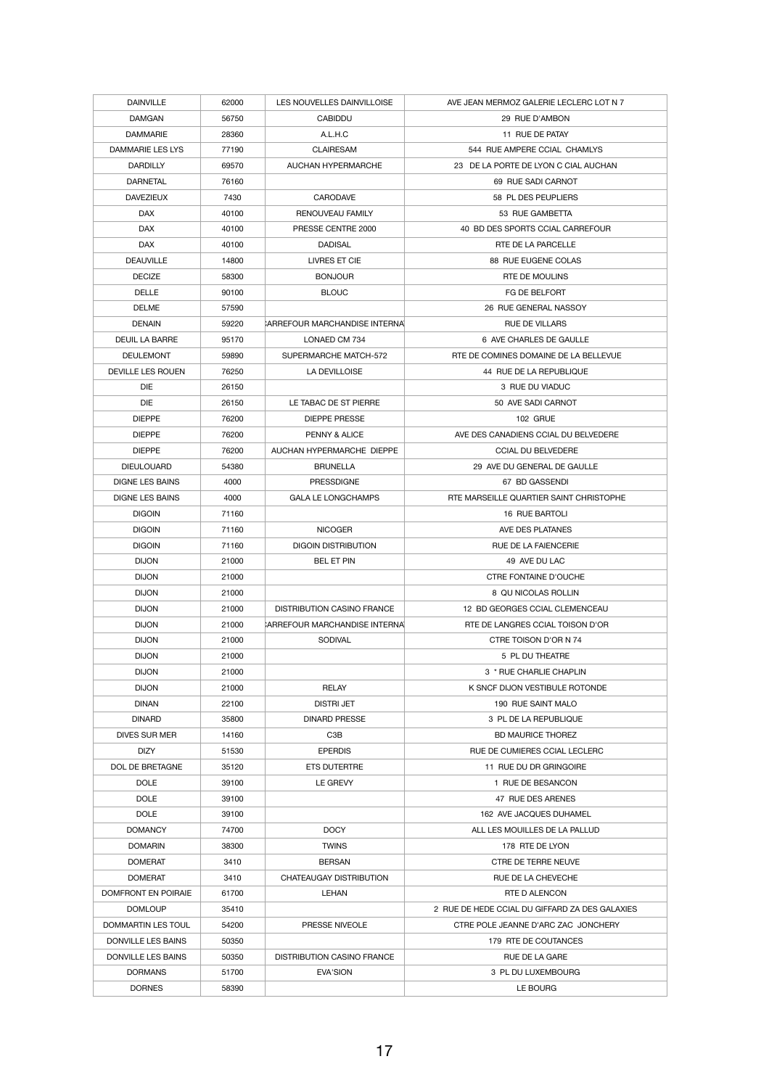| <b>DAINVILLE</b>                      | 62000          | LES NOUVELLES DAINVILLOISE               | AVE JEAN MERMOZ GALERIE LECLERC LOT N 7           |
|---------------------------------------|----------------|------------------------------------------|---------------------------------------------------|
| <b>DAMGAN</b>                         | 56750          | <b>CABIDDU</b>                           | 29 RUE D'AMBON                                    |
| <b>DAMMARIE</b>                       | 28360          | A.L.H.C                                  | 11 RUE DE PATAY                                   |
| <b>DAMMARIE LES LYS</b>               | 77190          | <b>CLAIRESAM</b>                         | 544 RUE AMPERE CCIAL CHAMLYS                      |
| <b>DARDILLY</b>                       | 69570          | <b>AUCHAN HYPERMARCHE</b>                | 23 DE LA PORTE DE LYON C CIAL AUCHAN              |
| <b>DARNETAL</b>                       | 76160          |                                          | 69 RUE SADI CARNOT                                |
| <b>DAVEZIEUX</b>                      | 7430           | <b>CARODAVE</b>                          | 58 PL DES PEUPLIERS                               |
| <b>DAX</b>                            | 40100          | RENOUVEAU FAMILY                         | 53 RUE GAMBETTA                                   |
| <b>DAX</b>                            | 40100          | PRESSE CENTRE 2000                       | 40 BD DES SPORTS CCIAL CARREFOUR                  |
| <b>DAX</b>                            | 40100          | <b>DADISAL</b>                           | RTE DE LA PARCELLE                                |
| <b>DEAUVILLE</b>                      | 14800          | LIVRES ET CIE                            | 88 RUE EUGENE COLAS                               |
| <b>DECIZE</b>                         | 58300          | <b>BONJOUR</b>                           | RTE DE MOULINS                                    |
| <b>DELLE</b>                          | 90100          | <b>BLOUC</b>                             | FG DE BELFORT                                     |
| <b>DELME</b>                          | 57590          |                                          | 26 RUE GENERAL NASSOY                             |
| <b>DENAIN</b>                         | 59220          | CARREFOUR MARCHANDISE INTERNAL           | <b>RUE DE VILLARS</b>                             |
| <b>DEUIL LA BARRE</b>                 | 95170          | LONAED CM 734                            | 6 AVE CHARLES DE GAULLE                           |
| <b>DEULEMONT</b>                      | 59890          | SUPERMARCHE MATCH-572                    | RTE DE COMINES DOMAINE DE LA BELLEVUE             |
| <b>DEVILLE LES ROUEN</b>              | 76250          | LA DEVILLOISE                            | 44 RUE DE LA REPUBLIQUE                           |
| <b>DIE</b>                            | 26150          |                                          | 3 RUE DU VIADUC                                   |
| <b>DIE</b>                            | 26150          | LE TABAC DE ST PIERRE                    | 50 AVE SADI CARNOT                                |
| <b>DIEPPE</b>                         | 76200          | <b>DIEPPE PRESSE</b>                     | <b>102 GRUE</b>                                   |
| <b>DIEPPE</b>                         | 76200          | PENNY & ALICE                            | AVE DES CANADIENS CCIAL DU BELVEDERE              |
| <b>DIEPPE</b>                         | 76200          | AUCHAN HYPERMARCHE DIEPPE                | <b>CCIAL DU BELVEDERE</b>                         |
| <b>DIEULOUARD</b>                     | 54380          | <b>BRUNELLA</b>                          | 29 AVE DU GENERAL DE GAULLE                       |
| <b>DIGNE LES BAINS</b>                | 4000           | <b>PRESSDIGNE</b>                        | 67 BD GASSENDI                                    |
| <b>DIGNE LES BAINS</b>                | 4000           | <b>GALA LE LONGCHAMPS</b>                | RTE MARSEILLE QUARTIER SAINT CHRISTOPHE           |
| <b>DIGOIN</b>                         | 71160          |                                          | 16 RUE BARTOLI                                    |
| <b>DIGOIN</b>                         | 71160          | <b>NICOGER</b>                           | AVE DES PLATANES                                  |
| <b>DIGOIN</b>                         | 71160          | <b>DIGOIN DISTRIBUTION</b>               | <b>RUE DE LA FAIENCERIE</b>                       |
| <b>DIJON</b>                          | 21000          | <b>BEL ET PIN</b>                        | 49 AVE DU LAC                                     |
| <b>DIJON</b>                          | 21000          |                                          | <b>CTRE FONTAINE D'OUCHE</b>                      |
| <b>DIJON</b>                          | 21000          |                                          | 8 QU NICOLAS ROLLIN                               |
| <b>DIJON</b>                          | 21000          | <b>DISTRIBUTION CASINO FRANCE</b>        | 12 BD GEORGES CCIAL CLEMENCEAU                    |
| <b>DIJON</b>                          | 21000          | CARREFOUR MARCHANDISE INTERNAL           | RTE DE LANGRES CCIAL TOISON D'OR                  |
| <b>DIJON</b>                          | 21000          | <b>SODIVAL</b>                           | CTRE TOISON D'OR N 74                             |
| <b>DIJON</b>                          | 21000          |                                          | 5 PL DU THEATRE                                   |
| <b>DIJON</b>                          | 21000          |                                          | 3 * RUE CHARLIE CHAPLIN                           |
| <b>DIJON</b>                          | 21000          | <b>RELAY</b>                             | K SNCF DIJON VESTIBULE ROTONDE                    |
| <b>DINAN</b>                          |                | <b>DISTRI JET</b>                        | 190 RUE SAINT MALO                                |
|                                       | 22100<br>35800 |                                          |                                                   |
| <b>DINARD</b><br><b>DIVES SUR MER</b> | 14160          | <b>DINARD PRESSE</b><br>C <sub>3</sub> B | 3 PL DE LA REPUBLIQUE<br><b>BD MAURICE THOREZ</b> |
|                                       |                | <b>EPERDIS</b>                           | RUE DE CUMIERES CCIAL LECLERC                     |
| <b>DIZY</b><br>DOL DE BRETAGNE        | 51530<br>35120 | <b>ETS DUTERTRE</b>                      | 11 RUE DU DR GRINGOIRE                            |
| <b>DOLE</b>                           | 39100          | LE GREVY                                 | 1 RUE DE BESANCON                                 |
| <b>DOLE</b>                           | 39100          |                                          |                                                   |
| <b>DOLE</b>                           | 39100          |                                          | 47 RUE DES ARENES<br>162 AVE JACQUES DUHAMEL      |
| <b>DOMANCY</b>                        |                | <b>DOCY</b>                              | ALL LES MOUILLES DE LA PALLUD                     |
|                                       | 74700          | <b>TWINS</b>                             |                                                   |
| <b>DOMARIN</b>                        | 38300          |                                          | 178 RTE DE LYON<br><b>CTRE DE TERRE NEUVE</b>     |
| <b>DOMERAT</b><br><b>DOMERAT</b>      | 3410<br>3410   | <b>BERSAN</b><br>CHATEAUGAY DISTRIBUTION | <b>RUE DE LA CHEVECHE</b>                         |
| DOMFRONT EN POIRAIE                   |                |                                          | <b>RTE D ALENCON</b>                              |
| <b>DOMLOUP</b>                        | 61700          | LEHAN                                    | 2 RUE DE HEDE CCIAL DU GIFFARD ZA DES GALAXIES    |
| DOMMARTIN LES TOUL                    | 35410          | PRESSE NIVEOLE                           | CTRE POLE JEANNE D'ARC ZAC JONCHERY               |
| DONVILLE LES BAINS                    | 54200<br>50350 |                                          | 179 RTE DE COUTANCES                              |
| DONVILLE LES BAINS                    |                |                                          |                                                   |
|                                       | 50350          | <b>DISTRIBUTION CASINO FRANCE</b>        | RUE DE LA GARE<br>3 PL DU LUXEMBOURG              |
| <b>DORMANS</b>                        | 51700          | <b>EVA'SION</b>                          |                                                   |
| <b>DORNES</b>                         | 58390          |                                          | LE BOURG                                          |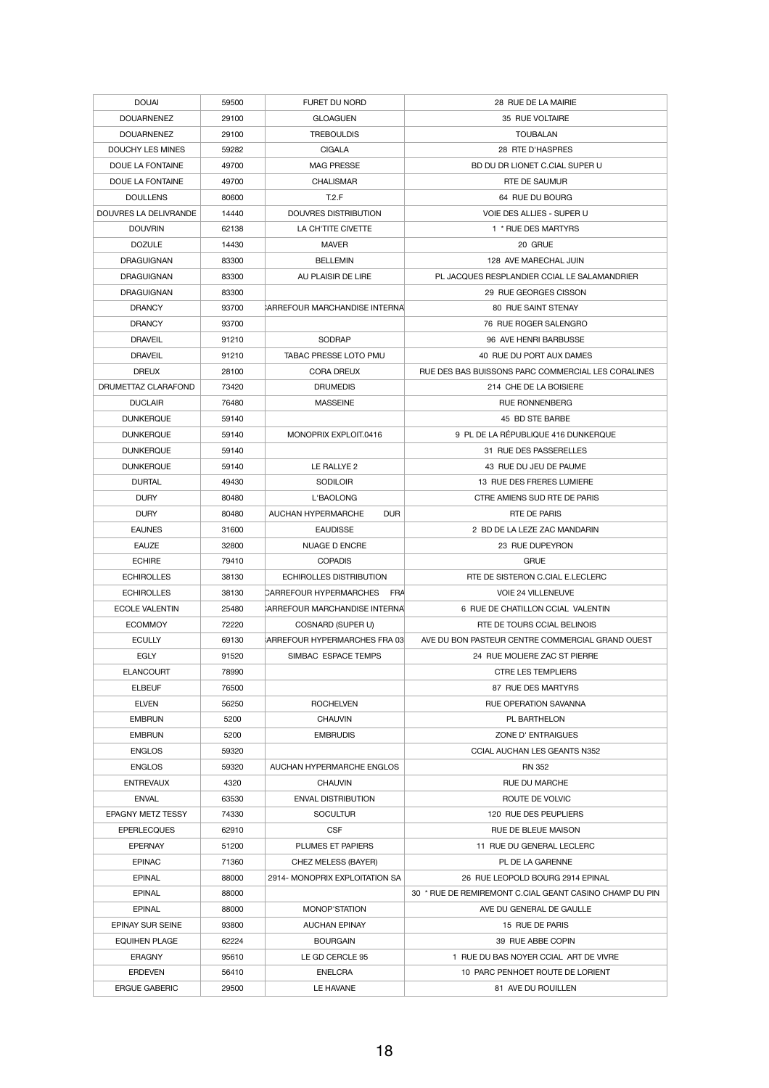| <b>DOUAI</b>             | 59500 | <b>FURET DU NORD</b>                    | 28 RUE DE LA MAIRIE                                     |
|--------------------------|-------|-----------------------------------------|---------------------------------------------------------|
| <b>DOUARNENEZ</b>        | 29100 | <b>GLOAGUEN</b>                         | 35 RUE VOLTAIRE                                         |
| <b>DOUARNENEZ</b>        | 29100 | <b>TREBOULDIS</b>                       | <b>TOUBALAN</b>                                         |
| DOUCHY LES MINES         | 59282 | <b>CIGALA</b>                           | 28 RTE D'HASPRES                                        |
| DOUE LA FONTAINE         | 49700 | <b>MAG PRESSE</b>                       | BD DU DR LIONET C.CIAL SUPER U                          |
| DOUE LA FONTAINE         | 49700 | <b>CHALISMAR</b>                        | RTE DE SAUMUR                                           |
| <b>DOULLENS</b>          | 80600 | T.2.F                                   | 64 RUE DU BOURG                                         |
| DOUVRES LA DELIVRANDE    | 14440 | <b>DOUVRES DISTRIBUTION</b>             | VOIE DES ALLIES - SUPER U                               |
|                          |       |                                         |                                                         |
| <b>DOUVRIN</b>           | 62138 | LA CH'TITE CIVETTE                      | 1 * RUE DES MARTYRS                                     |
| <b>DOZULE</b>            | 14430 | <b>MAVER</b>                            | 20 GRUE                                                 |
| <b>DRAGUIGNAN</b>        | 83300 | <b>BELLEMIN</b>                         | 128 AVE MARECHAL JUIN                                   |
| <b>DRAGUIGNAN</b>        | 83300 | AU PLAISIR DE LIRE                      | PL JACQUES RESPLANDIER CCIAL LE SALAMANDRIER            |
| <b>DRAGUIGNAN</b>        | 83300 |                                         | 29 RUE GEORGES CISSON                                   |
| <b>DRANCY</b>            | 93700 | CARREFOUR MARCHANDISE INTERNA           | <b>80 RUE SAINT STENAY</b>                              |
| <b>DRANCY</b>            | 93700 |                                         | 76 RUE ROGER SALENGRO                                   |
| <b>DRAVEIL</b>           | 91210 | <b>SODRAP</b>                           | 96 AVE HENRI BARBUSSE                                   |
| <b>DRAVEIL</b>           | 91210 | TABAC PRESSE LOTO PMU                   | 40 RUE DU PORT AUX DAMES                                |
| <b>DREUX</b>             | 28100 | <b>CORA DREUX</b>                       | RUE DES BAS BUISSONS PARC COMMERCIAL LES CORALINES      |
| DRUMETTAZ CLARAFOND      | 73420 | <b>DRUMEDIS</b>                         | 214 CHE DE LA BOISIERE                                  |
| <b>DUCLAIR</b>           | 76480 | <b>MASSEINE</b>                         | <b>RUE RONNENBERG</b>                                   |
| <b>DUNKERQUE</b>         | 59140 |                                         | 45 BD STE BARBE                                         |
| <b>DUNKERQUE</b>         | 59140 | MONOPRIX EXPLOIT.0416                   | 9 PL DE LA RÉPUBLIQUE 416 DUNKERQUE                     |
| <b>DUNKERQUE</b>         | 59140 |                                         | 31 RUE DES PASSERELLES                                  |
| <b>DUNKERQUE</b>         | 59140 | LE RALLYE 2                             | 43 RUE DU JEU DE PAUME                                  |
| <b>DURTAL</b>            |       | <b>SODILOIR</b>                         |                                                         |
|                          | 49430 |                                         | 13 RUE DES FRERES LUMIERE                               |
| <b>DURY</b>              | 80480 | L'BAOLONG                               | CTRE AMIENS SUD RTE DE PARIS                            |
| <b>DURY</b>              | 80480 | <b>DUR</b><br><b>AUCHAN HYPERMARCHE</b> | <b>RTE DE PARIS</b>                                     |
| <b>EAUNES</b>            | 31600 | <b>EAUDISSE</b>                         | 2 BD DE LA LEZE ZAC MANDARIN                            |
| <b>EAUZE</b>             | 32800 | <b>NUAGE D ENCRE</b>                    | 23 RUE DUPEYRON                                         |
| <b>ECHIRE</b>            | 79410 | <b>COPADIS</b>                          | <b>GRUE</b>                                             |
| <b>ECHIROLLES</b>        | 38130 | <b>ECHIROLLES DISTRIBUTION</b>          | RTE DE SISTERON C.CIAL E.LECLERC                        |
| <b>ECHIROLLES</b>        | 38130 | CARREFOUR HYPERMARCHES<br>FRA           | <b>VOIE 24 VILLENEUVE</b>                               |
| <b>ECOLE VALENTIN</b>    | 25480 | <b>ARREFOUR MARCHANDISE INTERNAL</b>    | 6 RUE DE CHATILLON CCIAL VALENTIN                       |
| <b>ECOMMOY</b>           | 72220 | COSNARD (SUPER U)                       | RTE DE TOURS CCIAL BELINOIS                             |
| <b>ECULLY</b>            | 69130 | ARREFOUR HYPERMARCHES FRA 03            | AVE DU BON PASTEUR CENTRE COMMERCIAL GRAND OUEST        |
| <b>EGLY</b>              | 91520 | SIMBAC ESPACE TEMPS                     | 24 RUE MOLIERE ZAC ST PIERRE                            |
| <b>ELANCOURT</b>         | 78990 |                                         | <b>CTRE LES TEMPLIERS</b>                               |
| <b>ELBEUF</b>            | 76500 |                                         | 87 RUE DES MARTYRS                                      |
| <b>ELVEN</b>             | 56250 | <b>ROCHELVEN</b>                        | <b>RUE OPERATION SAVANNA</b>                            |
| <b>EMBRUN</b>            | 5200  | <b>CHAUVIN</b>                          | PL BARTHELON                                            |
| <b>EMBRUN</b>            | 5200  | <b>EMBRUDIS</b>                         | ZONE D' ENTRAIGUES                                      |
| <b>ENGLOS</b>            | 59320 |                                         | <b>CCIAL AUCHAN LES GEANTS N352</b>                     |
| <b>ENGLOS</b>            | 59320 | AUCHAN HYPERMARCHE ENGLOS               | <b>RN 352</b>                                           |
| <b>ENTREVAUX</b>         |       | <b>CHAUVIN</b>                          |                                                         |
|                          | 4320  |                                         | <b>RUE DU MARCHE</b>                                    |
| <b>ENVAL</b>             | 63530 | <b>ENVAL DISTRIBUTION</b>               | ROUTE DE VOLVIC                                         |
| <b>EPAGNY METZ TESSY</b> | 74330 | <b>SOCULTUR</b>                         | 120 RUE DES PEUPLIERS                                   |
| <b>EPERLECQUES</b>       | 62910 | <b>CSF</b>                              | <b>RUE DE BLEUE MAISON</b>                              |
| <b>EPERNAY</b>           | 51200 | PLUMES ET PAPIERS                       | 11 RUE DU GENERAL LECLERC                               |
| <b>EPINAC</b>            | 71360 | CHEZ MELESS (BAYER)                     | PL DE LA GARENNE                                        |
| <b>EPINAL</b>            | 88000 | 2914- MONOPRIX EXPLOITATION SA          | 26 RUE LEOPOLD BOURG 2914 EPINAL                        |
| <b>EPINAL</b>            | 88000 |                                         | 30 * RUE DE REMIREMONT C.CIAL GEANT CASINO CHAMP DU PIN |
| <b>EPINAL</b>            | 88000 | MONOP'STATION                           | AVE DU GENERAL DE GAULLE                                |
| <b>EPINAY SUR SEINE</b>  | 93800 | <b>AUCHAN EPINAY</b>                    | 15 RUE DE PARIS                                         |
| <b>EQUIHEN PLAGE</b>     | 62224 | <b>BOURGAIN</b>                         | 39 RUE ABBE COPIN                                       |
| <b>ERAGNY</b>            | 95610 | LE GD CERCLE 95                         | 1 RUE DU BAS NOYER CCIAL ART DE VIVRE                   |
| <b>ERDEVEN</b>           | 56410 | <b>ENELCRA</b>                          | 10 PARC PENHOET ROUTE DE LORIENT                        |
| <b>ERGUE GABERIC</b>     | 29500 | LE HAVANE                               | 81 AVE DU ROUILLEN                                      |
|                          |       |                                         |                                                         |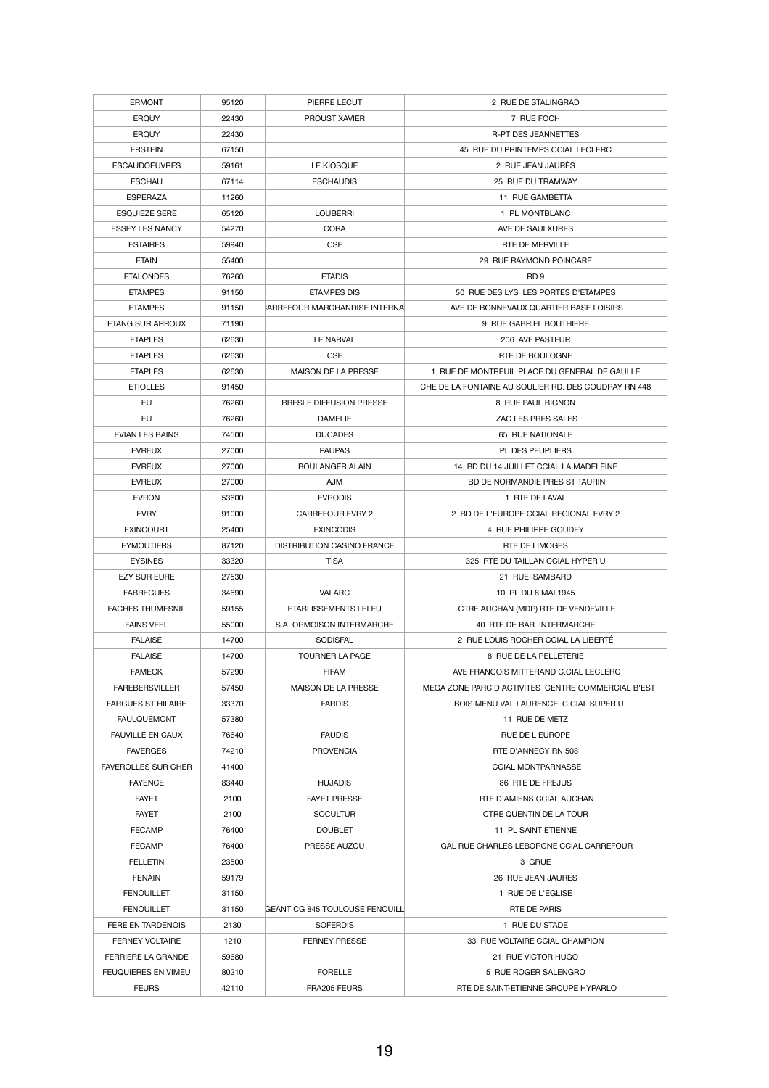| <b>ERMONT</b>              | 95120 | PIERRE LECUT                          | 2 RUE DE STALINGRAD                                  |
|----------------------------|-------|---------------------------------------|------------------------------------------------------|
| <b>ERQUY</b>               | 22430 | <b>PROUST XAVIER</b>                  | 7 RUE FOCH                                           |
| <b>ERQUY</b>               | 22430 |                                       | <b>R-PT DES JEANNETTES</b>                           |
| <b>ERSTEIN</b>             | 67150 |                                       | 45 RUE DU PRINTEMPS CCIAL LECLERC                    |
| <b>ESCAUDOEUVRES</b>       | 59161 | LE KIOSQUE                            | 2 RUE JEAN JAURÈS                                    |
| <b>ESCHAU</b>              | 67114 | <b>ESCHAUDIS</b>                      | 25 RUE DU TRAMWAY                                    |
| <b>ESPERAZA</b>            | 11260 |                                       | 11 RUE GAMBETTA                                      |
| <b>ESQUIEZE SERE</b>       | 65120 | <b>LOUBERRI</b>                       | 1 PL MONTBLANC                                       |
| <b>ESSEY LES NANCY</b>     | 54270 | <b>CORA</b>                           | AVE DE SAULXURES                                     |
| <b>ESTAIRES</b>            | 59940 | <b>CSF</b>                            | RTE DE MERVILLE                                      |
| <b>ETAIN</b>               | 55400 |                                       | 29 RUE RAYMOND POINCARE                              |
| <b>ETALONDES</b>           | 76260 | <b>ETADIS</b>                         | RD <sub>9</sub>                                      |
| <b>ETAMPES</b>             | 91150 | <b>ETAMPES DIS</b>                    | 50 RUE DES LYS LES PORTES D'ETAMPES                  |
| <b>ETAMPES</b>             | 91150 | <b>CARREFOUR MARCHANDISE INTERNAL</b> | AVE DE BONNEVAUX QUARTIER BASE LOISIRS               |
| <b>ETANG SUR ARROUX</b>    | 71190 |                                       | 9 RUE GABRIEL BOUTHIERE                              |
|                            |       |                                       |                                                      |
| <b>ETAPLES</b>             | 62630 | <b>LE NARVAL</b>                      | 206 AVE PASTEUR                                      |
| <b>ETAPLES</b>             | 62630 | <b>CSF</b>                            | RTE DE BOULOGNE                                      |
| <b>ETAPLES</b>             | 62630 | MAISON DE LA PRESSE                   | 1 RUE DE MONTREUIL PLACE DU GENERAL DE GAULLE        |
| <b>ETIOLLES</b>            | 91450 |                                       | CHE DE LA FONTAINE AU SOULIER RD. DES COUDRAY RN 448 |
| <b>EU</b>                  | 76260 | <b>BRESLE DIFFUSION PRESSE</b>        | 8 RUE PAUL BIGNON                                    |
| EU                         | 76260 | <b>DAMELIE</b>                        | ZAC LES PRES SALES                                   |
| <b>EVIAN LES BAINS</b>     | 74500 | <b>DUCADES</b>                        | 65 RUE NATIONALE                                     |
| <b>EVREUX</b>              | 27000 | <b>PAUPAS</b>                         | PL DES PEUPLIERS                                     |
| <b>EVREUX</b>              | 27000 | <b>BOULANGER ALAIN</b>                | 14 BD DU 14 JUILLET CCIAL LA MADELEINE               |
| <b>EVREUX</b>              | 27000 | <b>AJM</b>                            | BD DE NORMANDIE PRES ST TAURIN                       |
| <b>EVRON</b>               | 53600 | <b>EVRODIS</b>                        | 1 RTE DE LAVAL                                       |
| <b>EVRY</b>                | 91000 | <b>CARREFOUR EVRY 2</b>               | 2 BD DE L'EUROPE CCIAL REGIONAL EVRY 2               |
| <b>EXINCOURT</b>           | 25400 | <b>EXINCODIS</b>                      | 4 RUE PHILIPPE GOUDEY                                |
| <b>EYMOUTIERS</b>          | 87120 | <b>DISTRIBUTION CASINO FRANCE</b>     | <b>RTE DE LIMOGES</b>                                |
| <b>EYSINES</b>             | 33320 | <b>TISA</b>                           | 325 RTE DU TAILLAN CCIAL HYPER U                     |
| <b>EZY SUR EURE</b>        | 27530 |                                       | 21 RUE ISAMBARD                                      |
| <b>FABREGUES</b>           | 34690 | <b>VALARC</b>                         | 10 PL DU 8 MAI 1945                                  |
| <b>FACHES THUMESNIL</b>    | 59155 | ETABLISSEMENTS LELEU                  | CTRE AUCHAN (MDP) RTE DE VENDEVILLE                  |
| <b>FAINS VEEL</b>          | 55000 | S.A. ORMOISON INTERMARCHE             | 40 RTE DE BAR INTERMARCHE                            |
| <b>FALAISE</b>             | 14700 | <b>SODISFAL</b>                       | 2 RUE LOUIS ROCHER CCIAL LA LIBERTÉ                  |
| <b>FALAISE</b>             | 14700 | <b>TOURNER LA PAGE</b>                | 8 RUE DE LA PELLETERIE                               |
| <b>FAMECK</b>              | 57290 | <b>FIFAM</b>                          | AVE FRANCOIS MITTERAND C.CIAL LECLERC                |
| <b>FAREBERSVILLER</b>      | 57450 | MAISON DE LA PRESSE                   | MEGA ZONE PARC D ACTIVITES CENTRE COMMERCIAL B'EST   |
| <b>FARGUES ST HILAIRE</b>  | 33370 | <b>FARDIS</b>                         | BOIS MENU VAL LAURENCE C.CIAL SUPER U                |
| <b>FAULQUEMONT</b>         | 57380 |                                       | 11 RUE DE METZ                                       |
| <b>FAUVILLE EN CAUX</b>    | 76640 | <b>FAUDIS</b>                         | <b>RUE DE L EUROPE</b>                               |
| <b>FAVERGES</b>            | 74210 | <b>PROVENCIA</b>                      | RTE D'ANNECY RN 508                                  |
| <b>FAVEROLLES SUR CHER</b> | 41400 |                                       | <b>CCIAL MONTPARNASSE</b>                            |
| <b>FAYENCE</b>             | 83440 | <b>HUJADIS</b>                        | 86 RTE DE FREJUS                                     |
| <b>FAYET</b>               | 2100  | <b>FAYET PRESSE</b>                   | RTE D'AMIENS CCIAL AUCHAN                            |
| <b>FAYET</b>               | 2100  | <b>SOCULTUR</b>                       | CTRE QUENTIN DE LA TOUR                              |
| <b>FECAMP</b>              | 76400 | <b>DOUBLET</b>                        | 11 PL SAINT ETIENNE                                  |
| <b>FECAMP</b>              | 76400 | PRESSE AUZOU                          | GAL RUE CHARLES LEBORGNE CCIAL CARREFOUR             |
| <b>FELLETIN</b>            | 23500 |                                       | 3 GRUE                                               |
| <b>FENAIN</b>              | 59179 |                                       | 26 RUE JEAN JAURES                                   |
| <b>FENOUILLET</b>          | 31150 |                                       | 1 RUE DE L'EGLISE                                    |
| <b>FENOUILLET</b>          | 31150 | <b>GEANT CG 845 TOULOUSE FENOUILL</b> | RTE DE PARIS                                         |
| FERE EN TARDENOIS          | 2130  | <b>SOFERDIS</b>                       | 1 RUE DU STADE                                       |
| <b>FERNEY VOLTAIRE</b>     | 1210  | <b>FERNEY PRESSE</b>                  | 33 RUE VOLTAIRE CCIAL CHAMPION                       |
| <b>FERRIERE LA GRANDE</b>  | 59680 |                                       | 21 RUE VICTOR HUGO                                   |
| <b>FEUQUIERES EN VIMEU</b> | 80210 | <b>FORELLE</b>                        | 5 RUE ROGER SALENGRO                                 |
|                            |       |                                       |                                                      |
| <b>FEURS</b>               | 42110 | FRA205 FEURS                          | RTE DE SAINT-ETIENNE GROUPE HYPARLO                  |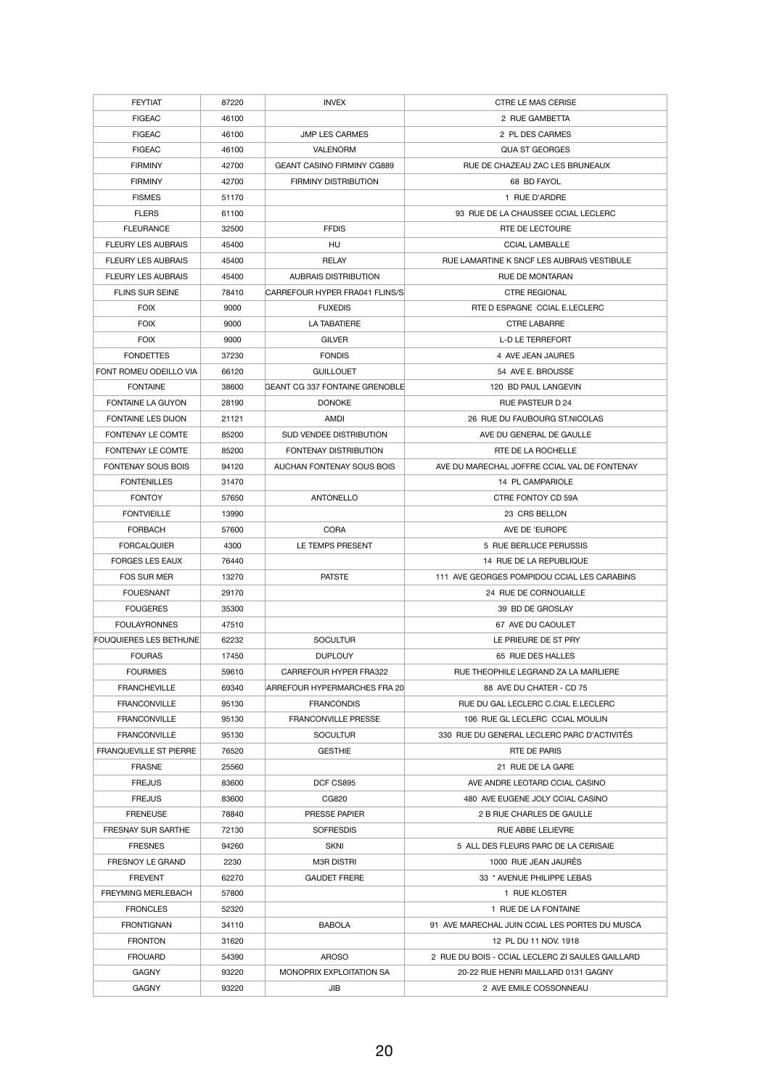| <b>FEYTIAT</b>                | 87220 | <b>INVEX</b>                          | <b>CTRE LE MAS CERISE</b>                        |
|-------------------------------|-------|---------------------------------------|--------------------------------------------------|
| <b>FIGEAC</b>                 | 46100 |                                       | 2 RUE GAMBETTA                                   |
| <b>FIGEAC</b>                 | 46100 | <b>JMP LES CARMES</b>                 | 2 PL DES CARMES                                  |
| <b>FIGEAC</b>                 | 46100 | <b>VALENORM</b>                       | <b>QUA ST GEORGES</b>                            |
| <b>FIRMINY</b>                | 42700 | <b>GEANT CASINO FIRMINY CG889</b>     | RUE DE CHAZEAU ZAC LES BRUNEAUX                  |
| <b>FIRMINY</b>                | 42700 | <b>FIRMINY DISTRIBUTION</b>           | 68 BD FAYOL                                      |
| <b>FISMES</b>                 | 51170 |                                       | 1 RUE D'ARDRE                                    |
| <b>FLERS</b>                  | 61100 |                                       | 93 RUE DE LA CHAUSSEE CCIAL LECLERC              |
| <b>FLEURANCE</b>              | 32500 | <b>FFDIS</b>                          | RTE DE LECTOURE                                  |
| <b>FLEURY LES AUBRAIS</b>     | 45400 | HU                                    | <b>CCIAL LAMBALLE</b>                            |
| <b>FLEURY LES AUBRAIS</b>     | 45400 | <b>RELAY</b>                          | RUE LAMARTINE K SNCF LES AUBRAIS VESTIBULE       |
| <b>FLEURY LES AUBRAIS</b>     | 45400 | <b>AUBRAIS DISTRIBUTION</b>           | <b>RUE DE MONTARAN</b>                           |
| <b>FLINS SUR SEINE</b>        | 78410 | CARREFOUR HYPER FRA041 FLINS/S        | <b>CTRE REGIONAL</b>                             |
| <b>FOIX</b>                   | 9000  | <b>FUXEDIS</b>                        | RTE D ESPAGNE CCIAL E.LECLERC                    |
| <b>FOIX</b>                   | 9000  | <b>LA TABATIERE</b>                   | <b>CTRE LABARRE</b>                              |
| <b>FOIX</b>                   | 9000  | <b>GILVER</b>                         | <b>L-D LE TERREFORT</b>                          |
| <b>FONDETTES</b>              | 37230 | <b>FONDIS</b>                         | 4 AVE JEAN JAURES                                |
| FONT ROMEU ODEILLO VIA        | 66120 | <b>GUILLOUET</b>                      | 54 AVE E. BROUSSE                                |
| <b>FONTAINE</b>               | 38600 | <b>GEANT CG 337 FONTAINE GRENOBLE</b> | 120 BD PAUL LANGEVIN                             |
| <b>FONTAINE LA GUYON</b>      | 28190 | <b>DONOKE</b>                         | <b>RUE PASTEUR D 24</b>                          |
| <b>FONTAINE LES DIJON</b>     | 21121 | AMDI                                  | 26 RUE DU FAUBOURG ST.NICOLAS                    |
| <b>FONTENAY LE COMTE</b>      | 85200 | SUD VENDEE DISTRIBUTION               | AVE DU GENERAL DE GAULLE                         |
| FONTENAY LE COMTE             | 85200 | FONTENAY DISTRIBUTION                 | RTE DE LA ROCHELLE                               |
| <b>FONTENAY SOUS BOIS</b>     | 94120 | AUCHAN FONTENAY SOUS BOIS             | AVE DU MARECHAL JOFFRE CCIAL VAL DE FONTENAY     |
| <b>FONTENILLES</b>            | 31470 |                                       | 14 PL CAMPARIOLE                                 |
| <b>FONTOY</b>                 | 57650 | <b>ANTONELLO</b>                      | CTRE FONTOY CD 59A                               |
| <b>FONTVIEILLE</b>            | 13990 |                                       | 23 CRS BELLON                                    |
| <b>FORBACH</b>                | 57600 | <b>CORA</b>                           | AVE DE 'EUROPE                                   |
| <b>FORCALQUIER</b>            | 4300  | LE TEMPS PRESENT                      | 5 RUE BERLUCE PERUSSIS                           |
| <b>FORGES LES EAUX</b>        | 76440 |                                       | 14 RUE DE LA REPUBLIQUE                          |
| <b>FOS SUR MER</b>            | 13270 | <b>PATSTE</b>                         | 111 AVE GEORGES POMPIDOU CCIAL LES CARABINS      |
| <b>FOUESNANT</b>              | 29170 |                                       | 24 RUE DE CORNOUAILLE                            |
| <b>FOUGERES</b>               | 35300 |                                       | 39 BD DE GROSLAY                                 |
| <b>FOULAYRONNES</b>           | 47510 |                                       | 67 AVE DU CAOULET                                |
| <b>FOUQUIERES LES BETHUNE</b> | 62232 | <b>SOCULTUR</b>                       | LE PRIEURE DE ST PRY                             |
| <b>FOURAS</b>                 | 17450 | <b>DUPLOUY</b>                        | 65 RUE DES HALLES                                |
| <b>FOURMIES</b>               | 59610 | <b>CARREFOUR HYPER FRA322</b>         | RUE THEOPHILE LEGRAND ZA LA MARLIERE             |
| <b>FRANCHEVILLE</b>           | 69340 | ARREFOUR HYPERMARCHES FRA 20          | 88 AVE DU CHATER - CD 75                         |
| <b>FRANCONVILLE</b>           | 95130 | <b>FRANCONDIS</b>                     | RUE DU GAL LECLERC C.CIAL E.LECLERC              |
| <b>FRANCONVILLE</b>           | 95130 | <b>FRANCONVILLE PRESSE</b>            | 106 RUE GL LECLERC CCIAL MOULIN                  |
| <b>FRANCONVILLE</b>           | 95130 | <b>SOCULTUR</b>                       | 330 RUE DU GENERAL LECLERC PARC D'ACTIVITÉS      |
| <b>FRANQUEVILLE ST PIERRE</b> | 76520 | <b>GESTHIE</b>                        | <b>RTE DE PARIS</b>                              |
| <b>FRASNE</b>                 | 25560 |                                       | 21 RUE DE LA GARE                                |
| <b>FREJUS</b>                 | 83600 | DCF CS895                             | AVE ANDRE LEOTARD CCIAL CASINO                   |
| <b>FREJUS</b>                 | 83600 | CG820                                 | 480 AVE EUGENE JOLY CCIAL CASINO                 |
| <b>FRENEUSE</b>               | 78840 | <b>PRESSE PAPIER</b>                  | 2 B RUE CHARLES DE GAULLE                        |
| <b>FRESNAY SUR SARTHE</b>     | 72130 | <b>SOFRESDIS</b>                      | <b>RUE ABBE LELIEVRE</b>                         |
| <b>FRESNES</b>                | 94260 | <b>SKNI</b>                           | 5 ALL DES FLEURS PARC DE LA CERISAIE             |
| <b>FRESNOY LE GRAND</b>       | 2230  | <b>M3R DISTRI</b>                     | 1000 RUE JEAN JAURÈS                             |
| <b>FREVENT</b>                | 62270 | <b>GAUDET FRERE</b>                   | 33 * AVENUE PHILIPPE LEBAS                       |
| <b>FREYMING MERLEBACH</b>     | 57800 |                                       | 1 RUE KLOSTER                                    |
| <b>FRONCLES</b>               | 52320 |                                       | 1 RUE DE LA FONTAINE                             |
| <b>FRONTIGNAN</b>             | 34110 | <b>BABOLA</b>                         | 91 AVE MARECHAL JUIN CCIAL LES PORTES DU MUSCA   |
| <b>FRONTON</b>                | 31620 |                                       | 12 PL DU 11 NOV. 1918                            |
| <b>FROUARD</b>                | 54390 | <b>AROSO</b>                          | 2 RUE DU BOIS - CCIAL LECLERC ZI SAULES GAILLARD |
| <b>GAGNY</b>                  | 93220 | MONOPRIX EXPLOITATION SA              | 20-22 RUE HENRI MAILLARD 0131 GAGNY              |
| <b>GAGNY</b>                  | 93220 | JIB                                   | 2 AVE EMILE COSSONNEAU                           |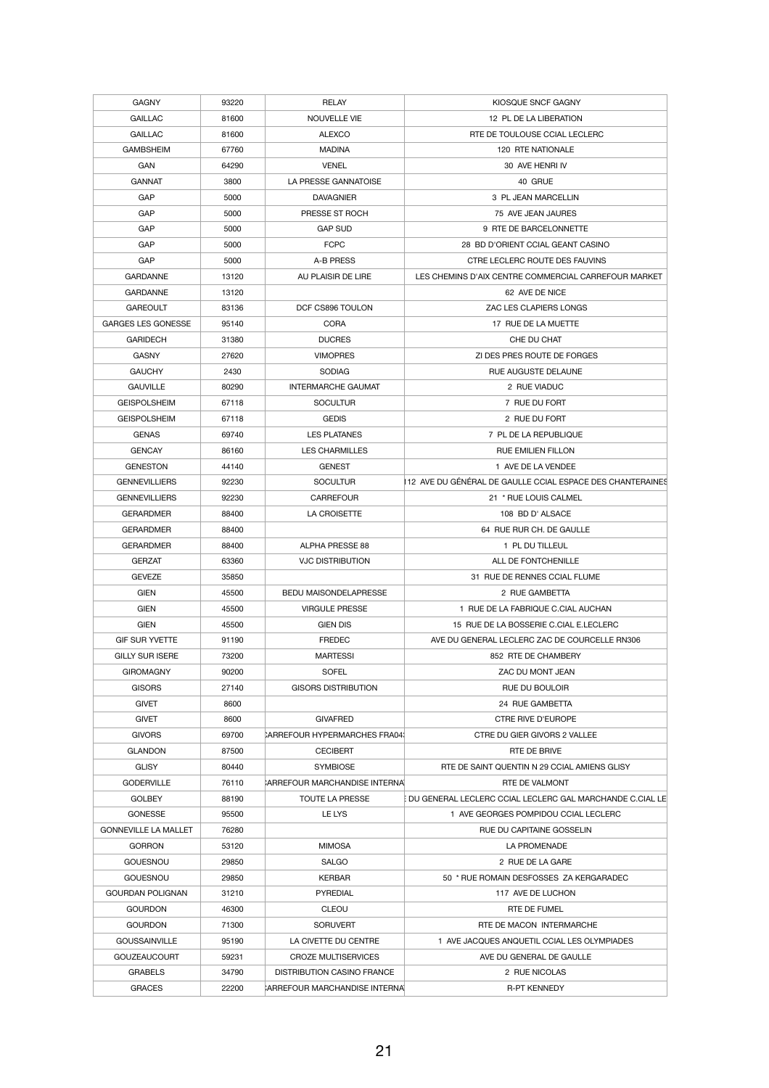| <b>GAGNY</b>                | 93220 | <b>RELAY</b>                         | KIOSQUE SNCF GAGNY                                         |
|-----------------------------|-------|--------------------------------------|------------------------------------------------------------|
| <b>GAILLAC</b>              | 81600 | NOUVELLE VIE                         | 12 PL DE LA LIBERATION                                     |
| <b>GAILLAC</b>              | 81600 | <b>ALEXCO</b>                        | RTE DE TOULOUSE CCIAL LECLERC                              |
| <b>GAMBSHEIM</b>            | 67760 | <b>MADINA</b>                        | 120 RTE NATIONALE                                          |
| <b>GAN</b>                  | 64290 | <b>VENEL</b>                         | 30 AVE HENRI IV                                            |
| <b>GANNAT</b>               | 3800  | LA PRESSE GANNATOISE                 | 40 GRUE                                                    |
| GAP                         | 5000  | <b>DAVAGNIER</b>                     | 3 PL JEAN MARCELLIN                                        |
| GAP                         | 5000  | PRESSE ST ROCH                       | 75 AVE JEAN JAURES                                         |
| GAP                         | 5000  | <b>GAP SUD</b>                       | 9 RTE DE BARCELONNETTE                                     |
| GAP                         | 5000  | <b>FCPC</b>                          | 28 BD D'ORIENT CCIAL GEANT CASINO                          |
| GAP                         | 5000  | A-B PRESS                            | CTRE LECLERC ROUTE DES FAUVINS                             |
| <b>GARDANNE</b>             | 13120 | AU PLAISIR DE LIRE                   | LES CHEMINS D'AIX CENTRE COMMERCIAL CARREFOUR MARKET       |
| <b>GARDANNE</b>             | 13120 |                                      | 62 AVE DE NICE                                             |
| <b>GAREOULT</b>             | 83136 | DCF CS896 TOULON                     | ZAC LES CLAPIERS LONGS                                     |
| <b>GARGES LES GONESSE</b>   | 95140 | <b>CORA</b>                          | 17 RUE DE LA MUETTE                                        |
| <b>GARIDECH</b>             | 31380 | <b>DUCRES</b>                        | CHE DU CHAT                                                |
| <b>GASNY</b>                | 27620 | <b>VIMOPRES</b>                      | ZI DES PRES ROUTE DE FORGES                                |
|                             |       |                                      |                                                            |
| <b>GAUCHY</b>               | 2430  | <b>SODIAG</b>                        | RUE AUGUSTE DELAUNE                                        |
| <b>GAUVILLE</b>             | 80290 | <b>INTERMARCHE GAUMAT</b>            | 2 RUE VIADUC                                               |
| <b>GEISPOLSHEIM</b>         | 67118 | <b>SOCULTUR</b>                      | 7 RUE DU FORT                                              |
| <b>GEISPOLSHEIM</b>         | 67118 | <b>GEDIS</b>                         | 2 RUE DU FORT                                              |
| <b>GENAS</b>                | 69740 | <b>LES PLATANES</b>                  | 7 PL DE LA REPUBLIQUE                                      |
| <b>GENCAY</b>               | 86160 | <b>LES CHARMILLES</b>                | <b>RUE EMILIEN FILLON</b>                                  |
| <b>GENESTON</b>             | 44140 | <b>GENEST</b>                        | 1 AVE DE LA VENDEE                                         |
| <b>GENNEVILLIERS</b>        | 92230 | <b>SOCULTUR</b>                      | 112 AVE DU GÉNÉRAL DE GAULLE CCIAL ESPACE DES CHANTERAINES |
| <b>GENNEVILLIERS</b>        | 92230 | <b>CARREFOUR</b>                     | 21 * RUE LOUIS CALMEL                                      |
| <b>GERARDMER</b>            | 88400 | LA CROISETTE                         | 108 BD D' ALSACE                                           |
| <b>GERARDMER</b>            | 88400 |                                      | 64 RUE RUR CH. DE GAULLE                                   |
| <b>GERARDMER</b>            | 88400 | <b>ALPHA PRESSE 88</b>               | 1 PL DU TILLEUL                                            |
| <b>GERZAT</b>               | 63360 | <b>VJC DISTRIBUTION</b>              | ALL DE FONTCHENILLE                                        |
| <b>GEVEZE</b>               | 35850 |                                      | 31 RUE DE RENNES CCIAL FLUME                               |
| <b>GIEN</b>                 | 45500 | <b>BEDU MAISONDELAPRESSE</b>         | 2 RUE GAMBETTA                                             |
| <b>GIEN</b>                 | 45500 | <b>VIRGULE PRESSE</b>                | 1 RUE DE LA FABRIQUE C.CIAL AUCHAN                         |
| <b>GIEN</b>                 | 45500 | <b>GIEN DIS</b>                      | 15 RUE DE LA BOSSERIE C.CIAL E.LECLERC                     |
| <b>GIF SUR YVETTE</b>       | 91190 | <b>FREDEC</b>                        | AVE DU GENERAL LECLERC ZAC DE COURCELLE RN306              |
| <b>GILLY SUR ISERE</b>      | 73200 | <b>MARTESSI</b>                      | 852 RTE DE CHAMBERY                                        |
| <b>GIROMAGNY</b>            | 90200 | <b>SOFEL</b>                         | ZAC DU MONT JEAN                                           |
| <b>GISORS</b>               | 27140 | <b>GISORS DISTRIBUTION</b>           | RUE DU BOULOIR                                             |
| <b>GIVET</b>                | 8600  |                                      | 24 RUE GAMBETTA                                            |
| <b>GIVET</b>                | 8600  | <b>GIVAFRED</b>                      | <b>CTRE RIVE D'EUROPE</b>                                  |
| <b>GIVORS</b>               | 69700 | CARREFOUR HYPERMARCHES FRA04.        | CTRE DU GIER GIVORS 2 VALLEE                               |
| <b>GLANDON</b>              |       |                                      |                                                            |
|                             | 87500 | <b>CECIBERT</b>                      | RTE DE BRIVE                                               |
| <b>GLISY</b>                | 80440 | <b>SYMBIOSE</b>                      | RTE DE SAINT QUENTIN N 29 CCIAL AMIENS GLISY               |
| <b>GODERVILLE</b>           | 76110 | <b>ARREFOUR MARCHANDISE INTERNAL</b> | <b>RTE DE VALMONT</b>                                      |
| <b>GOLBEY</b>               | 88190 | <b>TOUTE LA PRESSE</b>               | EDU GENERAL LECLERC CCIAL LECLERC GAL MARCHANDE C.CIAL LE  |
| <b>GONESSE</b>              | 95500 | LE LYS                               | 1 AVE GEORGES POMPIDOU CCIAL LECLERC                       |
| <b>GONNEVILLE LA MALLET</b> | 76280 |                                      | <b>RUE DU CAPITAINE GOSSELIN</b>                           |
| <b>GORRON</b>               | 53120 | <b>MIMOSA</b>                        | LA PROMENADE                                               |
| <b>GOUESNOU</b>             | 29850 | <b>SALGO</b>                         | 2 RUE DE LA GARE                                           |
| <b>GOUESNOU</b>             | 29850 | <b>KERBAR</b>                        | 50 * RUE ROMAIN DESFOSSES ZA KERGARADEC                    |
| <b>GOURDAN POLIGNAN</b>     | 31210 | <b>PYREDIAL</b>                      | 117 AVE DE LUCHON                                          |
| <b>GOURDON</b>              | 46300 | <b>CLEOU</b>                         | RTE DE FUMEL                                               |
| <b>GOURDON</b>              | 71300 | <b>SORUVERT</b>                      | RTE DE MACON INTERMARCHE                                   |
| <b>GOUSSAINVILLE</b>        | 95190 | LA CIVETTE DU CENTRE                 | 1 AVE JACQUES ANQUETIL CCIAL LES OLYMPIADES                |
| <b>GOUZEAUCOURT</b>         | 59231 | <b>CROZE MULTISERVICES</b>           | AVE DU GENERAL DE GAULLE                                   |
| <b>GRABELS</b>              | 34790 | <b>DISTRIBUTION CASINO FRANCE</b>    | 2 RUE NICOLAS                                              |
| <b>GRACES</b>               | 22200 | CARREFOUR MARCHANDISE INTERNAL       | <b>R-PT KENNEDY</b>                                        |
|                             |       |                                      |                                                            |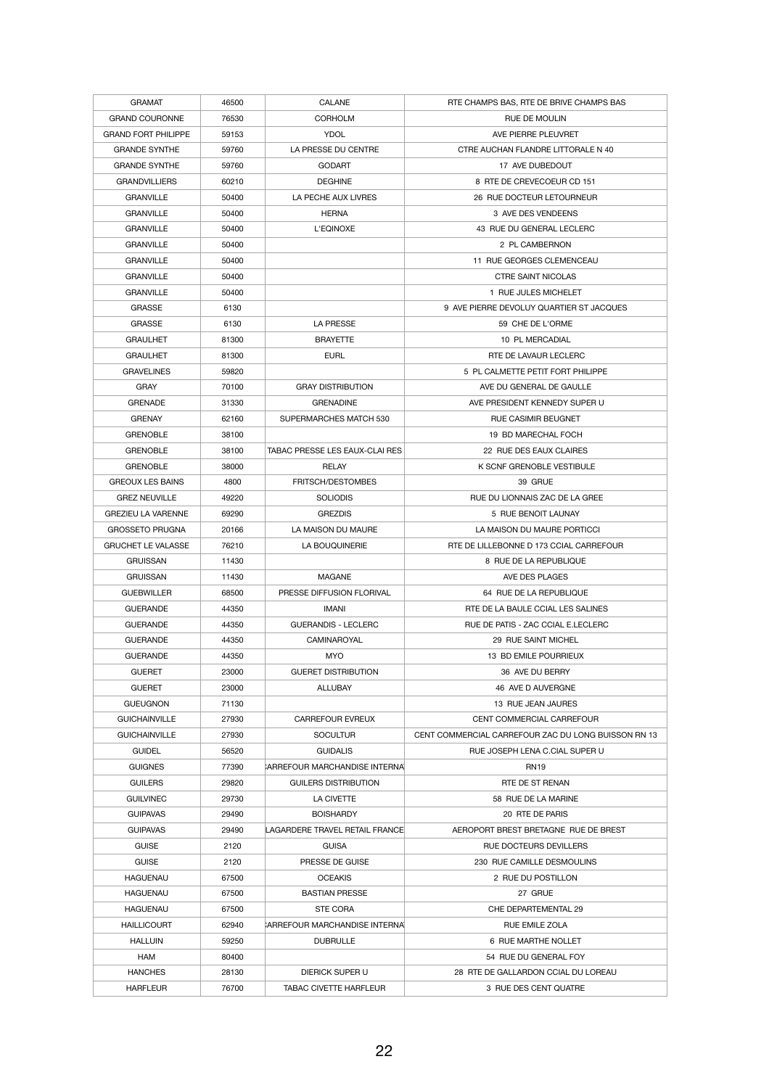| <b>GRAMAT</b>              | 46500 | <b>CALANE</b>                         | RTE CHAMPS BAS, RTE DE BRIVE CHAMPS BAS             |
|----------------------------|-------|---------------------------------------|-----------------------------------------------------|
| <b>GRAND COURONNE</b>      | 76530 | <b>CORHOLM</b>                        | RUE DE MOULIN                                       |
| <b>GRAND FORT PHILIPPE</b> | 59153 | <b>YDOL</b>                           | AVE PIERRE PLEUVRET                                 |
| <b>GRANDE SYNTHE</b>       | 59760 | LA PRESSE DU CENTRE                   | CTRE AUCHAN FLANDRE LITTORALE N 40                  |
| <b>GRANDE SYNTHE</b>       | 59760 | <b>GODART</b>                         | 17 AVE DUBEDOUT                                     |
| <b>GRANDVILLIERS</b>       | 60210 | <b>DEGHINE</b>                        | 8 RTE DE CREVECOEUR CD 151                          |
| <b>GRANVILLE</b>           | 50400 | LA PECHE AUX LIVRES                   | 26 RUE DOCTEUR LETOURNEUR                           |
| <b>GRANVILLE</b>           | 50400 | <b>HERNA</b>                          | 3 AVE DES VENDEENS                                  |
| <b>GRANVILLE</b>           | 50400 | L'EQINOXE                             | 43 RUE DU GENERAL LECLERC                           |
| <b>GRANVILLE</b>           | 50400 |                                       | 2 PL CAMBERNON                                      |
| <b>GRANVILLE</b>           | 50400 |                                       | 11 RUE GEORGES CLEMENCEAU                           |
| <b>GRANVILLE</b>           | 50400 |                                       | <b>CTRE SAINT NICOLAS</b>                           |
| <b>GRANVILLE</b>           | 50400 |                                       | 1 RUE JULES MICHELET                                |
| <b>GRASSE</b>              | 6130  |                                       | 9 AVE PIERRE DEVOLUY QUARTIER ST JACQUES            |
| <b>GRASSE</b>              | 6130  | <b>LA PRESSE</b>                      | 59 CHE DE L'ORME                                    |
| <b>GRAULHET</b>            | 81300 | <b>BRAYETTE</b>                       | 10 PL MERCADIAL                                     |
| <b>GRAULHET</b>            | 81300 | <b>EURL</b>                           | RTE DE LAVAUR LECLERC                               |
| <b>GRAVELINES</b>          | 59820 |                                       | 5 PL CALMETTE PETIT FORT PHILIPPE                   |
| <b>GRAY</b>                | 70100 | <b>GRAY DISTRIBUTION</b>              | AVE DU GENERAL DE GAULLE                            |
| <b>GRENADE</b>             | 31330 | <b>GRENADINE</b>                      | AVE PRESIDENT KENNEDY SUPER U                       |
| <b>GRENAY</b>              | 62160 | SUPERMARCHES MATCH 530                | <b>RUE CASIMIR BEUGNET</b>                          |
| <b>GRENOBLE</b>            | 38100 |                                       | 19 BD MARECHAL FOCH                                 |
|                            |       | <b>TABAC PRESSE LES EAUX-CLAI RES</b> |                                                     |
| <b>GRENOBLE</b>            | 38100 |                                       | 22 RUE DES EAUX CLAIRES                             |
| <b>GRENOBLE</b>            | 38000 | <b>RELAY</b>                          | K SCNF GRENOBLE VESTIBULE                           |
| <b>GREOUX LES BAINS</b>    | 4800  | <b>FRITSCH/DESTOMBES</b>              | 39 GRUE                                             |
| <b>GREZ NEUVILLE</b>       | 49220 | <b>SOLIODIS</b>                       | RUE DU LIONNAIS ZAC DE LA GREE                      |
| <b>GREZIEU LA VARENNE</b>  | 69290 | <b>GREZDIS</b>                        | 5 RUE BENOIT LAUNAY                                 |
| <b>GROSSETO PRUGNA</b>     | 20166 | LA MAISON DU MAURE                    | LA MAISON DU MAURE PORTICCI                         |
| <b>GRUCHET LE VALASSE</b>  | 76210 | LA BOUQUINERIE                        | RTE DE LILLEBONNE D 173 CCIAL CARREFOUR             |
| <b>GRUISSAN</b>            | 11430 |                                       | 8 RUE DE LA REPUBLIQUE                              |
| <b>GRUISSAN</b>            | 11430 | <b>MAGANE</b>                         | AVE DES PLAGES                                      |
| <b>GUEBWILLER</b>          | 68500 | PRESSE DIFFUSION FLORIVAL             | 64 RUE DE LA REPUBLIQUE                             |
| <b>GUERANDE</b>            | 44350 | <b>IMANI</b>                          | RTE DE LA BAULE CCIAL LES SALINES                   |
| <b>GUERANDE</b>            | 44350 | <b>GUERANDIS - LECLERC</b>            | RUE DE PATIS - ZAC CCIAL E.LECLERC                  |
| <b>GUERANDE</b>            | 44350 | <b>CAMINAROYAL</b>                    | 29 RUE SAINT MICHEL                                 |
| <b>GUERANDE</b>            | 44350 | <b>MYO</b>                            | 13 BD EMILE POURRIEUX                               |
| <b>GUERET</b>              | 23000 | <b>GUERET DISTRIBUTION</b>            | 36 AVE DU BERRY                                     |
| <b>GUERET</b>              | 23000 | <b>ALLUBAY</b>                        | 46 AVE D AUVERGNE                                   |
| <b>GUEUGNON</b>            | 71130 |                                       | 13 RUE JEAN JAURES                                  |
| <b>GUICHAINVILLE</b>       | 27930 | <b>CARREFOUR EVREUX</b>               | CENT COMMERCIAL CARREFOUR                           |
| <b>GUICHAINVILLE</b>       | 27930 | <b>SOCULTUR</b>                       | CENT COMMERCIAL CARREFOUR ZAC DU LONG BUISSON RN 13 |
| <b>GUIDEL</b>              | 56520 | <b>GUIDALIS</b>                       | RUE JOSEPH LENA C.CIAL SUPER U                      |
| <b>GUIGNES</b>             | 77390 | CARREFOUR MARCHANDISE INTERNAL        | <b>RN19</b>                                         |
| <b>GUILERS</b>             | 29820 | <b>GUILERS DISTRIBUTION</b>           | <b>RTE DE ST RENAN</b>                              |
| <b>GUILVINEC</b>           | 29730 | <b>LA CIVETTE</b>                     | 58 RUE DE LA MARINE                                 |
| <b>GUIPAVAS</b>            | 29490 | <b>BOISHARDY</b>                      | 20 RTE DE PARIS                                     |
| <b>GUIPAVAS</b>            | 29490 | LAGARDERE TRAVEL RETAIL FRANCE        | AEROPORT BREST BRETAGNE RUE DE BREST                |
| <b>GUISE</b>               | 2120  | <b>GUISA</b>                          | RUE DOCTEURS DEVILLERS                              |
| <b>GUISE</b>               | 2120  | PRESSE DE GUISE                       | 230 RUE CAMILLE DESMOULINS                          |
| <b>HAGUENAU</b>            | 67500 | <b>OCEAKIS</b>                        | 2 RUE DU POSTILLON                                  |
| <b>HAGUENAU</b>            | 67500 | <b>BASTIAN PRESSE</b>                 | 27 GRUE                                             |
| <b>HAGUENAU</b>            | 67500 | <b>STE CORA</b>                       | CHE DEPARTEMENTAL 29                                |
| <b>HAILLICOURT</b>         | 62940 | CARREFOUR MARCHANDISE INTERNAL        | <b>RUE EMILE ZOLA</b>                               |
| <b>HALLUIN</b>             | 59250 | <b>DUBRULLE</b>                       | 6 RUE MARTHE NOLLET                                 |
| HAM                        | 80400 |                                       | 54 RUE DU GENERAL FOY                               |
| <b>HANCHES</b>             | 28130 | <b>DIERICK SUPER U</b>                | 28 RTE DE GALLARDON CCIAL DU LOREAU                 |
| <b>HARFLEUR</b>            | 76700 | <b>TABAC CIVETTE HARFLEUR</b>         | 3 RUE DES CENT QUATRE                               |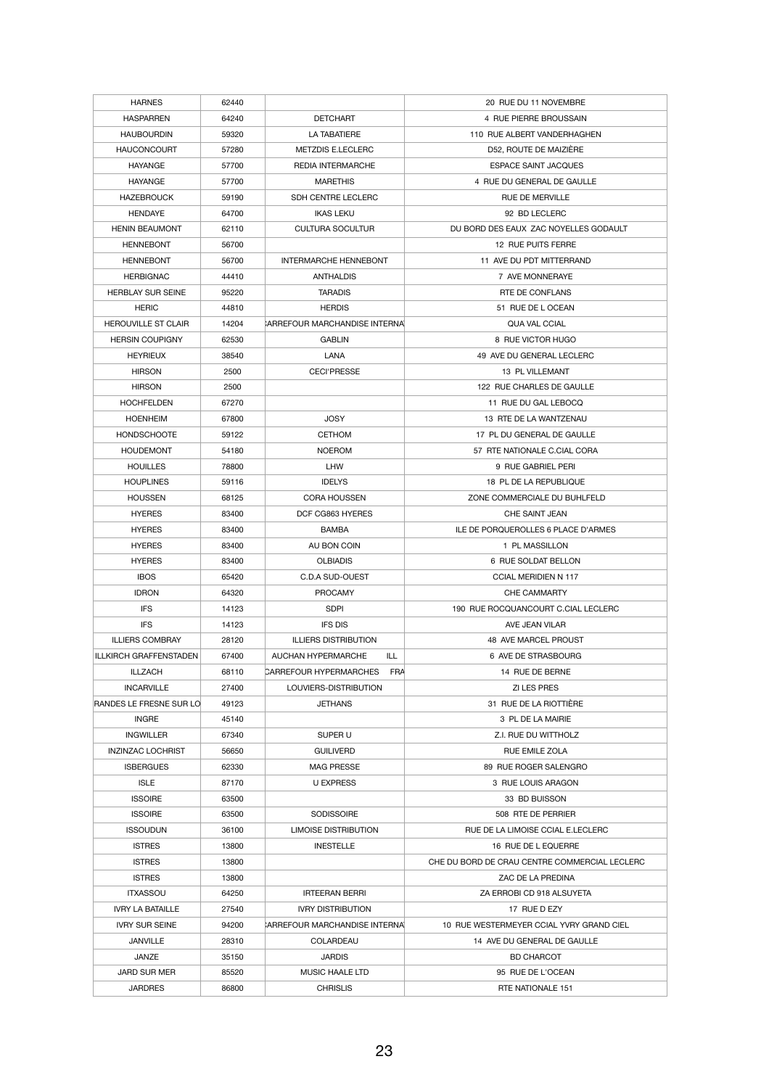| <b>HARNES</b>                 | 62440 |                                             | 20 RUE DU 11 NOVEMBRE                         |
|-------------------------------|-------|---------------------------------------------|-----------------------------------------------|
| <b>HASPARREN</b>              | 64240 | <b>DETCHART</b>                             | 4 RUE PIERRE BROUSSAIN                        |
| <b>HAUBOURDIN</b>             | 59320 | <b>LA TABATIERE</b>                         | 110 RUE ALBERT VANDERHAGHEN                   |
| <b>HAUCONCOURT</b>            | 57280 | <b>METZDIS E.LECLERC</b>                    | D52, ROUTE DE MAIZIÈRE                        |
| <b>HAYANGE</b>                | 57700 | <b>REDIA INTERMARCHE</b>                    | <b>ESPACE SAINT JACQUES</b>                   |
| <b>HAYANGE</b>                | 57700 | <b>MARETHIS</b>                             | 4 RUE DU GENERAL DE GAULLE                    |
| <b>HAZEBROUCK</b>             | 59190 | SDH CENTRE LECLERC                          | <b>RUE DE MERVILLE</b>                        |
| <b>HENDAYE</b>                | 64700 | <b>IKAS LEKU</b>                            | 92 BD LECLERC                                 |
| <b>HENIN BEAUMONT</b>         | 62110 | <b>CULTURA SOCULTUR</b>                     | DU BORD DES EAUX ZAC NOYELLES GODAULT         |
| <b>HENNEBONT</b>              | 56700 |                                             | 12 RUE PUITS FERRE                            |
| <b>HENNEBONT</b>              | 56700 | <b>INTERMARCHE HENNEBONT</b>                | 11 AVE DU PDT MITTERRAND                      |
| <b>HERBIGNAC</b>              | 44410 | <b>ANTHALDIS</b>                            | 7 AVE MONNERAYE                               |
| <b>HERBLAY SUR SEINE</b>      | 95220 | <b>TARADIS</b>                              | <b>RTE DE CONFLANS</b>                        |
| <b>HERIC</b>                  | 44810 | <b>HERDIS</b>                               | 51 RUE DE L OCEAN                             |
| <b>HEROUVILLE ST CLAIR</b>    | 14204 | <b>ARREFOUR MARCHANDISE INTERNA</b>         | <b>QUA VAL CCIAL</b>                          |
|                               |       | <b>GABLIN</b>                               | 8 RUE VICTOR HUGO                             |
| <b>HERSIN COUPIGNY</b>        | 62530 |                                             |                                               |
| <b>HEYRIEUX</b>               | 38540 | <b>LANA</b>                                 | 49 AVE DU GENERAL LECLERC                     |
| <b>HIRSON</b>                 | 2500  | <b>CECI'PRESSE</b>                          | 13 PL VILLEMANT                               |
| <b>HIRSON</b>                 | 2500  |                                             | 122 RUE CHARLES DE GAULLE                     |
| <b>HOCHFELDEN</b>             | 67270 |                                             | 11 RUE DU GAL LEBOCQ                          |
| <b>HOENHEIM</b>               | 67800 | <b>JOSY</b>                                 | 13 RTE DE LA WANTZENAU                        |
| <b>HONDSCHOOTE</b>            | 59122 | <b>CETHOM</b>                               | 17 PL DU GENERAL DE GAULLE                    |
| <b>HOUDEMONT</b>              | 54180 | <b>NOEROM</b>                               | 57 RTE NATIONALE C.CIAL CORA                  |
| <b>HOUILLES</b>               | 78800 | <b>LHW</b>                                  | 9 RUE GABRIEL PERI                            |
| <b>HOUPLINES</b>              | 59116 | <b>IDELYS</b>                               | 18 PL DE LA REPUBLIQUE                        |
| <b>HOUSSEN</b>                | 68125 | <b>CORA HOUSSEN</b>                         | ZONE COMMERCIALE DU BUHLFELD                  |
| <b>HYERES</b>                 | 83400 | DCF CG863 HYERES                            | CHE SAINT JEAN                                |
| <b>HYERES</b>                 | 83400 | <b>BAMBA</b>                                | ILE DE PORQUEROLLES 6 PLACE D'ARMES           |
| <b>HYERES</b>                 | 83400 | AU BON COIN                                 | 1 PL MASSILLON                                |
| <b>HYERES</b>                 | 83400 | <b>OLBIADIS</b>                             | 6 RUE SOLDAT BELLON                           |
| <b>IBOS</b>                   | 65420 | C.D.A SUD-OUEST                             | <b>CCIAL MERIDIEN N 117</b>                   |
| <b>IDRON</b>                  | 64320 | <b>PROCAMY</b>                              | <b>CHE CAMMARTY</b>                           |
| <b>IFS</b>                    | 14123 | <b>SDPI</b>                                 | 190 RUE ROCQUANCOURT C.CIAL LECLERC           |
| <b>IFS</b>                    | 14123 | <b>IFS DIS</b>                              | AVE JEAN VILAR                                |
| <b>ILLIERS COMBRAY</b>        | 28120 | <b>ILLIERS DISTRIBUTION</b>                 | 48 AVE MARCEL PROUST                          |
| <b>ILLKIRCH GRAFFENSTADEN</b> | 67400 | <b>AUCHAN HYPERMARCHE</b><br>ILL            | 6 AVE DE STRASBOURG                           |
| <b>ILLZACH</b>                | 68110 | <b>CARREFOUR HYPERMARCHES</b><br><b>FRA</b> | 14 RUE DE BERNE                               |
| <b>INCARVILLE</b>             | 27400 | LOUVIERS-DISTRIBUTION                       | <b>ZI LES PRES</b>                            |
| RANDES LE FRESNE SUR LO       | 49123 | <b>JETHANS</b>                              | 31 RUE DE LA RIOTTIÈRE                        |
| <b>INGRE</b>                  | 45140 |                                             | 3 PL DE LA MAIRIE                             |
| <b>INGWILLER</b>              | 67340 | SUPER U                                     | Z.I. RUE DU WITTHOLZ                          |
| <b>INZINZAC LOCHRIST</b>      | 56650 | <b>GUILIVERD</b>                            | <b>RUE EMILE ZOLA</b>                         |
| <b>ISBERGUES</b>              | 62330 | <b>MAG PRESSE</b>                           | 89 RUE ROGER SALENGRO                         |
| <b>ISLE</b>                   | 87170 | <b>U EXPRESS</b>                            | 3 RUE LOUIS ARAGON                            |
| <b>ISSOIRE</b>                | 63500 |                                             | 33 BD BUISSON                                 |
| <b>ISSOIRE</b>                | 63500 | <b>SODISSOIRE</b>                           | 508 RTE DE PERRIER                            |
| <b>ISSOUDUN</b>               | 36100 | <b>LIMOISE DISTRIBUTION</b>                 | RUE DE LA LIMOISE CCIAL E.LECLERC             |
| <b>ISTRES</b>                 | 13800 | <b>INESTELLE</b>                            | 16 RUE DE L EQUERRE                           |
| <b>ISTRES</b>                 | 13800 |                                             | CHE DU BORD DE CRAU CENTRE COMMERCIAL LECLERC |
| <b>ISTRES</b>                 | 13800 |                                             | ZAC DE LA PREDINA                             |
| <b>ITXASSOU</b>               | 64250 | <b>IRTEERAN BERRI</b>                       | ZA ERROBI CD 918 ALSUYETA                     |
| <b>IVRY LA BATAILLE</b>       | 27540 | <b>IVRY DISTRIBUTION</b>                    | 17 RUE D EZY                                  |
| <b>IVRY SUR SEINE</b>         | 94200 | <b>ARREFOUR MARCHANDISE INTERNAL</b>        | 10 RUE WESTERMEYER CCIAL YVRY GRAND CIEL      |
| <b>JANVILLE</b>               | 28310 | <b>COLARDEAU</b>                            | 14 AVE DU GENERAL DE GAULLE                   |
| <b>JANZE</b>                  | 35150 | <b>JARDIS</b>                               | <b>BD CHARCOT</b>                             |
| <b>JARD SUR MER</b>           | 85520 | <b>MUSIC HAALE LTD</b>                      | 95 RUE DE L'OCEAN                             |
| <b>JARDRES</b>                | 86800 | <b>CHRISLIS</b>                             | RTE NATIONALE 151                             |
|                               |       |                                             |                                               |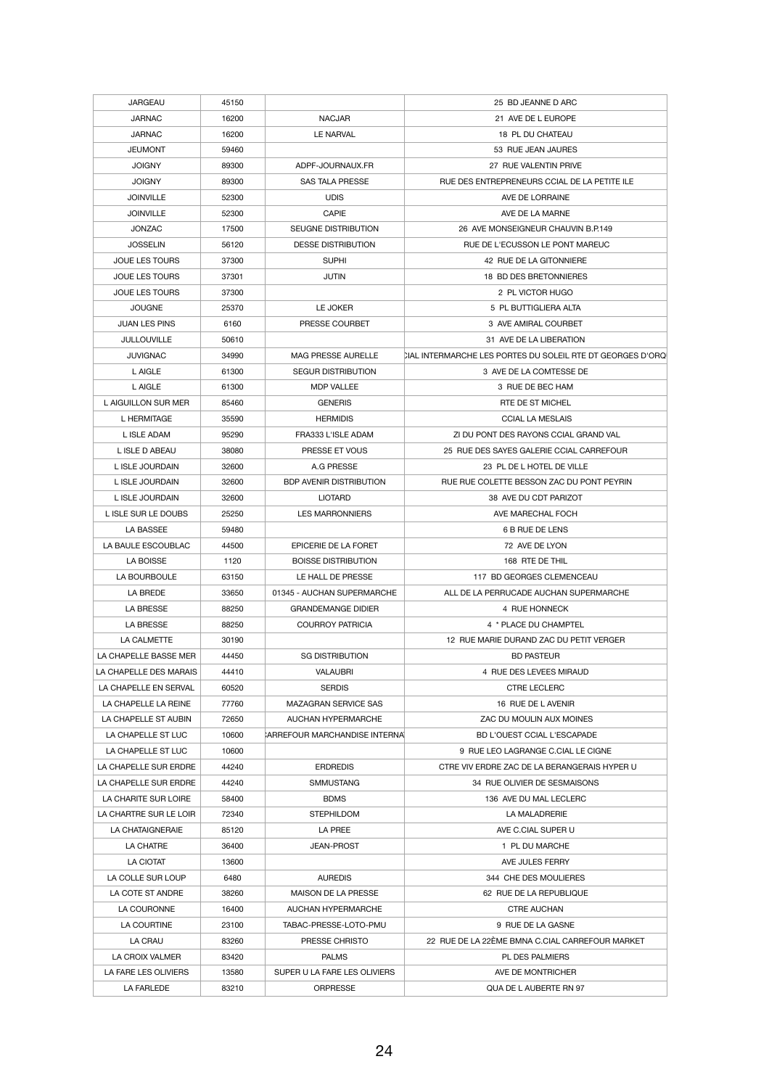| <b>JARGEAU</b>          | 45150 |                                      | 25 BD JEANNE D ARC                                         |
|-------------------------|-------|--------------------------------------|------------------------------------------------------------|
| <b>JARNAC</b>           | 16200 | <b>NACJAR</b>                        | 21 AVE DE L EUROPE                                         |
| <b>JARNAC</b>           | 16200 | LE NARVAL                            | 18 PL DU CHATEAU                                           |
| <b>JEUMONT</b>          | 59460 |                                      | 53 RUE JEAN JAURES                                         |
| <b>JOIGNY</b>           | 89300 | ADPF-JOURNAUX.FR                     | 27 RUE VALENTIN PRIVE                                      |
| <b>JOIGNY</b>           | 89300 | <b>SAS TALA PRESSE</b>               | RUE DES ENTREPRENEURS CCIAL DE LA PETITE ILE               |
| <b>JOINVILLE</b>        | 52300 | <b>UDIS</b>                          | AVE DE LORRAINE                                            |
| <b>JOINVILLE</b>        | 52300 | <b>CAPIE</b>                         | AVE DE LA MARNE                                            |
| <b>JONZAC</b>           | 17500 | <b>SEUGNE DISTRIBUTION</b>           | 26 AVE MONSEIGNEUR CHAUVIN B.P.149                         |
| <b>JOSSELIN</b>         | 56120 | <b>DESSE DISTRIBUTION</b>            | RUE DE L'ECUSSON LE PONT MAREUC                            |
| <b>JOUE LES TOURS</b>   | 37300 | <b>SUPHI</b>                         | 42 RUE DE LA GITONNIERE                                    |
| <b>JOUE LES TOURS</b>   | 37301 | <b>JUTIN</b>                         | 18 BD DES BRETONNIERES                                     |
|                         |       |                                      |                                                            |
| <b>JOUE LES TOURS</b>   | 37300 |                                      | 2 PL VICTOR HUGO                                           |
| <b>JOUGNE</b>           | 25370 | LE JOKER                             | 5 PL BUTTIGLIERA ALTA                                      |
| <b>JUAN LES PINS</b>    | 6160  | PRESSE COURBET                       | 3 AVE AMIRAL COURBET                                       |
| <b>JULLOUVILLE</b>      | 50610 |                                      | 31 AVE DE LA LIBERATION                                    |
| <b>JUVIGNAC</b>         | 34990 | <b>MAG PRESSE AURELLE</b>            | CIAL INTERMARCHE LES PORTES DU SOLEIL RTE DT GEORGES D'ORQ |
| <b>LAIGLE</b>           | 61300 | <b>SEGUR DISTRIBUTION</b>            | 3 AVE DE LA COMTESSE DE                                    |
| L AIGLE                 | 61300 | <b>MDP VALLEE</b>                    | 3 RUE DE BEC HAM                                           |
| L AIGUILLON SUR MER     | 85460 | <b>GENERIS</b>                       | RTE DE ST MICHEL                                           |
| L HERMITAGE             | 35590 | <b>HERMIDIS</b>                      | <b>CCIAL LA MESLAIS</b>                                    |
| L ISLE ADAM             | 95290 | FRA333 L'ISLE ADAM                   | ZI DU PONT DES RAYONS CCIAL GRAND VAL                      |
| L ISLE D ABEAU          | 38080 | PRESSE ET VOUS                       | 25 RUE DES SAYES GALERIE CCIAL CARREFOUR                   |
| L ISLE JOURDAIN         | 32600 | A.G PRESSE                           | 23 PL DE L HOTEL DE VILLE                                  |
| L ISLE JOURDAIN         | 32600 | <b>BDP AVENIR DISTRIBUTION</b>       | RUE RUE COLETTE BESSON ZAC DU PONT PEYRIN                  |
| L ISLE JOURDAIN         | 32600 | <b>LIOTARD</b>                       | 38 AVE DU CDT PARIZOT                                      |
| L ISLE SUR LE DOUBS     | 25250 | <b>LES MARRONNIERS</b>               | AVE MARECHAL FOCH                                          |
| LA BASSEE               | 59480 |                                      | 6 B RUE DE LENS                                            |
| LA BAULE ESCOUBLAC      | 44500 | EPICERIE DE LA FORET                 | 72 AVE DE LYON                                             |
| LA BOISSE               | 1120  | <b>BOISSE DISTRIBUTION</b>           | 168 RTE DE THIL                                            |
| LA BOURBOULE            | 63150 | LE HALL DE PRESSE                    | 117 BD GEORGES CLEMENCEAU                                  |
| LA BREDE                | 33650 | 01345 - AUCHAN SUPERMARCHE           | ALL DE LA PERRUCADE AUCHAN SUPERMARCHE                     |
|                         |       |                                      |                                                            |
| <b>LA BRESSE</b>        | 88250 | <b>GRANDEMANGE DIDIER</b>            | 4 RUE HONNECK                                              |
| <b>LA BRESSE</b>        | 88250 | <b>COURROY PATRICIA</b>              | 4 * PLACE DU CHAMPTEL                                      |
| LA CALMETTE             | 30190 |                                      | 12 RUE MARIE DURAND ZAC DU PETIT VERGER                    |
| LA CHAPELLE BASSE MER   | 44450 | <b>SG DISTRIBUTION</b>               | <b>BD PASTEUR</b>                                          |
| LA CHAPELLE DES MARAIS  | 44410 | <b>VALAUBRI</b>                      | 4 RUE DES LEVEES MIRAUD                                    |
| LA CHAPELLE EN SERVAL   | 60520 | <b>SERDIS</b>                        | <b>CTRE LECLERC</b>                                        |
| LA CHAPELLE LA REINE    | 77760 | <b>MAZAGRAN SERVICE SAS</b>          | 16 RUE DE L AVENIR                                         |
| LA CHAPELLE ST AUBIN    | 72650 | <b>AUCHAN HYPERMARCHE</b>            | ZAC DU MOULIN AUX MOINES                                   |
| LA CHAPELLE ST LUC      | 10600 | <b>ARREFOUR MARCHANDISE INTERNAL</b> | <b>BD L'OUEST CCIAL L'ESCAPADE</b>                         |
| LA CHAPELLE ST LUC      | 10600 |                                      | 9 RUE LEO LAGRANGE C.CIAL LE CIGNE                         |
| LA CHAPELLE SUR ERDRE   | 44240 | <b>ERDREDIS</b>                      | CTRE VIV ERDRE ZAC DE LA BERANGERAIS HYPER U               |
| LA CHAPELLE SUR ERDRE   | 44240 | <b>SMMUSTANG</b>                     | 34 RUE OLIVIER DE SESMAISONS                               |
| LA CHARITE SUR LOIRE    | 58400 | <b>BDMS</b>                          | 136 AVE DU MAL LECLERC                                     |
| LA CHARTRE SUR LE LOIR  | 72340 | <b>STEPHILDOM</b>                    | LA MALADRERIE                                              |
| <b>LA CHATAIGNERAIE</b> | 85120 | <b>LA PREE</b>                       | AVE C.CIAL SUPER U                                         |
| LA CHATRE               | 36400 | <b>JEAN-PROST</b>                    | 1 PL DU MARCHE                                             |
| LA CIOTAT               | 13600 |                                      | AVE JULES FERRY                                            |
| LA COLLE SUR LOUP       | 6480  | <b>AUREDIS</b>                       | 344 CHE DES MOULIERES                                      |
|                         |       |                                      |                                                            |
| LA COTE ST ANDRE        | 38260 | MAISON DE LA PRESSE                  | 62 RUE DE LA REPUBLIQUE                                    |
| LA COURONNE             | 16400 | <b>AUCHAN HYPERMARCHE</b>            | <b>CTRE AUCHAN</b>                                         |
| LA COURTINE             | 23100 | TABAC-PRESSE-LOTO-PMU                | 9 RUE DE LA GASNE                                          |
| LA CRAU                 | 83260 | PRESSE CHRISTO                       | 22 RUE DE LA 22ÈME BMNA C.CIAL CARREFOUR MARKET            |
| LA CROIX VALMER         | 83420 | <b>PALMS</b>                         | PL DES PALMIERS                                            |
| LA FARE LES OLIVIERS    | 13580 | SUPER U LA FARE LES OLIVIERS         | AVE DE MONTRICHER                                          |
| LA FARLEDE              | 83210 | <b>ORPRESSE</b>                      | QUA DE L AUBERTE RN 97                                     |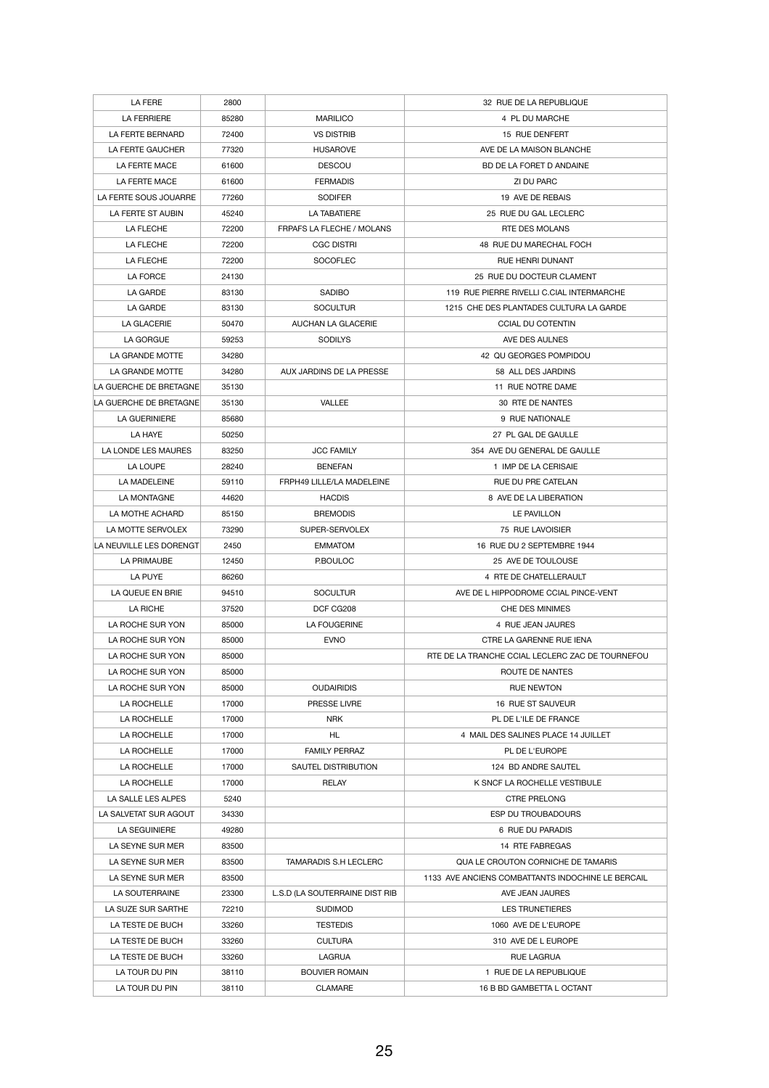| LA FERE                 | 2800  |                                  | 32 RUE DE LA REPUBLIQUE                           |
|-------------------------|-------|----------------------------------|---------------------------------------------------|
| <b>LA FERRIERE</b>      | 85280 | <b>MARILICO</b>                  | 4 PL DU MARCHE                                    |
| LA FERTE BERNARD        | 72400 | <b>VS DISTRIB</b>                | 15 RUE DENFERT                                    |
| LA FERTE GAUCHER        | 77320 | <b>HUSAROVE</b>                  | AVE DE LA MAISON BLANCHE                          |
| LA FERTE MACE           | 61600 | <b>DESCOU</b>                    | BD DE LA FORET D ANDAINE                          |
| LA FERTE MACE           | 61600 | <b>FERMADIS</b>                  | ZI DU PARC                                        |
| LA FERTE SOUS JOUARRE   | 77260 | <b>SODIFER</b>                   | 19 AVE DE REBAIS                                  |
| LA FERTE ST AUBIN       | 45240 | <b>LA TABATIERE</b>              | 25 RUE DU GAL LECLERC                             |
| LA FLECHE               | 72200 | <b>FRPAFS LA FLECHE / MOLANS</b> | RTE DES MOLANS                                    |
|                         |       |                                  |                                                   |
| LA FLECHE               | 72200 | <b>CGC DISTRI</b>                | 48 RUE DU MARECHAL FOCH                           |
| <b>LA FLECHE</b>        | 72200 | <b>SOCOFLEC</b>                  | <b>RUE HENRI DUNANT</b>                           |
| LA FORCE                | 24130 |                                  | 25 RUE DU DOCTEUR CLAMENT                         |
| LA GARDE                | 83130 | <b>SADIBO</b>                    | 119 RUE PIERRE RIVELLI C.CIAL INTERMARCHE         |
| LA GARDE                | 83130 | <b>SOCULTUR</b>                  | 1215 CHE DES PLANTADES CULTURA LA GARDE           |
| <b>LA GLACERIE</b>      | 50470 | <b>AUCHAN LA GLACERIE</b>        | <b>CCIAL DU COTENTIN</b>                          |
| LA GORGUE               | 59253 | <b>SODILYS</b>                   | AVE DES AULNES                                    |
| LA GRANDE MOTTE         | 34280 |                                  | 42 QU GEORGES POMPIDOU                            |
| LA GRANDE MOTTE         | 34280 | AUX JARDINS DE LA PRESSE         | 58 ALL DES JARDINS                                |
| LA GUERCHE DE BRETAGNE  | 35130 |                                  | 11 RUE NOTRE DAME                                 |
| LA GUERCHE DE BRETAGNE  | 35130 | <b>VALLEE</b>                    | <b>30 RTE DE NANTES</b>                           |
| LA GUERINIERE           | 85680 |                                  | 9 RUE NATIONALE                                   |
| LA HAYE                 | 50250 |                                  | 27 PL GAL DE GAULLE                               |
| LA LONDE LES MAURES     | 83250 | <b>JCC FAMILY</b>                | 354 AVE DU GENERAL DE GAULLE                      |
| LA LOUPE                | 28240 | <b>BENEFAN</b>                   | 1 IMP DE LA CERISAIE                              |
| LA MADELEINE            | 59110 | FRPH49 LILLE/LA MADELEINE        | <b>RUE DU PRE CATELAN</b>                         |
| LA MONTAGNE             | 44620 | <b>HACDIS</b>                    | 8 AVE DE LA LIBERATION                            |
| LA MOTHE ACHARD         | 85150 | <b>BREMODIS</b>                  | <b>LE PAVILLON</b>                                |
| LA MOTTE SERVOLEX       | 73290 | SUPER-SERVOLEX                   | 75 RUE LAVOISIER                                  |
| LA NEUVILLE LES DORENGT | 2450  | <b>EMMATOM</b>                   | 16 RUE DU 2 SEPTEMBRE 1944                        |
| LA PRIMAUBE             | 12450 | P.BOULOC                         | 25 AVE DE TOULOUSE                                |
| LA PUYE                 | 86260 |                                  | 4 RTE DE CHATELLERAULT                            |
| LA QUEUE EN BRIE        | 94510 | <b>SOCULTUR</b>                  | AVE DE L HIPPODROME CCIAL PINCE-VENT              |
| LA RICHE                | 37520 | DCF CG208                        | <b>CHE DES MINIMES</b>                            |
| LA ROCHE SUR YON        | 85000 | LA FOUGERINE                     | 4 RUE JEAN JAURES                                 |
| LA ROCHE SUR YON        | 85000 | <b>EVNO</b>                      | CTRE LA GARENNE RUE IENA                          |
| LA ROCHE SUR YON        | 85000 |                                  | RTE DE LA TRANCHE CCIAL LECLERC ZAC DE TOURNEFOU  |
| LA ROCHE SUR YON        | 85000 |                                  | ROUTE DE NANTES                                   |
| LA ROCHE SUR YON        | 85000 | <b>OUDAIRIDIS</b>                | <b>RUE NEWTON</b>                                 |
| LA ROCHELLE             | 17000 | PRESSE LIVRE                     | 16 RUE ST SAUVEUR                                 |
| LA ROCHELLE             | 17000 | <b>NRK</b>                       | PL DE L'ILE DE FRANCE                             |
| LA ROCHELLE             | 17000 | HL                               | 4 MAIL DES SALINES PLACE 14 JUILLET               |
| LA ROCHELLE             | 17000 | <b>FAMILY PERRAZ</b>             | PL DE L'EUROPE                                    |
| LA ROCHELLE             | 17000 | <b>SAUTEL DISTRIBUTION</b>       | 124 BD ANDRE SAUTEL                               |
| LA ROCHELLE             | 17000 | <b>RELAY</b>                     | K SNCF LA ROCHELLE VESTIBULE                      |
| LA SALLE LES ALPES      | 5240  |                                  | CTRE PRELONG                                      |
| LA SALVETAT SUR AGOUT   | 34330 |                                  | <b>ESP DU TROUBADOURS</b>                         |
| <b>LA SEGUINIERE</b>    | 49280 |                                  | 6 RUE DU PARADIS                                  |
| LA SEYNE SUR MER        | 83500 |                                  | 14 RTE FABREGAS                                   |
| LA SEYNE SUR MER        | 83500 | <b>TAMARADIS S.H LECLERC</b>     | QUA LE CROUTON CORNICHE DE TAMARIS                |
| LA SEYNE SUR MER        | 83500 |                                  | 1133 AVE ANCIENS COMBATTANTS INDOCHINE LE BERCAIL |
|                         |       |                                  |                                                   |
| LA SOUTERRAINE          | 23300 | L.S.D (LA SOUTERRAINE DIST RIB   | AVE JEAN JAURES                                   |
| LA SUZE SUR SARTHE      | 72210 | <b>SUDIMOD</b>                   | <b>LES TRUNETIERES</b>                            |
| LA TESTE DE BUCH        | 33260 | <b>TESTEDIS</b>                  | 1060 AVE DE L'EUROPE                              |
| LA TESTE DE BUCH        | 33260 | <b>CULTURA</b>                   | 310 AVE DE L EUROPE                               |
| LA TESTE DE BUCH        | 33260 | <b>LAGRUA</b>                    | <b>RUE LAGRUA</b>                                 |
| LA TOUR DU PIN          | 38110 | <b>BOUVIER ROMAIN</b>            | 1 RUE DE LA REPUBLIQUE                            |
| LA TOUR DU PIN          | 38110 | <b>CLAMARE</b>                   | 16 B BD GAMBETTA L OCTANT                         |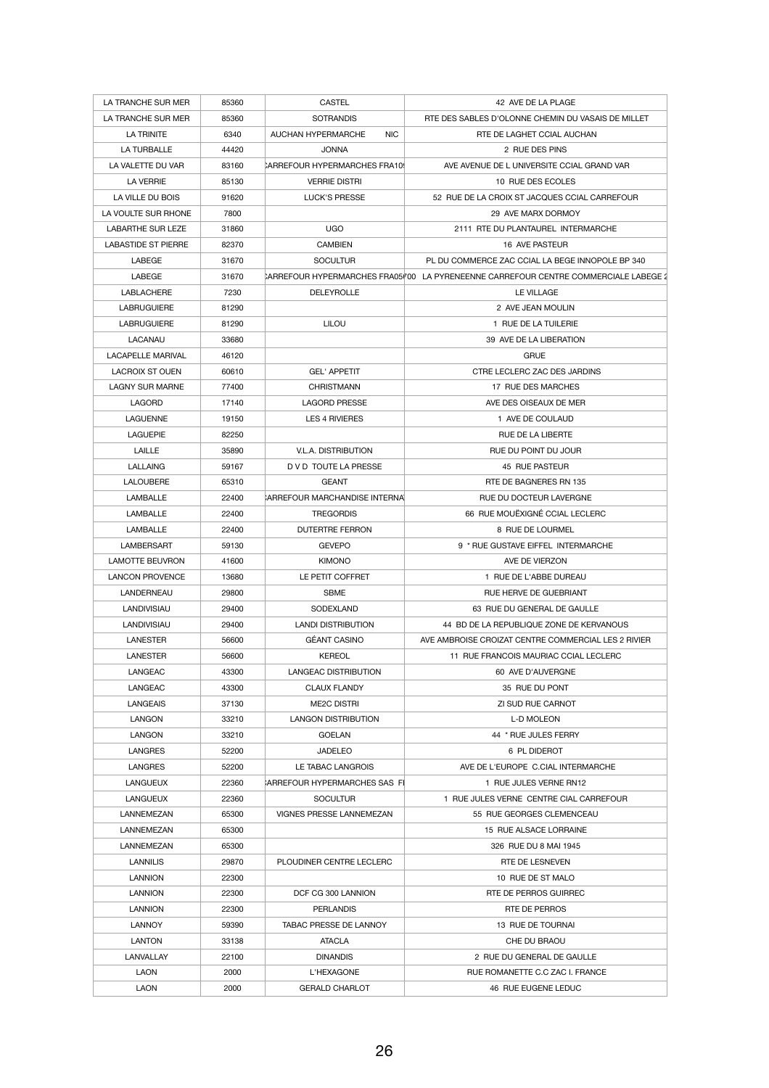| LA TRANCHE SUR MER                | 85360 | <b>CASTEL</b>                           | 42 AVE DE LA PLAGE                                                                 |
|-----------------------------------|-------|-----------------------------------------|------------------------------------------------------------------------------------|
| LA TRANCHE SUR MER                | 85360 | <b>SOTRANDIS</b>                        | RTE DES SABLES D'OLONNE CHEMIN DU VASAIS DE MILLET                                 |
| LA TRINITE                        | 6340  | <b>NIC</b><br><b>AUCHAN HYPERMARCHE</b> | RTE DE LAGHET CCIAL AUCHAN                                                         |
| <b>LA TURBALLE</b>                | 44420 | <b>JONNA</b>                            | 2 RUE DES PINS                                                                     |
| LA VALETTE DU VAR                 | 83160 | CARREFOUR HYPERMARCHES FRA109           | AVE AVENUE DE L UNIVERSITE CCIAL GRAND VAR                                         |
| <b>LA VERRIE</b>                  | 85130 | <b>VERRIE DISTRI</b>                    | 10 RUE DES ECOLES                                                                  |
| LA VILLE DU BOIS                  | 91620 | <b>LUCK'S PRESSE</b>                    | 52 RUE DE LA CROIX ST JACQUES CCIAL CARREFOUR                                      |
| LA VOULTE SUR RHONE               | 7800  |                                         | 29 AVE MARX DORMOY                                                                 |
| <b>LABARTHE SUR LEZE</b>          | 31860 | <b>UGO</b>                              | 2111 RTE DU PLANTAUREL INTERMARCHE                                                 |
| <b>LABASTIDE ST PIERRE</b>        | 82370 | <b>CAMBIEN</b>                          | 16 AVE PASTEUR                                                                     |
| LABEGE                            | 31670 | <b>SOCULTUR</b>                         | PL DU COMMERCE ZAC CCIAL LA BEGE INNOPOLE BP 340                                   |
| LABEGE                            | 31670 |                                         | CARREFOUR HYPERMARCHES FRA0500 LA PYRENEENNE CARREFOUR CENTRE COMMERCIALE LABEGE 2 |
| <b>LABLACHERE</b>                 | 7230  | <b>DELEYROLLE</b>                       | LE VILLAGE                                                                         |
| <b>LABRUGUIERE</b>                | 81290 |                                         | 2 AVE JEAN MOULIN                                                                  |
| <b>LABRUGUIERE</b>                | 81290 | <b>LILOU</b>                            | 1 RUE DE LA TUILERIE                                                               |
| <b>LACANAU</b>                    | 33680 |                                         | 39 AVE DE LA LIBERATION                                                            |
| <b>LACAPELLE MARIVAL</b>          | 46120 |                                         | <b>GRUE</b>                                                                        |
| <b>LACROIX ST OUEN</b>            | 60610 | <b>GEL' APPETIT</b>                     | CTRE LECLERC ZAC DES JARDINS                                                       |
| <b>LAGNY SUR MARNE</b>            | 77400 | <b>CHRISTMANN</b>                       | 17 RUE DES MARCHES                                                                 |
| <b>LAGORD</b>                     | 17140 | <b>LAGORD PRESSE</b>                    | AVE DES OISEAUX DE MER                                                             |
| <b>LAGUENNE</b>                   | 19150 | <b>LES 4 RIVIERES</b>                   | 1 AVE DE COULAUD                                                                   |
| <b>LAGUEPIE</b>                   | 82250 |                                         | RUE DE LA LIBERTE                                                                  |
| <b>LAILLE</b>                     | 35890 | <b>V.L.A. DISTRIBUTION</b>              | RUE DU POINT DU JOUR                                                               |
| <b>LALLAING</b>                   | 59167 | D V D TOUTE LA PRESSE                   | 45 RUE PASTEUR                                                                     |
| <b>LALOUBERE</b>                  | 65310 | <b>GEANT</b>                            | RTE DE BAGNERES RN 135                                                             |
| <b>LAMBALLE</b>                   | 22400 | CARREFOUR MARCHANDISE INTERNA           | RUE DU DOCTEUR LAVERGNE                                                            |
| <b>LAMBALLE</b>                   | 22400 | <b>TREGORDIS</b>                        | 66 RUE MOUËXIGNÉ CCIAL LECLERC                                                     |
| <b>LAMBALLE</b>                   | 22400 | <b>DUTERTRE FERRON</b>                  | 8 RUE DE LOURMEL                                                                   |
| <b>LAMBERSART</b>                 | 59130 | <b>GEVEPO</b>                           | 9 * RUE GUSTAVE EIFFEL INTERMARCHE                                                 |
| <b>LAMOTTE BEUVRON</b>            | 41600 | <b>KIMONO</b>                           | AVE DE VIERZON                                                                     |
| <b>LANCON PROVENCE</b>            | 13680 | LE PETIT COFFRET                        | 1 RUE DE L'ABBE DUREAU                                                             |
| LANDERNEAU                        | 29800 | <b>SBME</b>                             | RUE HERVE DE GUEBRIANT                                                             |
| <b>LANDIVISIAU</b>                | 29400 | <b>SODEXLAND</b>                        | 63 RUE DU GENERAL DE GAULLE                                                        |
| <b>LANDIVISIAU</b>                | 29400 | <b>LANDI DISTRIBUTION</b>               | 44 BD DE LA REPUBLIQUE ZONE DE KERVANOUS                                           |
| <b>LANESTER</b>                   | 56600 | <b>GÉANT CASINO</b>                     | AVE AMBROISE CROIZAT CENTRE COMMERCIAL LES 2 RIVIER                                |
| <b>LANESTER</b>                   | 56600 | <b>KEREOL</b>                           | 11 RUE FRANCOIS MAURIAC CCIAL LECLERC                                              |
| <b>LANGEAC</b>                    | 43300 | <b>LANGEAC DISTRIBUTION</b>             | 60 AVE D'AUVERGNE                                                                  |
| <b>LANGEAC</b>                    | 43300 | <b>CLAUX FLANDY</b>                     | 35 RUE DU PONT                                                                     |
| <b>LANGEAIS</b>                   | 37130 | <b>ME2C DISTRI</b>                      | ZI SUD RUE CARNOT                                                                  |
| <b>LANGON</b>                     | 33210 | <b>LANGON DISTRIBUTION</b>              | <b>L-D MOLEON</b>                                                                  |
| <b>LANGON</b>                     | 33210 | <b>GOELAN</b>                           | 44 * RUE JULES FERRY                                                               |
| <b>LANGRES</b>                    | 52200 | <b>JADELEO</b>                          | 6 PL DIDEROT                                                                       |
| <b>LANGRES</b>                    | 52200 | LE TABAC LANGROIS                       | AVE DE L'EUROPE C.CIAL INTERMARCHE                                                 |
| <b>LANGUEUX</b>                   | 22360 | CARREFOUR HYPERMARCHES SAS FI           | 1 RUE JULES VERNE RN12                                                             |
| <b>LANGUEUX</b>                   | 22360 |                                         | 1 RUE JULES VERNE CENTRE CIAL CARREFOUR                                            |
|                                   |       | <b>SOCULTUR</b>                         |                                                                                    |
| LANNEMEZAN                        | 65300 | VIGNES PRESSE LANNEMEZAN                | 55 RUE GEORGES CLEMENCEAU<br>15 RUE ALSACE LORRAINE                                |
| <b>LANNEMEZAN</b>                 | 65300 |                                         |                                                                                    |
| LANNEMEZAN                        | 65300 |                                         | 326 RUE DU 8 MAI 1945                                                              |
| <b>LANNILIS</b><br><b>LANNION</b> | 29870 | PLOUDINER CENTRE LECLERC                | RTE DE LESNEVEN                                                                    |
|                                   | 22300 |                                         | 10 RUE DE ST MALO                                                                  |
| <b>LANNION</b>                    | 22300 | DCF CG 300 LANNION                      | RTE DE PERROS GUIRREC                                                              |
| <b>LANNION</b>                    | 22300 | <b>PERLANDIS</b>                        | RTE DE PERROS                                                                      |
| <b>LANNOY</b>                     | 59390 | TABAC PRESSE DE LANNOY                  | 13 RUE DE TOURNAI                                                                  |
| <b>LANTON</b>                     | 33138 | <b>ATACLA</b>                           | CHE DU BRAOU                                                                       |
| <b>LANVALLAY</b>                  | 22100 | <b>DINANDIS</b>                         | 2 RUE DU GENERAL DE GAULLE                                                         |
| <b>LAON</b>                       | 2000  | L'HEXAGONE                              | RUE ROMANETTE C.C ZAC I. FRANCE                                                    |
| <b>LAON</b>                       | 2000  | <b>GERALD CHARLOT</b>                   | 46 RUE EUGENE LEDUC                                                                |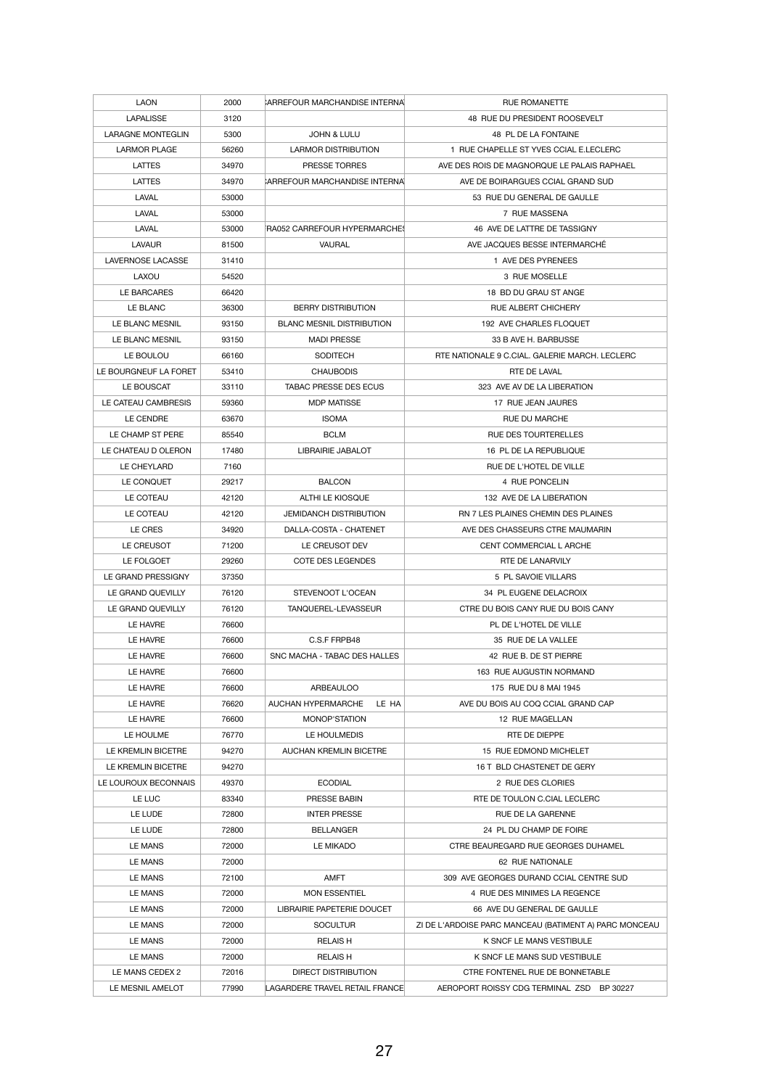| <b>LAON</b>              | 2000  | CARREFOUR MARCHANDISE INTERNAL        | <b>RUE ROMANETTE</b>                                   |
|--------------------------|-------|---------------------------------------|--------------------------------------------------------|
| <b>LAPALISSE</b>         | 3120  |                                       | 48 RUE DU PRESIDENT ROOSEVELT                          |
| <b>LARAGNE MONTEGLIN</b> | 5300  | <b>JOHN &amp; LULU</b>                | 48 PL DE LA FONTAINE                                   |
| <b>LARMOR PLAGE</b>      | 56260 | <b>LARMOR DISTRIBUTION</b>            | 1 RUE CHAPELLE ST YVES CCIAL E.LECLERC                 |
| <b>LATTES</b>            | 34970 | <b>PRESSE TORRES</b>                  | AVE DES ROIS DE MAGNORQUE LE PALAIS RAPHAEL            |
| <b>LATTES</b>            | 34970 | CARREFOUR MARCHANDISE INTERNAL        | AVE DE BOIRARGUES CCIAL GRAND SUD                      |
| <b>LAVAL</b>             | 53000 |                                       | 53 RUE DU GENERAL DE GAULLE                            |
| <b>LAVAL</b>             | 53000 |                                       | 7 RUE MASSENA                                          |
| <b>LAVAL</b>             | 53000 | FRA052 CARREFOUR HYPERMARCHES         | 46 AVE DE LATTRE DE TASSIGNY                           |
| <b>LAVAUR</b>            | 81500 | VAURAL                                | AVE JACQUES BESSE INTERMARCHÉ                          |
| <b>LAVERNOSE LACASSE</b> | 31410 |                                       | 1 AVE DES PYRENEES                                     |
| LAXOU                    | 54520 |                                       | 3 RUE MOSELLE                                          |
| LE BARCARES              | 66420 |                                       | 18 BD DU GRAU ST ANGE                                  |
| LE BLANC                 | 36300 | <b>BERRY DISTRIBUTION</b>             | <b>RUE ALBERT CHICHERY</b>                             |
| LE BLANC MESNIL          | 93150 | <b>BLANC MESNIL DISTRIBUTION</b>      | 192 AVE CHARLES FLOQUET                                |
| LE BLANC MESNIL          | 93150 | <b>MADI PRESSE</b>                    | 33 B AVE H. BARBUSSE                                   |
| LE BOULOU                | 66160 | <b>SODITECH</b>                       | RTE NATIONALE 9 C.CIAL. GALERIE MARCH. LECLERC         |
| LE BOURGNEUF LA FORET    | 53410 | <b>CHAUBODIS</b>                      | RTE DE LAVAL                                           |
| LE BOUSCAT               | 33110 | <b>TABAC PRESSE DES ECUS</b>          | 323 AVE AV DE LA LIBERATION                            |
| LE CATEAU CAMBRESIS      | 59360 | <b>MDP MATISSE</b>                    | 17 RUE JEAN JAURES                                     |
| LE CENDRE                | 63670 | <b>ISOMA</b>                          | <b>RUE DU MARCHE</b>                                   |
| LE CHAMP ST PERE         | 85540 | <b>BCLM</b>                           | <b>RUE DES TOURTERELLES</b>                            |
| LE CHATEAU D OLERON      | 17480 | <b>LIBRAIRIE JABALOT</b>              | 16 PL DE LA REPUBLIQUE                                 |
| LE CHEYLARD              | 7160  |                                       | RUE DE L'HOTEL DE VILLE                                |
| LE CONQUET               | 29217 | <b>BALCON</b>                         | 4 RUE PONCELIN                                         |
| LE COTEAU                | 42120 | ALTHI LE KIOSQUE                      | 132 AVE DE LA LIBERATION                               |
| LE COTEAU                | 42120 | <b>JEMIDANCH DISTRIBUTION</b>         | RN 7 LES PLAINES CHEMIN DES PLAINES                    |
| LE CRES                  | 34920 | DALLA-COSTA - CHATENET                | AVE DES CHASSEURS CTRE MAUMARIN                        |
| LE CREUSOT               | 71200 | LE CREUSOT DEV                        | CENT COMMERCIAL L ARCHE                                |
| LE FOLGOET               | 29260 | <b>COTE DES LEGENDES</b>              | RTE DE LANARVILY                                       |
| LE GRAND PRESSIGNY       | 37350 |                                       | 5 PL SAVOIE VILLARS                                    |
| LE GRAND QUEVILLY        | 76120 | STEVENOOT L'OCEAN                     | 34 PL EUGENE DELACROIX                                 |
| LE GRAND QUEVILLY        | 76120 | TANQUEREL-LEVASSEUR                   | CTRE DU BOIS CANY RUE DU BOIS CANY                     |
| LE HAVRE                 | 76600 |                                       | PL DE L'HOTEL DE VILLE                                 |
| LE HAVRE                 | 76600 | C.S.F FRPB48                          | 35 RUE DE LA VALLEE                                    |
| LE HAVRE                 | 76600 | SNC MACHA - TABAC DES HALLES          | 42 RUE B. DE ST PIERRE                                 |
| LE HAVRE                 | 76600 |                                       | 163 RUE AUGUSTIN NORMAND                               |
| LE HAVRE                 | 76600 | <b>ARBEAULOO</b>                      | 175 RUE DU 8 MAI 1945                                  |
| LE HAVRE                 | 76620 | AUCHAN HYPERMARCHE<br>LE HA           | AVE DU BOIS AU COQ CCIAL GRAND CAP                     |
| LE HAVRE                 | 76600 | MONOP'STATION                         | 12 RUE MAGELLAN                                        |
| LE HOULME                | 76770 | LE HOULMEDIS                          | RTE DE DIEPPE                                          |
| LE KREMLIN BICETRE       | 94270 | <b>AUCHAN KREMLIN BICETRE</b>         | 15 RUE EDMOND MICHELET                                 |
| LE KREMLIN BICETRE       | 94270 |                                       | 16 T BLD CHASTENET DE GERY                             |
| LE LOUROUX BECONNAIS     | 49370 | <b>ECODIAL</b>                        | 2 RUE DES CLORIES                                      |
| LE LUC                   | 83340 | PRESSE BABIN                          | RTE DE TOULON C.CIAL LECLERC                           |
| LE LUDE                  | 72800 | <b>INTER PRESSE</b>                   | RUE DE LA GARENNE                                      |
| LE LUDE                  | 72800 | <b>BELLANGER</b>                      | 24 PL DU CHAMP DE FOIRE                                |
| <b>LE MANS</b>           | 72000 | LE MIKADO                             | <b>CTRE BEAUREGARD RUE GEORGES DUHAMEL</b>             |
| <b>LE MANS</b>           | 72000 |                                       | 62 RUE NATIONALE                                       |
| <b>LE MANS</b>           | 72100 | <b>AMFT</b>                           | 309 AVE GEORGES DURAND CCIAL CENTRE SUD                |
| <b>LE MANS</b>           | 72000 | <b>MON ESSENTIEL</b>                  | 4 RUE DES MINIMES LA REGENCE                           |
| <b>LE MANS</b>           | 72000 | LIBRAIRIE PAPETERIE DOUCET            | 66 AVE DU GENERAL DE GAULLE                            |
| <b>LE MANS</b>           | 72000 | <b>SOCULTUR</b>                       | ZI DE L'ARDOISE PARC MANCEAU (BATIMENT A) PARC MONCEAU |
| LE MANS                  | 72000 | <b>RELAIS H</b>                       | K SNCF LE MANS VESTIBULE                               |
| <b>LE MANS</b>           | 72000 | <b>RELAIS H</b>                       | K SNCF LE MANS SUD VESTIBULE                           |
| LE MANS CEDEX 2          | 72016 | <b>DIRECT DISTRIBUTION</b>            | CTRE FONTENEL RUE DE BONNETABLE                        |
| LE MESNIL AMELOT         | 77990 | <b>LAGARDERE TRAVEL RETAIL FRANCE</b> | AEROPORT ROISSY CDG TERMINAL ZSD BP 30227              |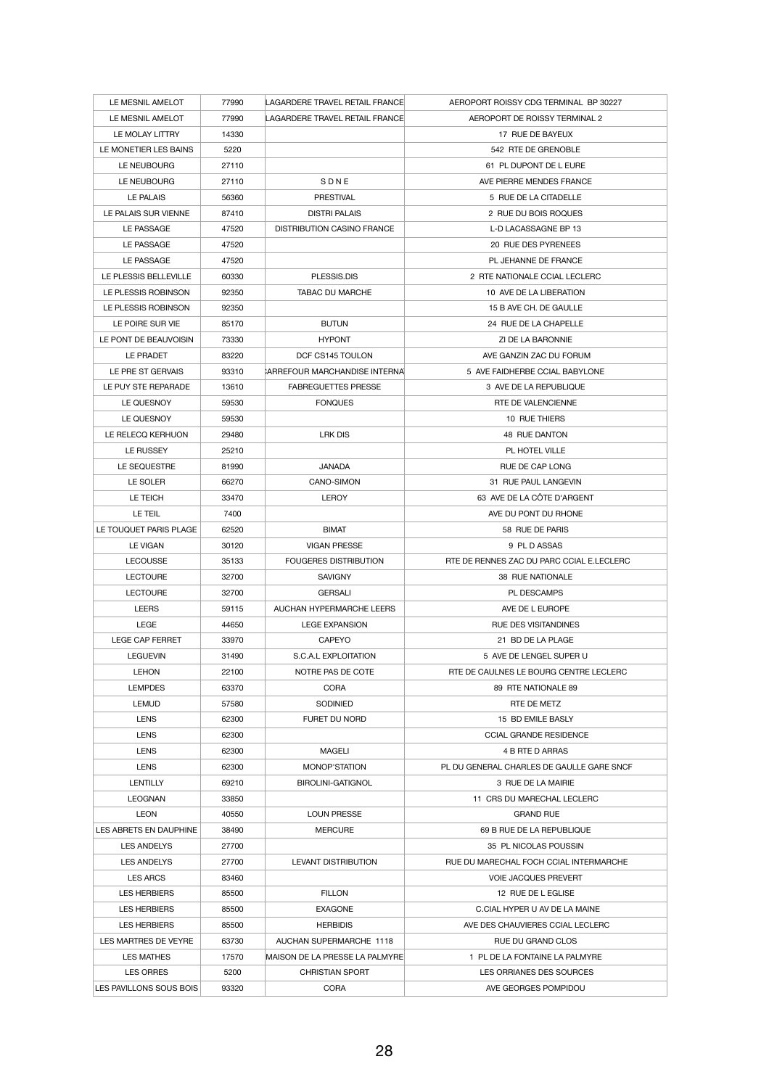| LE MESNIL AMELOT        | 77990 | LAGARDERE TRAVEL RETAIL FRANCE    | AEROPORT ROISSY CDG TERMINAL BP 30227     |
|-------------------------|-------|-----------------------------------|-------------------------------------------|
| LE MESNIL AMELOT        | 77990 | LAGARDERE TRAVEL RETAIL FRANCE    | AEROPORT DE ROISSY TERMINAL 2             |
| LE MOLAY LITTRY         | 14330 |                                   | 17 RUE DE BAYEUX                          |
| LE MONETIER LES BAINS   | 5220  |                                   | 542 RTE DE GRENOBLE                       |
| LE NEUBOURG             | 27110 |                                   | 61 PL DUPONT DE L EURE                    |
| LE NEUBOURG             | 27110 | SDNE                              | AVE PIERRE MENDES FRANCE                  |
| <b>LE PALAIS</b>        | 56360 | <b>PRESTIVAL</b>                  | 5 RUE DE LA CITADELLE                     |
| LE PALAIS SUR VIENNE    | 87410 | <b>DISTRI PALAIS</b>              | 2 RUE DU BOIS ROQUES                      |
| LE PASSAGE              | 47520 | <b>DISTRIBUTION CASINO FRANCE</b> | L-D LACASSAGNE BP 13                      |
| LE PASSAGE              | 47520 |                                   | 20 RUE DES PYRENEES                       |
| LE PASSAGE              | 47520 |                                   | PL JEHANNE DE FRANCE                      |
| LE PLESSIS BELLEVILLE   | 60330 | PLESSIS.DIS                       | 2 RTE NATIONALE CCIAL LECLERC             |
| LE PLESSIS ROBINSON     | 92350 | <b>TABAC DU MARCHE</b>            | 10 AVE DE LA LIBERATION                   |
| LE PLESSIS ROBINSON     | 92350 |                                   | 15 B AVE CH. DE GAULLE                    |
| LE POIRE SUR VIE        | 85170 | <b>BUTUN</b>                      | 24 RUE DE LA CHAPELLE                     |
| LE PONT DE BEAUVOISIN   | 73330 | <b>HYPONT</b>                     | ZI DE LA BARONNIE                         |
| LE PRADET               | 83220 | DCF CS145 TOULON                  | AVE GANZIN ZAC DU FORUM                   |
| LE PRE ST GERVAIS       | 93310 | CARREFOUR MARCHANDISE INTERNAL    | 5 AVE FAIDHERBE CCIAL BABYLONE            |
| LE PUY STE REPARADE     | 13610 | <b>FABREGUETTES PRESSE</b>        | 3 AVE DE LA REPUBLIQUE                    |
| LE QUESNOY              | 59530 | <b>FONQUES</b>                    | RTE DE VALENCIENNE                        |
| LE QUESNOY              | 59530 |                                   | 10 RUE THIERS                             |
| LE RELECQ KERHUON       | 29480 | LRK DIS                           | 48 RUE DANTON                             |
| LE RUSSEY               | 25210 |                                   | PL HOTEL VILLE                            |
| LE SEQUESTRE            | 81990 | <b>JANADA</b>                     | <b>RUE DE CAP LONG</b>                    |
| LE SOLER                | 66270 | <b>CANO-SIMON</b>                 | 31 RUE PAUL LANGEVIN                      |
| LE TEICH                | 33470 | <b>LEROY</b>                      | 63 AVE DE LA CÔTE D'ARGENT                |
| LE TEIL                 | 7400  |                                   | AVE DU PONT DU RHONE                      |
| LE TOUQUET PARIS PLAGE  | 62520 | <b>BIMAT</b>                      | 58 RUE DE PARIS                           |
| <b>LE VIGAN</b>         | 30120 | <b>VIGAN PRESSE</b>               | 9 PL D ASSAS                              |
| <b>LECOUSSE</b>         | 35133 | <b>FOUGERES DISTRIBUTION</b>      | RTE DE RENNES ZAC DU PARC CCIAL E.LECLERC |
| <b>LECTOURE</b>         | 32700 | <b>SAVIGNY</b>                    | <b>38 RUE NATIONALE</b>                   |
| <b>LECTOURE</b>         | 32700 | <b>GERSALI</b>                    | PL DESCAMPS                               |
| <b>LEERS</b>            | 59115 | AUCHAN HYPERMARCHE LEERS          | AVE DE L EUROPE                           |
| <b>LEGE</b>             | 44650 | <b>LEGE EXPANSION</b>             | <b>RUE DES VISITANDINES</b>               |
| <b>LEGE CAP FERRET</b>  | 33970 | <b>CAPEYO</b>                     | 21 BD DE LA PLAGE                         |
| <b>LEGUEVIN</b>         | 31490 | S.C.A.L EXPLOITATION              | 5 AVE DE LENGEL SUPER U                   |
| <b>LEHON</b>            | 22100 | NOTRE PAS DE COTE                 | RTE DE CAULNES LE BOURG CENTRE LECLERC    |
| <b>LEMPDES</b>          | 63370 | <b>CORA</b>                       | 89 RTE NATIONALE 89                       |
| <b>LEMUD</b>            | 57580 | <b>SODINIED</b>                   | RTE DE METZ                               |
| <b>LENS</b>             | 62300 | FURET DU NORD                     | 15 BD EMILE BASLY                         |
| <b>LENS</b>             | 62300 |                                   | <b>CCIAL GRANDE RESIDENCE</b>             |
| <b>LENS</b>             | 62300 | <b>MAGELI</b>                     | 4 B RTE D ARRAS                           |
| <b>LENS</b>             | 62300 | <b>MONOP'STATION</b>              | PL DU GENERAL CHARLES DE GAULLE GARE SNCF |
| <b>LENTILLY</b>         | 69210 | <b>BIROLINI-GATIGNOL</b>          | 3 RUE DE LA MAIRIE                        |
| <b>LEOGNAN</b>          | 33850 |                                   | 11 CRS DU MARECHAL LECLERC                |
| <b>LEON</b>             | 40550 | <b>LOUN PRESSE</b>                | <b>GRAND RUE</b>                          |
| LES ABRETS EN DAUPHINE  | 38490 | <b>MERCURE</b>                    | 69 B RUE DE LA REPUBLIQUE                 |
| <b>LES ANDELYS</b>      | 27700 |                                   | 35 PL NICOLAS POUSSIN                     |
| <b>LES ANDELYS</b>      | 27700 | LEVANT DISTRIBUTION               | RUE DU MARECHAL FOCH CCIAL INTERMARCHE    |
| <b>LES ARCS</b>         | 83460 |                                   | <b>VOIE JACQUES PREVERT</b>               |
| <b>LES HERBIERS</b>     | 85500 | <b>FILLON</b>                     | 12 RUE DE L EGLISE                        |
| <b>LES HERBIERS</b>     | 85500 | <b>EXAGONE</b>                    | C.CIAL HYPER U AV DE LA MAINE             |
| <b>LES HERBIERS</b>     | 85500 | <b>HERBIDIS</b>                   | AVE DES CHAUVIERES CCIAL LECLERC          |
| LES MARTRES DE VEYRE    | 63730 | AUCHAN SUPERMARCHE 1118           | RUE DU GRAND CLOS                         |
| <b>LES MATHES</b>       | 17570 | MAISON DE LA PRESSE LA PALMYRE    | 1 PL DE LA FONTAINE LA PALMYRE            |
| <b>LES ORRES</b>        | 5200  | <b>CHRISTIAN SPORT</b>            | LES ORRIANES DES SOURCES                  |
| LES PAVILLONS SOUS BOIS | 93320 | <b>CORA</b>                       | AVE GEORGES POMPIDOU                      |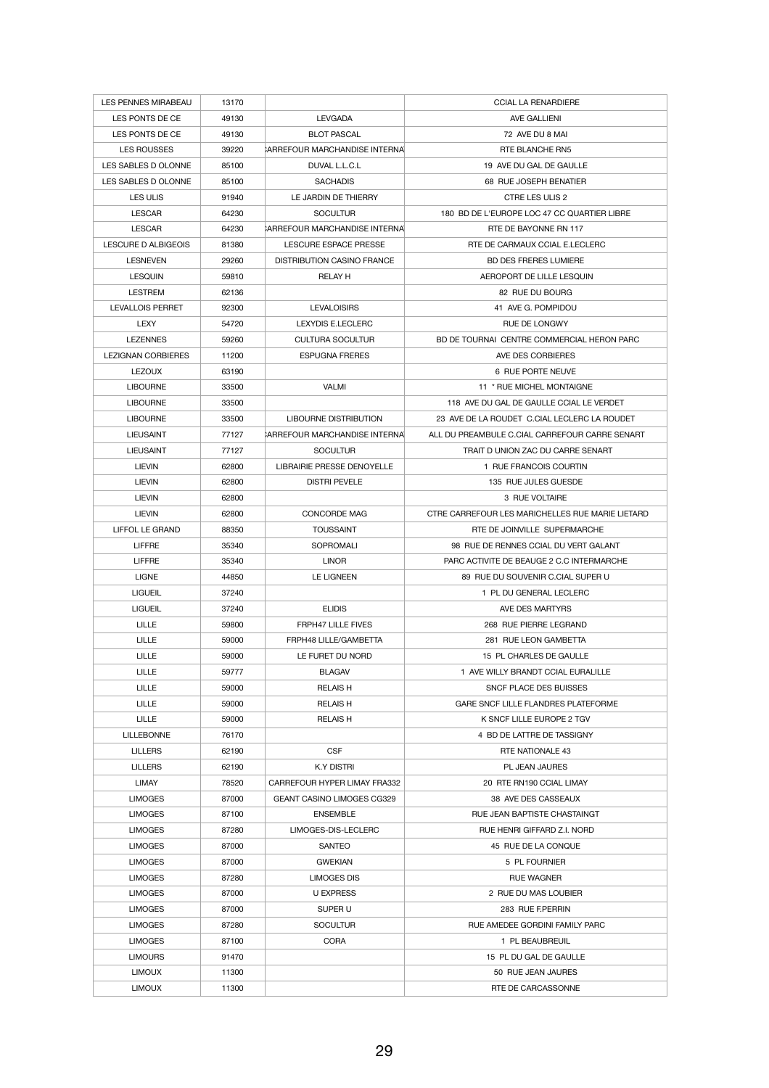| <b>LES PENNES MIRABEAU</b> | 13170 |                                       | <b>CCIAL LA RENARDIERE</b>                       |
|----------------------------|-------|---------------------------------------|--------------------------------------------------|
| LES PONTS DE CE            | 49130 | <b>LEVGADA</b>                        | AVE GALLIENI                                     |
| LES PONTS DE CE            | 49130 | <b>BLOT PASCAL</b>                    | 72 AVE DU 8 MAI                                  |
| <b>LES ROUSSES</b>         | 39220 | <b>ARREFOUR MARCHANDISE INTERNAL</b>  | <b>RTE BLANCHE RN5</b>                           |
| LES SABLES D OLONNE        | 85100 | DUVAL L.L.C.L                         | 19 AVE DU GAL DE GAULLE                          |
| LES SABLES D OLONNE        | 85100 | <b>SACHADIS</b>                       | 68 RUE JOSEPH BENATIER                           |
| <b>LES ULIS</b>            | 91940 | LE JARDIN DE THIERRY                  | <b>CTRE LES ULIS 2</b>                           |
| <b>LESCAR</b>              | 64230 | <b>SOCULTUR</b>                       | 180 BD DE L'EUROPE LOC 47 CC QUARTIER LIBRE      |
| <b>LESCAR</b>              | 64230 | <b>CARREFOUR MARCHANDISE INTERNAL</b> | RTE DE BAYONNE RN 117                            |
| <b>LESCURE D ALBIGEOIS</b> | 81380 | LESCURE ESPACE PRESSE                 | RTE DE CARMAUX CCIAL E.LECLERC                   |
| <b>LESNEVEN</b>            | 29260 | <b>DISTRIBUTION CASINO FRANCE</b>     | <b>BD DES FRERES LUMIERE</b>                     |
| <b>LESQUIN</b>             | 59810 | <b>RELAY H</b>                        | AEROPORT DE LILLE LESQUIN                        |
| <b>LESTREM</b>             | 62136 |                                       | 82 RUE DU BOURG                                  |
| <b>LEVALLOIS PERRET</b>    | 92300 | <b>LEVALOISIRS</b>                    | 41 AVE G. POMPIDOU                               |
| <b>LEXY</b>                | 54720 | LEXYDIS E.LECLERC                     | <b>RUE DE LONGWY</b>                             |
| <b>LEZENNES</b>            | 59260 | <b>CULTURA SOCULTUR</b>               | BD DE TOURNAI CENTRE COMMERCIAL HERON PARC       |
| <b>LEZIGNAN CORBIERES</b>  | 11200 | <b>ESPUGNA FRERES</b>                 | AVE DES CORBIERES                                |
| <b>LEZOUX</b>              | 63190 |                                       | 6 RUE PORTE NEUVE                                |
| <b>LIBOURNE</b>            | 33500 | <b>VALMI</b>                          | 11 * RUE MICHEL MONTAIGNE                        |
| <b>LIBOURNE</b>            | 33500 |                                       | 118 AVE DU GAL DE GAULLE CCIAL LE VERDET         |
| <b>LIBOURNE</b>            | 33500 | <b>LIBOURNE DISTRIBUTION</b>          | 23 AVE DE LA ROUDET C.CIAL LECLERC LA ROUDET     |
| <b>LIEUSAINT</b>           | 77127 | CARREFOUR MARCHANDISE INTERNAL        | ALL DU PREAMBULE C.CIAL CARREFOUR CARRE SENART   |
| <b>LIEUSAINT</b>           | 77127 | <b>SOCULTUR</b>                       | TRAIT D UNION ZAC DU CARRE SENART                |
|                            |       |                                       |                                                  |
| <b>LIEVIN</b>              | 62800 | <b>LIBRAIRIE PRESSE DENOYELLE</b>     | 1 RUE FRANCOIS COURTIN                           |
| <b>LIEVIN</b>              | 62800 | <b>DISTRI PEVELE</b>                  | 135 RUE JULES GUESDE                             |
| <b>LIEVIN</b>              | 62800 |                                       | 3 RUE VOLTAIRE                                   |
| <b>LIEVIN</b>              | 62800 | <b>CONCORDE MAG</b>                   | CTRE CARREFOUR LES MARICHELLES RUE MARIE LIETARD |
| <b>LIFFOL LE GRAND</b>     | 88350 | <b>TOUSSAINT</b>                      | RTE DE JOINVILLE SUPERMARCHE                     |
| <b>LIFFRE</b>              | 35340 | <b>SOPROMALI</b>                      | 98 RUE DE RENNES CCIAL DU VERT GALANT            |
|                            |       |                                       |                                                  |
| <b>LIFFRE</b>              | 35340 | <b>LINOR</b>                          | PARC ACTIVITE DE BEAUGE 2 C.C INTERMARCHE        |
| <b>LIGNE</b>               | 44850 | <b>LE LIGNEEN</b>                     | 89 RUE DU SOUVENIR C.CIAL SUPER U                |
| <b>LIGUEIL</b>             | 37240 |                                       | 1 PL DU GENERAL LECLERC                          |
| <b>LIGUEIL</b>             | 37240 | <b>ELIDIS</b>                         | AVE DES MARTYRS                                  |
| <b>LILLE</b>               | 59800 | <b>FRPH47 LILLE FIVES</b>             | 268 RUE PIERRE LEGRAND                           |
| <b>LILLE</b>               | 59000 | FRPH48 LILLE/GAMBETTA                 | 281 RUE LEON GAMBETTA                            |
| <b>LILLE</b>               | 59000 | LE FURET DU NORD                      | 15 PL CHARLES DE GAULLE                          |
| <b>LILLE</b>               | 59777 | <b>BLAGAV</b>                         | 1 AVE WILLY BRANDT CCIAL EURALILLE               |
| <b>LILLE</b>               | 59000 | <b>RELAISH</b>                        | <b>SNCF PLACE DES BUISSES</b>                    |
| <b>LILLE</b>               | 59000 | <b>RELAIS H</b>                       | GARE SNCF LILLE FLANDRES PLATEFORME              |
| <b>LILLE</b>               | 59000 | <b>RELAIS H</b>                       | K SNCF LILLE EUROPE 2 TGV                        |
| <b>LILLEBONNE</b>          | 76170 |                                       | 4 BD DE LATTRE DE TASSIGNY                       |
| <b>LILLERS</b>             | 62190 | <b>CSF</b>                            | RTE NATIONALE 43                                 |
| <b>LILLERS</b>             | 62190 | <b>K.Y DISTRI</b>                     | PL JEAN JAURES                                   |
| <b>LIMAY</b>               | 78520 | <b>CARREFOUR HYPER LIMAY FRA332</b>   | 20 RTE RN190 CCIAL LIMAY                         |
| <b>LIMOGES</b>             | 87000 | GEANT CASINO LIMOGES CG329            | 38 AVE DES CASSEAUX                              |
| <b>LIMOGES</b>             | 87100 | <b>ENSEMBLE</b>                       | RUE JEAN BAPTISTE CHASTAINGT                     |
| <b>LIMOGES</b>             | 87280 | LIMOGES-DIS-LECLERC                   | RUE HENRI GIFFARD Z.I. NORD                      |
| <b>LIMOGES</b>             | 87000 | <b>SANTEO</b>                         | 45 RUE DE LA CONQUE                              |
| <b>LIMOGES</b>             | 87000 | <b>GWEKIAN</b>                        | 5 PL FOURNIER                                    |
| <b>LIMOGES</b>             | 87280 | <b>LIMOGES DIS</b>                    | <b>RUE WAGNER</b>                                |
| <b>LIMOGES</b>             | 87000 | <b>U EXPRESS</b>                      | 2 RUE DU MAS LOUBIER                             |
| <b>LIMOGES</b>             | 87000 | SUPER U                               | 283 RUE F.PERRIN                                 |
| <b>LIMOGES</b>             | 87280 | <b>SOCULTUR</b>                       | RUE AMEDEE GORDINI FAMILY PARC                   |
| <b>LIMOGES</b>             | 87100 | <b>CORA</b>                           | 1 PL BEAUBREUIL                                  |
| <b>LIMOURS</b>             | 91470 |                                       | 15 PL DU GAL DE GAULLE                           |
| <b>LIMOUX</b>              | 11300 |                                       | 50 RUE JEAN JAURES                               |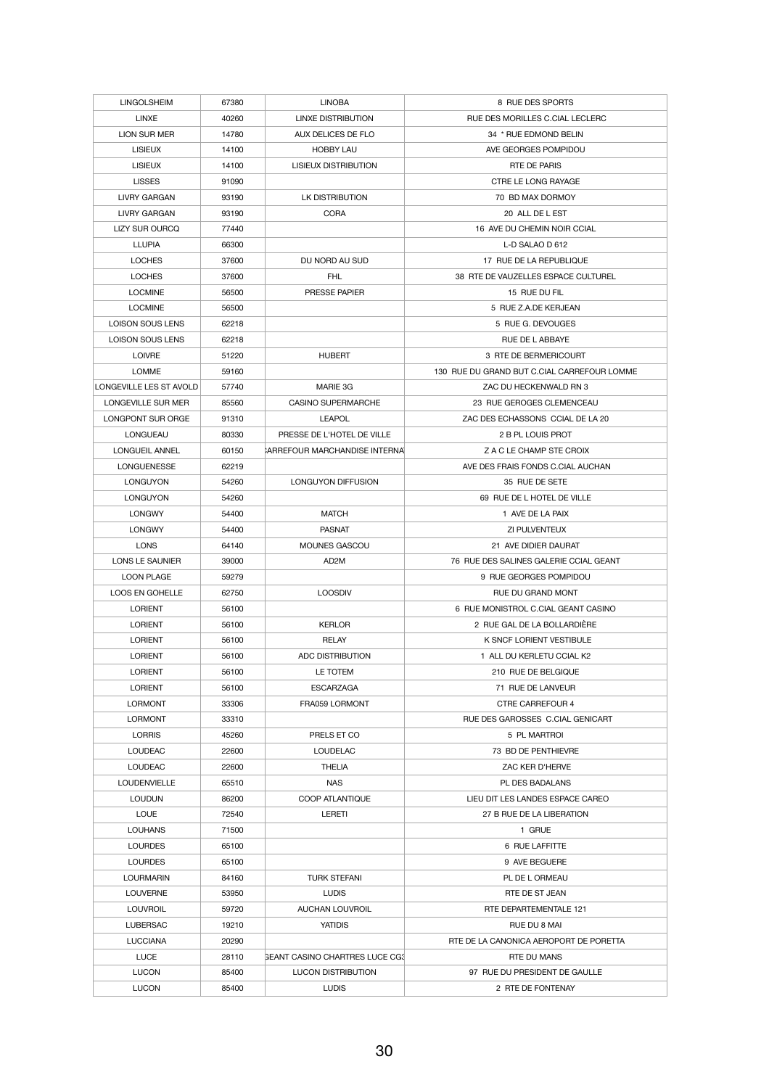| <b>LINGOLSHEIM</b>                          | 67380          | <b>LINOBA</b>                         | 8 RUE DES SPORTS                                               |
|---------------------------------------------|----------------|---------------------------------------|----------------------------------------------------------------|
| <b>LINXE</b>                                | 40260          | <b>LINXE DISTRIBUTION</b>             | RUE DES MORILLES C.CIAL LECLERC                                |
| LION SUR MER                                | 14780          | AUX DELICES DE FLO                    | 34 * RUE EDMOND BELIN                                          |
| <b>LISIEUX</b>                              | 14100          | <b>HOBBY LAU</b>                      | AVE GEORGES POMPIDOU                                           |
| <b>LISIEUX</b>                              | 14100          | <b>LISIEUX DISTRIBUTION</b>           | <b>RTE DE PARIS</b>                                            |
| <b>LISSES</b>                               | 91090          |                                       | <b>CTRE LE LONG RAYAGE</b>                                     |
| <b>LIVRY GARGAN</b>                         | 93190          | LK DISTRIBUTION                       | 70 BD MAX DORMOY                                               |
| <b>LIVRY GARGAN</b>                         | 93190          | <b>CORA</b>                           | 20 ALL DE L EST                                                |
| LIZY SUR OURCQ                              | 77440          |                                       | 16 AVE DU CHEMIN NOIR CCIAL                                    |
| <b>LLUPIA</b>                               | 66300          |                                       | L-D SALAO D 612                                                |
| <b>LOCHES</b>                               | 37600          | DU NORD AU SUD                        | 17 RUE DE LA REPUBLIQUE                                        |
| <b>LOCHES</b>                               | 37600          | <b>FHL</b>                            | 38 RTE DE VAUZELLES ESPACE CULTUREL                            |
| <b>LOCMINE</b>                              | 56500          | PRESSE PAPIER                         | 15 RUE DU FIL                                                  |
| <b>LOCMINE</b>                              | 56500          |                                       | 5 RUE Z.A.DE KERJEAN                                           |
| <b>LOISON SOUS LENS</b>                     | 62218          |                                       | 5 RUE G. DEVOUGES                                              |
| <b>LOISON SOUS LENS</b>                     | 62218          |                                       | RUE DE L ABBAYE                                                |
| <b>LOIVRE</b>                               | 51220          | <b>HUBERT</b>                         | 3 RTE DE BERMERICOURT                                          |
| <b>LOMME</b>                                | 59160          |                                       | 130 RUE DU GRAND BUT C.CIAL CARREFOUR LOMME                    |
| LONGEVILLE LES ST AVOLD                     | 57740          | MARIE 3G                              | ZAC DU HECKENWALD RN 3                                         |
| LONGEVILLE SUR MER                          | 85560          | <b>CASINO SUPERMARCHE</b>             | 23 RUE GEROGES CLEMENCEAU                                      |
| <b>LONGPONT SUR ORGE</b>                    | 91310          | <b>LEAPOL</b>                         | ZAC DES ECHASSONS CCIAL DE LA 20                               |
| <b>LONGUEAU</b>                             | 80330          | PRESSE DE L'HOTEL DE VILLE            | 2 B PL LOUIS PROT                                              |
| LONGUEIL ANNEL                              | 60150          | CARREFOUR MARCHANDISE INTERNAL        | Z A C LE CHAMP STE CROIX                                       |
| <b>LONGUENESSE</b>                          | 62219          |                                       | AVE DES FRAIS FONDS C.CIAL AUCHAN                              |
| <b>LONGUYON</b>                             | 54260          | <b>LONGUYON DIFFUSION</b>             | 35 RUE DE SETE                                                 |
| <b>LONGUYON</b>                             | 54260          |                                       | 69 RUE DE L HOTEL DE VILLE                                     |
| <b>LONGWY</b>                               | 54400          | <b>MATCH</b>                          | 1 AVE DE LA PAIX                                               |
| <b>LONGWY</b>                               | 54400          | <b>PASNAT</b>                         | ZI PULVENTEUX                                                  |
| <b>LONS</b>                                 |                | MOUNES GASCOU                         |                                                                |
|                                             | 64140          | AD <sub>2</sub> M                     | 21 AVE DIDIER DAURAT<br>76 RUE DES SALINES GALERIE CCIAL GEANT |
| <b>LONS LE SAUNIER</b><br><b>LOON PLAGE</b> | 39000<br>59279 |                                       | 9 RUE GEORGES POMPIDOU                                         |
| <b>LOOS EN GOHELLE</b>                      | 62750          | <b>LOOSDIV</b>                        | RUE DU GRAND MONT                                              |
| <b>LORIENT</b>                              |                |                                       | 6 RUE MONISTROL C.CIAL GEANT CASINO                            |
| <b>LORIENT</b>                              | 56100<br>56100 | <b>KERLOR</b>                         | 2 RUE GAL DE LA BOLLARDIÈRE                                    |
| <b>LORIENT</b>                              | 56100          | <b>RELAY</b>                          | K SNCF LORIENT VESTIBULE                                       |
|                                             |                | <b>ADC DISTRIBUTION</b>               |                                                                |
| <b>LORIENT</b>                              | 56100          |                                       | 1 ALL DU KERLETU CCIAL K2                                      |
| <b>LORIENT</b>                              | 56100          | LE TOTEM                              | 210 RUE DE BELGIQUE                                            |
| <b>LORIENT</b>                              | 56100          | <b>ESCARZAGA</b>                      | 71 RUE DE LANVEUR                                              |
| <b>LORMONT</b>                              | 33306          | FRA059 LORMONT                        | <b>CTRE CARREFOUR 4</b>                                        |
| <b>LORMONT</b>                              | 33310          |                                       | RUE DES GAROSSES C.CIAL GENICART                               |
| <b>LORRIS</b>                               | 45260          | PRELS ET CO                           | 5 PL MARTROI                                                   |
| <b>LOUDEAC</b>                              | 22600          | <b>LOUDELAC</b>                       | 73 BD DE PENTHIEVRE                                            |
| <b>LOUDEAC</b>                              | 22600          | <b>THELIA</b>                         | ZAC KER D'HERVE                                                |
| <b>LOUDENVIELLE</b>                         | 65510          | <b>NAS</b>                            | <b>PL DES BADALANS</b>                                         |
| LOUDUN                                      | 86200          | COOP ATLANTIQUE                       | LIEU DIT LES LANDES ESPACE CAREO                               |
| <b>LOUE</b>                                 | 72540          | <b>LERETI</b>                         | 27 B RUE DE LA LIBERATION                                      |
| <b>LOUHANS</b>                              | 71500          |                                       | 1 GRUE                                                         |
| <b>LOURDES</b>                              | 65100          |                                       | 6 RUE LAFFITTE                                                 |
| <b>LOURDES</b>                              | 65100          |                                       | 9 AVE BEGUERE                                                  |
| <b>LOURMARIN</b>                            | 84160          | <b>TURK STEFANI</b>                   | PL DE L ORMEAU                                                 |
| <b>LOUVERNE</b>                             | 53950          | <b>LUDIS</b>                          | RTE DE ST JEAN                                                 |
| <b>LOUVROIL</b>                             | 59720          | <b>AUCHAN LOUVROIL</b>                | RTE DEPARTEMENTALE 121                                         |
| <b>LUBERSAC</b>                             | 19210          | <b>YATIDIS</b>                        | RUE DU 8 MAI                                                   |
| <b>LUCCIANA</b>                             | 20290          |                                       | RTE DE LA CANONICA AEROPORT DE PORETTA                         |
| <b>LUCE</b>                                 | 28110          | <b>GEANT CASINO CHARTRES LUCE CG3</b> | RTE DU MANS                                                    |
| <b>LUCON</b>                                | 85400          | <b>LUCON DISTRIBUTION</b>             | 97 RUE DU PRESIDENT DE GAULLE                                  |
| <b>LUCON</b>                                | 85400          | <b>LUDIS</b>                          | 2 RTE DE FONTENAY                                              |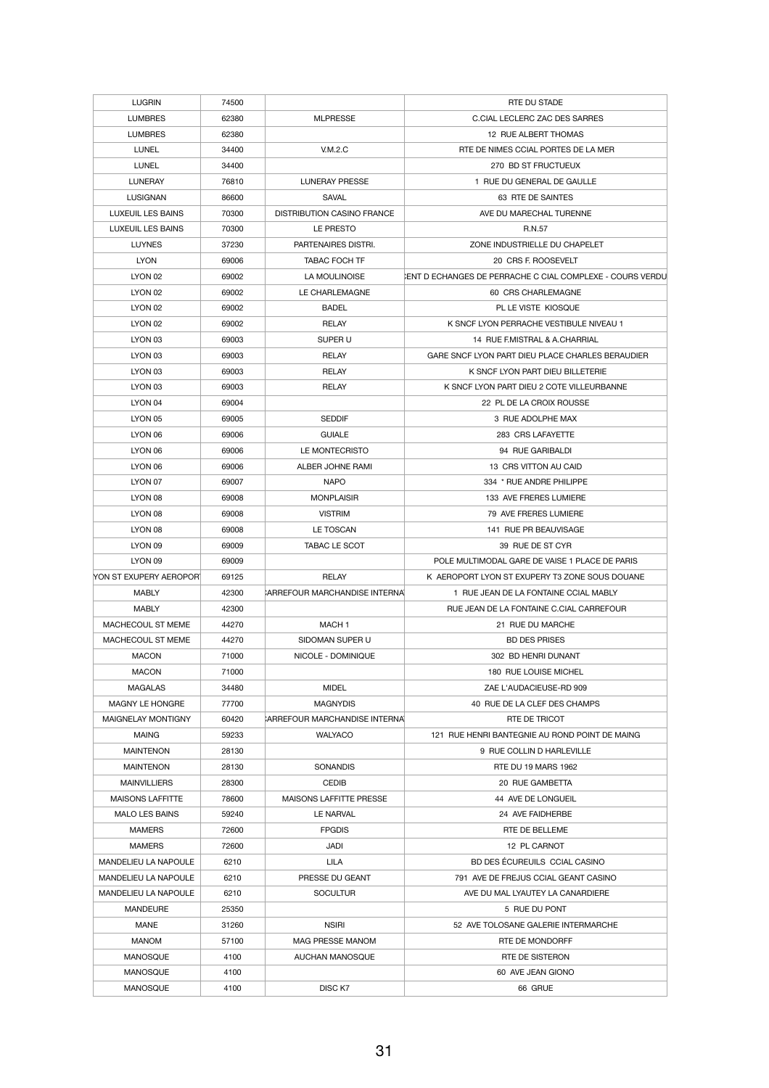| <b>LUGRIN</b>               | 74500 |                                   | <b>RTE DU STADE</b>                                             |
|-----------------------------|-------|-----------------------------------|-----------------------------------------------------------------|
| <b>LUMBRES</b>              | 62380 | <b>MLPRESSE</b>                   | C.CIAL LECLERC ZAC DES SARRES                                   |
| <b>LUMBRES</b>              | 62380 |                                   | 12 RUE ALBERT THOMAS                                            |
| <b>LUNEL</b>                | 34400 | V.M.2.C                           | RTE DE NIMES CCIAL PORTES DE LA MER                             |
| <b>LUNEL</b>                | 34400 |                                   | 270 BD ST FRUCTUEUX                                             |
| <b>LUNERAY</b>              | 76810 | <b>LUNERAY PRESSE</b>             | 1 RUE DU GENERAL DE GAULLE                                      |
| <b>LUSIGNAN</b>             | 86600 | <b>SAVAL</b>                      | 63 RTE DE SAINTES                                               |
| <b>LUXEUIL LES BAINS</b>    | 70300 | <b>DISTRIBUTION CASINO FRANCE</b> | AVE DU MARECHAL TURENNE                                         |
| LUXEUIL LES BAINS           | 70300 | LE PRESTO                         | R.N.57                                                          |
| <b>LUYNES</b>               | 37230 | PARTENAIRES DISTRI.               | ZONE INDUSTRIELLE DU CHAPELET                                   |
| <b>LYON</b>                 | 69006 | <b>TABAC FOCH TF</b>              | 20 CRS F. ROOSEVELT                                             |
| LYON 02                     | 69002 | LA MOULINOISE                     | <b>ENT D ECHANGES DE PERRACHE C CIAL COMPLEXE - COURS VERDU</b> |
| LYON 02                     | 69002 | LE CHARLEMAGNE                    | 60 CRS CHARLEMAGNE                                              |
| LYON 02                     | 69002 | <b>BADEL</b>                      | PL LE VISTE KIOSQUE                                             |
| LYON 02                     | 69002 | <b>RELAY</b>                      | K SNCF LYON PERRACHE VESTIBULE NIVEAU 1                         |
|                             |       |                                   | 14 RUE F.MISTRAL & A.CHARRIAL                                   |
| LYON 03                     | 69003 | SUPER U                           |                                                                 |
| LYON 03                     | 69003 | <b>RELAY</b>                      | GARE SNCF LYON PART DIEU PLACE CHARLES BERAUDIER                |
| LYON 03                     | 69003 | <b>RELAY</b>                      | K SNCF LYON PART DIEU BILLETERIE                                |
| LYON 03                     | 69003 | <b>RELAY</b>                      | K SNCF LYON PART DIEU 2 COTE VILLEURBANNE                       |
| LYON 04                     | 69004 |                                   | 22 PL DE LA CROIX ROUSSE                                        |
| LYON 05                     | 69005 | <b>SEDDIF</b>                     | 3 RUE ADOLPHE MAX                                               |
| LYON 06                     | 69006 | <b>GUIALE</b>                     | 283 CRS LAFAYETTE                                               |
| LYON 06                     | 69006 | LE MONTECRISTO                    | 94 RUE GARIBALDI                                                |
| LYON 06                     | 69006 | ALBER JOHNE RAMI                  | 13 CRS VITTON AU CAID                                           |
| LYON 07                     | 69007 | <b>NAPO</b>                       | 334 * RUE ANDRE PHILIPPE                                        |
| LYON 08                     | 69008 | <b>MONPLAISIR</b>                 | 133 AVE FRERES LUMIERE                                          |
| LYON 08                     | 69008 | <b>VISTRIM</b>                    | 79 AVE FRERES LUMIERE                                           |
| LYON 08                     | 69008 | LE TOSCAN                         | 141 RUE PR BEAUVISAGE                                           |
| LYON 09                     | 69009 | TABAC LE SCOT                     | 39 RUE DE ST CYR                                                |
| LYON 09                     | 69009 |                                   | POLE MULTIMODAL GARE DE VAISE 1 PLACE DE PARIS                  |
| YON ST EXUPERY AEROPOR      | 69125 | <b>RELAY</b>                      | K AEROPORT LYON ST EXUPERY T3 ZONE SOUS DOUANE                  |
| <b>MABLY</b>                | 42300 | CARREFOUR MARCHANDISE INTERNAL    | 1 RUE JEAN DE LA FONTAINE CCIAL MABLY                           |
| <b>MABLY</b>                | 42300 |                                   | RUE JEAN DE LA FONTAINE C.CIAL CARREFOUR                        |
| MACHECOUL ST MEME           | 44270 | MACH <sub>1</sub>                 | 21 RUE DU MARCHE                                                |
| MACHECOUL ST MEME           | 44270 | SIDOMAN SUPER U                   | <b>BD DES PRISES</b>                                            |
| <b>MACON</b>                | 71000 | NICOLE - DOMINIQUE                | 302 BD HENRI DUNANT                                             |
| <b>MACON</b>                | 71000 |                                   | 180 RUE LOUISE MICHEL                                           |
| <b>MAGALAS</b>              | 34480 | <b>MIDEL</b>                      | ZAE L'AUDACIEUSE-RD 909                                         |
| <b>MAGNY LE HONGRE</b>      | 77700 | <b>MAGNYDIS</b>                   | 40 RUE DE LA CLEF DES CHAMPS                                    |
| <b>MAIGNELAY MONTIGNY</b>   | 60420 | CARREFOUR MARCHANDISE INTERNA     | RTE DE TRICOT                                                   |
| <b>MAING</b>                | 59233 | <b>WALYACO</b>                    | 121 RUE HENRI BANTEGNIE AU ROND POINT DE MAING                  |
| <b>MAINTENON</b>            | 28130 |                                   | 9 RUE COLLIN D HARLEVILLE                                       |
| <b>MAINTENON</b>            | 28130 | <b>SONANDIS</b>                   | <b>RTE DU 19 MARS 1962</b>                                      |
| <b>MAINVILLIERS</b>         | 28300 | <b>CEDIB</b>                      | 20 RUE GAMBETTA                                                 |
| <b>MAISONS LAFFITTE</b>     | 78600 | <b>MAISONS LAFFITTE PRESSE</b>    | 44 AVE DE LONGUEIL                                              |
| <b>MALO LES BAINS</b>       | 59240 | <b>LE NARVAL</b>                  | 24 AVE FAIDHERBE                                                |
| <b>MAMERS</b>               | 72600 | <b>FPGDIS</b>                     | RTE DE BELLEME                                                  |
| <b>MAMERS</b>               | 72600 | JADI                              | 12 PL CARNOT                                                    |
| MANDELIEU LA NAPOULE        | 6210  | <b>LILA</b>                       | BD DES ÉCUREUILS CCIAL CASINO                                   |
| <b>MANDELIEU LA NAPOULE</b> | 6210  | PRESSE DU GEANT                   | 791 AVE DE FREJUS CCIAL GEANT CASINO                            |
| MANDELIEU LA NAPOULE        | 6210  | <b>SOCULTUR</b>                   | AVE DU MAL LYAUTEY LA CANARDIERE                                |
| <b>MANDEURE</b>             | 25350 |                                   | 5 RUE DU PONT                                                   |
| <b>MANE</b>                 | 31260 | <b>NSIRI</b>                      | 52 AVE TOLOSANE GALERIE INTERMARCHE                             |
| <b>MANOM</b>                | 57100 | MAG PRESSE MANOM                  | RTE DE MONDORFF                                                 |
| <b>MANOSQUE</b>             | 4100  | AUCHAN MANOSQUE                   | RTE DE SISTERON                                                 |
| <b>MANOSQUE</b>             | 4100  |                                   | 60 AVE JEAN GIONO                                               |
| <b>MANOSQUE</b>             | 4100  | DISC <sub>K7</sub>                | 66 GRUE                                                         |
|                             |       |                                   |                                                                 |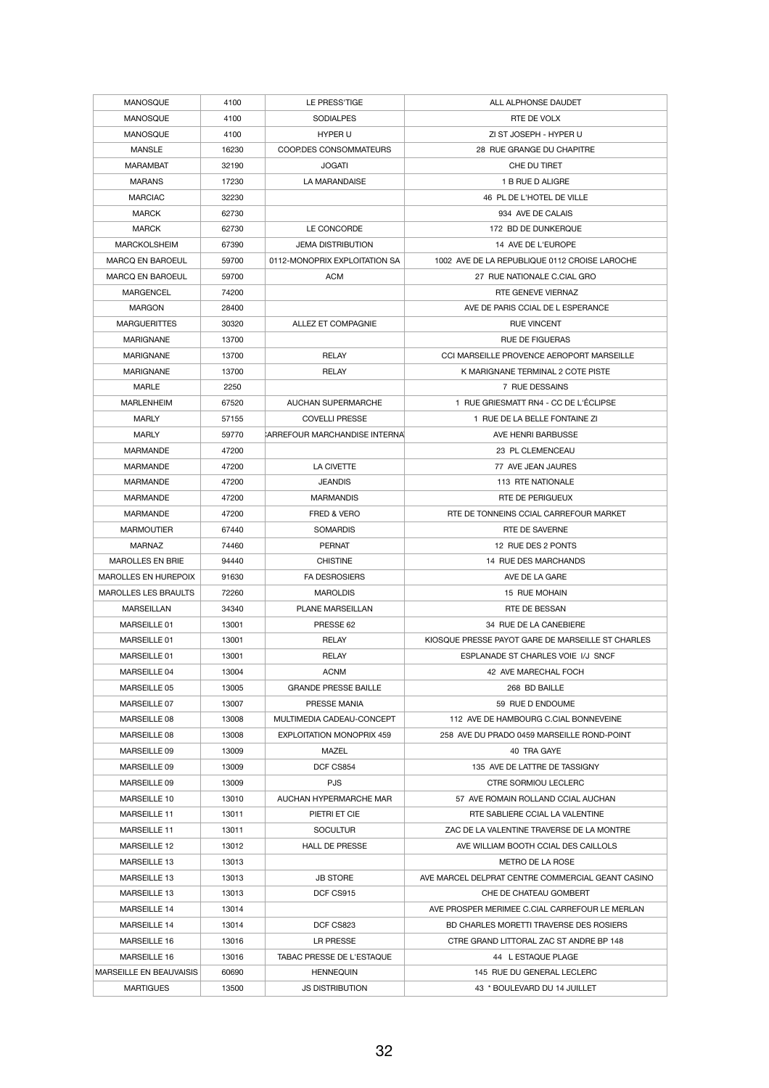| <b>MANOSQUE</b>                | 4100  | LE PRESS'TIGE                        | ALL ALPHONSE DAUDET                               |
|--------------------------------|-------|--------------------------------------|---------------------------------------------------|
| <b>MANOSQUE</b>                | 4100  | <b>SODIALPES</b>                     | RTE DE VOLX                                       |
| <b>MANOSQUE</b>                | 4100  | <b>HYPER U</b>                       | ZI ST JOSEPH - HYPER U                            |
| <b>MANSLE</b>                  | 16230 | COOP.DES CONSOMMATEURS               | 28 RUE GRANGE DU CHAPITRE                         |
| <b>MARAMBAT</b>                | 32190 | <b>JOGATI</b>                        | CHE DU TIRET                                      |
| <b>MARANS</b>                  | 17230 | LA MARANDAISE                        | 1 B RUE D ALIGRE                                  |
| <b>MARCIAC</b>                 | 32230 |                                      | 46 PL DE L'HOTEL DE VILLE                         |
| <b>MARCK</b>                   | 62730 |                                      | 934 AVE DE CALAIS                                 |
| <b>MARCK</b>                   | 62730 | LE CONCORDE                          | 172 BD DE DUNKERQUE                               |
| <b>MARCKOLSHEIM</b>            | 67390 | <b>JEMA DISTRIBUTION</b>             | 14 AVE DE L'EUROPE                                |
| <b>MARCQ EN BAROEUL</b>        | 59700 | 0112-MONOPRIX EXPLOITATION SA        | 1002 AVE DE LA REPUBLIQUE 0112 CROISE LAROCHE     |
| <b>MARCQ EN BAROEUL</b>        | 59700 | <b>ACM</b>                           | 27 RUE NATIONALE C.CIAL GRO                       |
| <b>MARGENCEL</b>               | 74200 |                                      | RTE GENEVE VIERNAZ                                |
| <b>MARGON</b>                  | 28400 |                                      | AVE DE PARIS CCIAL DE L ESPERANCE                 |
| <b>MARGUERITTES</b>            | 30320 | ALLEZ ET COMPAGNIE                   | <b>RUE VINCENT</b>                                |
| <b>MARIGNANE</b>               | 13700 |                                      | <b>RUE DE FIGUERAS</b>                            |
| <b>MARIGNANE</b>               | 13700 | <b>RELAY</b>                         | CCI MARSEILLE PROVENCE AEROPORT MARSEILLE         |
| <b>MARIGNANE</b>               | 13700 | <b>RELAY</b>                         | K MARIGNANE TERMINAL 2 COTE PISTE                 |
| <b>MARLE</b>                   | 2250  |                                      | 7 RUE DESSAINS                                    |
|                                |       | <b>AUCHAN SUPERMARCHE</b>            | 1 RUE GRIESMATT RN4 - CC DE L'ÉCLIPSE             |
| <b>MARLENHEIM</b>              | 67520 |                                      |                                                   |
| <b>MARLY</b>                   | 57155 | <b>COVELLI PRESSE</b>                | 1 RUE DE LA BELLE FONTAINE ZI                     |
| <b>MARLY</b>                   | 59770 | <b>ARREFOUR MARCHANDISE INTERNAL</b> | AVE HENRI BARBUSSE                                |
| <b>MARMANDE</b>                | 47200 |                                      | 23 PL CLEMENCEAU                                  |
| <b>MARMANDE</b>                | 47200 | <b>LA CIVETTE</b>                    | 77 AVE JEAN JAURES                                |
| <b>MARMANDE</b>                | 47200 | <b>JEANDIS</b>                       | 113 RTE NATIONALE                                 |
| <b>MARMANDE</b>                | 47200 | <b>MARMANDIS</b>                     | RTE DE PERIGUEUX                                  |
| <b>MARMANDE</b>                | 47200 | <b>FRED &amp; VERO</b>               | RTE DE TONNEINS CCIAL CARREFOUR MARKET            |
| <b>MARMOUTIER</b>              | 67440 | <b>SOMARDIS</b>                      | RTE DE SAVERNE                                    |
| <b>MARNAZ</b>                  | 74460 | <b>PERNAT</b>                        | 12 RUE DES 2 PONTS                                |
| <b>MAROLLES EN BRIE</b>        | 94440 | <b>CHISTINE</b>                      | 14 RUE DES MARCHANDS                              |
| <b>MAROLLES EN HUREPOIX</b>    | 91630 | <b>FA DESROSIERS</b>                 | AVE DE LA GARE                                    |
| <b>MAROLLES LES BRAULTS</b>    | 72260 | <b>MAROLDIS</b>                      | 15 RUE MOHAIN                                     |
| <b>MARSEILLAN</b>              | 34340 | <b>PLANE MARSEILLAN</b>              | RTE DE BESSAN                                     |
| MARSEILLE 01                   | 13001 | PRESSE 62                            | 34 RUE DE LA CANEBIERE                            |
| MARSEILLE 01                   | 13001 | <b>RELAY</b>                         | KIOSQUE PRESSE PAYOT GARE DE MARSEILLE ST CHARLES |
| MARSEILLE 01                   | 13001 | <b>RELAY</b>                         | ESPLANADE ST CHARLES VOIE I/J SNCF                |
| MARSEILLE 04                   | 13004 | <b>ACNM</b>                          | 42 AVE MARECHAL FOCH                              |
| MARSEILLE 05                   | 13005 | <b>GRANDE PRESSE BAILLE</b>          | 268 BD BAILLE                                     |
| MARSEILLE 07                   | 13007 | PRESSE MANIA                         | 59 RUE D ENDOUME                                  |
| MARSEILLE 08                   | 13008 | MULTIMEDIA CADEAU-CONCEPT            | 112 AVE DE HAMBOURG C.CIAL BONNEVEINE             |
| MARSEILLE 08                   | 13008 | <b>EXPLOITATION MONOPRIX 459</b>     | 258 AVE DU PRADO 0459 MARSEILLE ROND-POINT        |
| MARSEILLE 09                   | 13009 | <b>MAZEL</b>                         | 40 TRA GAYE                                       |
| MARSEILLE 09                   | 13009 | DCF CS854                            | 135 AVE DE LATTRE DE TASSIGNY                     |
| MARSEILLE 09                   | 13009 | <b>PJS</b>                           | <b>CTRE SORMIOU LECLERC</b>                       |
| MARSFILLE 10                   | 13010 | AUCHAN HYPERMARCHE MAR               | 57 AVE ROMAIN ROLLAND CCIAL AUCHAN                |
| <b>MARSEILLE 11</b>            | 13011 | PIETRI ET CIE                        | RTE SABLIERE CCIAL LA VALENTINE                   |
| <b>MARSEILLE 11</b>            | 13011 | <b>SOCULTUR</b>                      | ZAC DE LA VALENTINE TRAVERSE DE LA MONTRE         |
| <b>MARSEILLE 12</b>            | 13012 | <b>HALL DE PRESSE</b>                | AVE WILLIAM BOOTH CCIAL DES CAILLOLS              |
| <b>MARSEILLE 13</b>            | 13013 |                                      | METRO DE LA ROSE                                  |
| <b>MARSEILLE 13</b>            | 13013 | <b>JB STORE</b>                      | AVE MARCEL DELPRAT CENTRE COMMERCIAL GEANT CASINO |
| <b>MARSEILLE 13</b>            | 13013 | DCF CS915                            | CHE DE CHATEAU GOMBERT                            |
| <b>MARSEILLE 14</b>            | 13014 |                                      | AVE PROSPER MERIMEE C.CIAL CARREFOUR LE MERLAN    |
| <b>MARSEILLE 14</b>            | 13014 | DCF CS823                            | BD CHARLES MORETTI TRAVERSE DES ROSIERS           |
| <b>MARSEILLE 16</b>            | 13016 | LR PRESSE                            | CTRE GRAND LITTORAL ZAC ST ANDRE BP 148           |
| MARSEILLE 16                   | 13016 | TABAC PRESSE DE L'ESTAQUE            | 44 L ESTAQUE PLAGE                                |
| <b>MARSEILLE EN BEAUVAISIS</b> | 60690 | <b>HENNEQUIN</b>                     | 145 RUE DU GENERAL LECLERC                        |
|                                |       |                                      |                                                   |
| <b>MARTIGUES</b>               | 13500 | JS DISTRIBUTION                      | 43 * BOULEVARD DU 14 JUILLET                      |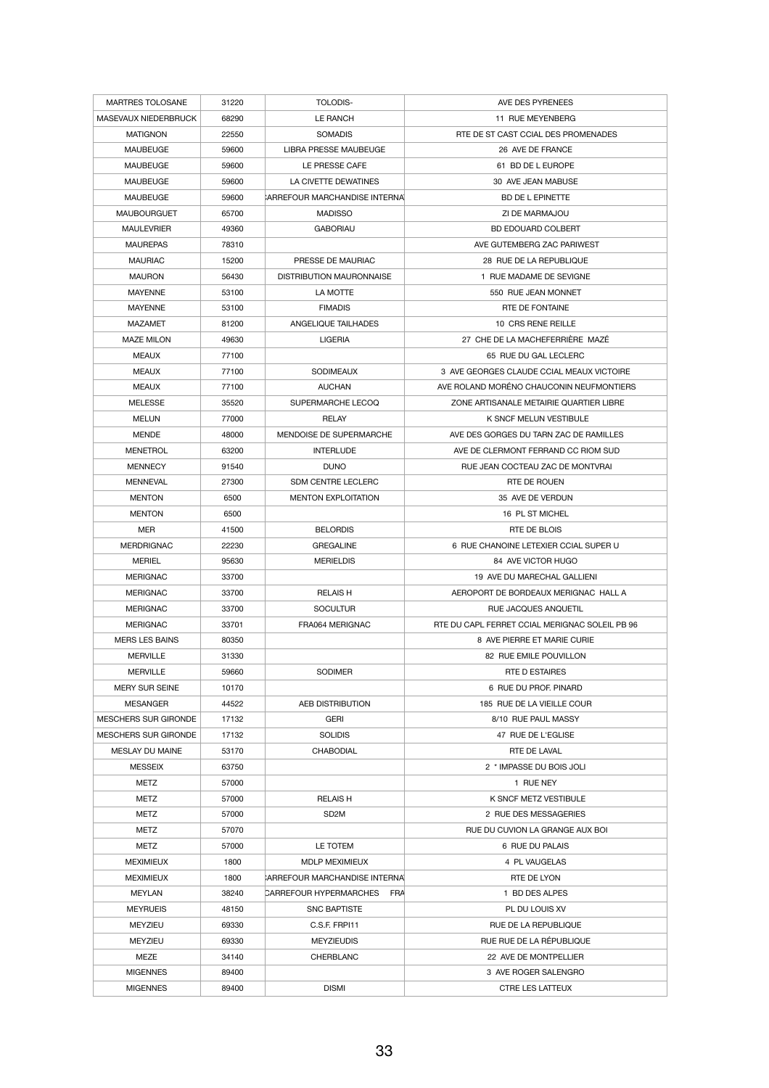| <b>MARTRES TOLOSANE</b>     | 31220 | <b>TOLODIS-</b>                             | AVE DES PYRENEES                               |
|-----------------------------|-------|---------------------------------------------|------------------------------------------------|
| <b>MASEVAUX NIEDERBRUCK</b> | 68290 | <b>LE RANCH</b>                             | 11 RUE MEYENBERG                               |
| <b>MATIGNON</b>             | 22550 | <b>SOMADIS</b>                              | RTE DE ST CAST CCIAL DES PROMENADES            |
| <b>MAUBEUGE</b>             | 59600 | <b>LIBRA PRESSE MAUBEUGE</b>                | 26 AVE DE FRANCE                               |
| <b>MAUBEUGE</b>             | 59600 | LE PRESSE CAFE                              | 61 BD DE L EUROPE                              |
| <b>MAUBEUGE</b>             | 59600 | LA CIVETTE DEWATINES                        | 30 AVE JEAN MABUSE                             |
| <b>MAUBEUGE</b>             | 59600 | CARREFOUR MARCHANDISE INTERNAL              | <b>BD DE L EPINETTE</b>                        |
| <b>MAUBOURGUET</b>          | 65700 | <b>MADISSO</b>                              | ZI DE MARMAJOU                                 |
| <b>MAULEVRIER</b>           | 49360 | <b>GABORIAU</b>                             | <b>BD EDOUARD COLBERT</b>                      |
| <b>MAUREPAS</b>             | 78310 |                                             | AVE GUTEMBERG ZAC PARIWEST                     |
| <b>MAURIAC</b>              | 15200 | PRESSE DE MAURIAC                           | 28 RUE DE LA REPUBLIQUE                        |
| <b>MAURON</b>               | 56430 | <b>DISTRIBUTION MAURONNAISE</b>             | 1 RUE MADAME DE SEVIGNE                        |
| <b>MAYENNE</b>              | 53100 | LA MOTTE                                    | 550 RUE JEAN MONNET                            |
|                             |       |                                             | <b>RTE DE FONTAINE</b>                         |
| <b>MAYENNE</b>              | 53100 | <b>FIMADIS</b>                              |                                                |
| <b>MAZAMET</b>              | 81200 | ANGELIQUE TAILHADES                         | 10 CRS RENE REILLE                             |
| <b>MAZE MILON</b>           | 49630 | <b>LIGERIA</b>                              | 27 CHE DE LA MACHEFERRIÈRE MAZÉ                |
| <b>MEAUX</b>                | 77100 |                                             | 65 RUE DU GAL LECLERC                          |
| <b>MEAUX</b>                | 77100 | <b>SODIMEAUX</b>                            | 3 AVE GEORGES CLAUDE CCIAL MEAUX VICTOIRE      |
| <b>MEAUX</b>                | 77100 | <b>AUCHAN</b>                               | AVE ROLAND MORÉNO CHAUCONIN NEUFMONTIERS       |
| <b>MELESSE</b>              | 35520 | SUPERMARCHE LECOQ                           | ZONE ARTISANALE METAIRIE QUARTIER LIBRE        |
| <b>MELUN</b>                | 77000 | <b>RELAY</b>                                | <b>K SNCF MELUN VESTIBULE</b>                  |
| <b>MENDE</b>                | 48000 | MENDOISE DE SUPERMARCHE                     | AVE DES GORGES DU TARN ZAC DE RAMILLES         |
| <b>MENETROL</b>             | 63200 | <b>INTERLUDE</b>                            | AVE DE CLERMONT FERRAND CC RIOM SUD            |
| <b>MENNECY</b>              | 91540 | <b>DUNO</b>                                 | RUE JEAN COCTEAU ZAC DE MONTVRAI               |
| <b>MENNEVAL</b>             | 27300 | <b>SDM CENTRE LECLERC</b>                   | RTE DE ROUEN                                   |
| <b>MENTON</b>               | 6500  | <b>MENTON EXPLOITATION</b>                  | 35 AVE DE VERDUN                               |
| <b>MENTON</b>               | 6500  |                                             | 16 PL ST MICHEL                                |
| <b>MER</b>                  | 41500 | <b>BELORDIS</b>                             | RTE DE BLOIS                                   |
| <b>MERDRIGNAC</b>           | 22230 | <b>GREGALINE</b>                            | 6 RUE CHANOINE LETEXIER CCIAL SUPER U          |
| <b>MERIEL</b>               | 95630 | <b>MERIELDIS</b>                            | 84 AVE VICTOR HUGO                             |
| <b>MERIGNAC</b>             | 33700 |                                             | 19 AVE DU MARECHAL GALLIENI                    |
| <b>MERIGNAC</b>             | 33700 | <b>RELAIS H</b>                             | AEROPORT DE BORDEAUX MERIGNAC HALL A           |
| <b>MERIGNAC</b>             | 33700 | <b>SOCULTUR</b>                             | RUE JACQUES ANQUETIL                           |
| <b>MERIGNAC</b>             | 33701 | FRA064 MERIGNAC                             | RTE DU CAPL FERRET CCIAL MERIGNAC SOLEIL PB 96 |
| <b>MERS LES BAINS</b>       | 80350 |                                             | 8 AVE PIERRE ET MARIE CURIE                    |
| <b>MERVILLE</b>             | 31330 |                                             | 82 RUE EMILE POUVILLON                         |
| <b>MERVILLE</b>             | 59660 | <b>SODIMER</b>                              | <b>RTE D ESTAIRES</b>                          |
| <b>MERY SUR SEINE</b>       | 10170 |                                             | 6 RUE DU PROF. PINARD                          |
| <b>MESANGER</b>             | 44522 | AEB DISTRIBUTION                            | 185 RUE DE LA VIEILLE COUR                     |
| <b>MESCHERS SUR GIRONDE</b> | 17132 | <b>GERI</b>                                 | 8/10 RUE PAUL MASSY                            |
| <b>MESCHERS SUR GIRONDE</b> | 17132 | <b>SOLIDIS</b>                              | 47 RUE DE L'EGLISE                             |
| <b>MESLAY DU MAINE</b>      | 53170 | <b>CHABODIAL</b>                            | <b>RTE DE LAVAL</b>                            |
| <b>MESSEIX</b>              | 63750 |                                             | 2 * IMPASSE DU BOIS JOLI                       |
| <b>METZ</b>                 | 57000 |                                             | 1 RUE NEY                                      |
| <b>METZ</b>                 |       | <b>RELAIS H</b>                             | K SNCF METZ VESTIBULE                          |
|                             | 57000 |                                             |                                                |
| <b>METZ</b>                 | 57000 | SD <sub>2</sub> M                           | 2 RUE DES MESSAGERIES                          |
| <b>METZ</b>                 | 57070 |                                             | RUE DU CUVION LA GRANGE AUX BOI                |
| <b>METZ</b>                 | 57000 | LE TOTEM                                    | 6 RUE DU PALAIS                                |
| <b>MEXIMIEUX</b>            | 1800  | MDLP MEXIMIEUX                              | 4 PL VAUGELAS                                  |
| <b>MEXIMIEUX</b>            | 1800  | <b>ARREFOUR MARCHANDISE INTERNAL</b>        | RTE DE LYON                                    |
| <b>MEYLAN</b>               | 38240 | <b>CARREFOUR HYPERMARCHES</b><br><b>FRA</b> | 1 BD DES ALPES                                 |
| <b>MEYRUEIS</b>             | 48150 | <b>SNC BAPTISTE</b>                         | PL DU LOUIS XV                                 |
| <b>MEYZIEU</b>              | 69330 | C.S.F. FRPI11                               | <b>RUE DE LA REPUBLIQUE</b>                    |
| <b>MEYZIEU</b>              | 69330 | <b>MEYZIEUDIS</b>                           | RUE RUE DE LA RÉPUBLIQUE                       |
| <b>MEZE</b>                 | 34140 | <b>CHERBLANC</b>                            | 22 AVE DE MONTPELLIER                          |
| <b>MIGENNES</b>             | 89400 |                                             | 3 AVE ROGER SALENGRO                           |
| <b>MIGENNES</b>             | 89400 | <b>DISMI</b>                                | <b>CTRE LES LATTEUX</b>                        |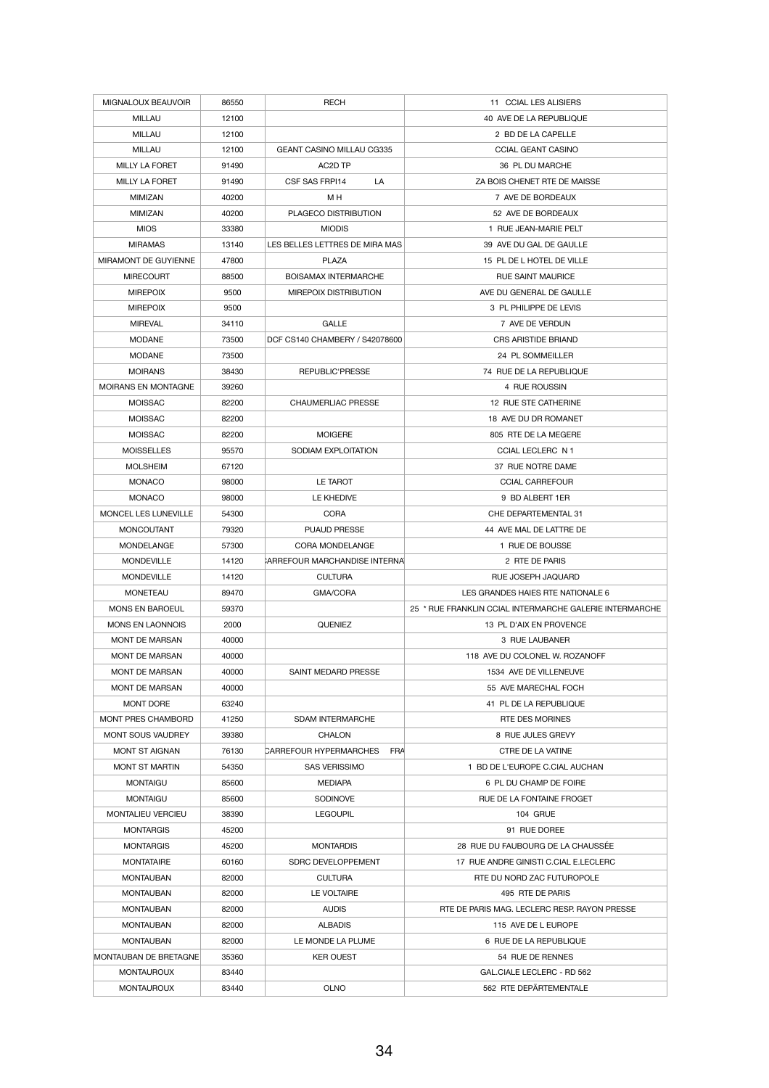| MIGNALOUX BEAUVOIR<br><b>MILLAU</b>          | 86550<br>12100 | <b>RECH</b>                          | 11 CCIAL LES ALISIERS<br>40 AVE DE LA REPUBLIQUE        |
|----------------------------------------------|----------------|--------------------------------------|---------------------------------------------------------|
|                                              |                |                                      |                                                         |
| <b>MILLAU</b>                                | 12100          |                                      | 2 BD DE LA CAPELLE                                      |
| <b>MILLAU</b>                                | 12100          | <b>GEANT CASINO MILLAU CG335</b>     | <b>CCIAL GEANT CASINO</b>                               |
| <b>MILLY LA FORET</b>                        | 91490          | AC2D TP                              | 36 PL DU MARCHE                                         |
| <b>MILLY LA FORET</b>                        | 91490          | CSF SAS FRPI14<br>LA                 | ZA BOIS CHENET RTE DE MAISSE                            |
| <b>MIMIZAN</b>                               | 40200          | M H                                  | 7 AVE DE BORDEAUX                                       |
| <b>MIMIZAN</b>                               | 40200          | PLAGECO DISTRIBUTION                 | 52 AVE DE BORDEAUX                                      |
| <b>MIOS</b>                                  | 33380          | <b>MIODIS</b>                        | 1 RUE JEAN-MARIE PELT                                   |
| <b>MIRAMAS</b>                               | 13140          | LES BELLES LETTRES DE MIRA MAS       | 39 AVE DU GAL DE GAULLE                                 |
| MIRAMONT DE GUYIENNE                         | 47800          | <b>PLAZA</b>                         | 15 PL DE L HOTEL DE VILLE                               |
| <b>MIRECOURT</b>                             | 88500          | <b>BOISAMAX INTERMARCHE</b>          | <b>RUE SAINT MAURICE</b>                                |
| <b>MIREPOIX</b>                              | 9500           | MIREPOIX DISTRIBUTION                | AVE DU GENERAL DE GAULLE                                |
| <b>MIREPOIX</b>                              | 9500           |                                      | 3 PL PHILIPPE DE LEVIS                                  |
| <b>MIREVAL</b>                               | 34110          | <b>GALLE</b>                         | 7 AVE DE VERDUN                                         |
| <b>MODANE</b>                                | 73500          | DCF CS140 CHAMBERY / S42078600       | <b>CRS ARISTIDE BRIAND</b>                              |
| <b>MODANE</b>                                | 73500          |                                      | 24 PL SOMMEILLER                                        |
|                                              |                |                                      | 74 RUE DE LA REPUBLIQUE                                 |
| <b>MOIRANS</b>                               | 38430          | REPUBLIC'PRESSE                      |                                                         |
| <b>MOIRANS EN MONTAGNE</b><br><b>MOISSAC</b> | 39260          |                                      | 4 RUE ROUSSIN                                           |
| <b>MOISSAC</b>                               | 82200          | <b>CHAUMERLIAC PRESSE</b>            | 12 RUE STE CATHERINE<br>18 AVE DU DR ROMANET            |
|                                              | 82200          |                                      |                                                         |
| <b>MOISSAC</b>                               | 82200          | <b>MOIGERE</b>                       | 805 RTE DE LA MEGERE                                    |
| <b>MOISSELLES</b>                            | 95570          | SODIAM EXPLOITATION                  | <b>CCIAL LECLERC N 1</b>                                |
| <b>MOLSHEIM</b>                              | 67120          |                                      | 37 RUE NOTRE DAME                                       |
| <b>MONACO</b>                                | 98000          | LE TAROT                             | <b>CCIAL CARREFOUR</b>                                  |
| <b>MONACO</b>                                | 98000          | LE KHEDIVE                           | 9 BD ALBERT 1ER                                         |
| MONCEL LES LUNEVILLE                         | 54300          | <b>CORA</b>                          | CHE DEPARTEMENTAL 31                                    |
| <b>MONCOUTANT</b>                            | 79320          | <b>PUAUD PRESSE</b>                  | 44 AVE MAL DE LATTRE DE                                 |
| <b>MONDELANGE</b>                            | 57300          | <b>CORA MONDELANGE</b>               | 1 RUE DE BOUSSE                                         |
| <b>MONDEVILLE</b>                            | 14120          | CARREFOUR MARCHANDISE INTERNAL       | 2 RTE DE PARIS                                          |
| <b>MONDEVILLE</b>                            | 14120          | <b>CULTURA</b>                       | RUE JOSEPH JAQUARD                                      |
| <b>MONETEAU</b>                              | 89470          | GMA/CORA                             | LES GRANDES HAIES RTE NATIONALE 6                       |
| <b>MONS EN BAROEUL</b>                       | 59370          |                                      | 25 * RUE FRANKLIN CCIAL INTERMARCHE GALERIE INTERMARCHE |
| <b>MONS EN LAONNOIS</b>                      | 2000           | <b>QUENIEZ</b>                       | 13 PL D'AIX EN PROVENCE                                 |
| <b>MONT DE MARSAN</b>                        | 40000          |                                      | 3 RUE LAUBANER                                          |
| <b>MONT DE MARSAN</b>                        | 40000          |                                      | 118 AVE DU COLONEL W. ROZANOFF                          |
| <b>MONT DE MARSAN</b>                        | 40000          | SAINT MEDARD PRESSE                  | 1534 AVE DE VILLENEUVE                                  |
| <b>MONT DE MARSAN</b>                        | 40000          |                                      | 55 AVE MARECHAL FOCH                                    |
|                                              |                |                                      |                                                         |
| <b>MONT DORE</b>                             | 63240          |                                      | 41 PL DE LA REPUBLIQUE                                  |
| <b>MONT PRES CHAMBORD</b>                    | 41250          | <b>SDAM INTERMARCHE</b>              | <b>RTE DES MORINES</b>                                  |
| <b>MONT SOUS VAUDREY</b>                     | 39380          | <b>CHALON</b>                        | 8 RUE JULES GREVY                                       |
| <b>MONT ST AIGNAN</b>                        | 76130          | <b>CARREFOUR HYPERMARCHES</b><br>FRA | CTRE DE LA VATINE                                       |
| <b>MONT ST MARTIN</b>                        | 54350          | <b>SAS VERISSIMO</b>                 | 1 BD DE L'EUROPE C.CIAL AUCHAN                          |
| <b>MONTAIGU</b>                              | 85600          | <b>MEDIAPA</b>                       | 6 PL DU CHAMP DE FOIRE                                  |
| <b>MONTAIGU</b>                              | 85600          | <b>SODINOVE</b>                      | RUE DE LA FONTAINE FROGET                               |
| <b>MONTALIEU VERCIEU</b>                     | 38390          | <b>LEGOUPIL</b>                      | 104 GRUE                                                |
| <b>MONTARGIS</b>                             | 45200          |                                      | 91 RUE DOREE                                            |
| <b>MONTARGIS</b>                             | 45200          | <b>MONTARDIS</b>                     | 28 RUE DU FAUBOURG DE LA CHAUSSÉE                       |
| <b>MONTATAIRE</b>                            | 60160          | SDRC DEVELOPPEMENT                   | 17 RUE ANDRE GINISTI C.CIAL E.LECLERC                   |
| <b>MONTAUBAN</b>                             | 82000          | <b>CULTURA</b>                       | RTE DU NORD ZAC FUTUROPOLE                              |
| <b>MONTAUBAN</b>                             | 82000          | LE VOLTAIRE                          | 495 RTE DE PARIS                                        |
| <b>MONTAUBAN</b>                             | 82000          | <b>AUDIS</b>                         | RTE DE PARIS MAG. LECLERC RESP. RAYON PRESSE            |
| <b>MONTAUBAN</b>                             | 82000          | <b>ALBADIS</b>                       | 115 AVE DE L EUROPE                                     |
| <b>MONTAUBAN</b>                             | 82000          | LE MONDE LA PLUME                    | 6 RUE DE LA REPUBLIQUE                                  |
| MONTAUBAN DE BRETAGNE                        | 35360          | <b>KER OUEST</b>                     | 54 RUE DE RENNES                                        |
| <b>MONTAUROUX</b>                            | 83440          |                                      | GAL.CIALE LECLERC - RD 562                              |
| <b>MONTAUROUX</b>                            | 83440          | <b>OLNO</b>                          | 562 RTE DEPÄRTEMENTALE                                  |
|                                              |                |                                      |                                                         |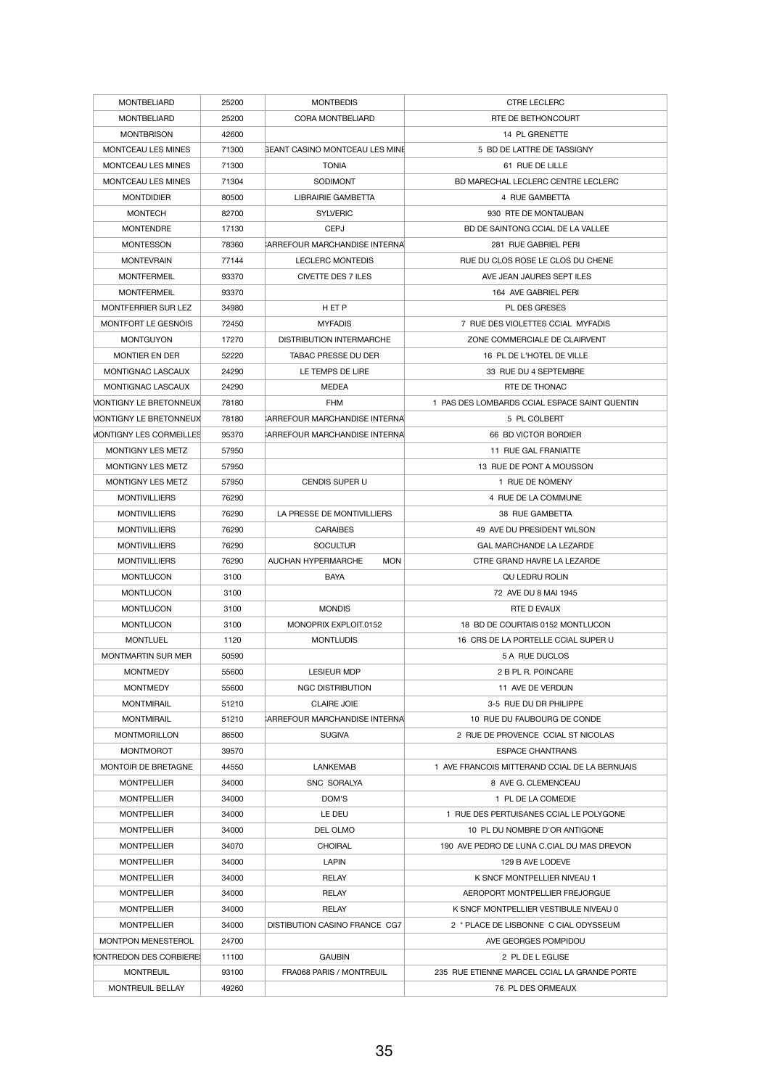| <b>MONTBELIARD</b>                    | 25200 | <b>MONTBEDIS</b>                        | <b>CTRE LECLERC</b>                           |
|---------------------------------------|-------|-----------------------------------------|-----------------------------------------------|
| <b>MONTBELIARD</b>                    | 25200 | <b>CORA MONTBELIARD</b>                 | RTE DE BETHONCOURT                            |
| <b>MONTBRISON</b>                     | 42600 |                                         | 14 PL GRENETTE                                |
| <b>MONTCEAU LES MINES</b>             | 71300 | <b>GEANT CASINO MONTCEAU LES MINE</b>   | 5 BD DE LATTRE DE TASSIGNY                    |
| <b>MONTCEAU LES MINES</b>             | 71300 | <b>TONIA</b>                            | 61 RUE DE LILLE                               |
| <b>MONTCEAU LES MINES</b>             | 71304 | <b>SODIMONT</b>                         | BD MARECHAL LECLERC CENTRE LECLERC            |
| <b>MONTDIDIER</b>                     | 80500 | <b>LIBRAIRIE GAMBETTA</b>               | 4 RUE GAMBETTA                                |
| <b>MONTECH</b>                        | 82700 | <b>SYLVERIC</b>                         | 930 RTE DE MONTAUBAN                          |
| <b>MONTENDRE</b>                      | 17130 | <b>CEPJ</b>                             | BD DE SAINTONG CCIAL DE LA VALLEE             |
| <b>MONTESSON</b>                      | 78360 | CARREFOUR MARCHANDISE INTERNAL          | 281 RUE GABRIEL PERI                          |
| <b>MONTEVRAIN</b>                     | 77144 | <b>LECLERC MONTEDIS</b>                 | RUE DU CLOS ROSE LE CLOS DU CHENE             |
| <b>MONTFERMEIL</b>                    | 93370 | <b>CIVETTE DES 7 ILES</b>               | AVE JEAN JAURES SEPT ILES                     |
| <b>MONTFERMEIL</b>                    | 93370 |                                         | 164 AVE GABRIEL PERI                          |
| <b>MONTFERRIER SUR LEZ</b>            | 34980 | HET P                                   | PL DES GRESES                                 |
| <b>MONTFORT LE GESNOIS</b>            | 72450 | <b>MYFADIS</b>                          | 7 RUE DES VIOLETTES CCIAL MYFADIS             |
| <b>MONTGUYON</b>                      | 17270 | <b>DISTRIBUTION INTERMARCHE</b>         | ZONE COMMERCIALE DE CLAIRVENT                 |
| <b>MONTIER EN DER</b>                 | 52220 | <b>TABAC PRESSE DU DER</b>              | 16 PL DE L'HOTEL DE VILLE                     |
| MONTIGNAC LASCAUX                     | 24290 | LE TEMPS DE LIRE                        | 33 RUE DU 4 SEPTEMBRE                         |
| MONTIGNAC LASCAUX                     | 24290 | <b>MEDEA</b>                            | RTE DE THONAC                                 |
| MONTIGNY LE BRETONNEUX                | 78180 | <b>FHM</b>                              | 1 PAS DES LOMBARDS CCIAL ESPACE SAINT QUENTIN |
| MONTIGNY LE BRETONNEUX                | 78180 | CARREFOUR MARCHANDISE INTERNAL          | 5 PL COLBERT                                  |
| <b>MONTIGNY LES CORMEILLES</b>        | 95370 | <b>ARREFOUR MARCHANDISE INTERNA</b>     | 66 BD VICTOR BORDIER                          |
| <b>MONTIGNY LES METZ</b>              | 57950 |                                         | 11 RUE GAL FRANIATTE                          |
| <b>MONTIGNY LES METZ</b>              |       |                                         | 13 RUE DE PONT A MOUSSON                      |
|                                       | 57950 |                                         |                                               |
| <b>MONTIGNY LES METZ</b>              | 57950 | <b>CENDIS SUPER U</b>                   | 1 RUE DE NOMENY                               |
| <b>MONTIVILLIERS</b>                  | 76290 |                                         | 4 RUE DE LA COMMUNE                           |
| <b>MONTIVILLIERS</b>                  | 76290 | LA PRESSE DE MONTIVILLIERS              | 38 RUE GAMBETTA                               |
| <b>MONTIVILLIERS</b>                  | 76290 | <b>CARAIBES</b>                         | 49 AVE DU PRESIDENT WILSON                    |
| <b>MONTIVILLIERS</b>                  | 76290 | <b>SOCULTUR</b>                         | <b>GAL MARCHANDE LA LEZARDE</b>               |
| <b>MONTIVILLIERS</b>                  | 76290 | <b>MON</b><br><b>AUCHAN HYPERMARCHE</b> | CTRE GRAND HAVRE LA LEZARDE                   |
| <b>MONTLUCON</b>                      | 3100  | <b>BAYA</b>                             | QU LEDRU ROLIN                                |
| <b>MONTLUCON</b>                      | 3100  |                                         | 72 AVE DU 8 MAI 1945                          |
| <b>MONTLUCON</b>                      | 3100  | <b>MONDIS</b>                           | RTE D EVAUX                                   |
| <b>MONTLUCON</b>                      | 3100  | MONOPRIX EXPLOIT.0152                   | 18 BD DE COURTAIS 0152 MONTLUCON              |
| <b>MONTLUEL</b>                       | 1120  | <b>MONTLUDIS</b>                        | 16 CRS DE LA PORTELLE CCIAL SUPER U           |
| <b>MONTMARTIN SUR MER</b>             | 50590 |                                         | 5 A RUE DUCLOS                                |
| <b>MONTMEDY</b>                       | 55600 | <b>LESIEUR MDP</b>                      | 2 B PL R. POINCARE                            |
| <b>MONTMEDY</b>                       | 55600 | <b>NGC DISTRIBUTION</b>                 | 11 AVE DE VERDUN                              |
| <b>MONTMIRAIL</b>                     | 51210 | <b>CLAIRE JOIE</b>                      | 3-5 RUE DU DR PHILIPPE                        |
| <b>MONTMIRAIL</b>                     | 51210 | CARREFOUR MARCHANDISE INTERNAL          | 10 RUE DU FAUBOURG DE CONDE                   |
| <b>MONTMORILLON</b>                   | 86500 | <b>SUGIVA</b>                           | 2 RUE DE PROVENCE CCIAL ST NICOLAS            |
| <b>MONTMOROT</b>                      | 39570 |                                         | <b>ESPACE CHANTRANS</b>                       |
| MONTOIR DE BRETAGNE                   | 44550 | <b>LANKEMAB</b>                         | 1 AVE FRANCOIS MITTERAND CCIAL DE LA BERNUAIS |
| <b>MONTPELLIER</b>                    | 34000 | <b>SNC SORALYA</b>                      | 8 AVE G. CLEMENCEAU                           |
| <b>MONTPELLIER</b>                    | 34000 | DOM'S                                   | 1 PL DE LA COMEDIE                            |
| <b>MONTPELLIER</b>                    | 34000 | LE DEU                                  | 1 RUE DES PERTUISANES CCIAL LE POLYGONE       |
| <b>MONTPELLIER</b>                    | 34000 | DEL OLMO                                | 10 PL DU NOMBRE D'OR ANTIGONE                 |
| <b>MONTPELLIER</b>                    | 34070 | <b>CHOIRAL</b>                          | 190 AVE PEDRO DE LUNA C.CIAL DU MAS DREVON    |
| <b>MONTPELLIER</b>                    | 34000 | <b>LAPIN</b>                            | 129 B AVE LODEVE                              |
| <b>MONTPELLIER</b>                    | 34000 | <b>RELAY</b>                            | K SNCF MONTPELLIER NIVEAU 1                   |
| <b>MONTPELLIER</b>                    | 34000 | <b>RELAY</b>                            | AEROPORT MONTPELLIER FREJORGUE                |
| <b>MONTPELLIER</b>                    | 34000 | <b>RELAY</b>                            | K SNCF MONTPELLIER VESTIBULE NIVEAU 0         |
| <b>MONTPELLIER</b>                    | 34000 | <b>DISTIBUTION CASINO FRANCE CG7</b>    | 2 * PLACE DE LISBONNE C CIAL ODYSSEUM         |
| MONTPON MENESTEROL                    | 24700 |                                         | AVE GEORGES POMPIDOU                          |
| <b><i>IONTREDON DES CORBIERES</i></b> | 11100 | <b>GAUBIN</b>                           | 2 PL DE L EGLISE                              |
| <b>MONTREUIL</b>                      | 93100 | <b>FRA068 PARIS / MONTREUIL</b>         | 235 RUE ETIENNE MARCEL CCIAL LA GRANDE PORTE  |
| MONTREUIL BELLAY                      | 49260 |                                         | 76 PL DES ORMEAUX                             |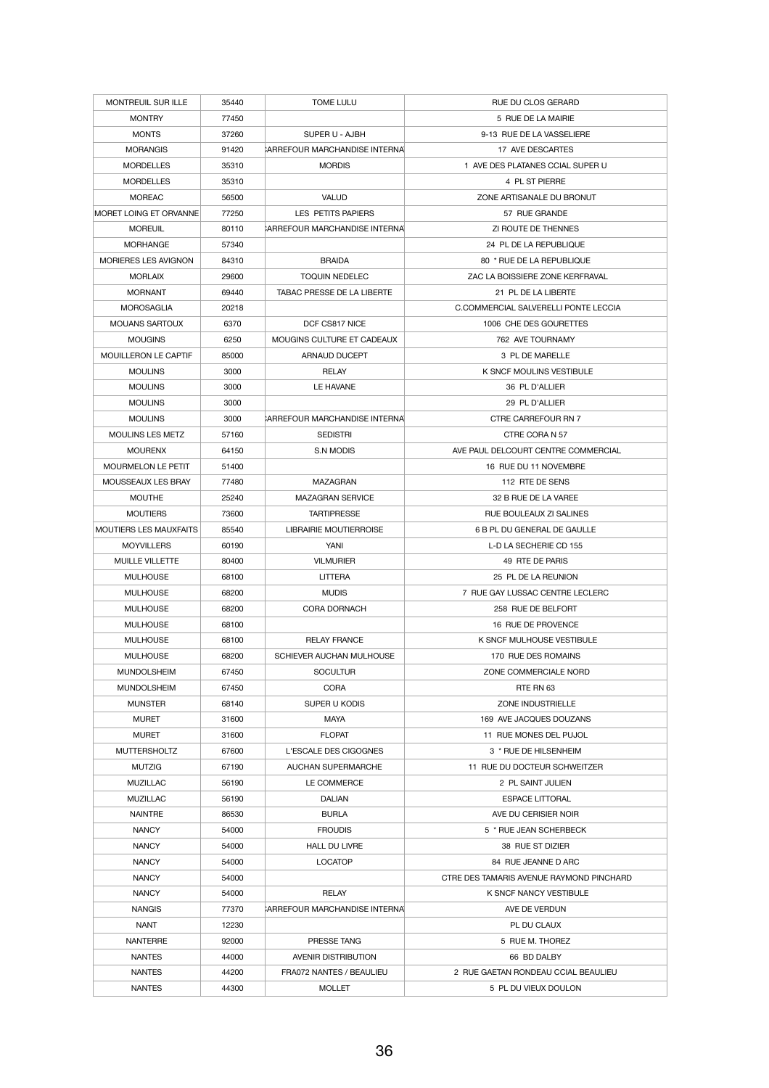| <b>MONTREUIL SUR ILLE</b>     | 35440          | <b>TOME LULU</b>                               | RUE DU CLOS GERARD                                              |
|-------------------------------|----------------|------------------------------------------------|-----------------------------------------------------------------|
| <b>MONTRY</b>                 | 77450          |                                                | 5 RUE DE LA MAIRIE                                              |
| <b>MONTS</b>                  | 37260          | SUPER U - AJBH                                 | 9-13 RUE DE LA VASSELIERE                                       |
| <b>MORANGIS</b>               | 91420          | <b>ARREFOUR MARCHANDISE INTERNAL</b>           | 17 AVE DESCARTES                                                |
| <b>MORDELLES</b>              | 35310          | <b>MORDIS</b>                                  | 1 AVE DES PLATANES CCIAL SUPER U                                |
| <b>MORDELLES</b>              | 35310          |                                                | 4 PL ST PIERRE                                                  |
| <b>MOREAC</b>                 | 56500          | <b>VALUD</b>                                   | ZONE ARTISANALE DU BRONUT                                       |
| MORET LOING ET ORVANNE        | 77250          | LES PETITS PAPIERS                             | 57 RUE GRANDE                                                   |
| <b>MOREUIL</b>                | 80110          | CARREFOUR MARCHANDISE INTERNAL                 | ZI ROUTE DE THENNES                                             |
| <b>MORHANGE</b>               | 57340          |                                                | 24 PL DE LA REPUBLIQUE                                          |
| <b>MORIERES LES AVIGNON</b>   | 84310          | <b>BRAIDA</b>                                  | 80 * RUE DE LA REPUBLIQUE                                       |
| <b>MORLAIX</b>                | 29600          | <b>TOQUIN NEDELEC</b>                          | ZAC LA BOISSIERE ZONE KERFRAVAL                                 |
| <b>MORNANT</b>                | 69440          | TABAC PRESSE DE LA LIBERTE                     | 21 PL DE LA LIBERTE                                             |
| <b>MOROSAGLIA</b>             | 20218          |                                                | C.COMMERCIAL SALVERELLI PONTE LECCIA                            |
| <b>MOUANS SARTOUX</b>         | 6370           | DCF CS817 NICE                                 | 1006 CHE DES GOURETTES                                          |
| <b>MOUGINS</b>                | 6250           | MOUGINS CULTURE ET CADEAUX                     | 762 AVE TOURNAMY                                                |
| MOUILLERON LE CAPTIF          | 85000          | ARNAUD DUCEPT                                  | 3 PL DE MARELLE                                                 |
| <b>MOULINS</b>                | 3000           | <b>RELAY</b>                                   | K SNCF MOULINS VESTIBULE                                        |
| <b>MOULINS</b>                | 3000           | LE HAVANE                                      | 36 PL D'ALLIER                                                  |
| <b>MOULINS</b>                | 3000           |                                                | 29 PL D'ALLIER                                                  |
| <b>MOULINS</b>                | 3000           | <b>ARREFOUR MARCHANDISE INTERNAL</b>           | <b>CTRE CARREFOUR RN 7</b>                                      |
| <b>MOULINS LES METZ</b>       | 57160          | <b>SEDISTRI</b>                                | CTRE CORA N 57                                                  |
| <b>MOURENX</b>                | 64150          | <b>S.N MODIS</b>                               | AVE PAUL DELCOURT CENTRE COMMERCIAL                             |
| <b>MOURMELON LE PETIT</b>     | 51400          |                                                | 16 RUE DU 11 NOVEMBRE                                           |
| MOUSSEAUX LES BRAY            | 77480          | <b>MAZAGRAN</b>                                | 112 RTE DE SENS                                                 |
| <b>MOUTHE</b>                 | 25240          | <b>MAZAGRAN SERVICE</b>                        | 32 B RUE DE LA VAREE                                            |
| <b>MOUTIERS</b>               | 73600          | <b>TARTIPRESSE</b>                             | RUE BOULEAUX ZI SALINES                                         |
| <b>MOUTIERS LES MAUXFAITS</b> | 85540          | LIBRAIRIE MOUTIERROISE                         | 6 B PL DU GENERAL DE GAULLE                                     |
| <b>MOYVILLERS</b>             | 60190          | <b>YANI</b>                                    | L-D LA SECHERIE CD 155                                          |
| MUILLE VILLETTE               | 80400          | <b>VILMURIER</b>                               | 49 RTE DE PARIS                                                 |
| <b>MULHOUSE</b>               | 68100          | <b>LITTERA</b>                                 | 25 PL DE LA REUNION                                             |
| <b>MULHOUSE</b>               | 68200          | <b>MUDIS</b>                                   | 7 RUE GAY LUSSAC CENTRE LECLERC                                 |
| <b>MULHOUSE</b>               | 68200          | <b>CORA DORNACH</b>                            | 258 RUE DE BELFORT                                              |
| <b>MULHOUSE</b>               | 68100          |                                                | 16 RUE DE PROVENCE                                              |
| <b>MULHOUSE</b>               | 68100          | <b>RELAY FRANCE</b>                            | K SNCF MULHOUSE VESTIBULE                                       |
| <b>MULHOUSE</b>               | 68200          | SCHIEVER AUCHAN MULHOUSE                       | 170 RUE DES ROMAINS                                             |
| <b>MUNDOLSHEIM</b>            | 67450          | <b>SOCULTUR</b>                                | ZONE COMMERCIALE NORD                                           |
| <b>MUNDOLSHEIM</b>            | 67450          | <b>CORA</b>                                    | RTE RN 63                                                       |
| <b>MUNSTER</b>                | 68140          | SUPER U KODIS                                  | ZONE INDUSTRIELLE                                               |
| <b>MURET</b>                  | 31600          | MAYA                                           | 169 AVE JACQUES DOUZANS                                         |
| <b>MURET</b>                  | 31600          | <b>FLOPAT</b>                                  | 11 RUE MONES DEL PUJOL                                          |
| <b>MUTTERSHOLTZ</b>           | 67600          | L'ESCALE DES CIGOGNES                          | 3 * RUE DE HILSENHEIM                                           |
| <b>MUTZIG</b>                 | 67190          | <b>AUCHAN SUPERMARCHE</b>                      | 11 RUE DU DOCTEUR SCHWEITZER                                    |
| <b>MUZILLAC</b>               | 56190          | LE COMMERCE                                    | 2 PL SAINT JULIEN                                               |
| <b>MUZILLAC</b>               | 56190          | <b>DALIAN</b>                                  | <b>ESPACE LITTORAL</b>                                          |
| <b>NAINTRE</b>                | 86530          | <b>BURLA</b>                                   | AVE DU CERISIER NOIR                                            |
|                               |                |                                                |                                                                 |
| <b>NANCY</b><br><b>NANCY</b>  | 54000          | <b>FROUDIS</b>                                 | 5 * RUE JEAN SCHERBECK                                          |
|                               | 54000          | <b>HALL DU LIVRE</b>                           | 38 RUE ST DIZIER                                                |
| <b>NANCY</b><br><b>NANCY</b>  | 54000<br>54000 | <b>LOCATOP</b>                                 | 84 RUE JEANNE D ARC<br>CTRE DES TAMARIS AVENUE RAYMOND PINCHARD |
|                               |                |                                                |                                                                 |
| <b>NANCY</b><br><b>NANGIS</b> | 54000<br>77370 | <b>RELAY</b><br>CARREFOUR MARCHANDISE INTERNAL | <b>K SNCF NANCY VESTIBULE</b><br>AVE DE VERDUN                  |
| <b>NANT</b>                   | 12230          |                                                | PL DU CLAUX                                                     |
| <b>NANTERRE</b>               | 92000          | PRESSE TANG                                    | 5 RUE M. THOREZ                                                 |
| <b>NANTES</b>                 |                | <b>AVENIR DISTRIBUTION</b>                     | 66 BD DALBY                                                     |
|                               | 44000          |                                                |                                                                 |
| <b>NANTES</b>                 | 44200          | FRA072 NANTES / BEAULIEU                       | 2 RUE GAETAN RONDEAU CCIAL BEAULIEU                             |
| <b>NANTES</b>                 | 44300          | <b>MOLLET</b>                                  | 5 PL DU VIEUX DOULON                                            |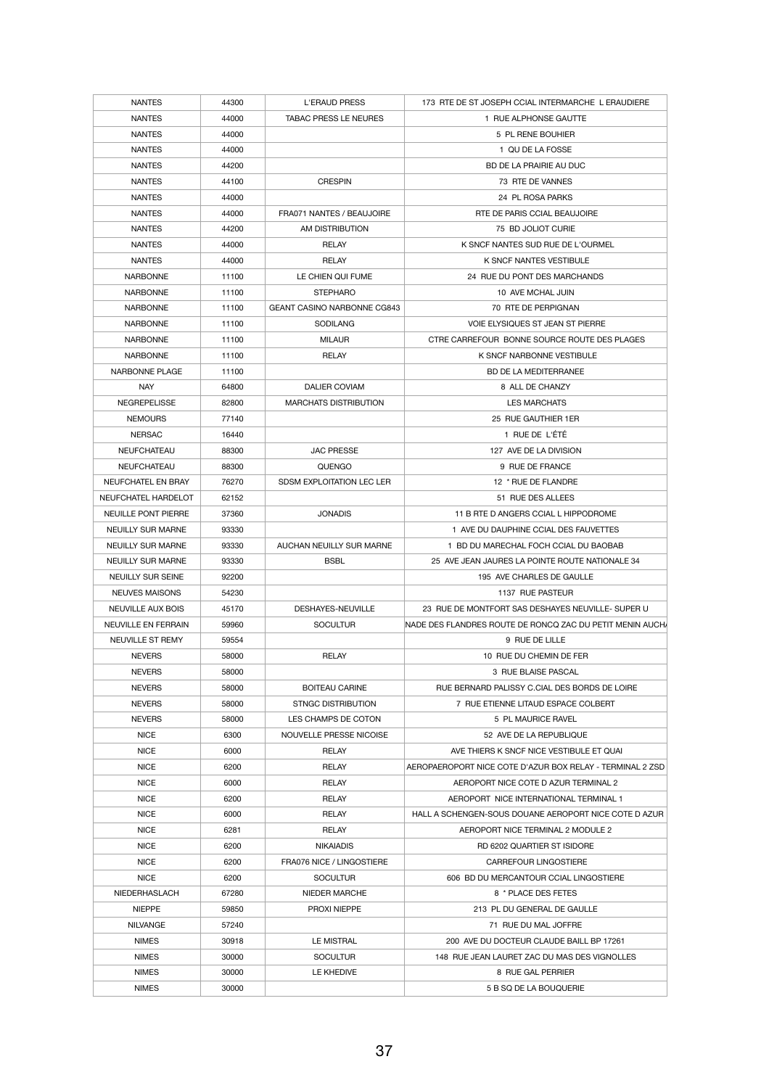| <b>NANTES</b>            | 44300 | <b>L'ERAUD PRESS</b>               | 173 RTE DE ST JOSEPH CCIAL INTERMARCHE L ERAUDIERE         |
|--------------------------|-------|------------------------------------|------------------------------------------------------------|
| <b>NANTES</b>            | 44000 | <b>TABAC PRESS LE NEURES</b>       | 1 RUE ALPHONSE GAUTTE                                      |
| <b>NANTES</b>            | 44000 |                                    | 5 PL RENE BOUHIER                                          |
| <b>NANTES</b>            | 44000 |                                    | 1 QU DE LA FOSSE                                           |
| <b>NANTES</b>            | 44200 |                                    | BD DE LA PRAIRIE AU DUC                                    |
| <b>NANTES</b>            | 44100 | <b>CRESPIN</b>                     | 73 RTE DE VANNES                                           |
| <b>NANTES</b>            | 44000 |                                    | 24 PL ROSA PARKS                                           |
| <b>NANTES</b>            | 44000 | FRA071 NANTES / BEAUJOIRE          | RTE DE PARIS CCIAL BEAUJOIRE                               |
| <b>NANTES</b>            | 44200 | AM DISTRIBUTION                    | 75 BD JOLIOT CURIE                                         |
| <b>NANTES</b>            | 44000 | <b>RELAY</b>                       | K SNCF NANTES SUD RUE DE L'OURMEL                          |
| <b>NANTES</b>            | 44000 | <b>RELAY</b>                       | <b>K SNCF NANTES VESTIBULE</b>                             |
| <b>NARBONNE</b>          | 11100 | LE CHIEN QUI FUME                  | 24 RUE DU PONT DES MARCHANDS                               |
| <b>NARBONNE</b>          | 11100 | <b>STEPHARO</b>                    | 10 AVE MCHAL JUIN                                          |
| <b>NARBONNE</b>          | 11100 | <b>GEANT CASINO NARBONNE CG843</b> | 70 RTE DE PERPIGNAN                                        |
| <b>NARBONNE</b>          | 11100 | <b>SODILANG</b>                    | <b>VOIE ELYSIQUES ST JEAN ST PIERRE</b>                    |
| <b>NARBONNE</b>          | 11100 | <b>MILAUR</b>                      | CTRE CARREFOUR BONNE SOURCE ROUTE DES PLAGES               |
| <b>NARBONNE</b>          | 11100 | <b>RELAY</b>                       | K SNCF NARBONNE VESTIBULE                                  |
| NARBONNE PLAGE           | 11100 |                                    | <b>BD DE LA MEDITERRANEE</b>                               |
| <b>NAY</b>               |       |                                    |                                                            |
|                          | 64800 | DALIER COVIAM                      | 8 ALL DE CHANZY                                            |
| <b>NEGREPELISSE</b>      | 82800 | <b>MARCHATS DISTRIBUTION</b>       | <b>LES MARCHATS</b>                                        |
| <b>NEMOURS</b>           | 77140 |                                    | 25 RUE GAUTHIER 1ER                                        |
| <b>NERSAC</b>            | 16440 |                                    | 1 RUE DE L'ÉTÉ                                             |
| NEUFCHATEAU              | 88300 | <b>JAC PRESSE</b>                  | 127 AVE DE LA DIVISION                                     |
| <b>NEUFCHATEAU</b>       | 88300 | QUENGO                             | 9 RUE DE FRANCE                                            |
| NEUFCHATEL EN BRAY       | 76270 | SDSM EXPLOITATION LEC LER          | 12 * RUE DE FLANDRE                                        |
| NEUFCHATEL HARDELOT      | 62152 |                                    | 51 RUE DES ALLEES                                          |
| NEUILLE PONT PIERRE      | 37360 | <b>JONADIS</b>                     | 11 B RTE D ANGERS CCIAL L HIPPODROME                       |
| <b>NEUILLY SUR MARNE</b> | 93330 |                                    | 1 AVE DU DAUPHINE CCIAL DES FAUVETTES                      |
| <b>NEUILLY SUR MARNE</b> | 93330 | AUCHAN NEUILLY SUR MARNE           | 1 BD DU MARECHAL FOCH CCIAL DU BAOBAB                      |
| <b>NEUILLY SUR MARNE</b> | 93330 | <b>BSBL</b>                        | 25 AVE JEAN JAURES LA POINTE ROUTE NATIONALE 34            |
| <b>NEUILLY SUR SEINE</b> | 92200 |                                    | 195 AVE CHARLES DE GAULLE                                  |
| <b>NEUVES MAISONS</b>    | 54230 |                                    | 1137 RUE PASTEUR                                           |
| <b>NEUVILLE AUX BOIS</b> | 45170 | DESHAYES-NEUVILLE                  | 23 RUE DE MONTFORT SAS DESHAYES NEUVILLE- SUPER U          |
| NEUVILLE EN FERRAIN      | 59960 | <b>SOCULTUR</b>                    | INADE DES FLANDRES ROUTE DE RONCQ ZAC DU PETIT MENIN AUCHA |
| NEUVILLE ST REMY         | 59554 |                                    | 9 RUE DE LILLE                                             |
| <b>NEVERS</b>            | 58000 | <b>RELAY</b>                       | 10 RUE DU CHEMIN DE FER                                    |
| <b>NEVERS</b>            | 58000 |                                    | 3 RUE BLAISE PASCAL                                        |
| <b>NEVERS</b>            | 58000 | <b>BOITEAU CARINE</b>              | RUE BERNARD PALISSY C.CIAL DES BORDS DE LOIRE              |
| <b>NEVERS</b>            | 58000 | <b>STNGC DISTRIBUTION</b>          | 7 RUE ETIENNE LITAUD ESPACE COLBERT                        |
| <b>NEVERS</b>            | 58000 | LES CHAMPS DE COTON                | 5 PL MAURICE RAVEL                                         |
| <b>NICE</b>              | 6300  | NOUVELLE PRESSE NICOISE            | 52 AVE DE LA REPUBLIQUE                                    |
| <b>NICE</b>              | 6000  | <b>RELAY</b>                       | AVE THIERS K SNCF NICE VESTIBULE ET QUAI                   |
| <b>NICE</b>              | 6200  | <b>RELAY</b>                       | AEROPAEROPORT NICE COTE D'AZUR BOX RELAY - TERMINAL 2 ZSD  |
| <b>NICE</b>              | 6000  | <b>RELAY</b>                       | AEROPORT NICE COTE D AZUR TERMINAL 2                       |
| <b>NICE</b>              | 6200  | <b>RELAY</b>                       | AEROPORT NICE INTERNATIONAL TERMINAL 1                     |
| <b>NICE</b>              | 6000  | <b>RELAY</b>                       | HALL A SCHENGEN-SOUS DOUANE AEROPORT NICE COTE D AZUR      |
| <b>NICE</b>              | 6281  | <b>RELAY</b>                       | AEROPORT NICE TERMINAL 2 MODULE 2                          |
| <b>NICE</b>              | 6200  | <b>NIKAIADIS</b>                   | RD 6202 QUARTIER ST ISIDORE                                |
| <b>NICE</b>              | 6200  | FRA076 NICE / LINGOSTIERE          | CARREFOUR LINGOSTIERE                                      |
| <b>NICE</b>              | 6200  | <b>SOCULTUR</b>                    | 606 BD DU MERCANTOUR CCIAL LINGOSTIERE                     |
| NIEDERHASLACH            | 67280 | <b>NIEDER MARCHE</b>               | 8 * PLACE DES FETES                                        |
|                          |       |                                    | 213 PL DU GENERAL DE GAULLE                                |
| <b>NIEPPE</b>            | 59850 | <b>PROXI NIEPPE</b>                |                                                            |
| <b>NILVANGE</b>          | 57240 |                                    | 71 RUE DU MAL JOFFRE                                       |
| <b>NIMES</b>             | 30918 | <b>LE MISTRAL</b>                  | 200 AVE DU DOCTEUR CLAUDE BAILL BP 17261                   |
| <b>NIMES</b>             | 30000 | <b>SOCULTUR</b>                    | 148 RUE JEAN LAURET ZAC DU MAS DES VIGNOLLES               |
| <b>NIMES</b>             | 30000 | LE KHEDIVE                         | 8 RUE GAL PERRIER                                          |
| <b>NIMES</b>             | 30000 |                                    | 5 B SQ DE LA BOUQUERIE                                     |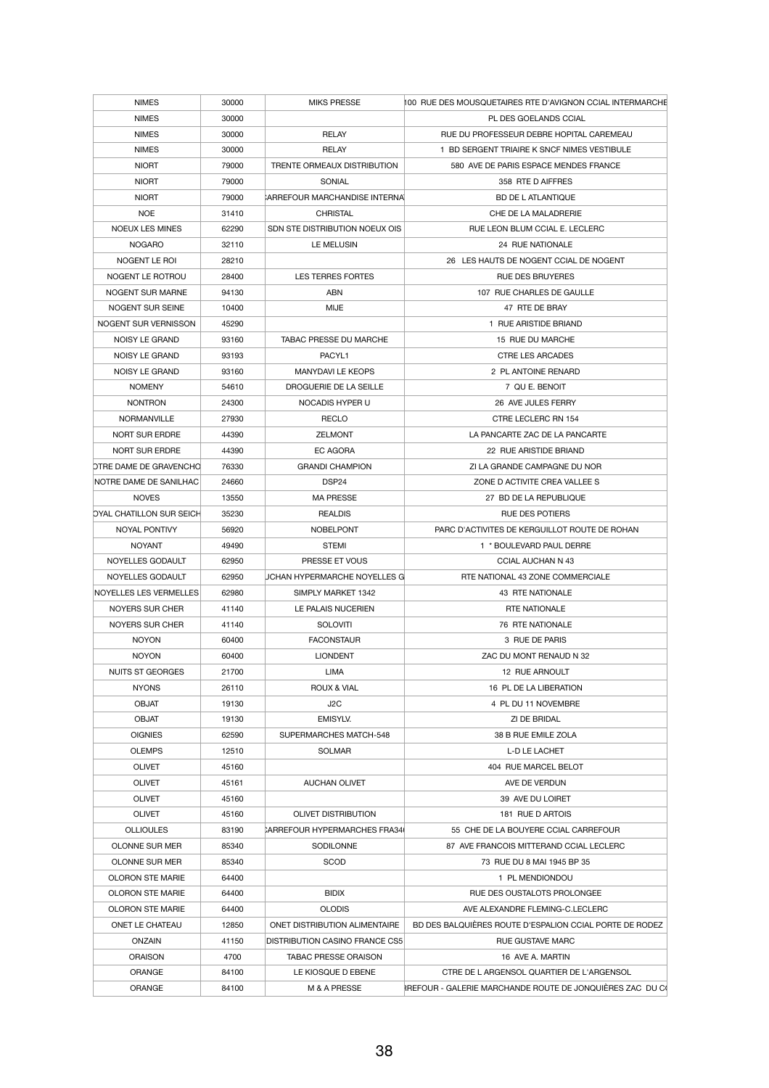| <b>NIMES</b>                    | 30000 | <b>MIKS PRESSE</b>                    | 100 RUE DES MOUSQUETAIRES RTE D'AVIGNON CCIAL INTERMARCHE |
|---------------------------------|-------|---------------------------------------|-----------------------------------------------------------|
| <b>NIMES</b>                    | 30000 |                                       | PL DES GOELANDS CCIAL                                     |
| <b>NIMES</b>                    | 30000 | <b>RELAY</b>                          | RUE DU PROFESSEUR DEBRE HOPITAL CAREMEAU                  |
| <b>NIMES</b>                    | 30000 | <b>RELAY</b>                          | 1 BD SERGENT TRIAIRE K SNCF NIMES VESTIBULE               |
| <b>NIORT</b>                    | 79000 | TRENTE ORMEAUX DISTRIBUTION           | 580 AVE DE PARIS ESPACE MENDES FRANCE                     |
| <b>NIORT</b>                    | 79000 | SONIAL                                | 358 RTE D AIFFRES                                         |
| <b>NIORT</b>                    | 79000 | ARREFOUR MARCHANDISE INTERNA          | <b>BD DE L ATLANTIQUE</b>                                 |
| <b>NOE</b>                      | 31410 | <b>CHRISTAL</b>                       | CHE DE LA MALADRERIE                                      |
| <b>NOEUX LES MINES</b>          | 62290 | SDN STE DISTRIBUTION NOEUX OIS        | RUE LEON BLUM CCIAL E. LECLERC                            |
| <b>NOGARO</b>                   | 32110 | LE MELUSIN                            | 24 RUE NATIONALE                                          |
| NOGENT LE ROI                   | 28210 |                                       | 26 LES HAUTS DE NOGENT CCIAL DE NOGENT                    |
| NOGENT LE ROTROU                | 28400 | <b>LES TERRES FORTES</b>              | <b>RUE DES BRUYERES</b>                                   |
| NOGENT SUR MARNE                | 94130 | <b>ABN</b>                            | 107 RUE CHARLES DE GAULLE                                 |
| NOGENT SUR SEINE                | 10400 | <b>MIJE</b>                           | 47 RTE DE BRAY                                            |
| NOGENT SUR VERNISSON            | 45290 |                                       | 1 RUE ARISTIDE BRIAND                                     |
| NOISY LE GRAND                  | 93160 | <b>TABAC PRESSE DU MARCHE</b>         | 15 RUE DU MARCHE                                          |
| NOISY LE GRAND                  | 93193 | PACYL1                                | <b>CTRE LES ARCADES</b>                                   |
| NOISY LE GRAND                  | 93160 | <b>MANYDAVI LE KEOPS</b>              | 2 PL ANTOINE RENARD                                       |
| <b>NOMENY</b>                   | 54610 | DROGUERIE DE LA SEILLE                | 7 QU E. BENOIT                                            |
| <b>NONTRON</b>                  | 24300 | NOCADIS HYPER U                       | 26 AVE JULES FERRY                                        |
| <b>NORMANVILLE</b>              | 27930 | <b>RECLO</b>                          | <b>CTRE LECLERC RN 154</b>                                |
| <b>NORT SUR ERDRE</b>           | 44390 | <b>ZELMONT</b>                        | LA PANCARTE ZAC DE LA PANCARTE                            |
| NORT SUR ERDRE                  | 44390 | <b>EC AGORA</b>                       | 22 RUE ARISTIDE BRIAND                                    |
| OTRE DAME DE GRAVENCHO          | 76330 | <b>GRANDI CHAMPION</b>                | ZI LA GRANDE CAMPAGNE DU NOR                              |
| NOTRE DAME DE SANILHAC          | 24660 | DSP <sub>24</sub>                     | ZONE D ACTIVITE CREA VALLEE S                             |
| <b>NOVES</b>                    | 13550 | <b>MA PRESSE</b>                      | 27 BD DE LA REPUBLIQUE                                    |
| <b>OYAL CHATILLON SUR SEICH</b> | 35230 | <b>REALDIS</b>                        | <b>RUE DES POTIERS</b>                                    |
| NOYAL PONTIVY                   | 56920 | <b>NOBELPONT</b>                      | PARC D'ACTIVITES DE KERGUILLOT ROUTE DE ROHAN             |
| <b>NOYANT</b>                   | 49490 | <b>STEMI</b>                          | 1 * BOULEVARD PAUL DERRE                                  |
| NOYELLES GODAULT                |       | PRESSE ET VOUS                        | <b>CCIAL AUCHAN N 43</b>                                  |
|                                 | 62950 | UCHAN HYPERMARCHE NOYELLES G          |                                                           |
| NOYELLES GODAULT                | 62950 |                                       | RTE NATIONAL 43 ZONE COMMERCIALE                          |
| NOYELLES LES VERMELLES          | 62980 | SIMPLY MARKET 1342                    | 43 RTE NATIONALE                                          |
| NOYERS SUR CHER                 | 41140 | LE PALAIS NUCERIEN                    | <b>RTE NATIONALE</b>                                      |
| NOYERS SUR CHER                 | 41140 | <b>SOLOVITI</b>                       | 76 RTE NATIONALE                                          |
| <b>NOYON</b>                    | 60400 | <b>FACONSTAUR</b>                     | 3 RUE DE PARIS                                            |
| <b>NOYON</b>                    | 60400 | <b>LIONDENT</b>                       | ZAC DU MONT RENAUD N 32                                   |
| <b>NUITS ST GEORGES</b>         | 21700 | LIMA                                  | 12 RUE ARNOULT                                            |
| <b>NYONS</b>                    | 26110 | <b>ROUX &amp; VIAL</b>                | 16 PL DE LA LIBERATION                                    |
| <b>OBJAT</b>                    | 19130 | J2C                                   | 4 PL DU 11 NOVEMBRE                                       |
| <b>OBJAT</b>                    | 19130 | <b>EMISYLV.</b>                       | ZI DE BRIDAL                                              |
| <b>OIGNIES</b>                  | 62590 | SUPERMARCHES MATCH-548                | 38 B RUE EMILE ZOLA                                       |
| <b>OLEMPS</b>                   | 12510 | <b>SOLMAR</b>                         | <b>L-D LE LACHET</b>                                      |
| <b>OLIVET</b>                   | 45160 |                                       | 404 RUE MARCEL BELOT                                      |
| <b>OLIVET</b>                   | 45161 | <b>AUCHAN OLIVET</b>                  | AVE DE VERDUN                                             |
| <b>OLIVET</b>                   | 45160 |                                       | 39 AVE DU LOIRET                                          |
| <b>OLIVET</b>                   | 45160 | <b>OLIVET DISTRIBUTION</b>            | 181 RUE D ARTOIS                                          |
| <b>OLLIOULES</b>                | 83190 | CARREFOUR HYPERMARCHES FRA340         | 55 CHE DE LA BOUYERE CCIAL CARREFOUR                      |
| <b>OLONNE SUR MER</b>           | 85340 | <b>SODILONNE</b>                      | 87 AVE FRANCOIS MITTERAND CCIAL LECLERC                   |
| OLONNE SUR MER                  | 85340 | <b>SCOD</b>                           | 73 RUE DU 8 MAI 1945 BP 35                                |
| <b>OLORON STE MARIE</b>         | 64400 |                                       | 1 PL MENDIONDOU                                           |
| <b>OLORON STE MARIE</b>         | 64400 | <b>BIDIX</b>                          | RUE DES OUSTALOTS PROLONGEE                               |
| <b>OLORON STE MARIE</b>         | 64400 | <b>OLODIS</b>                         | AVE ALEXANDRE FLEMING-C.LECLERC                           |
| ONET LE CHATEAU                 | 12850 | ONET DISTRIBUTION ALIMENTAIRE         | BD DES BALQUIÈRES ROUTE D'ESPALION CCIAL PORTE DE RODEZ   |
| <b>ONZAIN</b>                   | 41150 | <b>DISTRIBUTION CASINO FRANCE CS5</b> | <b>RUE GUSTAVE MARC</b>                                   |
| <b>ORAISON</b>                  | 4700  | <b>TABAC PRESSE ORAISON</b>           | 16 AVE A. MARTIN                                          |
| <b>ORANGE</b>                   | 84100 | LE KIOSQUE D EBENE                    | CTRE DE L ARGENSOL QUARTIER DE L'ARGENSOL                 |
| <b>ORANGE</b>                   | 84100 | M & A PRESSE                          | REFOUR - GALERIE MARCHANDE ROUTE DE JONQUIÈRES ZAC DU C(  |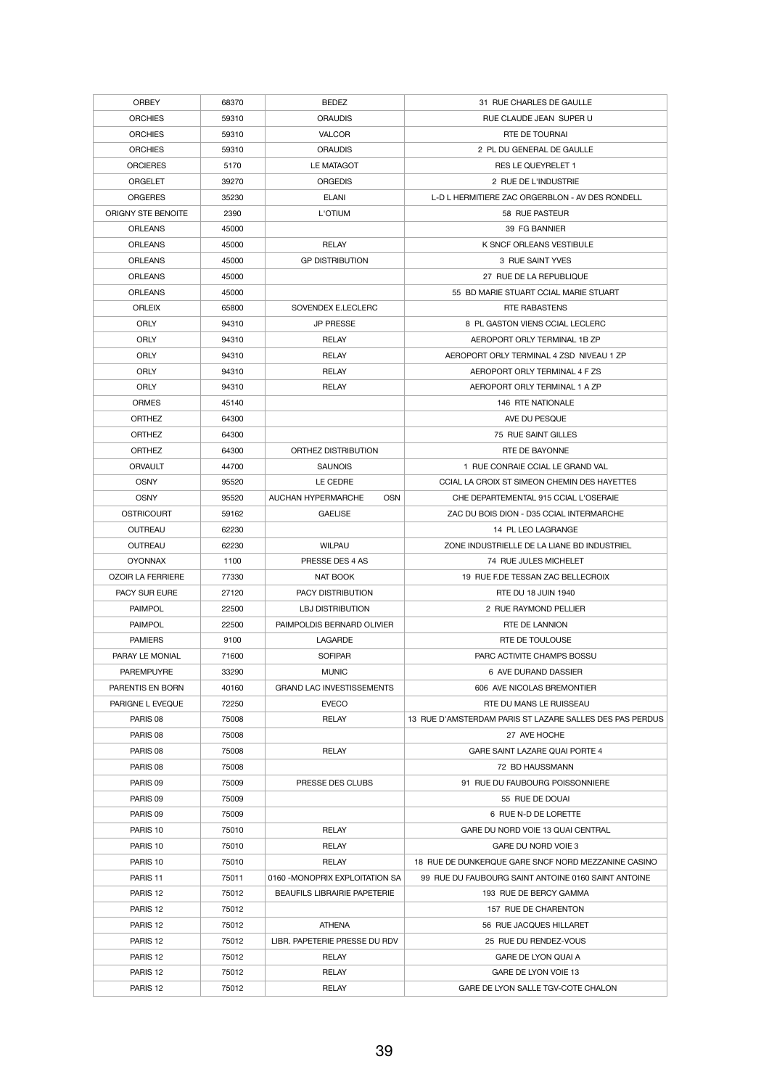| <b>ORBEY</b>             | 68370 | <b>BEDEZ</b>                            | 31 RUE CHARLES DE GAULLE                                 |
|--------------------------|-------|-----------------------------------------|----------------------------------------------------------|
| <b>ORCHIES</b>           | 59310 | <b>ORAUDIS</b>                          | RUE CLAUDE JEAN SUPER U                                  |
| <b>ORCHIES</b>           | 59310 | <b>VALCOR</b>                           | <b>RTE DE TOURNAI</b>                                    |
| <b>ORCHIES</b>           | 59310 | <b>ORAUDIS</b>                          | 2 PL DU GENERAL DE GAULLE                                |
| <b>ORCIERES</b>          | 5170  | LE MATAGOT                              | <b>RES LE QUEYRELET 1</b>                                |
| <b>ORGELET</b>           | 39270 | <b>ORGEDIS</b>                          | 2 RUE DE L'INDUSTRIE                                     |
| <b>ORGERES</b>           | 35230 | <b>ELANI</b>                            | L-D L HERMITIERE ZAC ORGERBLON - AV DES RONDELL          |
| ORIGNY STE BENOITE       | 2390  | L'OTIUM                                 | 58 RUE PASTEUR                                           |
| <b>ORLEANS</b>           | 45000 |                                         | 39 FG BANNIER                                            |
| <b>ORLEANS</b>           | 45000 | <b>RELAY</b>                            | K SNCF ORLEANS VESTIBULE                                 |
| <b>ORLEANS</b>           | 45000 | <b>GP DISTRIBUTION</b>                  | 3 RUE SAINT YVES                                         |
| <b>ORLEANS</b>           | 45000 |                                         | 27 RUE DE LA REPUBLIQUE                                  |
| <b>ORLEANS</b>           | 45000 |                                         | 55 BD MARIE STUART CCIAL MARIE STUART                    |
|                          |       |                                         |                                                          |
| <b>ORLEIX</b>            | 65800 | SOVENDEX E.LECLERC                      | <b>RTE RABASTENS</b>                                     |
| <b>ORLY</b>              | 94310 | <b>JP PRESSE</b>                        | 8 PL GASTON VIENS CCIAL LECLERC                          |
| <b>ORLY</b>              | 94310 | <b>RELAY</b>                            | AEROPORT ORLY TERMINAL 1B ZP                             |
| <b>ORLY</b>              | 94310 | <b>RELAY</b>                            | AEROPORT ORLY TERMINAL 4 ZSD NIVEAU 1 ZP                 |
| <b>ORLY</b>              | 94310 | <b>RELAY</b>                            | AEROPORT ORLY TERMINAL 4 F ZS                            |
| <b>ORLY</b>              | 94310 | <b>RELAY</b>                            | AEROPORT ORLY TERMINAL 1 A ZP                            |
| <b>ORMES</b>             | 45140 |                                         | 146 RTE NATIONALE                                        |
| <b>ORTHEZ</b>            | 64300 |                                         | AVE DU PESQUE                                            |
| <b>ORTHEZ</b>            | 64300 |                                         | 75 RUE SAINT GILLES                                      |
| <b>ORTHEZ</b>            | 64300 | ORTHEZ DISTRIBUTION                     | RTE DE BAYONNE                                           |
| <b>ORVAULT</b>           | 44700 | <b>SAUNOIS</b>                          | 1 RUE CONRAIE CCIAL LE GRAND VAL                         |
| <b>OSNY</b>              | 95520 | LE CEDRE                                | CCIAL LA CROIX ST SIMEON CHEMIN DES HAYETTES             |
| <b>OSNY</b>              | 95520 | <b>OSN</b><br><b>AUCHAN HYPERMARCHE</b> | CHE DEPARTEMENTAL 915 CCIAL L'OSERAIE                    |
| <b>OSTRICOURT</b>        | 59162 | <b>GAELISE</b>                          | ZAC DU BOIS DION - D35 CCIAL INTERMARCHE                 |
| <b>OUTREAU</b>           | 62230 |                                         | 14 PL LEO LAGRANGE                                       |
| <b>OUTREAU</b>           | 62230 | <b>WILPAU</b>                           | ZONE INDUSTRIELLE DE LA LIANE BD INDUSTRIEL              |
| <b>OYONNAX</b>           | 1100  | PRESSE DES 4 AS                         | 74 RUE JULES MICHELET                                    |
| <b>OZOIR LA FERRIERE</b> | 77330 | NAT BOOK                                | 19 RUE F.DE TESSAN ZAC BELLECROIX                        |
| PACY SUR EURE            | 27120 | <b>PACY DISTRIBUTION</b>                | RTE DU 18 JUIN 1940                                      |
| <b>PAIMPOL</b>           | 22500 | <b>LBJ DISTRIBUTION</b>                 | 2 RUE RAYMOND PELLIER                                    |
| <b>PAIMPOL</b>           | 22500 | PAIMPOLDIS BERNARD OLIVIER              | <b>RTE DE LANNION</b>                                    |
| <b>PAMIERS</b>           | 9100  | <b>LAGARDE</b>                          | RTE DE TOULOUSE                                          |
| PARAY LE MONIAL          | 71600 | <b>SOFIPAR</b>                          | PARC ACTIVITE CHAMPS BOSSU                               |
| <b>PAREMPUYRE</b>        | 33290 | <b>MUNIC</b>                            | 6 AVE DURAND DASSIER                                     |
| PARENTIS EN BORN         | 40160 | <b>GRAND LAC INVESTISSEMENTS</b>        | 606 AVE NICOLAS BREMONTIER                               |
| PARIGNE L EVEQUE         | 72250 | <b>EVECO</b>                            | RTE DU MANS LE RUISSEAU                                  |
| PARIS 08                 | 75008 |                                         | 13 RUE D'AMSTERDAM PARIS ST LAZARE SALLES DES PAS PERDUS |
|                          |       | <b>RELAY</b>                            |                                                          |
| PARIS 08                 | 75008 |                                         | 27 AVE HOCHE                                             |
| PARIS 08                 | 75008 | <b>RELAY</b>                            | GARE SAINT LAZARE QUAI PORTE 4                           |
| PARIS 08                 | 75008 |                                         | 72 BD HAUSSMANN                                          |
| PARIS 09                 | 75009 | PRESSE DES CLUBS                        | 91 RUE DU FAUBOURG POISSONNIERE                          |
| PARIS 09                 | 75009 |                                         | 55 RUE DE DOUAI                                          |
| PARIS 09                 | 75009 |                                         | 6 RUE N-D DE LORETTE                                     |
| PARIS <sub>10</sub>      | 75010 | <b>RELAY</b>                            | GARE DU NORD VOIE 13 QUAI CENTRAL                        |
| PARIS 10                 | 75010 | <b>RELAY</b>                            | GARE DU NORD VOIE 3                                      |
| PARIS <sub>10</sub>      | 75010 | <b>RELAY</b>                            | 18 RUE DE DUNKERQUE GARE SNCF NORD MEZZANINE CASINO      |
| PARIS <sub>11</sub>      | 75011 | 0160 - MONOPRIX EXPLOITATION SA         | 99 RUE DU FAUBOURG SAINT ANTOINE 0160 SAINT ANTOINE      |
| PARIS <sub>12</sub>      | 75012 | <b>BEAUFILS LIBRAIRIE PAPETERIE</b>     | 193 RUE DE BERCY GAMMA                                   |
| PARIS <sub>12</sub>      | 75012 |                                         | 157 RUE DE CHARENTON                                     |
| PARIS <sub>12</sub>      | 75012 | <b>ATHENA</b>                           | 56 RUE JACQUES HILLARET                                  |
| PARIS <sub>12</sub>      | 75012 | LIBR. PAPETERIE PRESSE DU RDV           | 25 RUE DU RENDEZ-VOUS                                    |
| PARIS <sub>12</sub>      | 75012 | <b>RELAY</b>                            | GARE DE LYON QUAI A                                      |
| PARIS <sub>12</sub>      | 75012 | <b>RELAY</b>                            | GARE DE LYON VOIE 13                                     |
| PARIS <sub>12</sub>      | 75012 | <b>RELAY</b>                            | GARE DE LYON SALLE TGV-COTE CHALON                       |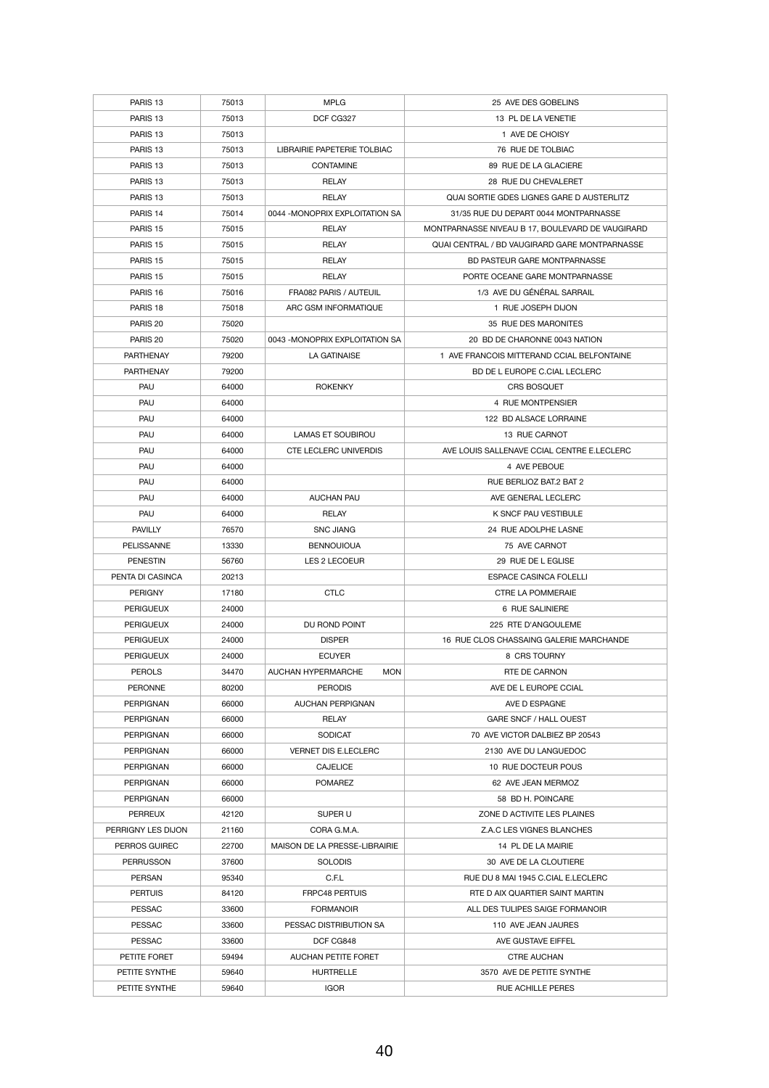| PARIS <sub>13</sub>                 | 75013 | <b>MPLG</b>                             | 25 AVE DES GOBELINS                                       |
|-------------------------------------|-------|-----------------------------------------|-----------------------------------------------------------|
| PARIS <sub>13</sub>                 | 75013 | DCF CG327                               | 13 PL DE LA VENETIE                                       |
| PARIS <sub>13</sub>                 | 75013 |                                         | 1 AVE DE CHOISY                                           |
| PARIS <sub>13</sub>                 | 75013 | LIBRAIRIE PAPETERIE TOLBIAC             | 76 RUE DE TOLBIAC                                         |
| PARIS <sub>13</sub>                 | 75013 | <b>CONTAMINE</b>                        | 89 RUE DE LA GLACIERE                                     |
| PARIS <sub>13</sub>                 | 75013 | <b>RELAY</b>                            | 28 RUE DU CHEVALERET                                      |
| PARIS <sub>13</sub>                 | 75013 | <b>RELAY</b>                            | QUAI SORTIE GDES LIGNES GARE D AUSTERLITZ                 |
| PARIS <sub>14</sub>                 | 75014 | 0044 - MONOPRIX EXPLOITATION SA         | 31/35 RUE DU DEPART 0044 MONTPARNASSE                     |
| PARIS <sub>15</sub>                 | 75015 | <b>RELAY</b>                            | MONTPARNASSE NIVEAU B 17, BOULEVARD DE VAUGIRARD          |
| PARIS <sub>15</sub>                 | 75015 | <b>RELAY</b>                            | QUAI CENTRAL / BD VAUGIRARD GARE MONTPARNASSE             |
| PARIS <sub>15</sub>                 | 75015 | <b>RELAY</b>                            | <b>BD PASTEUR GARE MONTPARNASSE</b>                       |
| PARIS <sub>15</sub>                 | 75015 | <b>RELAY</b>                            | PORTE OCEANE GARE MONTPARNASSE                            |
| PARIS <sub>16</sub>                 | 75016 | FRA082 PARIS / AUTEUIL                  | 1/3 AVE DU GÉNÉRAL SARRAIL                                |
| PARIS <sub>18</sub>                 | 75018 | ARC GSM INFORMATIQUE                    | 1 RUE JOSEPH DIJON                                        |
| PARIS 20                            | 75020 |                                         | 35 RUE DES MARONITES                                      |
| PARIS <sub>20</sub>                 | 75020 | 0043 - MONOPRIX EXPLOITATION SA         | 20 BD DE CHARONNE 0043 NATION                             |
| <b>PARTHENAY</b>                    | 79200 | <b>LA GATINAISE</b>                     | 1 AVE FRANCOIS MITTERAND CCIAL BELFONTAINE                |
| <b>PARTHENAY</b>                    | 79200 |                                         | BD DE L EUROPE C.CIAL LECLERC                             |
| PAU                                 | 64000 | <b>ROKENKY</b>                          | CRS BOSQUET                                               |
| PAU                                 | 64000 |                                         | 4 RUE MONTPENSIER                                         |
| PAU                                 | 64000 |                                         | 122 BD ALSACE LORRAINE                                    |
| PAU                                 | 64000 | <b>LAMAS ET SOUBIROU</b>                | 13 RUE CARNOT                                             |
| PAU                                 | 64000 | <b>CTE LECLERC UNIVERDIS</b>            | AVE LOUIS SALLENAVE CCIAL CENTRE E.LECLERC                |
| PAU                                 | 64000 |                                         | 4 AVE PEBOUE                                              |
| <b>PAU</b>                          | 64000 |                                         | RUE BERLIOZ BAT.2 BAT 2                                   |
| PAU                                 | 64000 | <b>AUCHAN PAU</b>                       | AVE GENERAL LECLERC                                       |
| PAU                                 | 64000 | <b>RELAY</b>                            | K SNCF PAU VESTIBULE                                      |
|                                     |       |                                         | 24 RUE ADOLPHE LASNE                                      |
| <b>PAVILLY</b>                      | 76570 | <b>SNC JIANG</b><br><b>BENNOUIOUA</b>   |                                                           |
| <b>PELISSANNE</b>                   | 13330 |                                         | 75 AVE CARNOT                                             |
| <b>PENESTIN</b><br>PENTA DI CASINCA | 56760 | LES 2 LECOEUR                           | 29 RUE DE L EGLISE                                        |
| <b>PERIGNY</b>                      | 20213 | <b>CTLC</b>                             | <b>ESPACE CASINCA FOLELLI</b><br><b>CTRE LA POMMERAIE</b> |
|                                     | 17180 |                                         |                                                           |
| <b>PERIGUEUX</b>                    | 24000 |                                         | 6 RUE SALINIERE                                           |
| <b>PERIGUEUX</b>                    | 24000 | DU ROND POINT                           | 225 RTE D'ANGOULEME                                       |
| <b>PERIGUEUX</b>                    | 24000 | <b>DISPER</b>                           | 16 RUE CLOS CHASSAING GALERIE MARCHANDE                   |
| <b>PERIGUEUX</b>                    | 24000 | <b>ECUYER</b>                           | 8 CRS TOURNY                                              |
| <b>PEROLS</b>                       | 34470 | <b>AUCHAN HYPERMARCHE</b><br><b>MON</b> | RTE DE CARNON                                             |
| <b>PERONNE</b>                      | 80200 | <b>PERODIS</b>                          | AVE DE L EUROPE CCIAL                                     |
| <b>PERPIGNAN</b>                    | 66000 | <b>AUCHAN PERPIGNAN</b>                 | AVE D ESPAGNE                                             |
| <b>PERPIGNAN</b>                    | 66000 | <b>RELAY</b>                            | <b>GARE SNCF / HALL OUEST</b>                             |
| <b>PERPIGNAN</b>                    | 66000 | <b>SODICAT</b>                          | 70 AVE VICTOR DALBIEZ BP 20543                            |
| <b>PERPIGNAN</b>                    | 66000 | <b>VERNET DIS E.LECLERC</b>             | 2130 AVE DU LANGUEDOC                                     |
| <b>PERPIGNAN</b>                    | 66000 | <b>CAJELICE</b>                         | 10 RUE DOCTEUR POUS                                       |
| <b>PERPIGNAN</b>                    | 66000 | <b>POMAREZ</b>                          | 62 AVE JEAN MERMOZ                                        |
| <b>PERPIGNAN</b>                    | 66000 |                                         | 58 BD H. POINCARE                                         |
| <b>PERREUX</b>                      | 42120 | SUPER U                                 | ZONE D ACTIVITE LES PLAINES                               |
| PERRIGNY LES DIJON                  | 21160 | CORA G.M.A.                             | Z.A.C LES VIGNES BLANCHES                                 |
| <b>PERROS GUIREC</b>                | 22700 | MAISON DE LA PRESSE-LIBRAIRIE           | 14 PL DE LA MAIRIE                                        |
| <b>PERRUSSON</b>                    | 37600 | <b>SOLODIS</b>                          | 30 AVE DE LA CLOUTIERE                                    |
| <b>PERSAN</b>                       | 95340 | C.F.L                                   | RUE DU 8 MAI 1945 C.CIAL E.LECLERC                        |
| <b>PERTUIS</b>                      | 84120 | <b>FRPC48 PERTUIS</b>                   | RTE D AIX QUARTIER SAINT MARTIN                           |
| <b>PESSAC</b>                       | 33600 | <b>FORMANOIR</b>                        | ALL DES TULIPES SAIGE FORMANOIR                           |
| <b>PESSAC</b>                       | 33600 | PESSAC DISTRIBUTION SA                  | 110 AVE JEAN JAURES                                       |
| <b>PESSAC</b>                       | 33600 | DCF CG848                               | AVE GUSTAVE EIFFEL                                        |
| PETITE FORET                        | 59494 | <b>AUCHAN PETITE FORET</b>              | <b>CTRE AUCHAN</b>                                        |
| PETITE SYNTHE                       | 59640 | <b>HURTRELLE</b>                        | 3570 AVE DE PETITE SYNTHE                                 |
| PETITE SYNTHE                       | 59640 | <b>IGOR</b>                             | <b>RUE ACHILLE PERES</b>                                  |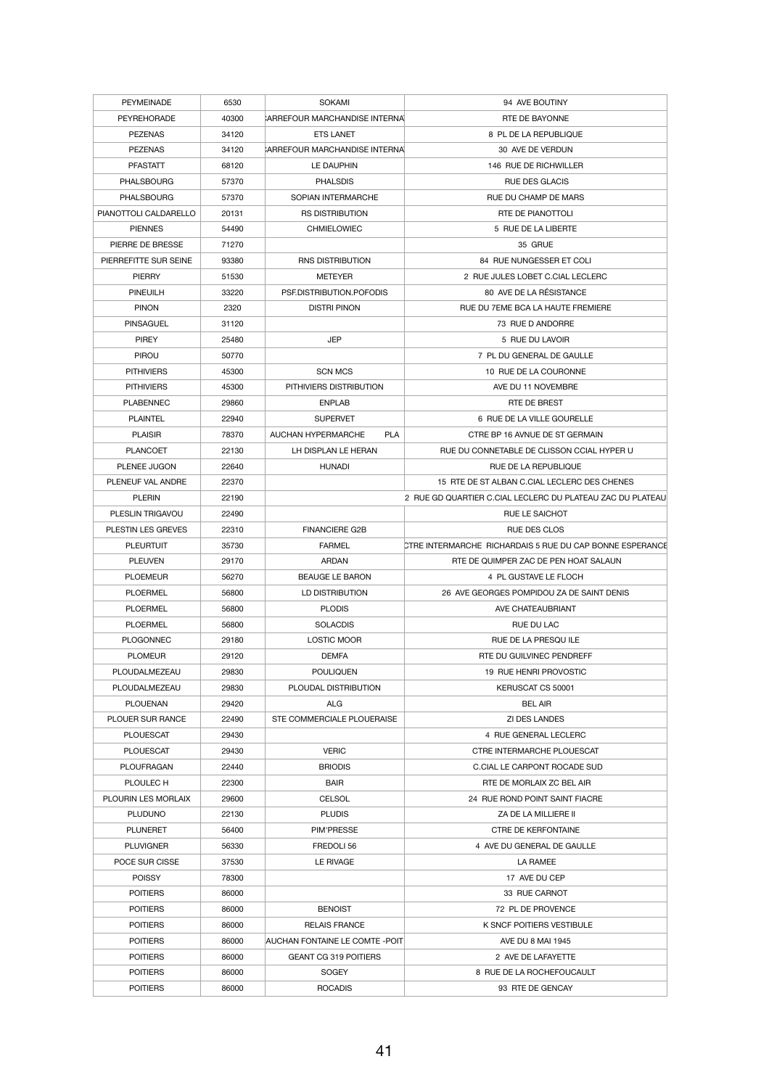| <b>PEYMEINADE</b>     | 6530  | <b>SOKAMI</b>                           | 94 AVE BOUTINY                                             |
|-----------------------|-------|-----------------------------------------|------------------------------------------------------------|
| PEYREHORADE           | 40300 | CARREFOUR MARCHANDISE INTERNA           | RTE DE BAYONNE                                             |
| <b>PEZENAS</b>        | 34120 | <b>ETS LANET</b>                        | 8 PL DE LA REPUBLIQUE                                      |
| <b>PEZENAS</b>        | 34120 | CARREFOUR MARCHANDISE INTERNAL          | 30 AVE DE VERDUN                                           |
| <b>PFASTATT</b>       | 68120 | LE DAUPHIN                              | 146 RUE DE RICHWILLER                                      |
| <b>PHALSBOURG</b>     | 57370 | <b>PHALSDIS</b>                         | <b>RUE DES GLACIS</b>                                      |
| <b>PHALSBOURG</b>     | 57370 | SOPIAN INTERMARCHE                      | RUE DU CHAMP DE MARS                                       |
| PIANOTTOLI CALDARELLO | 20131 | <b>RS DISTRIBUTION</b>                  | RTE DE PIANOTTOLI                                          |
| <b>PIENNES</b>        | 54490 | <b>CHMIELOWIEC</b>                      | 5 RUE DE LA LIBERTE                                        |
| PIERRE DE BRESSE      | 71270 |                                         | 35 GRUE                                                    |
| PIERREFITTE SUR SEINE | 93380 | <b>RNS DISTRIBUTION</b>                 | 84 RUE NUNGESSER ET COLI                                   |
| <b>PIERRY</b>         | 51530 | <b>METEYER</b>                          | 2 RUE JULES LOBET C.CIAL LECLERC                           |
| <b>PINEUILH</b>       | 33220 | PSF.DISTRIBUTION.POFODIS                | 80 AVE DE LA RÉSISTANCE                                    |
| <b>PINON</b>          | 2320  | <b>DISTRI PINON</b>                     | RUE DU 7EME BCA LA HAUTE FREMIERE                          |
| <b>PINSAGUEL</b>      | 31120 |                                         | 73 RUE D ANDORRE                                           |
| <b>PIREY</b>          | 25480 | <b>JEP</b>                              | 5 RUE DU LAVOIR                                            |
| <b>PIROU</b>          | 50770 |                                         | 7 PL DU GENERAL DE GAULLE                                  |
| <b>PITHIVIERS</b>     | 45300 | <b>SCN MCS</b>                          | 10 RUE DE LA COURONNE                                      |
| <b>PITHIVIERS</b>     | 45300 | PITHIVIERS DISTRIBUTION                 | AVE DU 11 NOVEMBRE                                         |
| <b>PLABENNEC</b>      | 29860 | <b>ENPLAB</b>                           | <b>RTE DE BREST</b>                                        |
| <b>PLAINTEL</b>       | 22940 | <b>SUPERVET</b>                         | 6 RUE DE LA VILLE GOURELLE                                 |
| <b>PLAISIR</b>        | 78370 | <b>AUCHAN HYPERMARCHE</b><br><b>PLA</b> | CTRE BP 16 AVNUE DE ST GERMAIN                             |
| <b>PLANCOET</b>       | 22130 | LH DISPLAN LE HERAN                     | RUE DU CONNETABLE DE CLISSON CCIAL HYPER U                 |
|                       |       |                                         |                                                            |
| PLENEE JUGON          | 22640 | <b>HUNADI</b>                           | RUE DE LA REPUBLIQUE                                       |
| PLENEUF VAL ANDRE     | 22370 |                                         | 15 RTE DE ST ALBAN C.CIAL LECLERC DES CHENES               |
| <b>PLERIN</b>         | 22190 |                                         | 2 RUE GD QUARTIER C.CIAL LECLERC DU PLATEAU ZAC DU PLATEAU |
| PLESLIN TRIGAVOU      | 22490 |                                         | RUE LE SAICHOT                                             |
| PLESTIN LES GREVES    | 22310 | <b>FINANCIERE G2B</b>                   | <b>RUE DES CLOS</b>                                        |
| <b>PLEURTUIT</b>      | 35730 | <b>FARMEL</b>                           | CTRE INTERMARCHE RICHARDAIS 5 RUE DU CAP BONNE ESPERANCE   |
| <b>PLEUVEN</b>        | 29170 | ARDAN                                   | RTE DE QUIMPER ZAC DE PEN HOAT SALAUN                      |
| <b>PLOEMEUR</b>       | 56270 | <b>BEAUGE LE BARON</b>                  | 4 PL GUSTAVE LE FLOCH                                      |
| <b>PLOERMEL</b>       | 56800 | LD DISTRIBUTION                         | 26 AVE GEORGES POMPIDOU ZA DE SAINT DENIS                  |
| <b>PLOERMEL</b>       | 56800 | <b>PLODIS</b>                           | AVE CHATEAUBRIANT                                          |
| <b>PLOERMEL</b>       | 56800 | <b>SOLACDIS</b>                         | RUE DU LAC                                                 |
| <b>PLOGONNEC</b>      | 29180 | LOSTIC MOOR                             | RUE DE LA PRESQUILE                                        |
| <b>PLOMEUR</b>        | 29120 | <b>DEMFA</b>                            | RTE DU GUILVINEC PENDREFF                                  |
| PLOUDALMEZEAU         | 29830 | <b>POULIQUEN</b>                        | 19 RUE HENRI PROVOSTIC                                     |
| PLOUDALMEZEAU         | 29830 | PLOUDAL DISTRIBUTION                    | KERUSCAT CS 50001                                          |
| <b>PLOUENAN</b>       | 29420 | <b>ALG</b>                              | <b>BEL AIR</b>                                             |
| PLOUER SUR RANCE      | 22490 | STE COMMERCIALE PLOUERAISE              | <b>ZI DES LANDES</b>                                       |
| <b>PLOUESCAT</b>      | 29430 |                                         | 4 RUE GENERAL LECLERC                                      |
| <b>PLOUESCAT</b>      | 29430 | <b>VERIC</b>                            | CTRE INTERMARCHE PLOUESCAT                                 |
| <b>PLOUFRAGAN</b>     | 22440 | <b>BRIODIS</b>                          | C.CIAL LE CARPONT ROCADE SUD                               |
| PLOULEC H             | 22300 | <b>BAIR</b>                             | RTE DE MORLAIX ZC BEL AIR                                  |
| PLOURIN LES MORLAIX   | 29600 | <b>CELSOL</b>                           | 24 RUE ROND POINT SAINT FIACRE                             |
| <b>PLUDUNO</b>        | 22130 | <b>PLUDIS</b>                           | ZA DE LA MILLIERE II                                       |
| <b>PLUNERET</b>       | 56400 | <b>PIM'PRESSE</b>                       | <b>CTRE DE KERFONTAINE</b>                                 |
| <b>PLUVIGNER</b>      | 56330 | FREDOLI 56                              | 4 AVE DU GENERAL DE GAULLE                                 |
| POCE SUR CISSE        | 37530 | LE RIVAGE                               | LA RAMEE                                                   |
| <b>POISSY</b>         | 78300 |                                         | 17 AVE DU CEP                                              |
| <b>POITIERS</b>       | 86000 |                                         | 33 RUE CARNOT                                              |
| <b>POITIERS</b>       | 86000 | <b>BENOIST</b>                          | 72 PL DE PROVENCE                                          |
| <b>POITIERS</b>       | 86000 | <b>RELAIS FRANCE</b>                    | K SNCF POITIERS VESTIBULE                                  |
| <b>POITIERS</b>       | 86000 | <b>AUCHAN FONTAINE LE COMTE -POIT</b>   | AVE DU 8 MAI 1945                                          |
| <b>POITIERS</b>       | 86000 | <b>GEANT CG 319 POITIERS</b>            | 2 AVE DE LAFAYETTE                                         |
| <b>POITIERS</b>       | 86000 | <b>SOGEY</b>                            | 8 RUE DE LA ROCHEFOUCAULT                                  |
| <b>POITIERS</b>       | 86000 | <b>ROCADIS</b>                          | 93 RTE DE GENCAY                                           |
|                       |       |                                         |                                                            |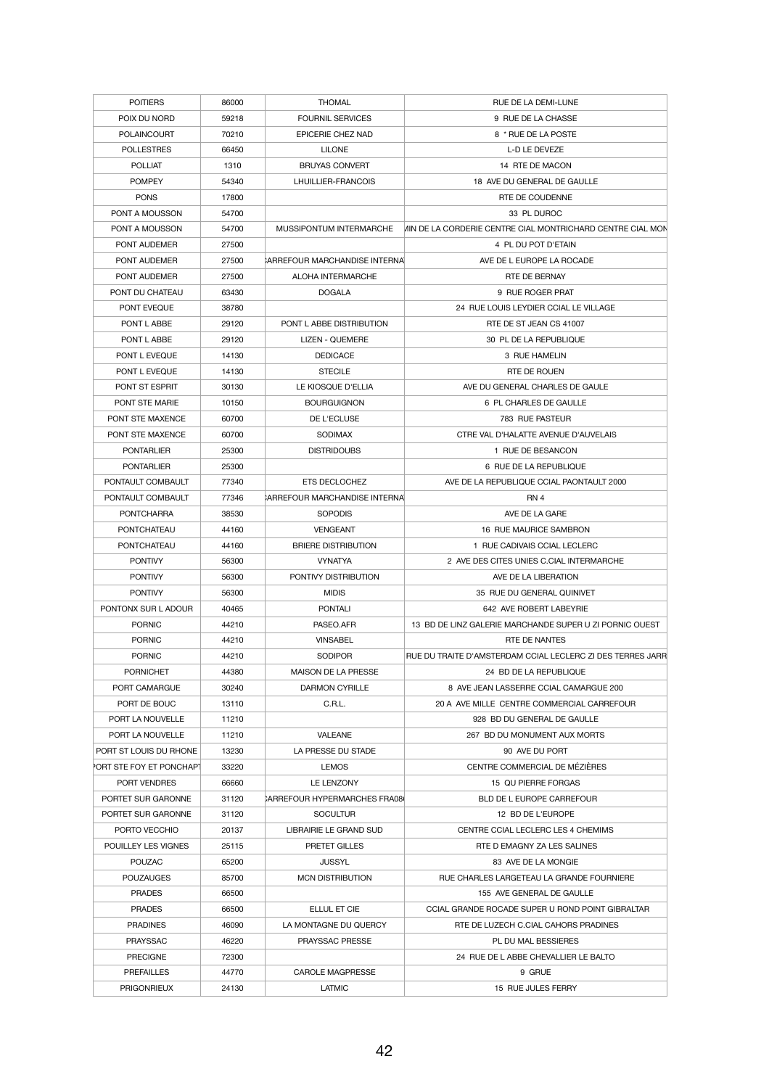| <b>POITIERS</b>          | 86000 | <b>THOMAL</b>                       | <b>RUE DE LA DEMI-LUNE</b>                                  |
|--------------------------|-------|-------------------------------------|-------------------------------------------------------------|
| POIX DU NORD             | 59218 | <b>FOURNIL SERVICES</b>             | 9 RUE DE LA CHASSE                                          |
| <b>POLAINCOURT</b>       | 70210 | EPICERIE CHEZ NAD                   | 8 * RUE DE LA POSTE                                         |
| <b>POLLESTRES</b>        | 66450 | <b>LILONE</b>                       | L-D LE DEVEZE                                               |
| <b>POLLIAT</b>           | 1310  | <b>BRUYAS CONVERT</b>               | 14 RTE DE MACON                                             |
| <b>POMPEY</b>            | 54340 | LHUILLIER-FRANCOIS                  | 18 AVE DU GENERAL DE GAULLE                                 |
| <b>PONS</b>              | 17800 |                                     | RTE DE COUDENNE                                             |
| PONT A MOUSSON           | 54700 |                                     | 33 PL DUROC                                                 |
| PONT A MOUSSON           | 54700 | MUSSIPONTUM INTERMARCHE             | VIIN DE LA CORDERIE CENTRE CIAL MONTRICHARD CENTRE CIAL MON |
| PONT AUDEMER             | 27500 |                                     | 4 PL DU POT D'ETAIN                                         |
| PONT AUDEMER             | 27500 | ARREFOUR MARCHANDISE INTERNA        | AVE DE L EUROPE LA ROCADE                                   |
| <b>PONT AUDEMER</b>      | 27500 | ALOHA INTERMARCHE                   | RTE DE BERNAY                                               |
| PONT DU CHATEAU          | 63430 | <b>DOGALA</b>                       | 9 RUE ROGER PRAT                                            |
| PONT EVEQUE              | 38780 |                                     | 24 RUE LOUIS LEYDIER CCIAL LE VILLAGE                       |
|                          |       |                                     |                                                             |
| PONT L ABBE              | 29120 | PONT L ABBE DISTRIBUTION            | RTE DE ST JEAN CS 41007                                     |
| PONT L ABBE              | 29120 | <b>LIZEN - QUEMERE</b>              | 30 PL DE LA REPUBLIQUE                                      |
| PONT L EVEQUE            | 14130 | <b>DEDICACE</b>                     | 3 RUE HAMELIN                                               |
| PONT L EVEQUE            | 14130 | <b>STECILE</b>                      | RTE DE ROUEN                                                |
| PONT ST ESPRIT           | 30130 | LE KIOSQUE D'ELLIA                  | AVE DU GENERAL CHARLES DE GAULE                             |
| PONT STE MARIE           | 10150 | <b>BOURGUIGNON</b>                  | 6 PL CHARLES DE GAULLE                                      |
| PONT STE MAXENCE         | 60700 | DE L'ECLUSE                         | 783 RUE PASTEUR                                             |
| PONT STE MAXENCE         | 60700 | <b>SODIMAX</b>                      | CTRE VAL D'HALATTE AVENUE D'AUVELAIS                        |
| <b>PONTARLIER</b>        | 25300 | <b>DISTRIDOUBS</b>                  | 1 RUE DE BESANCON                                           |
| <b>PONTARLIER</b>        | 25300 |                                     | 6 RUE DE LA REPUBLIQUE                                      |
| PONTAULT COMBAULT        | 77340 | ETS DECLOCHEZ                       | AVE DE LA REPUBLIQUE CCIAL PAONTAULT 2000                   |
| PONTAULT COMBAULT        | 77346 | <b>ARREFOUR MARCHANDISE INTERNA</b> | RN 4                                                        |
| <b>PONTCHARRA</b>        | 38530 | <b>SOPODIS</b>                      | AVE DE LA GARE                                              |
| <b>PONTCHATEAU</b>       | 44160 | <b>VENGEANT</b>                     | 16 RUE MAURICE SAMBRON                                      |
| <b>PONTCHATEAU</b>       | 44160 | <b>BRIERE DISTRIBUTION</b>          | 1 RUE CADIVAIS CCIAL LECLERC                                |
| <b>PONTIVY</b>           | 56300 | <b>VYNATYA</b>                      | 2 AVE DES CITES UNIES C.CIAL INTERMARCHE                    |
| <b>PONTIVY</b>           | 56300 | PONTIVY DISTRIBUTION                | AVE DE LA LIBERATION                                        |
| <b>PONTIVY</b>           | 56300 | <b>MIDIS</b>                        | 35 RUE DU GENERAL QUINIVET                                  |
| PONTONX SUR L ADOUR      | 40465 | <b>PONTALI</b>                      | 642 AVE ROBERT LABEYRIE                                     |
| <b>PORNIC</b>            | 44210 | PASEO.AFR                           | 13 BD DE LINZ GALERIE MARCHANDE SUPER U ZI PORNIC OUEST     |
| <b>PORNIC</b>            | 44210 | <b>VINSABEL</b>                     | RTE DE NANTES                                               |
| <b>PORNIC</b>            | 44210 | <b>SODIPOR</b>                      | RUE DU TRAITE D'AMSTERDAM CCIAL LECLERC ZI DES TERRES JARR  |
|                          |       |                                     |                                                             |
| <b>PORNICHET</b>         | 44380 | <b>MAISON DE LA PRESSE</b>          | 24 BD DE LA REPUBLIQUE                                      |
| PORT CAMARGUE            | 30240 | <b>DARMON CYRILLE</b>               | 8 AVE JEAN LASSERRE CCIAL CAMARGUE 200                      |
| PORT DE BOUC             | 13110 | C.R.L.                              | 20 A AVE MILLE CENTRE COMMERCIAL CARREFOUR                  |
| PORT LA NOUVELLE         | 11210 |                                     | 928 BD DU GENERAL DE GAULLE                                 |
| PORT LA NOUVELLE         | 11210 | <b>VALEANE</b>                      | 267 BD DU MONUMENT AUX MORTS                                |
| PORT ST LOUIS DU RHONE   | 13230 | LA PRESSE DU STADE                  | 90 AVE DU PORT                                              |
| PORT STE FOY ET PONCHAPT | 33220 | <b>LEMOS</b>                        | CENTRE COMMERCIAL DE MÉZIÈRES                               |
| PORT VENDRES             | 66660 | LE LENZONY                          | 15 QU PIERRE FORGAS                                         |
| PORTET SUR GARONNE       | 31120 | CARREFOUR HYPERMARCHES FRA08        | BLD DE L EUROPE CARREFOUR                                   |
| PORTET SUR GARONNE       | 31120 | <b>SOCULTUR</b>                     | 12 BD DE L'EUROPE                                           |
| PORTO VECCHIO            | 20137 | LIBRAIRIE LE GRAND SUD              | CENTRE CCIAL LECLERC LES 4 CHEMIMS                          |
| POUILLEY LES VIGNES      | 25115 | PRETET GILLES                       | RTE D EMAGNY ZA LES SALINES                                 |
| <b>POUZAC</b>            | 65200 | <b>JUSSYL</b>                       | 83 AVE DE LA MONGIE                                         |
| <b>POUZAUGES</b>         | 85700 | <b>MCN DISTRIBUTION</b>             | RUE CHARLES LARGETEAU LA GRANDE FOURNIERE                   |
| <b>PRADES</b>            | 66500 |                                     | 155 AVE GENERAL DE GAULLE                                   |
| <b>PRADES</b>            | 66500 | ELLUL ET CIE                        | CCIAL GRANDE ROCADE SUPER U ROND POINT GIBRALTAR            |
| <b>PRADINES</b>          |       |                                     |                                                             |
|                          | 46090 | LA MONTAGNE DU QUERCY               | RTE DE LUZECH C.CIAL CAHORS PRADINES                        |
| <b>PRAYSSAC</b>          | 46220 | <b>PRAYSSAC PRESSE</b>              | PL DU MAL BESSIERES                                         |
| <b>PRECIGNE</b>          | 72300 |                                     | 24 RUE DE L ABBE CHEVALLIER LE BALTO                        |
| <b>PREFAILLES</b>        | 44770 | <b>CAROLE MAGPRESSE</b>             | 9 GRUE                                                      |
| <b>PRIGONRIEUX</b>       | 24130 | <b>LATMIC</b>                       | 15 RUE JULES FERRY                                          |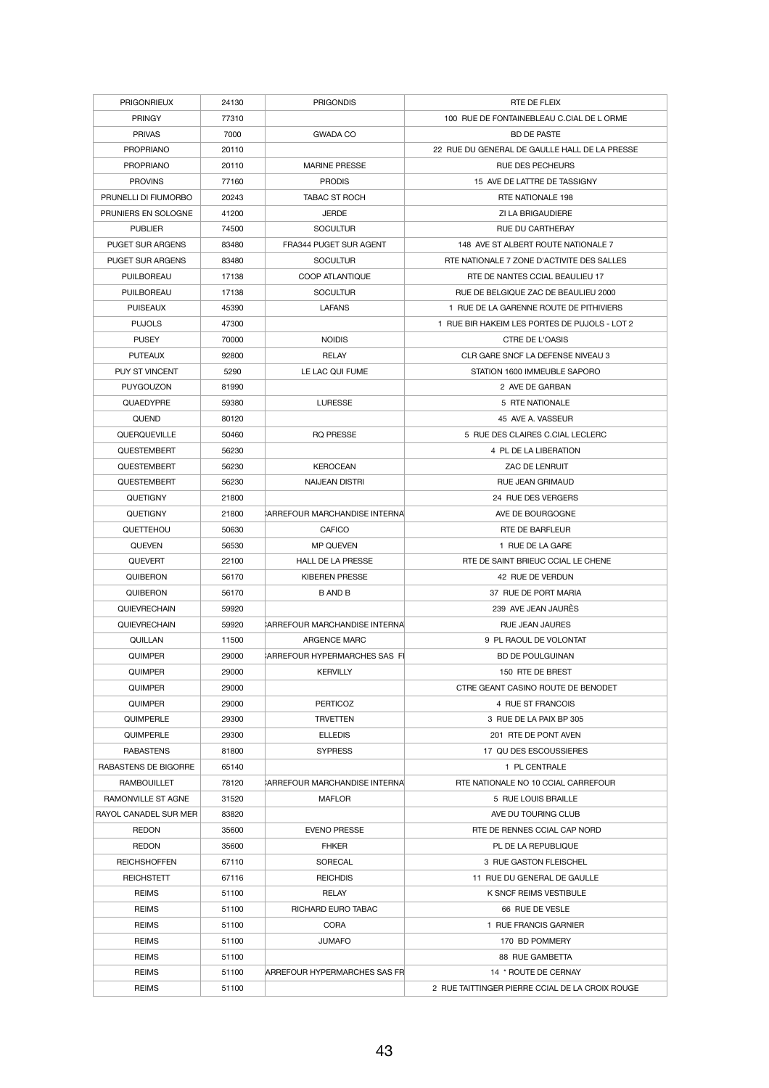| <b>PRIGONRIEUX</b>      | 24130 | <b>PRIGONDIS</b>               | RTE DE FLEIX                                    |
|-------------------------|-------|--------------------------------|-------------------------------------------------|
| <b>PRINGY</b>           | 77310 |                                | 100 RUE DE FONTAINEBLEAU C.CIAL DE L ORME       |
| <b>PRIVAS</b>           | 7000  | <b>GWADA CO</b>                | <b>BD DE PASTE</b>                              |
| <b>PROPRIANO</b>        | 20110 |                                | 22 RUE DU GENERAL DE GAULLE HALL DE LA PRESSE   |
| <b>PROPRIANO</b>        | 20110 | <b>MARINE PRESSE</b>           | <b>RUE DES PECHEURS</b>                         |
| <b>PROVINS</b>          | 77160 | <b>PRODIS</b>                  | 15 AVE DE LATTRE DE TASSIGNY                    |
| PRUNELLI DI FIUMORBO    | 20243 | <b>TABAC ST ROCH</b>           | <b>RTE NATIONALE 198</b>                        |
| PRUNIERS EN SOLOGNE     | 41200 | <b>JERDE</b>                   | ZI LA BRIGAUDIERE                               |
| <b>PUBLIER</b>          | 74500 | <b>SOCULTUR</b>                | <b>RUE DU CARTHERAY</b>                         |
| <b>PUGET SUR ARGENS</b> | 83480 | FRA344 PUGET SUR AGENT         | 148 AVE ST ALBERT ROUTE NATIONALE 7             |
| <b>PUGET SUR ARGENS</b> | 83480 | <b>SOCULTUR</b>                | RTE NATIONALE 7 ZONE D'ACTIVITE DES SALLES      |
| <b>PUILBOREAU</b>       | 17138 | <b>COOP ATLANTIQUE</b>         | RTE DE NANTES CCIAL BEAULIEU 17                 |
| <b>PUILBOREAU</b>       | 17138 | <b>SOCULTUR</b>                | RUE DE BELGIQUE ZAC DE BEAULIEU 2000            |
| <b>PUISEAUX</b>         | 45390 | <b>LAFANS</b>                  | 1 RUE DE LA GARENNE ROUTE DE PITHIVIERS         |
| <b>PUJOLS</b>           | 47300 |                                | 1 RUE BIR HAKEIM LES PORTES DE PUJOLS - LOT 2   |
|                         |       |                                |                                                 |
| <b>PUSEY</b>            | 70000 | <b>NOIDIS</b>                  | CTRE DE L'OASIS                                 |
| <b>PUTEAUX</b>          | 92800 | <b>RELAY</b>                   | CLR GARE SNCF LA DEFENSE NIVEAU 3               |
| <b>PUY ST VINCENT</b>   | 5290  | LE LAC QUI FUME                | STATION 1600 IMMEUBLE SAPORO                    |
| <b>PUYGOUZON</b>        | 81990 |                                | 2 AVE DE GARBAN                                 |
| <b>QUAEDYPRE</b>        | 59380 | <b>LURESSE</b>                 | 5 RTE NATIONALE                                 |
| <b>QUEND</b>            | 80120 |                                | 45 AVE A. VASSEUR                               |
| QUERQUEVILLE            | 50460 | <b>RQ PRESSE</b>               | 5 RUE DES CLAIRES C.CIAL LECLERC                |
| QUESTEMBERT             | 56230 |                                | 4 PL DE LA LIBERATION                           |
| QUESTEMBERT             | 56230 | <b>KEROCEAN</b>                | <b>ZAC DE LENRUIT</b>                           |
| <b>QUESTEMBERT</b>      | 56230 | <b>NAIJEAN DISTRI</b>          | <b>RUE JEAN GRIMAUD</b>                         |
| <b>QUETIGNY</b>         | 21800 |                                | 24 RUE DES VERGERS                              |
| <b>QUETIGNY</b>         | 21800 | CARREFOUR MARCHANDISE INTERNAL | AVE DE BOURGOGNE                                |
| QUETTEHOU               | 50630 | <b>CAFICO</b>                  | RTE DE BARFLEUR                                 |
| <b>QUEVEN</b>           | 56530 | <b>MP QUEVEN</b>               | 1 RUE DE LA GARE                                |
| <b>QUEVERT</b>          | 22100 | <b>HALL DE LA PRESSE</b>       | RTE DE SAINT BRIEUC CCIAL LE CHENE              |
| <b>QUIBERON</b>         | 56170 | <b>KIBEREN PRESSE</b>          | 42 RUE DE VERDUN                                |
| <b>QUIBERON</b>         | 56170 | <b>BANDB</b>                   | 37 RUE DE PORT MARIA                            |
| <b>QUIEVRECHAIN</b>     | 59920 |                                | 239 AVE JEAN JAURÈS                             |
| QUIEVRECHAIN            | 59920 | CARREFOUR MARCHANDISE INTERNA  | RUE JEAN JAURES                                 |
| <b>QUILLAN</b>          | 11500 | <b>ARGENCE MARC</b>            | 9 PL RAOUL DE VOLONTAT                          |
| <b>QUIMPER</b>          | 29000 | CARREFOUR HYPERMARCHES SAS FI  | <b>BD DE POULGUINAN</b>                         |
| <b>QUIMPER</b>          | 29000 | <b>KERVILLY</b>                | 150 RTE DE BREST                                |
| <b>QUIMPER</b>          | 29000 |                                | CTRE GEANT CASINO ROUTE DE BENODET              |
| <b>QUIMPER</b>          | 29000 | <b>PERTICOZ</b>                | 4 RUE ST FRANCOIS                               |
| QUIMPERLE               | 29300 | <b>TRVETTEN</b>                | 3 RUE DE LA PAIX BP 305                         |
| QUIMPERLE               | 29300 | <b>ELLEDIS</b>                 | 201 RTE DE PONT AVEN                            |
| <b>RABASTENS</b>        | 81800 | <b>SYPRESS</b>                 | 17 QU DES ESCOUSSIERES                          |
| RABASTENS DE BIGORRE    | 65140 |                                | 1 PL CENTRALE                                   |
| <b>RAMBOUILLET</b>      | 78120 | CARREFOUR MARCHANDISE INTERNAL | RTE NATIONALE NO 10 CCIAL CARREFOUR             |
| RAMONVILLE ST AGNE      | 31520 | <b>MAFLOR</b>                  | 5 RUE LOUIS BRAILLE                             |
| RAYOL CANADEL SUR MER   | 83820 |                                | AVE DU TOURING CLUB                             |
| <b>REDON</b>            | 35600 | <b>EVENO PRESSE</b>            | RTE DE RENNES CCIAL CAP NORD                    |
| <b>REDON</b>            | 35600 | <b>FHKER</b>                   | PL DE LA REPUBLIQUE                             |
| <b>REICHSHOFFEN</b>     | 67110 | <b>SORECAL</b>                 | 3 RUE GASTON FLEISCHEL                          |
| <b>REICHSTETT</b>       | 67116 | <b>REICHDIS</b>                | 11 RUE DU GENERAL DE GAULLE                     |
| <b>REIMS</b>            | 51100 | <b>RELAY</b>                   | <b>K SNCF REIMS VESTIBULE</b>                   |
| <b>REIMS</b>            | 51100 | RICHARD EURO TABAC             | 66 RUE DE VESLE                                 |
| <b>REIMS</b>            | 51100 | <b>CORA</b>                    | 1 RUE FRANCIS GARNIER                           |
| <b>REIMS</b>            | 51100 | <b>JUMAFO</b>                  | 170 BD POMMERY                                  |
| <b>REIMS</b>            | 51100 |                                | 88 RUE GAMBETTA                                 |
|                         |       |                                |                                                 |
| <b>REIMS</b>            | 51100 | ARREFOUR HYPERMARCHES SAS FR   | 14 * ROUTE DE CERNAY                            |
| <b>REIMS</b>            | 51100 |                                | 2 RUE TAITTINGER PIERRE CCIAL DE LA CROIX ROUGE |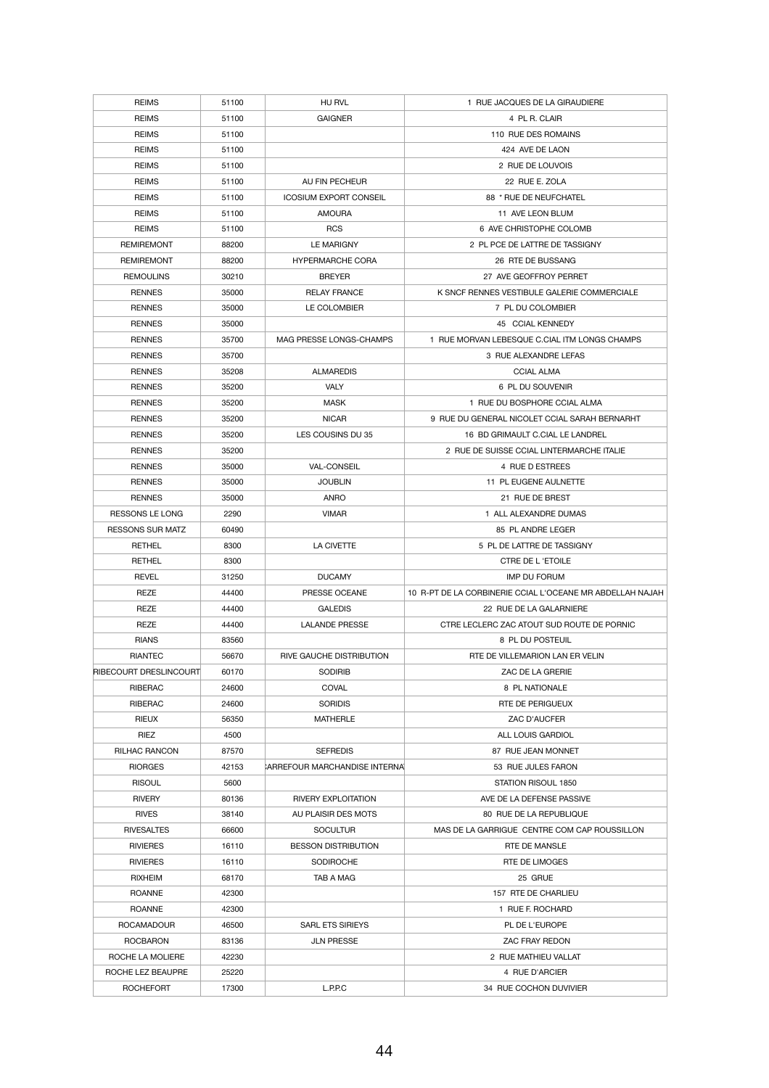| <b>REIMS</b>                   | 51100 | HU RVL                         | 1 RUE JACQUES DE LA GIRAUDIERE                            |
|--------------------------------|-------|--------------------------------|-----------------------------------------------------------|
| <b>REIMS</b>                   | 51100 | <b>GAIGNER</b>                 | 4 PL R. CLAIR                                             |
| <b>REIMS</b>                   | 51100 |                                | 110 RUE DES ROMAINS                                       |
| <b>REIMS</b>                   | 51100 |                                | 424 AVE DE LAON                                           |
| <b>REIMS</b>                   | 51100 |                                | 2 RUE DE LOUVOIS                                          |
| <b>REIMS</b>                   | 51100 | AU FIN PECHEUR                 | 22 RUE E. ZOLA                                            |
| <b>REIMS</b>                   | 51100 | <b>ICOSIUM EXPORT CONSEIL</b>  | 88 * RUE DE NEUFCHATEL                                    |
| <b>REIMS</b>                   | 51100 | <b>AMOURA</b>                  | 11 AVE LEON BLUM                                          |
| <b>REIMS</b>                   | 51100 | <b>RCS</b>                     | 6 AVE CHRISTOPHE COLOMB                                   |
| <b>REMIREMONT</b>              | 88200 | <b>LE MARIGNY</b>              | 2 PL PCE DE LATTRE DE TASSIGNY                            |
| <b>REMIREMONT</b>              | 88200 | <b>HYPERMARCHE CORA</b>        | 26 RTE DE BUSSANG                                         |
| <b>REMOULINS</b>               | 30210 | <b>BREYER</b>                  | 27 AVE GEOFFROY PERRET                                    |
| <b>RENNES</b>                  | 35000 | <b>RELAY FRANCE</b>            | K SNCF RENNES VESTIBULE GALERIE COMMERCIALE               |
| <b>RENNES</b>                  | 35000 | LE COLOMBIER                   | 7 PL DU COLOMBIER                                         |
| <b>RENNES</b>                  | 35000 |                                | 45 CCIAL KENNEDY                                          |
| <b>RENNES</b>                  | 35700 | MAG PRESSE LONGS-CHAMPS        | 1 RUE MORVAN LEBESQUE C.CIAL ITM LONGS CHAMPS             |
| <b>RENNES</b>                  | 35700 |                                | 3 RUE ALEXANDRE LEFAS                                     |
| <b>RENNES</b>                  | 35208 | <b>ALMAREDIS</b>               | <b>CCIAL ALMA</b>                                         |
| <b>RENNES</b>                  | 35200 | <b>VALY</b>                    | 6 PL DU SOUVENIR                                          |
| <b>RENNES</b>                  | 35200 | <b>MASK</b>                    | 1 RUE DU BOSPHORE CCIAL ALMA                              |
| <b>RENNES</b>                  | 35200 | <b>NICAR</b>                   | 9 RUE DU GENERAL NICOLET CCIAL SARAH BERNARHT             |
|                                |       | LES COUSINS DU 35              | 16 BD GRIMAULT C.CIAL LE LANDREL                          |
| <b>RENNES</b><br><b>RENNES</b> | 35200 |                                | 2 RUE DE SUISSE CCIAL LINTERMARCHE ITALIE                 |
|                                | 35200 |                                |                                                           |
| <b>RENNES</b>                  | 35000 | <b>VAL-CONSEIL</b>             | 4 RUE D ESTREES                                           |
| <b>RENNES</b>                  | 35000 | <b>JOUBLIN</b>                 | 11 PL EUGENE AULNETTE                                     |
| <b>RENNES</b>                  | 35000 | <b>ANRO</b>                    | 21 RUE DE BREST                                           |
| <b>RESSONS LE LONG</b>         | 2290  | <b>VIMAR</b>                   | 1 ALL ALEXANDRE DUMAS                                     |
| <b>RESSONS SUR MATZ</b>        | 60490 |                                | 85 PL ANDRE LEGER                                         |
| <b>RETHEL</b>                  | 8300  | <b>LA CIVETTE</b>              | 5 PL DE LATTRE DE TASSIGNY                                |
| <b>RETHEL</b>                  | 8300  |                                | CTRE DE L'ETOILE                                          |
| <b>REVEL</b>                   | 31250 | <b>DUCAMY</b>                  | <b>IMP DU FORUM</b>                                       |
| <b>REZE</b>                    | 44400 | PRESSE OCEANE                  | 10 R-PT DE LA CORBINERIE CCIAL L'OCEANE MR ABDELLAH NAJAH |
| <b>REZE</b>                    | 44400 | <b>GALEDIS</b>                 | 22 RUE DE LA GALARNIERE                                   |
| <b>REZE</b>                    | 44400 | <b>LALANDE PRESSE</b>          | CTRE LECLERC ZAC ATOUT SUD ROUTE DE PORNIC                |
| <b>RIANS</b>                   | 83560 |                                | 8 PL DU POSTEUIL                                          |
| <b>RIANTEC</b>                 | 56670 | RIVE GAUCHE DISTRIBUTION       | RTE DE VILLEMARION LAN ER VELIN                           |
| RIBECOURT DRESLINCOURT         | 60170 | <b>SODIRIB</b>                 | ZAC DE LA GRERIE                                          |
| <b>RIBERAC</b>                 | 24600 | <b>COVAL</b>                   | 8 PL NATIONALE                                            |
| <b>RIBERAC</b>                 | 24600 | <b>SORIDIS</b>                 | RTE DE PERIGUEUX                                          |
| <b>RIEUX</b>                   | 56350 | <b>MATHERLE</b>                | ZAC D'AUCFER                                              |
| <b>RIEZ</b>                    | 4500  |                                | ALL LOUIS GARDIOL                                         |
| <b>RILHAC RANCON</b>           | 87570 | <b>SEFREDIS</b>                | 87 RUE JEAN MONNET                                        |
| <b>RIORGES</b>                 | 42153 | CARREFOUR MARCHANDISE INTERNAL | 53 RUE JULES FARON                                        |
| <b>RISOUL</b>                  | 5600  |                                | STATION RISOUL 1850                                       |
| <b>RIVERY</b>                  | 80136 | <b>RIVERY EXPLOITATION</b>     | AVE DE LA DEFENSE PASSIVE                                 |
| <b>RIVES</b>                   | 38140 | AU PLAISIR DES MOTS            | 80 RUE DE LA REPUBLIQUE                                   |
| <b>RIVESALTES</b>              | 66600 | <b>SOCULTUR</b>                | MAS DE LA GARRIGUE CENTRE COM CAP ROUSSILLON              |
| <b>RIVIERES</b>                | 16110 | <b>BESSON DISTRIBUTION</b>     | RTE DE MANSLE                                             |
| <b>RIVIERES</b>                | 16110 | <b>SODIROCHE</b>               | RTE DE LIMOGES                                            |
| <b>RIXHEIM</b>                 | 68170 | TAB A MAG                      | 25 GRUE                                                   |
| <b>ROANNE</b>                  | 42300 |                                | 157 RTE DE CHARLIEU                                       |
| <b>ROANNE</b>                  | 42300 |                                | 1 RUE F. ROCHARD                                          |
| <b>ROCAMADOUR</b>              | 46500 | <b>SARL ETS SIRIEYS</b>        | PL DE L'EUROPE                                            |
| <b>ROCBARON</b>                | 83136 | <b>JLN PRESSE</b>              | ZAC FRAY REDON                                            |
| ROCHE LA MOLIERE               | 42230 |                                | 2 RUE MATHIEU VALLAT                                      |
| ROCHE LEZ BEAUPRE              | 25220 |                                | 4 RUE D'ARCIER                                            |
| <b>ROCHEFORT</b>               | 17300 | L.P.P.C                        | 34 RUE COCHON DUVIVIER                                    |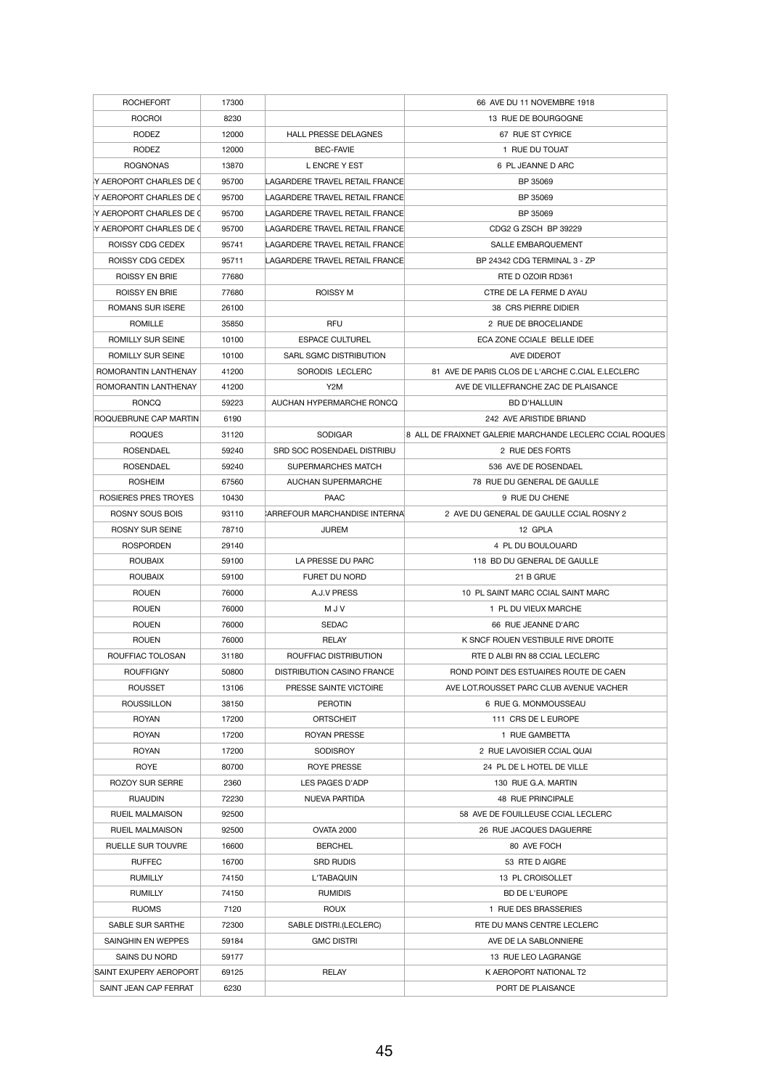| <b>ROCHEFORT</b>         | 17300 |                                       | 66 AVE DU 11 NOVEMBRE 1918                               |
|--------------------------|-------|---------------------------------------|----------------------------------------------------------|
| <b>ROCROI</b>            | 8230  |                                       | 13 RUE DE BOURGOGNE                                      |
| <b>RODEZ</b>             | 12000 | <b>HALL PRESSE DELAGNES</b>           | 67 RUE ST CYRICE                                         |
| <b>RODEZ</b>             | 12000 | <b>BEC-FAVIE</b>                      | 1 RUE DU TOUAT                                           |
| <b>ROGNONAS</b>          | 13870 | L ENCRE Y EST                         | 6 PL JEANNE D ARC                                        |
| Y AEROPORT CHARLES DE (  | 95700 | LAGARDERE TRAVEL RETAIL FRANCE        | BP 35069                                                 |
| Y AEROPORT CHARLES DE (  | 95700 | LAGARDERE TRAVEL RETAIL FRANCE        | BP 35069                                                 |
| IY AEROPORT CHARLES DE 0 | 95700 | LAGARDERE TRAVEL RETAIL FRANCE        | BP 35069                                                 |
| IY AEROPORT CHARLES DE 0 | 95700 | LAGARDERE TRAVEL RETAIL FRANCE        | CDG2 G ZSCH BP 39229                                     |
| <b>ROISSY CDG CEDEX</b>  | 95741 | LAGARDERE TRAVEL RETAIL FRANCE        | <b>SALLE EMBARQUEMENT</b>                                |
| <b>ROISSY CDG CEDEX</b>  | 95711 | LAGARDERE TRAVEL RETAIL FRANCE        | BP 24342 CDG TERMINAL 3 - ZP                             |
| <b>ROISSY EN BRIE</b>    | 77680 |                                       | RTE D OZOIR RD361                                        |
| <b>ROISSY EN BRIE</b>    | 77680 | <b>ROISSY M</b>                       | CTRE DE LA FERME D AYAU                                  |
| <b>ROMANS SUR ISERE</b>  | 26100 |                                       | 38 CRS PIERRE DIDIER                                     |
| ROMILLE                  | 35850 | <b>RFU</b>                            | 2 RUE DE BROCELIANDE                                     |
| ROMILLY SUR SEINE        | 10100 | <b>ESPACE CULTUREL</b>                | ECA ZONE CCIALE BELLE IDEE                               |
| ROMILLY SUR SEINE        | 10100 | SARL SGMC DISTRIBUTION                | AVE DIDEROT                                              |
| ROMORANTIN LANTHENAY     | 41200 | SORODIS LECLERC                       | 81 AVE DE PARIS CLOS DE L'ARCHE C.CIAL E.LECLERC         |
| ROMORANTIN LANTHENAY     | 41200 | Y <sub>2</sub> M                      | AVE DE VILLEFRANCHE ZAC DE PLAISANCE                     |
| <b>RONCQ</b>             | 59223 | AUCHAN HYPERMARCHE RONCQ              | <b>BD D'HALLUIN</b>                                      |
| ROQUEBRUNE CAP MARTIN    | 6190  |                                       | 242 AVE ARISTIDE BRIAND                                  |
| <b>ROQUES</b>            | 31120 | <b>SODIGAR</b>                        | 8 ALL DE FRAIXNET GALERIE MARCHANDE LECLERC CCIAL ROQUES |
| <b>ROSENDAEL</b>         | 59240 | SRD SOC ROSENDAEL DISTRIBU            | 2 RUE DES FORTS                                          |
| <b>ROSENDAEL</b>         | 59240 | SUPERMARCHES MATCH                    | 536 AVE DE ROSENDAEL                                     |
| <b>ROSHEIM</b>           | 67560 | <b>AUCHAN SUPERMARCHE</b>             | 78 RUE DU GENERAL DE GAULLE                              |
| ROSIERES PRES TROYES     | 10430 | <b>PAAC</b>                           | 9 RUE DU CHENE                                           |
| <b>ROSNY SOUS BOIS</b>   | 93110 | <b>CARREFOUR MARCHANDISE INTERNAL</b> | 2 AVE DU GENERAL DE GAULLE CCIAL ROSNY 2                 |
| <b>ROSNY SUR SEINE</b>   | 78710 | <b>JUREM</b>                          | 12 GPLA                                                  |
| <b>ROSPORDEN</b>         | 29140 |                                       | 4 PL DU BOULOUARD                                        |
| <b>ROUBAIX</b>           | 59100 | LA PRESSE DU PARC                     | 118 BD DU GENERAL DE GAULLE                              |
| <b>ROUBAIX</b>           | 59100 | <b>FURET DU NORD</b>                  | 21 B GRUE                                                |
| <b>ROUEN</b>             | 76000 | A.J.V PRESS                           | 10 PL SAINT MARC CCIAL SAINT MARC                        |
| <b>ROUEN</b>             | 76000 | M J V                                 | 1 PL DU VIEUX MARCHE                                     |
| <b>ROUEN</b>             | 76000 | <b>SEDAC</b>                          | 66 RUE JEANNE D'ARC                                      |
| <b>ROUEN</b>             | 76000 | <b>RELAY</b>                          | K SNCF ROUEN VESTIBULE RIVE DROITE                       |
| ROUFFIAC TOLOSAN         | 31180 | ROUFFIAC DISTRIBUTION                 | RTE D ALBI RN 88 CCIAL LECLERC                           |
| <b>ROUFFIGNY</b>         | 50800 | <b>DISTRIBUTION CASINO FRANCE</b>     | ROND POINT DES ESTUAIRES ROUTE DE CAEN                   |
| <b>ROUSSET</b>           | 13106 | PRESSE SAINTE VICTOIRE                | AVE LOT. ROUSSET PARC CLUB AVENUE VACHER                 |
|                          |       |                                       |                                                          |
| <b>ROUSSILLON</b>        | 38150 | <b>PEROTIN</b>                        | 6 RUE G. MONMOUSSEAU                                     |
| <b>ROYAN</b>             | 17200 | <b>ORTSCHEIT</b>                      | 111 CRS DE L EUROPE                                      |
| <b>ROYAN</b>             | 17200 | <b>ROYAN PRESSE</b>                   | 1 RUE GAMBETTA                                           |
| <b>ROYAN</b>             | 17200 | <b>SODISROY</b>                       | 2 RUE LAVOISIER CCIAL QUAI                               |
| <b>ROYE</b>              | 80700 | <b>ROYE PRESSE</b>                    | 24 PL DE L HOTEL DE VILLE                                |
| <b>ROZOY SUR SERRE</b>   | 2360  | LES PAGES D'ADP                       | 130 RUE G.A. MARTIN                                      |
| <b>RUAUDIN</b>           | 72230 | NUEVA PARTIDA                         | 48 RUE PRINCIPALE                                        |
| <b>RUEIL MALMAISON</b>   | 92500 |                                       | 58 AVE DE FOUILLEUSE CCIAL LECLERC                       |
| <b>RUEIL MALMAISON</b>   | 92500 | <b>OVATA 2000</b>                     | 26 RUE JACQUES DAGUERRE                                  |
| RUELLE SUR TOUVRE        | 16600 | <b>BERCHEL</b>                        | 80 AVE FOCH                                              |
| <b>RUFFEC</b>            | 16700 | <b>SRD RUDIS</b>                      | 53 RTE D AIGRE                                           |
| <b>RUMILLY</b>           | 74150 | L'TABAQUIN                            | 13 PL CROISOLLET                                         |
| <b>RUMILLY</b>           | 74150 | <b>RUMIDIS</b>                        | <b>BD DE L'EUROPE</b>                                    |
| <b>RUOMS</b>             | 7120  | <b>ROUX</b>                           | 1 RUE DES BRASSERIES                                     |
| SABLE SUR SARTHE         | 72300 | <b>SABLE DISTRI.(LECLERC)</b>         | RTE DU MANS CENTRE LECLERC                               |
| SAINGHIN EN WEPPES       | 59184 | <b>GMC DISTRI</b>                     | AVE DE LA SABLONNIERE                                    |
| SAINS DU NORD            | 59177 |                                       | 13 RUE LEO LAGRANGE                                      |
| SAINT EXUPERY AEROPORT   | 69125 | <b>RELAY</b>                          | K AEROPORT NATIONAL T2                                   |
| SAINT JEAN CAP FERRAT    | 6230  |                                       | PORT DE PLAISANCE                                        |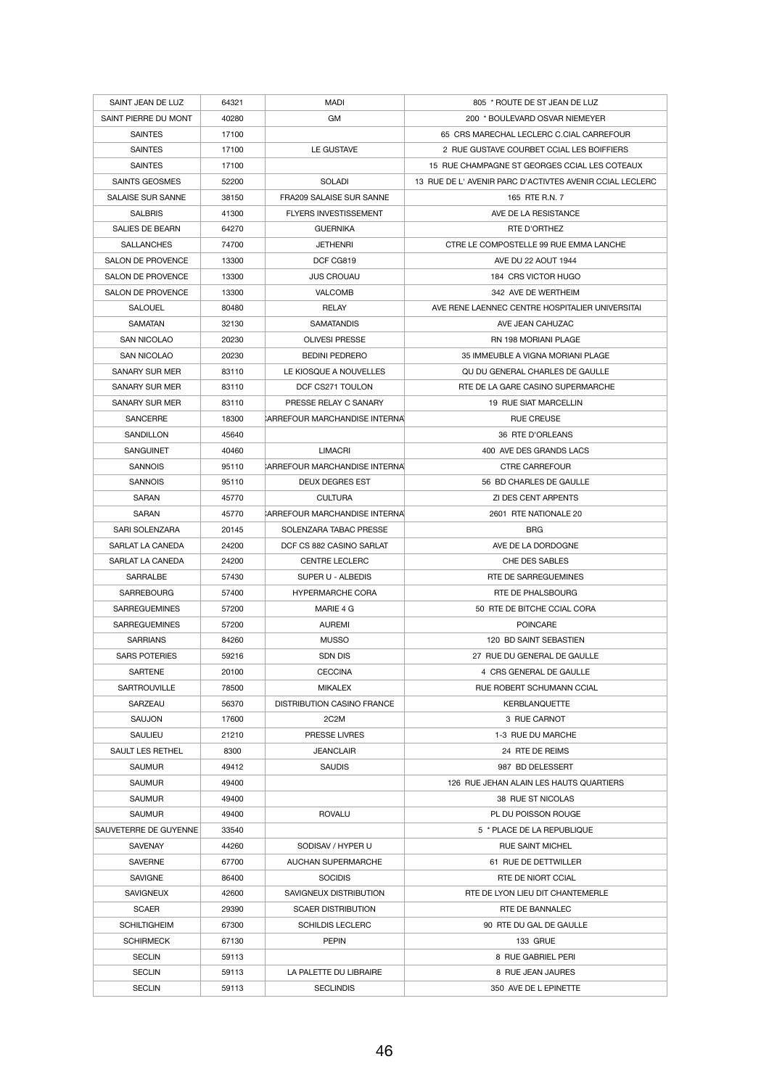| SAINT JEAN DE LUZ        | 64321 | <b>MADI</b>                          | 805 * ROUTE DE ST JEAN DE LUZ                           |
|--------------------------|-------|--------------------------------------|---------------------------------------------------------|
| SAINT PIERRE DU MONT     | 40280 | <b>GM</b>                            | 200 * BOULEVARD OSVAR NIEMEYER                          |
| <b>SAINTES</b>           | 17100 |                                      | 65 CRS MARECHAL LECLERC C.CIAL CARREFOUR                |
| <b>SAINTES</b>           | 17100 | LE GUSTAVE                           | 2 RUE GUSTAVE COURBET CCIAL LES BOIFFIERS               |
| <b>SAINTES</b>           | 17100 |                                      | 15 RUE CHAMPAGNE ST GEORGES CCIAL LES COTEAUX           |
| <b>SAINTS GEOSMES</b>    | 52200 | <b>SOLADI</b>                        | 13 RUE DE L'AVENIR PARC D'ACTIVTES AVENIR CCIAL LECLERC |
| <b>SALAISE SUR SANNE</b> | 38150 | <b>FRA209 SALAISE SUR SANNE</b>      | 165 RTE R.N. 7                                          |
| <b>SALBRIS</b>           | 41300 | <b>FLYERS INVESTISSEMENT</b>         | AVE DE LA RESISTANCE                                    |
| <b>SALIES DE BEARN</b>   | 64270 | <b>GUERNIKA</b>                      | RTE D'ORTHEZ                                            |
| <b>SALLANCHES</b>        | 74700 | <b>JETHENRI</b>                      | CTRE LE COMPOSTELLE 99 RUE EMMA LANCHE                  |
| <b>SALON DE PROVENCE</b> | 13300 | DCF CG819                            | AVE DU 22 AOUT 1944                                     |
| <b>SALON DE PROVENCE</b> | 13300 | <b>JUS CROUAU</b>                    | 184 CRS VICTOR HUGO                                     |
| <b>SALON DE PROVENCE</b> | 13300 | <b>VALCOMB</b>                       | 342 AVE DE WERTHEIM                                     |
| <b>SALOUEL</b>           | 80480 | <b>RELAY</b>                         | AVE RENE LAENNEC CENTRE HOSPITALIER UNIVERSITAL         |
| <b>SAMATAN</b>           | 32130 | <b>SAMATANDIS</b>                    | AVE JEAN CAHUZAC                                        |
| <b>SAN NICOLAO</b>       | 20230 | <b>OLIVESI PRESSE</b>                | RN 198 MORIANI PLAGE                                    |
| <b>SAN NICOLAO</b>       | 20230 | <b>BEDINI PEDRERO</b>                | 35 IMMEUBLE A VIGNA MORIANI PLAGE                       |
| <b>SANARY SUR MER</b>    | 83110 | LE KIOSQUE A NOUVELLES               | QU DU GENERAL CHARLES DE GAULLE                         |
| <b>SANARY SUR MER</b>    | 83110 | DCF CS271 TOULON                     | RTE DE LA GARE CASINO SUPERMARCHE                       |
| <b>SANARY SUR MER</b>    | 83110 | PRESSE RELAY C SANARY                | 19 RUE SIAT MARCELLIN                                   |
| <b>SANCERRE</b>          | 18300 | <b>ARREFOUR MARCHANDISE INTERNAL</b> | <b>RUE CREUSE</b>                                       |
| <b>SANDILLON</b>         | 45640 |                                      | 36 RTE D'ORLEANS                                        |
| <b>SANGUINET</b>         | 40460 | <b>LIMACRI</b>                       | 400 AVE DES GRANDS LACS                                 |
| <b>SANNOIS</b>           | 95110 | <b>ARREFOUR MARCHANDISE INTERNAL</b> | <b>CTRE CARREFOUR</b>                                   |
| <b>SANNOIS</b>           | 95110 | <b>DEUX DEGRES EST</b>               | 56 BD CHARLES DE GAULLE                                 |
| <b>SARAN</b>             | 45770 | <b>CULTURA</b>                       | <b>ZI DES CENT ARPENTS</b>                              |
| <b>SARAN</b>             | 45770 | <b>ARREFOUR MARCHANDISE INTERNAL</b> | 2601 RTE NATIONALE 20                                   |
| SARI SOLENZARA           | 20145 | SOLENZARA TABAC PRESSE               | <b>BRG</b>                                              |
| SARLAT LA CANEDA         | 24200 | DCF CS 882 CASINO SARLAT             | AVE DE LA DORDOGNE                                      |
| SARLAT LA CANEDA         | 24200 | <b>CENTRE LECLERC</b>                | CHE DES SABLES                                          |
| <b>SARRALBE</b>          | 57430 | <b>SUPER U - ALBEDIS</b>             | RTE DE SARREGUEMINES                                    |
| <b>SARREBOURG</b>        | 57400 | <b>HYPERMARCHE CORA</b>              | RTE DE PHALSBOURG                                       |
| <b>SARREGUEMINES</b>     | 57200 | MARIE 4 G                            | 50 RTE DE BITCHE CCIAL CORA                             |
| <b>SARREGUEMINES</b>     | 57200 | <b>AUREMI</b>                        | <b>POINCARE</b>                                         |
| <b>SARRIANS</b>          | 84260 | <b>MUSSO</b>                         | 120 BD SAINT SEBASTIEN                                  |
| <b>SARS POTERIES</b>     | 59216 | <b>SDN DIS</b>                       | 27 RUE DU GENERAL DE GAULLE                             |
| <b>SARTENE</b>           | 20100 | <b>CECCINA</b>                       | 4 CRS GENERAL DE GAULLE                                 |
| <b>SARTROUVILLE</b>      | 78500 | <b>MIKALEX</b>                       | RUE ROBERT SCHUMANN CCIAL                               |
| SARZEAU                  | 56370 | <b>DISTRIBUTION CASINO FRANCE</b>    | <b>KERBLANQUETTE</b>                                    |
| <b>SAUJON</b>            | 17600 | 2C2M                                 | 3 RUE CARNOT                                            |
| <b>SAULIEU</b>           | 21210 | <b>PRESSE LIVRES</b>                 | 1-3 RUE DU MARCHE                                       |
| <b>SAULT LES RETHEL</b>  | 8300  | <b>JEANCLAIR</b>                     | 24 RTE DE REIMS                                         |
| <b>SAUMUR</b>            | 49412 | <b>SAUDIS</b>                        | 987 BD DELESSERT                                        |
| <b>SAUMUR</b>            | 49400 |                                      | 126 RUE JEHAN ALAIN LES HAUTS QUARTIERS                 |
| SAUMUR                   | 49400 |                                      | 38 RUE ST NICOLAS                                       |
| <b>SAUMUR</b>            | 49400 | <b>ROVALU</b>                        | PL DU POISSON ROUGE                                     |
| SAUVETERRE DE GUYENNE    | 33540 |                                      | 5 * PLACE DE LA REPUBLIQUE                              |
| <b>SAVENAY</b>           | 44260 | SODISAV / HYPER U                    | <b>RUE SAINT MICHEL</b>                                 |
| <b>SAVERNE</b>           | 67700 | <b>AUCHAN SUPERMARCHE</b>            | 61 RUE DE DETTWILLER                                    |
| <b>SAVIGNE</b>           | 86400 | <b>SOCIDIS</b>                       | <b>RTE DE NIORT CCIAL</b>                               |
| <b>SAVIGNEUX</b>         | 42600 | SAVIGNEUX DISTRIBUTION               | RTE DE LYON LIEU DIT CHANTEMERLE                        |
| <b>SCAER</b>             | 29390 | <b>SCAER DISTRIBUTION</b>            | RTE DE BANNALEC                                         |
| <b>SCHILTIGHEIM</b>      | 67300 | <b>SCHILDIS LECLERC</b>              | 90 RTE DU GAL DE GAULLE                                 |
| <b>SCHIRMECK</b>         | 67130 | <b>PEPIN</b>                         | <b>133 GRUE</b>                                         |
| <b>SECLIN</b>            | 59113 |                                      | 8 RUE GABRIEL PERI                                      |
| <b>SECLIN</b>            | 59113 | LA PALETTE DU LIBRAIRE               | 8 RUE JEAN JAURES                                       |
| <b>SECLIN</b>            | 59113 | <b>SECLINDIS</b>                     | 350 AVE DE L EPINETTE                                   |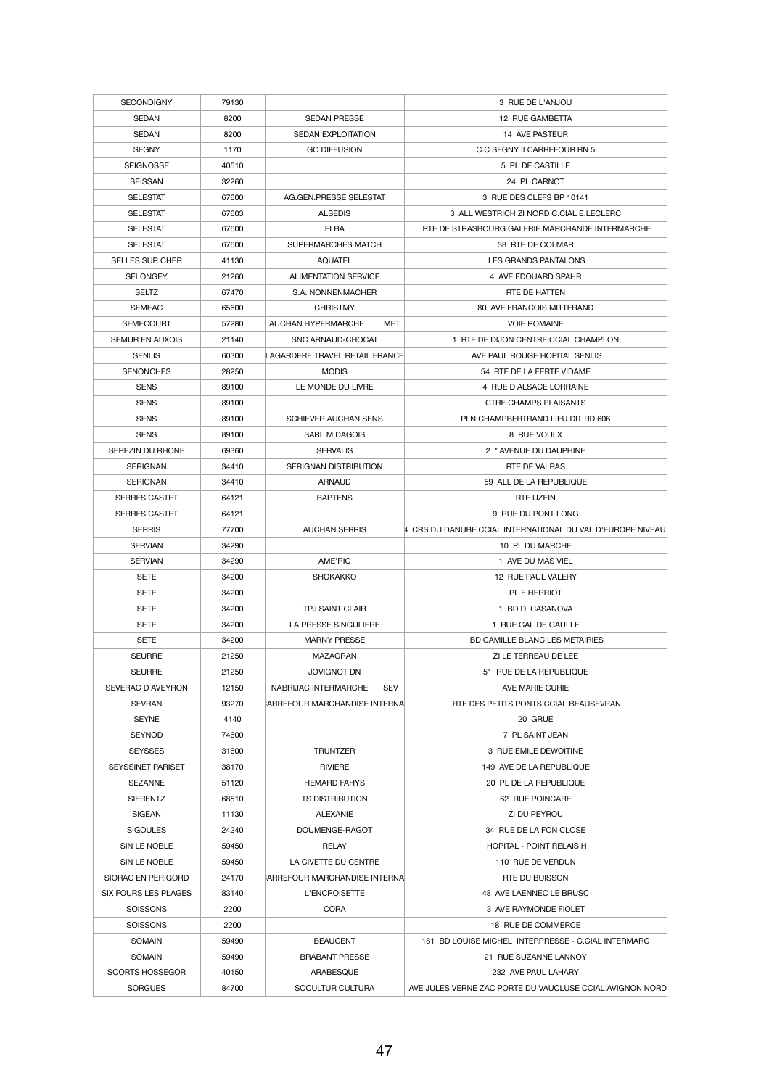| <b>SECONDIGNY</b>           | 79130 |                                    | 3 RUE DE L'ANJOU                                           |
|-----------------------------|-------|------------------------------------|------------------------------------------------------------|
| <b>SEDAN</b>                | 8200  | <b>SEDAN PRESSE</b>                | 12 RUE GAMBETTA                                            |
| <b>SEDAN</b>                | 8200  | <b>SEDAN EXPLOITATION</b>          | 14 AVE PASTEUR                                             |
| <b>SEGNY</b>                | 1170  | <b>GO DIFFUSION</b>                | C.C SEGNY II CARREFOUR RN 5                                |
| <b>SEIGNOSSE</b>            | 40510 |                                    | 5 PL DE CASTILLE                                           |
| <b>SEISSAN</b>              | 32260 |                                    | 24 PL CARNOT                                               |
| <b>SELESTAT</b>             | 67600 | AG.GEN.PRESSE SELESTAT             | 3 RUE DES CLEFS BP 10141                                   |
| <b>SELESTAT</b>             | 67603 | <b>ALSEDIS</b>                     | 3 ALL WESTRICH ZI NORD C.CIAL E.LECLERC                    |
| <b>SELESTAT</b>             | 67600 | <b>ELBA</b>                        | RTE DE STRASBOURG GALERIE.MARCHANDE INTERMARCHE            |
| <b>SELESTAT</b>             | 67600 | <b>SUPERMARCHES MATCH</b>          | 38 RTE DE COLMAR                                           |
| <b>SELLES SUR CHER</b>      | 41130 | <b>AQUATEL</b>                     | LES GRANDS PANTALONS                                       |
| <b>SELONGEY</b>             | 21260 | <b>ALIMENTATION SERVICE</b>        | 4 AVE EDOUARD SPAHR                                        |
| <b>SELTZ</b>                | 67470 | S.A. NONNENMACHER                  | RTE DE HATTEN                                              |
| <b>SEMEAC</b>               | 65600 | <b>CHRISTMY</b>                    | <b>80 AVE FRANCOIS MITTERAND</b>                           |
| <b>SEMECOURT</b>            | 57280 | <b>AUCHAN HYPERMARCHE</b><br>MET   | <b>VOIE ROMAINE</b>                                        |
|                             |       |                                    |                                                            |
| <b>SEMUR EN AUXOIS</b>      | 21140 | <b>SNC ARNAUD-CHOCAT</b>           | 1 RTE DE DIJON CENTRE CCIAL CHAMPLON                       |
| <b>SENLIS</b>               | 60300 | LAGARDERE TRAVEL RETAIL FRANCE     | AVE PAUL ROUGE HOPITAL SENLIS                              |
| <b>SENONCHES</b>            | 28250 | <b>MODIS</b>                       | 54 RTE DE LA FERTE VIDAME                                  |
| <b>SENS</b>                 | 89100 | LE MONDE DU LIVRE                  | 4 RUE D ALSACE LORRAINE                                    |
| <b>SENS</b>                 | 89100 |                                    | <b>CTRE CHAMPS PLAISANTS</b>                               |
| <b>SENS</b>                 | 89100 | <b>SCHIEVER AUCHAN SENS</b>        | PLN CHAMPBERTRAND LIEU DIT RD 606                          |
| <b>SENS</b>                 | 89100 | SARL M.DAGOIS                      | 8 RUE VOULX                                                |
| <b>SEREZIN DU RHONE</b>     | 69360 | <b>SERVALIS</b>                    | 2 * AVENUE DU DAUPHINE                                     |
| <b>SERIGNAN</b>             | 34410 | SERIGNAN DISTRIBUTION              | RTE DE VALRAS                                              |
| <b>SERIGNAN</b>             | 34410 | <b>ARNAUD</b>                      | 59 ALL DE LA REPUBLIQUE                                    |
| <b>SERRES CASTET</b>        | 64121 | <b>BAPTENS</b>                     | <b>RTE UZEIN</b>                                           |
| <b>SERRES CASTET</b>        | 64121 |                                    | 9 RUE DU PONT LONG                                         |
| <b>SERRIS</b>               | 77700 | <b>AUCHAN SERRIS</b>               | 4 CRS DU DANUBE CCIAL INTERNATIONAL DU VAL D'EUROPE NIVEAU |
| <b>SERVIAN</b>              | 34290 |                                    | 10 PL DU MARCHE                                            |
| <b>SERVIAN</b>              | 34290 | AME'RIC                            | 1 AVE DU MAS VIEL                                          |
| <b>SETE</b>                 | 34200 | <b>SHOKAKKO</b>                    | 12 RUE PAUL VALERY                                         |
| <b>SETE</b>                 | 34200 |                                    | PL E.HERRIOT                                               |
| <b>SETE</b>                 | 34200 | <b>TPJ SAINT CLAIR</b>             | 1 BD D. CASANOVA                                           |
| <b>SETE</b>                 | 34200 | LA PRESSE SINGULIERE               | 1 RUE GAL DE GAULLE                                        |
| <b>SETE</b>                 | 34200 | <b>MARNY PRESSE</b>                | <b>BD CAMILLE BLANC LES METAIRIES</b>                      |
| <b>SEURRE</b>               | 21250 | MAZAGRAN                           | ZI LE TERREAU DE LEE                                       |
| <b>SEURRE</b>               | 21250 | <b>JOVIGNOT DN</b>                 | 51 RUE DE LA REPUBLIQUE                                    |
| SEVERAC D AVEYRON           | 12150 | NABRIJAC INTERMARCHE<br><b>SEV</b> | AVE MARIE CURIE                                            |
| <b>SEVRAN</b>               | 93270 | CARREFOUR MARCHANDISE INTERNAL     | RTE DES PETITS PONTS CCIAL BEAUSEVRAN                      |
| <b>SEYNE</b>                | 4140  |                                    | 20 GRUE                                                    |
| <b>SEYNOD</b>               | 74600 |                                    | 7 PL SAINT JEAN                                            |
| <b>SEYSSES</b>              | 31600 | <b>TRUNTZER</b>                    | 3 RUE EMILE DEWOITINE                                      |
| <b>SEYSSINET PARISET</b>    | 38170 | <b>RIVIERE</b>                     | 149 AVE DE LA REPUBLIQUE                                   |
| <b>SEZANNE</b>              | 51120 | <b>HEMARD FAHYS</b>                | 20 PL DE LA REPUBLIQUE                                     |
| <b>SIERENTZ</b>             | 68510 | TS DISTRIBUTION                    | 62 RUE POINCARE                                            |
| <b>SIGEAN</b>               | 11130 | <b>ALEXANIE</b>                    | ZI DU PEYROU                                               |
| <b>SIGOULES</b>             |       |                                    |                                                            |
|                             | 24240 | DOUMENGE-RAGOT                     | 34 RUE DE LA FON CLOSE                                     |
| SIN LE NOBLE                | 59450 | RELAY                              | <b>HOPITAL - POINT RELAIS H</b>                            |
| SIN LE NOBLE                | 59450 | LA CIVETTE DU CENTRE               | 110 RUE DE VERDUN                                          |
| SIORAC EN PERIGORD          | 24170 | CARREFOUR MARCHANDISE INTERNAL     | <b>RTE DU BUISSON</b>                                      |
| <b>SIX FOURS LES PLAGES</b> | 83140 | L'ENCROISETTE                      | 48 AVE LAENNEC LE BRUSC                                    |
| <b>SOISSONS</b>             | 2200  | <b>CORA</b>                        | 3 AVE RAYMONDE FIOLET                                      |
| <b>SOISSONS</b>             | 2200  |                                    | 18 RUE DE COMMERCE                                         |
| <b>SOMAIN</b>               | 59490 | <b>BEAUCENT</b>                    | 181 BD LOUISE MICHEL INTERPRESSE - C.CIAL INTERMARC        |
| <b>SOMAIN</b>               | 59490 | <b>BRABANT PRESSE</b>              | 21 RUE SUZANNE LANNOY                                      |
| SOORTS HOSSEGOR             | 40150 | ARABESQUE                          | 232 AVE PAUL LAHARY                                        |
| <b>SORGUES</b>              | 84700 | SOCULTUR CULTURA                   | AVE JULES VERNE ZAC PORTE DU VAUCLUSE CCIAL AVIGNON NORD   |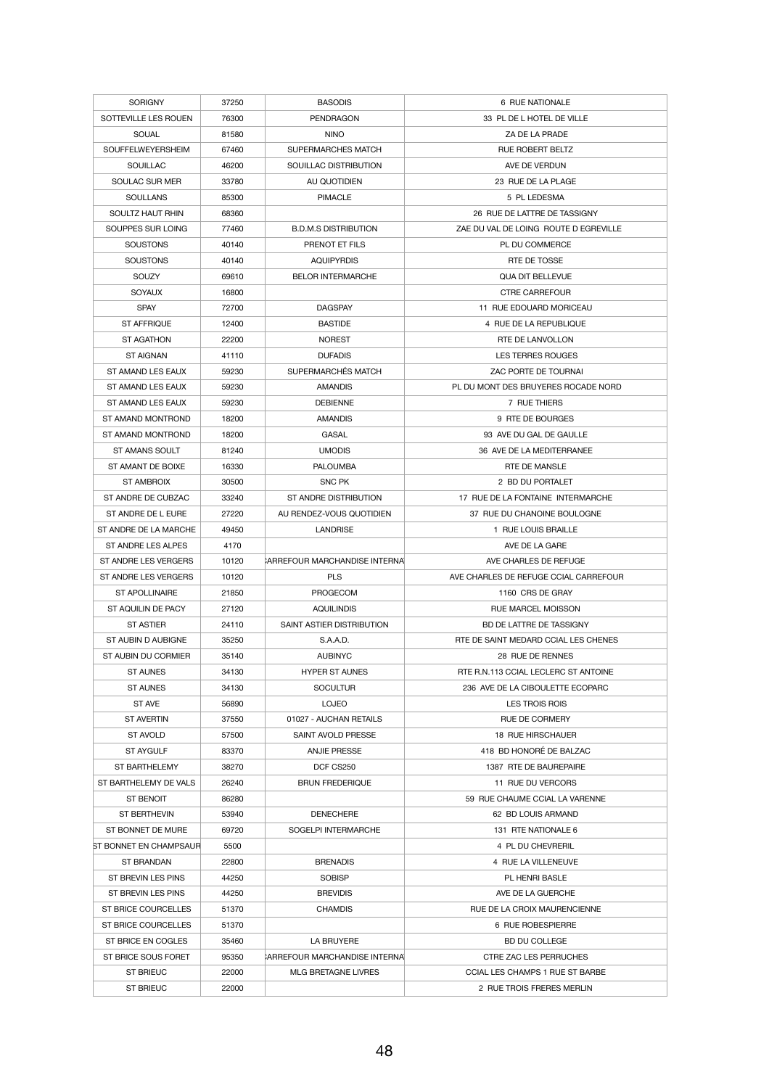| <b>SORIGNY</b>                             | 37250          | <b>BASODIS</b>                 | 6 RUE NATIONALE                                                     |
|--------------------------------------------|----------------|--------------------------------|---------------------------------------------------------------------|
| SOTTEVILLE LES ROUEN                       | 76300          | <b>PENDRAGON</b>               | 33 PL DE L HOTEL DE VILLE                                           |
| <b>SOUAL</b>                               | 81580          | <b>NINO</b>                    | ZA DE LA PRADE                                                      |
| SOUFFELWEYERSHEIM                          | 67460          | <b>SUPERMARCHES MATCH</b>      | <b>RUE ROBERT BELTZ</b>                                             |
| <b>SOUILLAC</b>                            | 46200          | SOUILLAC DISTRIBUTION          | AVE DE VERDUN                                                       |
| <b>SOULAC SUR MER</b>                      | 33780          | AU QUOTIDIEN                   | 23 RUE DE LA PLAGE                                                  |
| <b>SOULLANS</b>                            | 85300          | <b>PIMACLE</b>                 | 5 PL LEDESMA                                                        |
| SOULTZ HAUT RHIN                           | 68360          |                                | 26 RUE DE LATTRE DE TASSIGNY                                        |
| SOUPPES SUR LOING                          | 77460          | <b>B.D.M.S DISTRIBUTION</b>    | ZAE DU VAL DE LOING ROUTE D EGREVILLE                               |
| <b>SOUSTONS</b>                            | 40140          | PRENOT ET FILS                 | PL DU COMMERCE                                                      |
| <b>SOUSTONS</b>                            | 40140          | <b>AQUIPYRDIS</b>              | RTE DE TOSSE                                                        |
| SOUZY                                      | 69610          | <b>BELOR INTERMARCHE</b>       | <b>QUA DIT BELLEVUE</b>                                             |
| <b>SOYAUX</b>                              | 16800          |                                | <b>CTRE CARREFOUR</b>                                               |
| <b>SPAY</b>                                | 72700          | <b>DAGSPAY</b>                 | 11 RUE EDOUARD MORICEAU                                             |
| <b>ST AFFRIQUE</b>                         | 12400          | <b>BASTIDE</b>                 | 4 RUE DE LA REPUBLIQUE                                              |
| <b>ST AGATHON</b>                          | 22200          | <b>NOREST</b>                  | RTE DE LANVOLLON                                                    |
| <b>ST AIGNAN</b>                           | 41110          | <b>DUFADIS</b>                 | <b>LES TERRES ROUGES</b>                                            |
| ST AMAND LES EAUX                          | 59230          | SUPERMARCHÉS MATCH             | <b>ZAC PORTE DE TOURNAI</b>                                         |
| ST AMAND LES EAUX                          | 59230          | AMANDIS                        | PL DU MONT DES BRUYERES ROCADE NORD                                 |
| ST AMAND LES EAUX                          | 59230          | <b>DEBIENNE</b>                | 7 RUE THIERS                                                        |
| ST AMAND MONTROND                          | 18200          | <b>AMANDIS</b>                 | 9 RTE DE BOURGES                                                    |
|                                            |                |                                |                                                                     |
| ST AMAND MONTROND<br><b>ST AMANS SOULT</b> | 18200          | <b>GASAL</b>                   | 93 AVE DU GAL DE GAULLE<br>36 AVE DE LA MEDITERRANEE                |
|                                            | 81240          | <b>UMODIS</b>                  |                                                                     |
| ST AMANT DE BOIXE                          | 16330          | <b>PALOUMBA</b>                | <b>RTE DE MANSLE</b>                                                |
| <b>ST AMBROIX</b>                          | 30500          | SNC PK                         | 2 BD DU PORTALET                                                    |
| ST ANDRE DE CUBZAC                         | 33240          | <b>ST ANDRE DISTRIBUTION</b>   | 17 RUE DE LA FONTAINE INTERMARCHE                                   |
| ST ANDRE DE L EURE                         | 27220          | AU RENDEZ-VOUS QUOTIDIEN       | 37 RUE DU CHANOINE BOULOGNE                                         |
| ST ANDRE DE LA MARCHE                      | 49450          | <b>LANDRISE</b>                | 1 RUE LOUIS BRAILLE                                                 |
| ST ANDRE LES ALPES                         | 4170           |                                | AVE DE LA GARE                                                      |
|                                            |                |                                |                                                                     |
| ST ANDRE LES VERGERS                       | 10120          | CARREFOUR MARCHANDISE INTERNA  | AVE CHARLES DE REFUGE                                               |
| ST ANDRE LES VERGERS                       | 10120          | <b>PLS</b>                     | AVE CHARLES DE REFUGE CCIAL CARREFOUR                               |
| <b>ST APOLLINAIRE</b>                      | 21850          | PROGECOM                       | 1160 CRS DE GRAY                                                    |
| ST AQUILIN DE PACY                         | 27120          | <b>AQUILINDIS</b>              | <b>RUE MARCEL MOISSON</b>                                           |
| <b>ST ASTIER</b>                           | 24110          | SAINT ASTIER DISTRIBUTION      | BD DE LATTRE DE TASSIGNY                                            |
| ST AUBIN D AUBIGNE                         | 35250          | S.A.A.D.                       | RTE DE SAINT MEDARD CCIAL LES CHENES                                |
| ST AUBIN DU CORMIER                        | 35140          | <b>AUBINYC</b>                 | 28 RUE DE RENNES                                                    |
| <b>ST AUNES</b>                            | 34130          | <b>HYPER ST AUNES</b>          | RTE R.N.113 CCIAL LECLERC ST ANTOINE                                |
| <b>ST AUNES</b>                            | 34130          | <b>SOCULTUR</b>                | 236 AVE DE LA CIBOULETTE ECOPARC                                    |
| <b>ST AVE</b>                              | 56890          | <b>LOJEO</b>                   | <b>LES TROIS ROIS</b>                                               |
| <b>ST AVERTIN</b>                          | 37550          | 01027 - AUCHAN RETAILS         | RUE DE CORMERY                                                      |
| <b>ST AVOLD</b>                            | 57500          | SAINT AVOLD PRESSE             | <b>18 RUE HIRSCHAUER</b>                                            |
| <b>ST AYGULF</b>                           | 83370          | <b>ANJIE PRESSE</b>            | 418 BD HONORÉ DE BALZAC                                             |
| <b>ST BARTHELEMY</b>                       | 38270          | DCF CS250                      | 1387 RTE DE BAUREPAIRE                                              |
| ST BARTHELEMY DE VALS                      | 26240          | <b>BRUN FREDERIQUE</b>         | 11 RUE DU VERCORS                                                   |
| ST BENOIT                                  | 86280          |                                | 59 RUE CHAUME CCIAL LA VARENNE                                      |
| <b>ST BERTHEVIN</b>                        | 53940          | <b>DENECHERE</b>               | 62 BD LOUIS ARMAND                                                  |
| ST BONNET DE MURE                          | 69720          | SOGELPI INTERMARCHE            | 131 RTE NATIONALE 6                                                 |
| ST BONNET EN CHAMPSAUR                     | 5500           |                                | 4 PL DU CHEVRERIL                                                   |
| <b>ST BRANDAN</b>                          | 22800          | <b>BRENADIS</b>                | 4 RUE LA VILLENEUVE                                                 |
| ST BREVIN LES PINS                         | 44250          | <b>SOBISP</b>                  | PL HENRI BASLE                                                      |
| ST BREVIN LES PINS                         | 44250          | <b>BREVIDIS</b>                | AVE DE LA GUERCHE                                                   |
| ST BRICE COURCELLES                        | 51370          | <b>CHAMDIS</b>                 | RUE DE LA CROIX MAURENCIENNE                                        |
| <b>ST BRICE COURCELLES</b>                 | 51370          |                                | 6 RUE ROBESPIERRE                                                   |
| ST BRICE EN COGLES                         | 35460          | LA BRUYERE                     | <b>BD DU COLLEGE</b>                                                |
| ST BRICE SOUS FORET                        | 95350          | CARREFOUR MARCHANDISE INTERNAL | <b>CTRE ZAC LES PERRUCHES</b>                                       |
| <b>ST BRIEUC</b><br><b>ST BRIEUC</b>       | 22000<br>22000 | <b>MLG BRETAGNE LIVRES</b>     | <b>CCIAL LES CHAMPS 1 RUE ST BARBE</b><br>2 RUE TROIS FRERES MERLIN |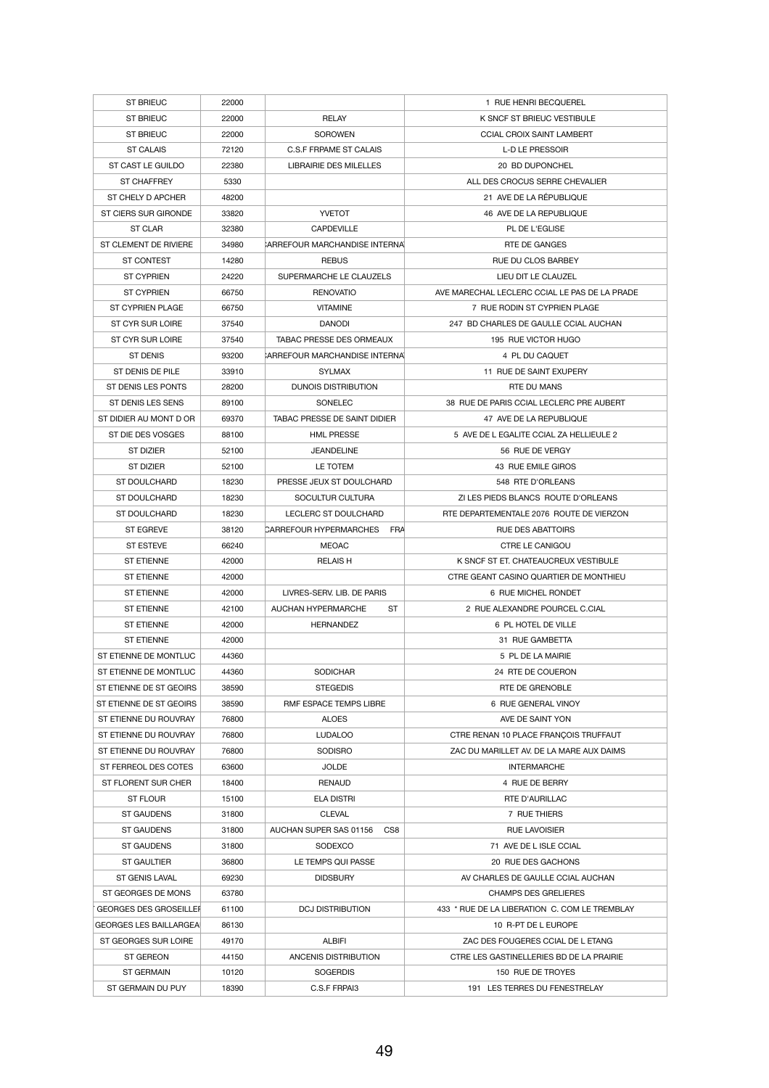| <b>ST BRIEUC</b>              | 22000 |                                       | 1 RUE HENRI BECQUEREL                         |
|-------------------------------|-------|---------------------------------------|-----------------------------------------------|
| <b>ST BRIEUC</b>              | 22000 | <b>RELAY</b>                          | K SNCF ST BRIEUC VESTIBULE                    |
| <b>ST BRIEUC</b>              | 22000 | <b>SOROWEN</b>                        | <b>CCIAL CROIX SAINT LAMBERT</b>              |
| <b>ST CALAIS</b>              | 72120 | <b>C.S.F FRPAME ST CALAIS</b>         | <b>L-D LE PRESSOIR</b>                        |
| ST CAST LE GUILDO             | 22380 | LIBRAIRIE DES MILELLES                | 20 BD DUPONCHEL                               |
| <b>ST CHAFFREY</b>            | 5330  |                                       | ALL DES CROCUS SERRE CHEVALIER                |
| ST CHELY D APCHER             | 48200 |                                       | 21 AVE DE LA RÉPUBLIQUE                       |
| <b>ST CIERS SUR GIRONDE</b>   | 33820 | <b>YVETOT</b>                         | 46 AVE DE LA REPUBLIQUE                       |
| <b>ST CLAR</b>                | 32380 | <b>CAPDEVILLE</b>                     | PL DE L'EGLISE                                |
| ST CLEMENT DE RIVIERE         | 34980 | <b>CARREFOUR MARCHANDISE INTERNAL</b> | <b>RTE DE GANGES</b>                          |
| <b>ST CONTEST</b>             | 14280 | <b>REBUS</b>                          | <b>RUE DU CLOS BARBEY</b>                     |
| <b>ST CYPRIEN</b>             | 24220 | SUPERMARCHE LE CLAUZELS               | LIEU DIT LE CLAUZEL                           |
| <b>ST CYPRIEN</b>             | 66750 | <b>RENOVATIO</b>                      | AVE MARECHAL LECLERC CCIAL LE PAS DE LA PRADE |
| <b>ST CYPRIEN PLAGE</b>       | 66750 | <b>VITAMINE</b>                       | 7 RUE RODIN ST CYPRIEN PLAGE                  |
| ST CYR SUR LOIRE              | 37540 | <b>DANODI</b>                         | 247 BD CHARLES DE GAULLE CCIAL AUCHAN         |
| <b>ST CYR SUR LOIRE</b>       | 37540 | <b>TABAC PRESSE DES ORMEAUX</b>       | 195 RUE VICTOR HUGO                           |
| <b>ST DENIS</b>               | 93200 | <b>ARREFOUR MARCHANDISE INTERNAL</b>  | 4 PL DU CAQUET                                |
| ST DENIS DE PILE              | 33910 | <b>SYLMAX</b>                         | 11 RUE DE SAINT EXUPERY                       |
| ST DENIS LES PONTS            | 28200 | <b>DUNOIS DISTRIBUTION</b>            | RTE DU MANS                                   |
| <b>ST DENIS LES SENS</b>      | 89100 | <b>SONELEC</b>                        | 38 RUE DE PARIS CCIAL LECLERC PRE AUBERT      |
| ST DIDIER AU MONT D OR        | 69370 | TABAC PRESSE DE SAINT DIDIER          | 47 AVE DE LA REPUBLIQUE                       |
| ST DIE DES VOSGES             | 88100 | <b>HML PRESSE</b>                     | 5 AVE DE L EGALITE CCIAL ZA HELLIEULE 2       |
| <b>ST DIZIER</b>              | 52100 | <b>JEANDELINE</b>                     | 56 RUE DE VERGY                               |
| <b>ST DIZIER</b>              | 52100 | LE TOTEM                              | 43 RUE EMILE GIROS                            |
| <b>ST DOULCHARD</b>           | 18230 | PRESSE JEUX ST DOULCHARD              | 548 RTE D'ORLEANS                             |
| <b>ST DOULCHARD</b>           | 18230 | SOCULTUR CULTURA                      | ZI LES PIEDS BLANCS ROUTE D'ORLEANS           |
| <b>ST DOULCHARD</b>           | 18230 | LECLERC ST DOULCHARD                  | RTE DEPARTEMENTALE 2076 ROUTE DE VIERZON      |
| <b>ST EGREVE</b>              | 38120 | <b>CARREFOUR HYPERMARCHES</b><br>FRA  | <b>RUE DES ABATTOIRS</b>                      |
| <b>ST ESTEVE</b>              | 66240 | <b>MEOAC</b>                          | <b>CTRE LE CANIGOU</b>                        |
| <b>ST ETIENNE</b>             | 42000 | <b>RELAIS H</b>                       | K SNCF ST ET. CHATEAUCREUX VESTIBULE          |
| <b>ST ETIENNE</b>             | 42000 |                                       | CTRE GEANT CASINO QUARTIER DE MONTHIEU        |
| <b>ST ETIENNE</b>             | 42000 | LIVRES-SERV. LIB. DE PARIS            | 6 RUE MICHEL RONDET                           |
| <b>ST ETIENNE</b>             | 42100 | AUCHAN HYPERMARCHE<br><b>ST</b>       | 2 RUE ALEXANDRE POURCEL C.CIAL                |
| <b>ST ETIENNE</b>             | 42000 | <b>HERNANDEZ</b>                      | 6 PL HOTEL DE VILLE                           |
| <b>ST ETIENNE</b>             | 42000 |                                       | 31 RUE GAMBETTA                               |
| ST ETIENNE DE MONTLUC         | 44360 |                                       | 5 PL DE LA MAIRIE                             |
| ST ETIENNE DE MONTLUC         | 44360 | <b>SODICHAR</b>                       | 24 RTE DE COUERON                             |
| ST ETIENNE DE ST GEOIRS       | 38590 | <b>STEGEDIS</b>                       | <b>RTE DE GRENOBLE</b>                        |
| ST ETIENNE DE ST GEOIRS       | 38590 | RMF ESPACE TEMPS LIBRE                | 6 RUE GENERAL VINOY                           |
| ST ETIENNE DU ROUVRAY         | 76800 | <b>ALOES</b>                          | AVE DE SAINT YON                              |
| ST ETIENNE DU ROUVRAY         | 76800 | <b>LUDALOO</b>                        | CTRE RENAN 10 PLACE FRANÇOIS TRUFFAUT         |
| ST ETIENNE DU ROUVRAY         | 76800 | <b>SODISRO</b>                        | ZAC DU MARILLET AV. DE LA MARE AUX DAIMS      |
| ST FERREOL DES COTES          | 63600 | <b>JOLDE</b>                          | <b>INTERMARCHE</b>                            |
| ST FLORENT SUR CHER           | 18400 | <b>RENAUD</b>                         | 4 RUE DE BERRY                                |
| <b>ST FLOUR</b>               | 15100 | <b>ELA DISTRI</b>                     | RTE D'AURILLAC                                |
| <b>ST GAUDENS</b>             | 31800 | <b>CLEVAL</b>                         | 7 RUE THIERS                                  |
| <b>ST GAUDENS</b>             | 31800 | AUCHAN SUPER SAS 01156<br>CS8         | <b>RUE LAVOISIER</b>                          |
| <b>ST GAUDENS</b>             | 31800 | <b>SODEXCO</b>                        | 71 AVE DE L ISLE CCIAL                        |
| <b>ST GAULTIER</b>            | 36800 | LE TEMPS QUI PASSE                    | 20 RUE DES GACHONS                            |
| <b>ST GENIS LAVAL</b>         | 69230 | <b>DIDSBURY</b>                       | AV CHARLES DE GAULLE CCIAL AUCHAN             |
| ST GEORGES DE MONS            | 63780 |                                       | <b>CHAMPS DES GRELIERES</b>                   |
| <b>GEORGES DES GROSEILLER</b> | 61100 | <b>DCJ DISTRIBUTION</b>               | 433 * RUE DE LA LIBERATION C. COM LE TREMBLAY |
| <b>GEORGES LES BAILLARGEA</b> | 86130 |                                       | 10 R-PT DE L EUROPE                           |
| ST GEORGES SUR LOIRE          | 49170 | <b>ALBIFI</b>                         | ZAC DES FOUGERES CCIAL DE L ETANG             |
| <b>ST GEREON</b>              | 44150 | ANCENIS DISTRIBUTION                  | CTRE LES GASTINELLERIES BD DE LA PRAIRIE      |
| <b>ST GERMAIN</b>             | 10120 | <b>SOGERDIS</b>                       | 150 RUE DE TROYES                             |
| ST GERMAIN DU PUY             | 18390 | C.S.F FRPAI3                          | 191 LES TERRES DU FENESTRELAY                 |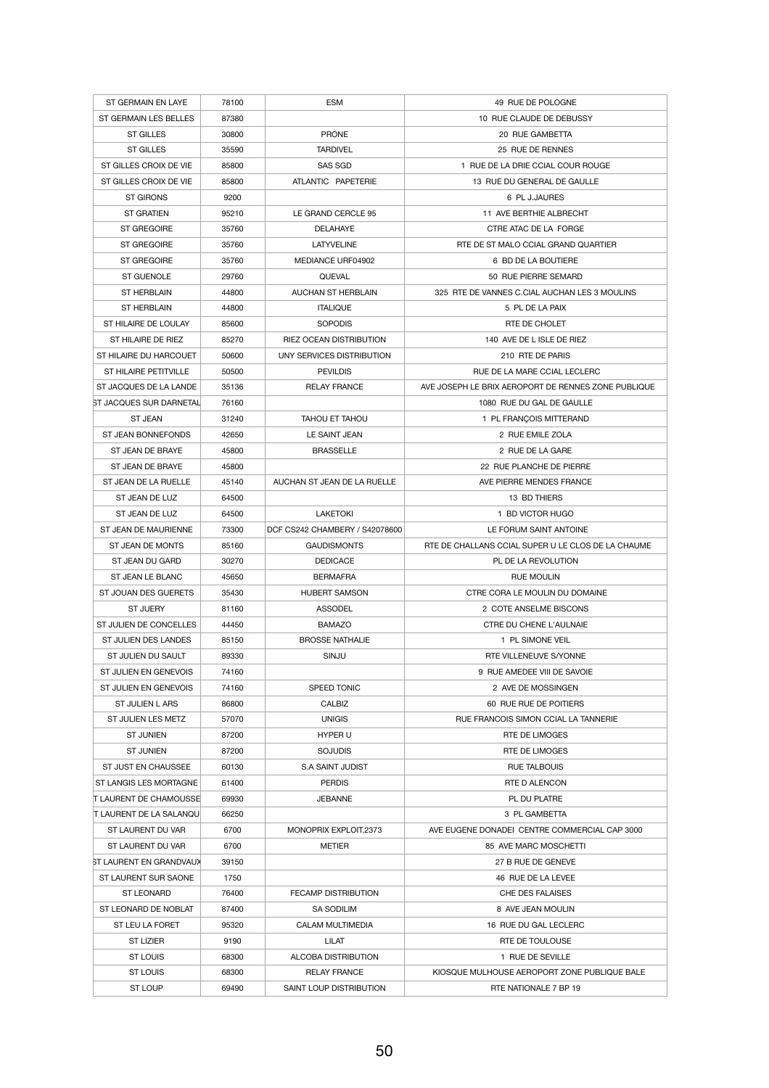| ST GERMAIN EN LAYE             | 78100 | <b>ESM</b>                     | 49 RUE DE POLOGNE                                   |
|--------------------------------|-------|--------------------------------|-----------------------------------------------------|
| ST GERMAIN LES BELLES          | 87380 |                                | 10 RUE CLAUDE DE DEBUSSY                            |
| <b>ST GILLES</b>               | 30800 | <b>PRONE</b>                   | <b>20 RUE GAMBETTA</b>                              |
| <b>ST GILLES</b>               | 35590 | <b>TARDIVEL</b>                | 25 RUE DE RENNES                                    |
| ST GILLES CROIX DE VIE         | 85800 | SAS SGD                        | 1 RUE DE LA DRIE CCIAL COUR ROUGE                   |
| ST GILLES CROIX DE VIE         | 85800 | ATLANTIC PAPETERIE             | 13 RUE DU GENERAL DE GAULLE                         |
| <b>ST GIRONS</b>               | 9200  |                                | 6 PL J.JAURES                                       |
| <b>ST GRATIEN</b>              | 95210 | LE GRAND CERCLE 95             | 11 AVE BERTHIE ALBRECHT                             |
| <b>ST GREGOIRE</b>             | 35760 | <b>DELAHAYE</b>                | CTRE ATAC DE LA FORGE                               |
| <b>ST GREGOIRE</b>             | 35760 | <b>LATYVELINE</b>              | RTE DE ST MALO CCIAL GRAND QUARTIER                 |
| <b>ST GREGOIRE</b>             | 35760 | MEDIANCE URF04902              | 6 BD DE LA BOUTIERE                                 |
| ST GUENOLE                     | 29760 | QUEVAL                         | 50 RUE PIERRE SEMARD                                |
| <b>ST HERBLAIN</b>             | 44800 | <b>AUCHAN ST HERBLAIN</b>      | 325 RTE DE VANNES C.CIAL AUCHAN LES 3 MOULINS       |
| <b>ST HERBLAIN</b>             | 44800 | <b>ITALIQUE</b>                | 5 PL DE LA PAIX                                     |
| ST HILAIRE DE LOULAY           | 85600 | <b>SOPODIS</b>                 | RTE DE CHOLET                                       |
| ST HILAIRE DE RIEZ             | 85270 | RIEZ OCEAN DISTRIBUTION        | 140 AVE DE L ISLE DE RIEZ                           |
| ST HILAIRE DU HARCOUET         | 50600 | UNY SERVICES DISTRIBUTION      | 210 RTE DE PARIS                                    |
| ST HILAIRE PETITVILLE          | 50500 | <b>PEVILDIS</b>                | RUE DE LA MARE CCIAL LECLERC                        |
| ST JACQUES DE LA LANDE         | 35136 | <b>RELAY FRANCE</b>            | AVE JOSEPH LE BRIX AEROPORT DE RENNES ZONE PUBLIQUE |
| <b>ST JACQUES SUR DARNETAL</b> | 76160 |                                | 1080 RUE DU GAL DE GAULLE                           |
| <b>ST JEAN</b>                 | 31240 | <b>TAHOU ET TAHOU</b>          | 1 PL FRANÇOIS MITTERAND                             |
| <b>ST JEAN BONNEFONDS</b>      | 42650 | LE SAINT JEAN                  | 2 RUE EMILE ZOLA                                    |
| <b>ST JEAN DE BRAYE</b>        | 45800 | <b>BRASSELLE</b>               | 2 RUE DE LA GARE                                    |
| ST JEAN DE BRAYE               | 45800 |                                | 22 RUE PLANCHE DE PIERRE                            |
| ST JEAN DE LA RUELLE           | 45140 | AUCHAN ST JEAN DE LA RUELLE    | AVE PIERRE MENDES FRANCE                            |
| ST JEAN DE LUZ                 | 64500 |                                | 13 BD THIERS                                        |
| ST JEAN DE LUZ                 | 64500 | <b>LAKETOKI</b>                | 1 BD VICTOR HUGO                                    |
| ST JEAN DE MAURIENNE           | 73300 | DCF CS242 CHAMBERY / S42078600 | LE FORUM SAINT ANTOINE                              |
| ST JEAN DE MONTS               | 85160 | <b>GAUDISMONTS</b>             | RTE DE CHALLANS CCIAL SUPER U LE CLOS DE LA CHAUME  |
| ST JEAN DU GARD                | 30270 | <b>DEDICACE</b>                | PL DE LA REVOLUTION                                 |
| ST JEAN LE BLANC               | 45650 | <b>BERMAFRA</b>                | <b>RUE MOULIN</b>                                   |
| ST JOUAN DES GUERETS           | 35430 | <b>HUBERT SAMSON</b>           | CTRE CORA LE MOULIN DU DOMAINE                      |
| <b>ST JUERY</b>                | 81160 | <b>ASSODEL</b>                 | 2 COTE ANSELME BISCONS                              |
| ST JULIEN DE CONCELLES         | 44450 | <b>BAMAZO</b>                  | <b>CTRE DU CHENE L'AULNAIE</b>                      |
| ST JULIEN DES LANDES           | 85150 | <b>BROSSE NATHALIE</b>         | 1 PL SIMONE VEIL                                    |
| ST JULIEN DU SAULT             | 89330 | SINJU                          | RTE VILLENEUVE S/YONNE                              |
| ST JULIEN EN GENEVOIS          | 74160 |                                | 9 RUE AMEDEE VIII DE SAVOIE                         |
| ST JULIEN EN GENEVOIS          | 74160 | SPEED TONIC                    | 2 AVE DE MOSSINGEN                                  |
| <b>ST JULIEN L ARS</b>         | 86800 | <b>CALBIZ</b>                  | 60 RUE RUE DE POITIERS                              |
| ST JULIEN LES METZ             | 57070 | <b>UNIGIS</b>                  | RUE FRANCOIS SIMON CCIAL LA TANNERIE                |
| <b>ST JUNIEN</b>               | 87200 | <b>HYPER U</b>                 | RTE DE LIMOGES                                      |
| <b>ST JUNIEN</b>               | 87200 | <b>SOJUDIS</b>                 | <b>RTE DE LIMOGES</b>                               |
| ST JUST EN CHAUSSEE            | 60130 | <b>S.A SAINT JUDIST</b>        | <b>RUE TALBOUIS</b>                                 |
| ST LANGIS LES MORTAGNE         | 61400 | <b>PERDIS</b>                  | RTE D ALENCON                                       |
| <b>TLAURENT DE CHAMOUSSE</b>   | 69930 | <b>JEBANNE</b>                 | PL DU PLATRE                                        |
| IT LAURENT DE LA SALANQU       | 66250 |                                | 3 PL GAMBETTA                                       |
| ST LAURENT DU VAR              | 6700  | MONOPRIX EXPLOIT.2373          | AVE EUGENE DONADEI CENTRE COMMERCIAL CAP 3000       |
| ST LAURENT DU VAR              | 6700  | <b>METIER</b>                  | 85 AVE MARC MOSCHETTI                               |
| <b>ST LAURENT EN GRANDVAUX</b> | 39150 |                                | 27 B RUE DE GENEVE                                  |
| <b>ST LAURENT SUR SAONE</b>    | 1750  |                                | 46 RUE DE LA LEVEE                                  |
| ST LEONARD                     | 76400 | <b>FECAMP DISTRIBUTION</b>     | <b>CHE DES FALAISES</b>                             |
| ST LEONARD DE NOBLAT           | 87400 | SA SODILIM                     | 8 AVE JEAN MOULIN                                   |
| ST LEU LA FORET                | 95320 | <b>CALAM MULTIMEDIA</b>        | 16 RUE DU GAL LECLERC                               |
| <b>ST LIZIER</b>               | 9190  | <b>LILAT</b>                   | RTE DE TOULOUSE                                     |
| <b>ST LOUIS</b>                | 68300 | ALCOBA DISTRIBUTION            | 1 RUE DE SEVILLE                                    |
| <b>ST LOUIS</b>                | 68300 | <b>RELAY FRANCE</b>            | KIOSQUE MULHOUSE AEROPORT ZONE PUBLIQUE BALE        |
| <b>ST LOUP</b>                 | 69490 | SAINT LOUP DISTRIBUTION        | RTE NATIONALE 7 BP 19                               |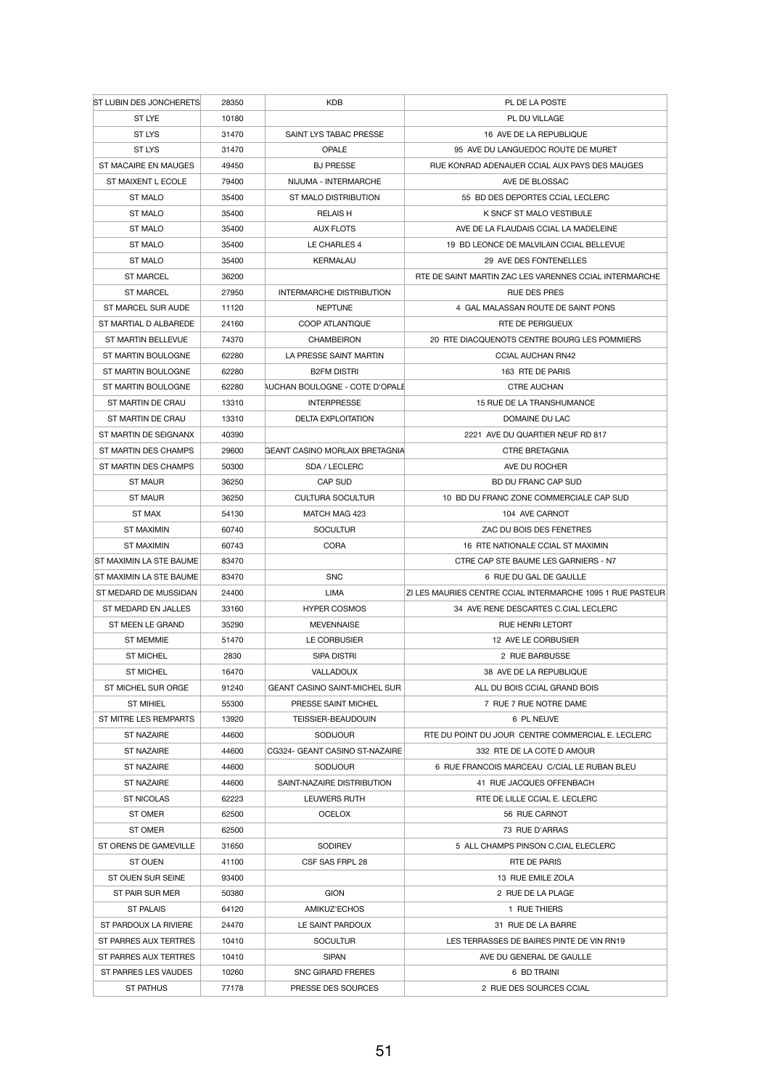| <b>ST LUBIN DES JONCHERETS</b> | 28350 | <b>KDB</b>                            | PL DE LA POSTE                                             |
|--------------------------------|-------|---------------------------------------|------------------------------------------------------------|
| ST LYE                         | 10180 |                                       | PL DU VILLAGE                                              |
| <b>ST LYS</b>                  | 31470 | SAINT LYS TABAC PRESSE                | 16 AVE DE LA REPUBLIQUE                                    |
| <b>ST LYS</b>                  | 31470 | <b>OPALE</b>                          | 95 AVE DU LANGUEDOC ROUTE DE MURET                         |
| ST MACAIRE EN MAUGES           | 49450 | <b>BJ PRESSE</b>                      | RUE KONRAD ADENAUER CCIAL AUX PAYS DES MAUGES              |
| ST MAIXENT L ECOLE             | 79400 | NIJUMA - INTERMARCHE                  | AVE DE BLOSSAC                                             |
| <b>ST MALO</b>                 | 35400 | <b>ST MALO DISTRIBUTION</b>           | 55 BD DES DEPORTES CCIAL LECLERC                           |
| <b>ST MALO</b>                 | 35400 | <b>RELAIS H</b>                       | K SNCF ST MALO VESTIBULE                                   |
| <b>ST MALO</b>                 | 35400 | <b>AUX FLOTS</b>                      | AVE DE LA FLAUDAIS CCIAL LA MADELEINE                      |
| <b>ST MALO</b>                 | 35400 | LE CHARLES 4                          | 19 BD LEONCE DE MALVILAIN CCIAL BELLEVUE                   |
| <b>ST MALO</b>                 | 35400 | <b>KERMALAU</b>                       | 29 AVE DES FONTENELLES                                     |
| <b>ST MARCEL</b>               | 36200 |                                       | RTE DE SAINT MARTIN ZAC LES VARENNES CCIAL INTERMARCHE     |
| <b>ST MARCEL</b>               | 27950 | <b>INTERMARCHE DISTRIBUTION</b>       | <b>RUE DES PRES</b>                                        |
| ST MARCEL SUR AUDE             | 11120 | <b>NEPTUNE</b>                        | 4 GAL MALASSAN ROUTE DE SAINT PONS                         |
| ST MARTIAL D ALBAREDE          | 24160 | <b>COOP ATLANTIQUE</b>                | RTE DE PERIGUEUX                                           |
| <b>ST MARTIN BELLEVUE</b>      | 74370 | <b>CHAMBEIRON</b>                     | 20 RTE DIACQUENOTS CENTRE BOURG LES POMMIERS               |
| ST MARTIN BOULOGNE             | 62280 | LA PRESSE SAINT MARTIN                | <b>CCIAL AUCHAN RN42</b>                                   |
| ST MARTIN BOULOGNE             | 62280 | <b>B2FM DISTRI</b>                    | 163 RTE DE PARIS                                           |
| <b>ST MARTIN BOULOGNE</b>      | 62280 | AUCHAN BOULOGNE - COTE D'OPALE        | <b>CTRE AUCHAN</b>                                         |
| ST MARTIN DE CRAU              | 13310 | <b>INTERPRESSE</b>                    | <b>15 RUE DE LA TRANSHUMANCE</b>                           |
| ST MARTIN DE CRAU              | 13310 | <b>DELTA EXPLOITATION</b>             | DOMAINE DU LAC                                             |
| ST MARTIN DE SEIGNANX          | 40390 |                                       | 2221 AVE DU QUARTIER NEUF RD 817                           |
| ST MARTIN DES CHAMPS           | 29600 | <b>GEANT CASINO MORLAIX BRETAGNIA</b> | <b>CTRE BRETAGNIA</b>                                      |
| ST MARTIN DES CHAMPS           | 50300 | SDA / LECLERC                         | AVE DU ROCHER                                              |
| <b>ST MAUR</b>                 | 36250 | <b>CAP SUD</b>                        | <b>BD DU FRANC CAP SUD</b>                                 |
| <b>ST MAUR</b>                 | 36250 | <b>CULTURA SOCULTUR</b>               | 10 BD DU FRANC ZONE COMMERCIALE CAP SUD                    |
| <b>ST MAX</b>                  | 54130 | MATCH MAG 423                         | 104 AVE CARNOT                                             |
| <b>ST MAXIMIN</b>              | 60740 | <b>SOCULTUR</b>                       | ZAC DU BOIS DES FENETRES                                   |
| <b>ST MAXIMIN</b>              | 60743 | <b>CORA</b>                           | 16 RTE NATIONALE CCIAL ST MAXIMIN                          |
| ST MAXIMIN LA STE BAUME        | 83470 |                                       | CTRE CAP STE BAUME LES GARNIERS - N7                       |
| ST MAXIMIN LA STE BAUME        | 83470 | <b>SNC</b>                            | 6 RUE DU GAL DE GAULLE                                     |
| ST MEDARD DE MUSSIDAN          | 24400 | LIMA                                  | ZI LES MAURIES CENTRE CCIAL INTERMARCHE 1095 1 RUE PASTEUR |
| ST MEDARD EN JALLES            | 33160 | <b>HYPER COSMOS</b>                   | 34 AVE RENE DESCARTES C.CIAL LECLERC                       |
| ST MEEN LE GRAND               | 35290 | <b>MEVENNAISE</b>                     | <b>RUE HENRI LETORT</b>                                    |
| <b>ST MEMMIE</b>               | 51470 | LE CORBUSIER                          | 12 AVE LE CORBUSIER                                        |
| <b>ST MICHEL</b>               | 2830  | <b>SIPA DISTRI</b>                    | 2 RUE BARBUSSE                                             |
| <b>ST MICHEL</b>               | 16470 | <b>VALLADOUX</b>                      | 38 AVE DE LA REPUBLIQUE                                    |
| ST MICHEL SUR ORGE             | 91240 | <b>GEANT CASINO SAINT-MICHEL SUR</b>  | ALL DU BOIS CCIAL GRAND BOIS                               |
| <b>ST MIHIEL</b>               | 55300 | PRESSE SAINT MICHEL                   | 7 RUE 7 RUE NOTRE DAME                                     |
| ST MITRE LES REMPARTS          | 13920 | <b>TEISSIER-BEAUDOUIN</b>             | 6 PL NEUVE                                                 |
| <b>ST NAZAIRE</b>              | 44600 | <b>SODIJOUR</b>                       | RTE DU POINT DU JOUR CENTRE COMMERCIAL E. LECLERC          |
| <b>ST NAZAIRE</b>              | 44600 | CG324- GEANT CASINO ST-NAZAIRE        | 332 RTE DE LA COTE D AMOUR                                 |
| <b>ST NAZAIRE</b>              | 44600 | <b>SODIJOUR</b>                       | 6 RUE FRANCOIS MARCEAU C/CIAL LE RUBAN BLEU                |
| <b>ST NAZAIRE</b>              | 44600 | SAINT-NAZAIRE DISTRIBUTION            | 41 RUE JACQUES OFFENBACH                                   |
| <b>ST NICOLAS</b>              | 62223 | LEUWERS RUTH                          | RTE DE LILLE CCIAL E. LECLERC                              |
| <b>ST OMER</b>                 | 62500 | <b>OCELOX</b>                         | 56 RUE CARNOT                                              |
| <b>ST OMER</b>                 | 62500 |                                       | 73 RUE D'ARRAS                                             |
| ST ORENS DE GAMEVILLE          | 31650 | <b>SODIREV</b>                        | 5 ALL CHAMPS PINSON C.CIAL ELECLERC                        |
| <b>ST OUEN</b>                 | 41100 | CSF SAS FRPL 28                       | RTE DE PARIS                                               |
| ST OUEN SUR SEINE              | 93400 |                                       | 13 RUE EMILE ZOLA                                          |
| ST PAIR SUR MER                | 50380 | <b>GION</b>                           | 2 RUE DE LA PLAGE                                          |
| <b>ST PALAIS</b>               | 64120 | AMIKUZ'ECHOS                          | 1 RUE THIERS                                               |
| ST PARDOUX LA RIVIERE          | 24470 | LE SAINT PARDOUX                      | 31 RUE DE LA BARRE                                         |
| ST PARRES AUX TERTRES          | 10410 | <b>SOCULTUR</b>                       | LES TERRASSES DE BAIRES PINTE DE VIN RN19                  |
| ST PARRES AUX TERTRES          | 10410 | <b>SIPAN</b>                          | AVE DU GENERAL DE GAULLE                                   |
| ST PARRES LES VAUDES           | 10260 | <b>SNC GIRARD FRERES</b>              | 6 BD TRAINI                                                |
| <b>ST PATHUS</b>               | 77178 | PRESSE DES SOURCES                    | 2 RUE DES SOURCES CCIAL                                    |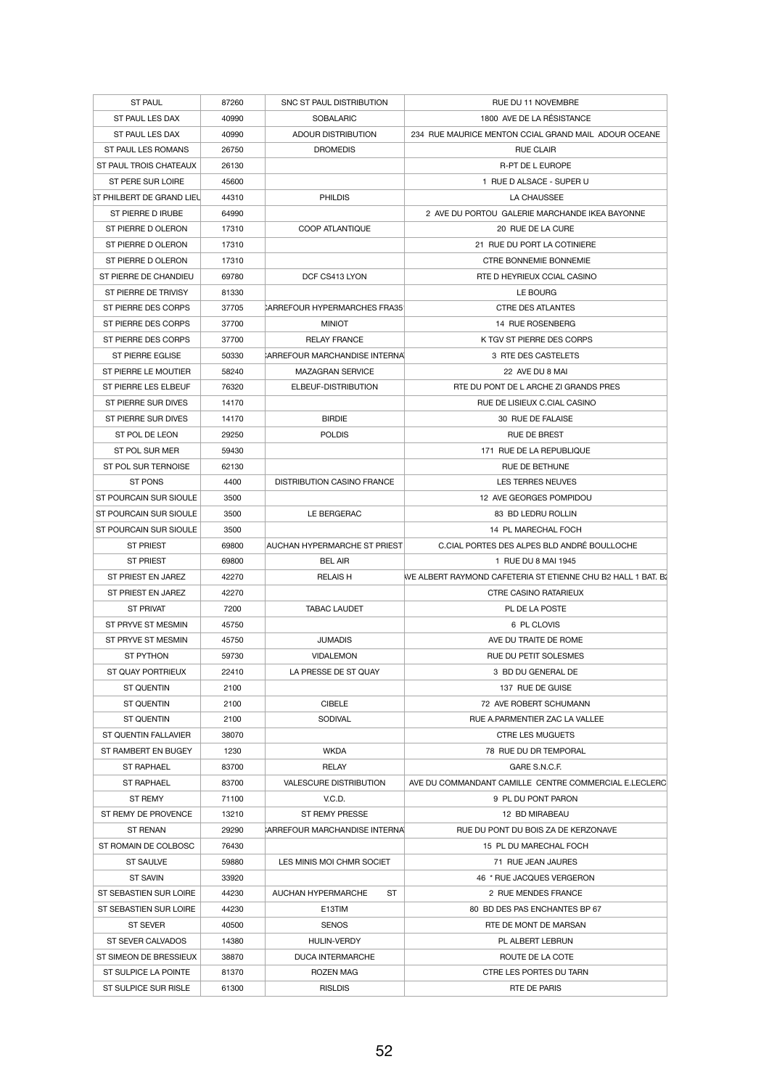| <b>ST PAUL</b>                         | 87260 | SNC ST PAUL DISTRIBUTION                 | RUE DU 11 NOVEMBRE                                                 |
|----------------------------------------|-------|------------------------------------------|--------------------------------------------------------------------|
| ST PAUL LES DAX                        | 40990 | <b>SOBALARIC</b>                         | 1800 AVE DE LA RÉSISTANCE                                          |
| ST PAUL LES DAX                        | 40990 | <b>ADOUR DISTRIBUTION</b>                | 234 RUE MAURICE MENTON CCIAL GRAND MAIL ADOUR OCEANE               |
| <b>ST PAUL LES ROMANS</b>              | 26750 | <b>DROMEDIS</b>                          | <b>RUE CLAIR</b>                                                   |
| ST PAUL TROIS CHATEAUX                 | 26130 |                                          | R-PT DE L EUROPE                                                   |
| ST PERE SUR LOIRE                      | 45600 |                                          | 1 RUE D ALSACE - SUPER U                                           |
| ST PHILBERT DE GRAND LIEU              | 44310 | <b>PHILDIS</b>                           | LA CHAUSSEE                                                        |
| ST PIERRE D IRUBE                      | 64990 |                                          | 2 AVE DU PORTOU GALERIE MARCHANDE IKEA BAYONNE                     |
| ST PIERRE D OLERON                     | 17310 | <b>COOP ATLANTIQUE</b>                   | 20 RUE DE LA CURE                                                  |
| ST PIERRE D OLERON                     | 17310 |                                          | 21 RUE DU PORT LA COTINIERE                                        |
| ST PIERRE D OLERON                     | 17310 |                                          | <b>CTRE BONNEMIE BONNEMIE</b>                                      |
| ST PIERRE DE CHANDIEU                  | 69780 | DCF CS413 LYON                           | RTE D HEYRIEUX CCIAL CASINO                                        |
| ST PIERRE DE TRIVISY                   | 81330 |                                          | LE BOURG                                                           |
| ST PIERRE DES CORPS                    | 37705 | CARREFOUR HYPERMARCHES FRA35             | <b>CTRE DES ATLANTES</b>                                           |
| ST PIERRE DES CORPS                    | 37700 | <b>MINIOT</b>                            | 14 RUE ROSENBERG                                                   |
| ST PIERRE DES CORPS                    | 37700 | <b>RELAY FRANCE</b>                      | K TGV ST PIERRE DES CORPS                                          |
| <b>ST PIERRE EGLISE</b>                | 50330 | CARREFOUR MARCHANDISE INTERNAL           | 3 RTE DES CASTELETS                                                |
| ST PIERRE LE MOUTIER                   | 58240 | <b>MAZAGRAN SERVICE</b>                  | 22 AVE DU 8 MAI                                                    |
| ST PIERRE LES ELBEUF                   | 76320 | ELBEUF-DISTRIBUTION                      | RTE DU PONT DE L ARCHE ZI GRANDS PRES                              |
| ST PIERRE SUR DIVES                    | 14170 |                                          | RUE DE LISIEUX C.CIAL CASINO                                       |
| ST PIERRE SUR DIVES                    | 14170 | <b>BIRDIE</b>                            | 30 RUE DE FALAISE                                                  |
| ST POL DE LEON                         | 29250 | <b>POLDIS</b>                            | <b>RUE DE BREST</b>                                                |
| <b>ST POL SUR MER</b>                  | 59430 |                                          | 171 RUE DE LA REPUBLIQUE                                           |
| ST POL SUR TERNOISE                    | 62130 |                                          | <b>RUE DE BETHUNE</b>                                              |
| <b>ST PONS</b>                         |       |                                          | LES TERRES NEUVES                                                  |
| ST POURCAIN SUR SIOULE                 | 4400  | <b>DISTRIBUTION CASINO FRANCE</b>        | 12 AVE GEORGES POMPIDOU                                            |
|                                        | 3500  |                                          |                                                                    |
| ST POURCAIN SUR SIOULE                 | 3500  | LE BERGERAC                              | 83 BD LEDRU ROLLIN                                                 |
| ST POURCAIN SUR SIOULE                 | 3500  |                                          | 14 PL MARECHAL FOCH<br>C.CIAL PORTES DES ALPES BLD ANDRÉ BOULLOCHE |
| <b>ST PRIEST</b>                       | 69800 | AUCHAN HYPERMARCHE ST PRIEST             |                                                                    |
| <b>ST PRIEST</b>                       | 69800 | <b>BEL AIR</b>                           | 1 RUE DU 8 MAI 1945                                                |
| ST PRIEST EN JAREZ                     | 42270 | <b>RELAIS H</b>                          | WE ALBERT RAYMOND CAFETERIA ST ETIENNE CHU B2 HALL 1 BAT. B2       |
| ST PRIEST EN JAREZ                     | 42270 |                                          | <b>CTRE CASINO RATARIEUX</b>                                       |
| <b>ST PRIVAT</b>                       | 7200  | <b>TABAC LAUDET</b>                      | PL DE LA POSTE                                                     |
| ST PRYVE ST MESMIN                     | 45750 |                                          | 6 PL CLOVIS                                                        |
| ST PRYVE ST MESMIN<br><b>ST PYTHON</b> | 45750 | <b>JUMADIS</b>                           | AVE DU TRAITE DE ROME                                              |
| ST QUAY PORTRIEUX                      | 59730 | <b>VIDALEMON</b><br>LA PRESSE DE ST QUAY | RUE DU PETIT SOLESMES                                              |
|                                        | 22410 |                                          | 3 BD DU GENERAL DE<br>137 RUE DE GUISE                             |
| <b>ST QUENTIN</b>                      | 2100  |                                          |                                                                    |
| <b>ST QUENTIN</b>                      | 2100  | <b>CIBELE</b>                            | 72 AVE ROBERT SCHUMANN                                             |
| <b>ST QUENTIN</b>                      | 2100  | <b>SODIVAL</b>                           | RUE A.PARMENTIER ZAC LA VALLEE                                     |
| ST QUENTIN FALLAVIER                   | 38070 |                                          | <b>CTRE LES MUGUETS</b>                                            |
| ST RAMBERT EN BUGEY                    | 1230  | <b>WKDA</b>                              | 78 RUE DU DR TEMPORAL                                              |
| <b>ST RAPHAEL</b>                      | 83700 | <b>RELAY</b>                             | GARE S.N.C.F.                                                      |
| <b>ST RAPHAEL</b>                      | 83700 | <b>VALESCURE DISTRIBUTION</b>            | AVE DU COMMANDANT CAMILLE CENTRE COMMERCIAL E.LECLERC              |
| ST REMY                                | 71100 | V.C.D.                                   | 9 PL DU PONT PARON                                                 |
| ST REMY DE PROVENCE                    | 13210 | ST REMY PRESSE                           | 12 BD MIRABEAU                                                     |
| <b>ST RENAN</b>                        | 29290 | CARREFOUR MARCHANDISE INTERNAL           | RUE DU PONT DU BOIS ZA DE KERZONAVE                                |
| ST ROMAIN DE COLBOSC                   | 76430 |                                          | 15 PL DU MARECHAL FOCH                                             |
| <b>ST SAULVE</b>                       | 59880 | LES MINIS MOI CHMR SOCIET                | 71 RUE JEAN JAURES                                                 |
| <b>ST SAVIN</b>                        | 33920 |                                          | 46 * RUE JACQUES VERGERON                                          |
| ST SEBASTIEN SUR LOIRE                 | 44230 | <b>ST</b><br>AUCHAN HYPERMARCHE          | 2 RUE MENDES FRANCE                                                |
| ST SEBASTIEN SUR LOIRE                 | 44230 | E13TIM                                   | 80 BD DES PAS ENCHANTES BP 67                                      |
| <b>ST SEVER</b>                        | 40500 | <b>SENOS</b>                             | RTE DE MONT DE MARSAN                                              |
| ST SEVER CALVADOS                      | 14380 | HULIN-VERDY                              | PL ALBERT LEBRUN                                                   |
| ST SIMEON DE BRESSIEUX                 | 38870 | <b>DUCA INTERMARCHE</b>                  | ROUTE DE LA COTE                                                   |
| ST SULPICE LA POINTE                   | 81370 | <b>ROZEN MAG</b>                         | CTRE LES PORTES DU TARN                                            |
| ST SULPICE SUR RISLE                   | 61300 | <b>RISLDIS</b>                           | RTE DE PARIS                                                       |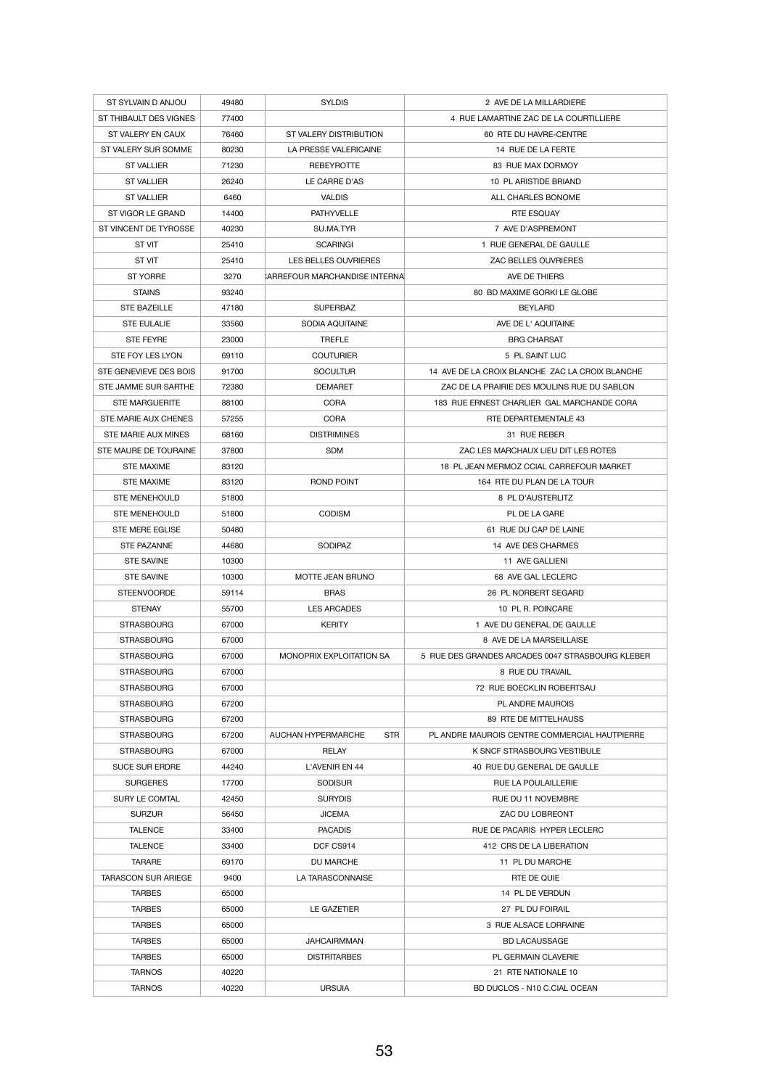| ST SYLVAIN D ANJOU         | 49480 | <b>SYLDIS</b>                           | 2 AVE DE LA MILLARDIERE                          |
|----------------------------|-------|-----------------------------------------|--------------------------------------------------|
| ST THIBAULT DES VIGNES     | 77400 |                                         | 4 RUE LAMARTINE ZAC DE LA COURTILLIERE           |
| ST VALERY EN CAUX          | 76460 | ST VALERY DISTRIBUTION                  | 60 RTE DU HAVRE-CENTRE                           |
| ST VALERY SUR SOMME        | 80230 | LA PRESSE VALERICAINE                   | 14 RUE DE LA FERTE                               |
| <b>ST VALLIER</b>          | 71230 | <b>REBEYROTTE</b>                       | 83 RUE MAX DORMOY                                |
| <b>ST VALLIER</b>          | 26240 | LE CARRE D'AS                           | 10 PL ARISTIDE BRIAND                            |
| <b>ST VALLIER</b>          | 6460  | <b>VALDIS</b>                           | ALL CHARLES BONOME                               |
| ST VIGOR LE GRAND          | 14400 | <b>PATHYVELLE</b>                       | <b>RTE ESQUAY</b>                                |
| ST VINCENT DE TYROSSE      | 40230 | SU.MA.TYR                               | 7 AVE D'ASPREMONT                                |
| <b>ST VIT</b>              | 25410 | <b>SCARINGI</b>                         | 1 RUE GENERAL DE GAULLE                          |
| ST VIT                     | 25410 | LES BELLES OUVRIERES                    | ZAC BELLES OUVRIERES                             |
| <b>ST YORRE</b>            | 3270  | CARREFOUR MARCHANDISE INTERNAL          | AVE DE THIERS                                    |
| <b>STAINS</b>              | 93240 |                                         | 80 BD MAXIME GORKI LE GLOBE                      |
| <b>STE BAZEILLE</b>        | 47180 | <b>SUPERBAZ</b>                         | <b>BEYLARD</b>                                   |
| <b>STE EULALIE</b>         | 33560 | SODIA AQUITAINE                         | AVE DE L' AQUITAINE                              |
| <b>STE FEYRE</b>           | 23000 | <b>TREFLE</b>                           | <b>BRG CHARSAT</b>                               |
| STE FOY LES LYON           | 69110 | <b>COUTURIER</b>                        | 5 PL SAINT LUC                                   |
| STE GENEVIEVE DES BOIS     | 91700 | <b>SOCULTUR</b>                         | 14 AVE DE LA CROIX BLANCHE ZAC LA CROIX BLANCHE  |
|                            |       |                                         |                                                  |
| STE JAMME SUR SARTHE       | 72380 | <b>DEMARET</b>                          | ZAC DE LA PRAIRIE DES MOULINS RUE DU SABLON      |
| <b>STE MARGUERITE</b>      | 88100 | <b>CORA</b>                             | 183 RUE ERNEST CHARLIER GAL MARCHANDE CORA       |
| STE MARIE AUX CHENES       | 57255 | <b>CORA</b>                             | RTE DEPARTEMENTALE 43                            |
| STE MARIE AUX MINES        | 68160 | <b>DISTRIMINES</b>                      | 31 RUE REBER                                     |
| STE MAURE DE TOURAINE      | 37800 | <b>SDM</b>                              | ZAC LES MARCHAUX LIEU DIT LES ROTES              |
| <b>STE MAXIME</b>          | 83120 |                                         | 18 PL JEAN MERMOZ CCIAL CARREFOUR MARKET         |
| <b>STE MAXIME</b>          | 83120 | <b>ROND POINT</b>                       | 164 RTE DU PLAN DE LA TOUR                       |
| <b>STE MENEHOULD</b>       | 51800 |                                         | 8 PL D'AUSTERLITZ                                |
| <b>STE MENEHOULD</b>       | 51800 | <b>CODISM</b>                           | PL DE LA GARE                                    |
| <b>STE MERE EGLISE</b>     | 50480 |                                         | 61 RUE DU CAP DE LAINE                           |
| <b>STE PAZANNE</b>         | 44680 | <b>SODIPAZ</b>                          | 14 AVE DES CHARMES                               |
| <b>STE SAVINE</b>          | 10300 |                                         | 11 AVE GALLIENI                                  |
| <b>STE SAVINE</b>          | 10300 | <b>MOTTE JEAN BRUNO</b>                 | 68 AVE GAL LECLERC                               |
| <b>STEENVOORDE</b>         | 59114 | <b>BRAS</b>                             | 26 PL NORBERT SEGARD                             |
| <b>STENAY</b>              | 55700 | <b>LES ARCADES</b>                      | 10 PL R. POINCARE                                |
| <b>STRASBOURG</b>          | 67000 | <b>KERITY</b>                           | 1 AVE DU GENERAL DE GAULLE                       |
| <b>STRASBOURG</b>          | 67000 |                                         | 8 AVE DE LA MARSEILLAISE                         |
| <b>STRASBOURG</b>          | 67000 | <b>MONOPRIX EXPLOITATION SA</b>         | 5 RUE DES GRANDES ARCADES 0047 STRASBOURG KLEBER |
| <b>STRASBOURG</b>          | 67000 |                                         | 8 RUE DU TRAVAIL                                 |
| <b>STRASBOURG</b>          | 67000 |                                         | 72 RUE BOECKLIN ROBERTSAU                        |
| <b>STRASBOURG</b>          | 67200 |                                         | <b>PL ANDRE MAUROIS</b>                          |
| <b>STRASBOURG</b>          | 67200 |                                         | 89 RTE DE MITTELHAUSS                            |
| <b>STRASBOURG</b>          | 67200 | <b>AUCHAN HYPERMARCHE</b><br><b>STR</b> | PL ANDRE MAUROIS CENTRE COMMERCIAL HAUTPIERRE    |
| <b>STRASBOURG</b>          | 67000 | <b>RELAY</b>                            | K SNCF STRASBOURG VESTIBULE                      |
| <b>SUCE SUR ERDRE</b>      | 44240 | L'AVENIR EN 44                          | 40 RUE DU GENERAL DE GAULLE                      |
| <b>SURGERES</b>            | 17700 | <b>SODISUR</b>                          | <b>RUE LA POULAILLERIE</b>                       |
| SURY LE COMTAL             | 42450 | <b>SURYDIS</b>                          | RUE DU 11 NOVEMBRE                               |
| <b>SURZUR</b>              | 56450 | <b>JICEMA</b>                           | ZAC DU LOBREONT                                  |
| <b>TALENCE</b>             | 33400 | <b>PACADIS</b>                          | RUE DE PACARIS HYPER LECLERC                     |
| <b>TALENCE</b>             | 33400 | DCF CS914                               | 412 CRS DE LA LIBERATION                         |
| <b>TARARE</b>              | 69170 | DU MARCHE                               | 11 PL DU MARCHE                                  |
| <b>TARASCON SUR ARIEGE</b> | 9400  | LA TARASCONNAISE                        | RTE DE QUIE                                      |
| <b>TARBES</b>              | 65000 |                                         | 14 PL DE VERDUN                                  |
| <b>TARBES</b>              | 65000 | LE GAZETIER                             | 27 PL DU FOIRAIL                                 |
| <b>TARBES</b>              | 65000 |                                         | 3 RUE ALSACE LORRAINE                            |
| <b>TARBES</b>              | 65000 | <b>JAHCAIRMMAN</b>                      | <b>BD LACAUSSAGE</b>                             |
| <b>TARBES</b>              | 65000 | <b>DISTRITARBES</b>                     | PL GERMAIN CLAVERIE                              |
| <b>TARNOS</b>              | 40220 |                                         | 21 RTE NATIONALE 10                              |
| <b>TARNOS</b>              | 40220 | <b>URSUIA</b>                           | BD DUCLOS - N10 C.CIAL OCEAN                     |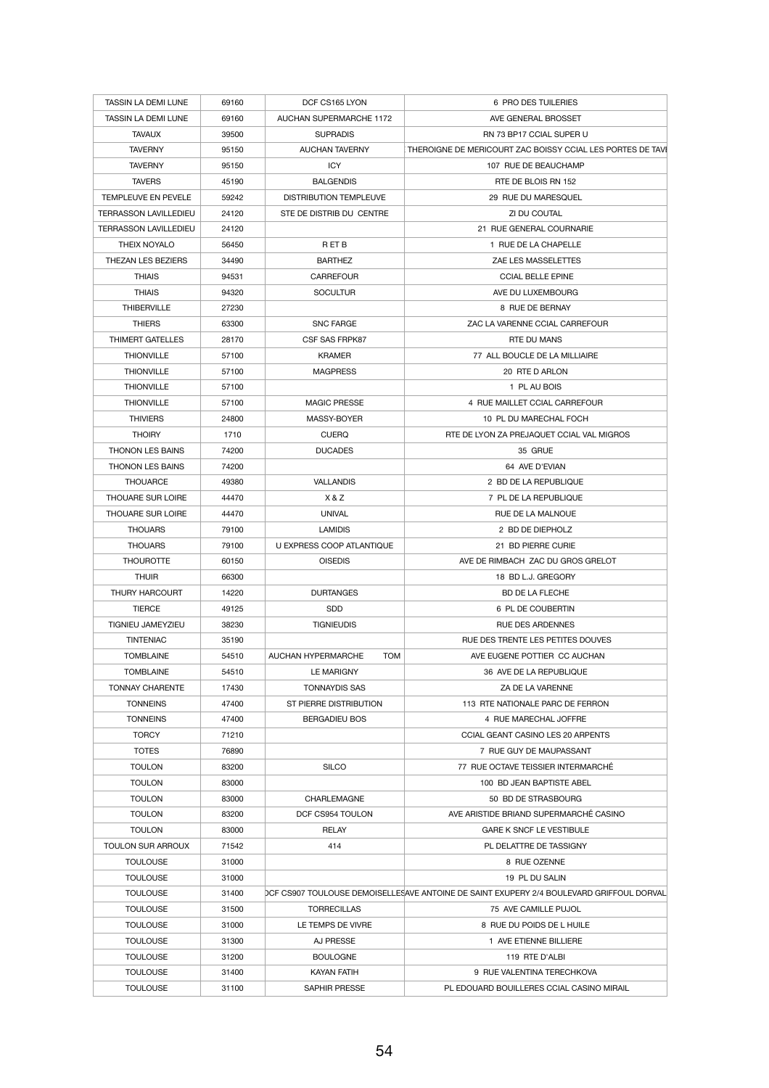| <b>TASSIN LA DEMI LUNE</b>   | 69160 | DCF CS165 LYON                 | 6 PRO DES TUILERIES                                                                      |
|------------------------------|-------|--------------------------------|------------------------------------------------------------------------------------------|
| <b>TASSIN LA DEMI LUNE</b>   | 69160 | <b>AUCHAN SUPERMARCHE 1172</b> | AVE GENERAL BROSSET                                                                      |
| <b>TAVAUX</b>                | 39500 | <b>SUPRADIS</b>                | RN 73 BP17 CCIAL SUPER U                                                                 |
| <b>TAVERNY</b>               | 95150 | <b>AUCHAN TAVERNY</b>          | THEROIGNE DE MERICOURT ZAC BOISSY CCIAL LES PORTES DE TAVÍ                               |
| <b>TAVERNY</b>               | 95150 | <b>ICY</b>                     | 107 RUE DE BEAUCHAMP                                                                     |
| <b>TAVERS</b>                | 45190 | <b>BALGENDIS</b>               | RTE DE BLOIS RN 152                                                                      |
| TEMPLEUVE EN PEVELE          | 59242 | <b>DISTRIBUTION TEMPLEUVE</b>  | 29 RUE DU MARESQUEL                                                                      |
| <b>TERRASSON LAVILLEDIEU</b> | 24120 | STE DE DISTRIB DU CENTRE       | ZI DU COUTAL                                                                             |
| <b>TERRASSON LAVILLEDIEU</b> | 24120 |                                | 21 RUE GENERAL COURNARIE                                                                 |
| THEIX NOYALO                 | 56450 | R ET B                         | 1 RUE DE LA CHAPELLE                                                                     |
| <b>THEZAN LES BEZIERS</b>    | 34490 | <b>BARTHEZ</b>                 | ZAE LES MASSELETTES                                                                      |
| <b>THIAIS</b>                | 94531 | <b>CARREFOUR</b>               | <b>CCIAL BELLE EPINE</b>                                                                 |
| <b>THIAIS</b>                |       |                                | AVE DU LUXEMBOURG                                                                        |
|                              | 94320 | <b>SOCULTUR</b>                |                                                                                          |
| <b>THIBERVILLE</b>           | 27230 |                                | 8 RUE DE BERNAY                                                                          |
| <b>THIERS</b>                | 63300 | <b>SNC FARGE</b>               | ZAC LA VARENNE CCIAL CARREFOUR                                                           |
| THIMERT GATELLES             | 28170 | <b>CSF SAS FRPK87</b>          | <b>RTE DU MANS</b>                                                                       |
| <b>THIONVILLE</b>            | 57100 | <b>KRAMER</b>                  | 77 ALL BOUCLE DE LA MILLIAIRE                                                            |
| <b>THIONVILLE</b>            | 57100 | <b>MAGPRESS</b>                | 20 RTE D ARLON                                                                           |
| <b>THIONVILLE</b>            | 57100 |                                | 1 PL AU BOIS                                                                             |
| <b>THIONVILLE</b>            | 57100 | <b>MAGIC PRESSE</b>            | 4 RUE MAILLET CCIAL CARREFOUR                                                            |
| <b>THIVIERS</b>              | 24800 | MASSY-BOYER                    | 10 PL DU MARECHAL FOCH                                                                   |
| <b>THOIRY</b>                | 1710  | <b>CUERQ</b>                   | RTE DE LYON ZA PREJAQUET CCIAL VAL MIGROS                                                |
| <b>THONON LES BAINS</b>      | 74200 | <b>DUCADES</b>                 | 35 GRUE                                                                                  |
| <b>THONON LES BAINS</b>      | 74200 |                                | 64 AVE D'EVIAN                                                                           |
| <b>THOUARCE</b>              | 49380 | <b>VALLANDIS</b>               | 2 BD DE LA REPUBLIQUE                                                                    |
| <b>THOUARE SUR LOIRE</b>     | 44470 | X&Z                            | 7 PL DE LA REPUBLIQUE                                                                    |
| <b>THOUARE SUR LOIRE</b>     | 44470 | <b>UNIVAL</b>                  | <b>RUE DE LA MALNOUE</b>                                                                 |
| <b>THOUARS</b>               | 79100 | <b>LAMIDIS</b>                 | 2 BD DE DIEPHOLZ                                                                         |
| <b>THOUARS</b>               | 79100 | U EXPRESS COOP ATLANTIQUE      | 21 BD PIERRE CURIE                                                                       |
| <b>THOUROTTE</b>             | 60150 | <b>OISEDIS</b>                 | AVE DE RIMBACH ZAC DU GROS GRELOT                                                        |
| <b>THUIR</b>                 | 66300 |                                | 18 BD L.J. GREGORY                                                                       |
| <b>THURY HARCOURT</b>        | 14220 | <b>DURTANGES</b>               | <b>BD DE LA FLECHE</b>                                                                   |
| <b>TIERCE</b>                | 49125 | <b>SDD</b>                     | 6 PL DE COUBERTIN                                                                        |
| TIGNIEU JAMEYZIEU            | 38230 | <b>TIGNIEUDIS</b>              | <b>RUE DES ARDENNES</b>                                                                  |
| <b>TINTENIAC</b>             | 35190 |                                | RUE DES TRENTE LES PETITES DOUVES                                                        |
| <b>TOMBLAINE</b>             |       | AUCHAN HYPERMARCHE             |                                                                                          |
|                              | 54510 | <b>TOM</b>                     | AVE EUGENE POTTIER CC AUCHAN                                                             |
| <b>TOMBLAINE</b>             | 54510 | <b>LE MARIGNY</b>              | 36 AVE DE LA REPUBLIQUE                                                                  |
| <b>TONNAY CHARENTE</b>       | 17430 | <b>TONNAYDIS SAS</b>           | ZA DE LA VARENNE                                                                         |
| <b>TONNEINS</b>              | 47400 | ST PIERRE DISTRIBUTION         | 113 RTE NATIONALE PARC DE FERRON                                                         |
| <b>TONNEINS</b>              | 47400 | <b>BERGADIEU BOS</b>           | 4 RUE MARECHAL JOFFRE                                                                    |
| <b>TORCY</b>                 | 71210 |                                | CCIAL GEANT CASINO LES 20 ARPENTS                                                        |
| <b>TOTES</b>                 | 76890 |                                | 7 RUE GUY DE MAUPASSANT                                                                  |
| <b>TOULON</b>                | 83200 | <b>SILCO</b>                   | 77 RUE OCTAVE TEISSIER INTERMARCHÉ                                                       |
| <b>TOULON</b>                | 83000 |                                | 100 BD JEAN BAPTISTE ABEL                                                                |
| <b>TOULON</b>                | 83000 | <b>CHARLEMAGNE</b>             | 50 BD DE STRASBOURG                                                                      |
| <b>TOULON</b>                | 83200 | DCF CS954 TOULON               | AVE ARISTIDE BRIAND SUPERMARCHÉ CASINO                                                   |
| <b>TOULON</b>                | 83000 | <b>RELAY</b>                   | <b>GARE K SNCF LE VESTIBULE</b>                                                          |
| <b>TOULON SUR ARROUX</b>     | 71542 | 414                            | PL DELATTRE DE TASSIGNY                                                                  |
| <b>TOULOUSE</b>              | 31000 |                                | 8 RUE OZENNE                                                                             |
| <b>TOULOUSE</b>              | 31000 |                                | 19 PL DU SALIN                                                                           |
| <b>TOULOUSE</b>              | 31400 |                                | DCF CS907 TOULOUSE DEMOISELLESAVE ANTOINE DE SAINT EXUPERY 2/4 BOULEVARD GRIFFOUL DORVAL |
| <b>TOULOUSE</b>              | 31500 | <b>TORRECILLAS</b>             | 75 AVE CAMILLE PUJOL                                                                     |
| <b>TOULOUSE</b>              | 31000 | LE TEMPS DE VIVRE              | 8 RUE DU POIDS DE L HUILE                                                                |
| <b>TOULOUSE</b>              | 31300 | AJ PRESSE                      | 1 AVE ETIENNE BILLIERE                                                                   |
| <b>TOULOUSE</b>              | 31200 | <b>BOULOGNE</b>                | 119 RTE D'ALBI                                                                           |
|                              |       |                                |                                                                                          |
| <b>TOULOUSE</b>              | 31400 | <b>KAYAN FATIH</b>             | 9 RUE VALENTINA TERECHKOVA                                                               |
| <b>TOULOUSE</b>              | 31100 | SAPHIR PRESSE                  | PL EDOUARD BOUILLERES CCIAL CASINO MIRAIL                                                |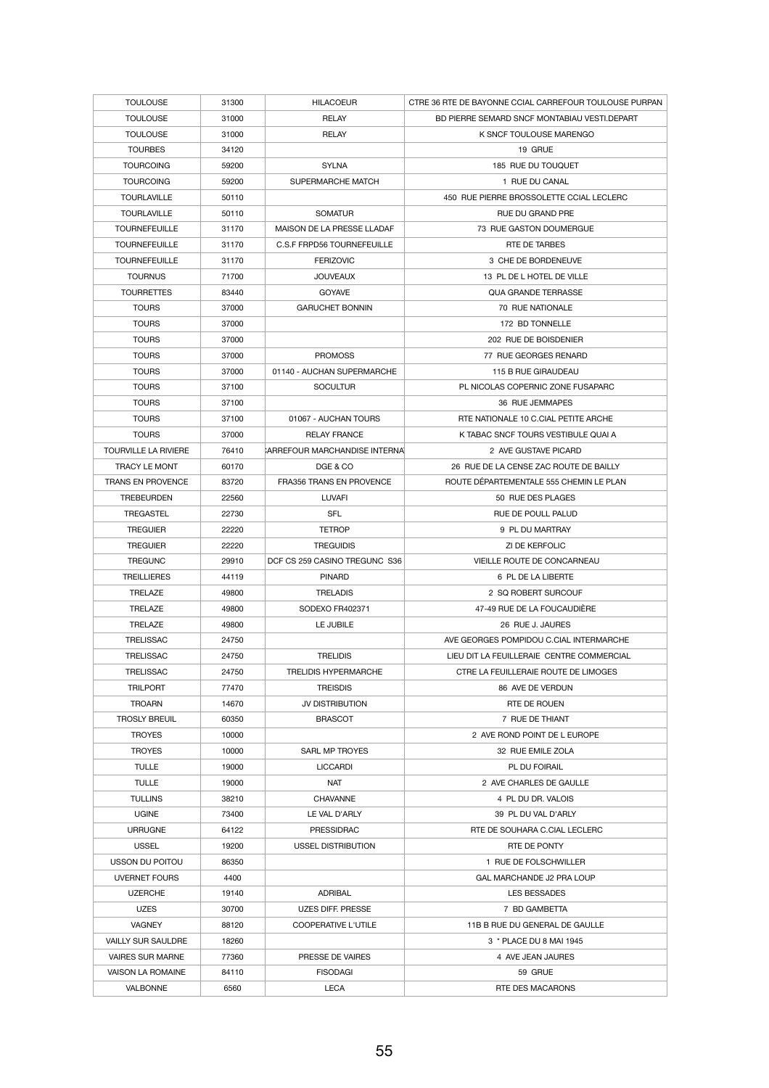| <b>TOULOUSE</b>             | 31300 | <b>HILACOEUR</b>                  | CTRE 36 RTE DE BAYONNE CCIAL CARREFOUR TOULOUSE PURPAN |
|-----------------------------|-------|-----------------------------------|--------------------------------------------------------|
| <b>TOULOUSE</b>             | 31000 | <b>RELAY</b>                      | BD PIERRE SEMARD SNCF MONTABIAU VESTI.DEPART           |
| <b>TOULOUSE</b>             | 31000 | <b>RELAY</b>                      | K SNCF TOULOUSE MARENGO                                |
| <b>TOURBES</b>              | 34120 |                                   | 19 GRUE                                                |
| <b>TOURCOING</b>            | 59200 | <b>SYLNA</b>                      | 185 RUE DU TOUQUET                                     |
| <b>TOURCOING</b>            | 59200 | SUPERMARCHE MATCH                 | 1 RUE DU CANAL                                         |
| <b>TOURLAVILLE</b>          | 50110 |                                   | 450 RUE PIERRE BROSSOLETTE CCIAL LECLERC               |
| <b>TOURLAVILLE</b>          | 50110 | <b>SOMATUR</b>                    | RUE DU GRAND PRE                                       |
| <b>TOURNEFEUILLE</b>        | 31170 | MAISON DE LA PRESSE LLADAF        | 73 RUE GASTON DOUMERGUE                                |
| <b>TOURNEFEUILLE</b>        | 31170 | <b>C.S.F FRPD56 TOURNEFEUILLE</b> | RTE DE TARBES                                          |
| <b>TOURNEFEUILLE</b>        | 31170 | <b>FERIZOVIC</b>                  | 3 CHE DE BORDENEUVE                                    |
| <b>TOURNUS</b>              | 71700 | <b>JOUVEAUX</b>                   | 13 PL DE L HOTEL DE VILLE                              |
| <b>TOURRETTES</b>           | 83440 | <b>GOYAVE</b>                     | <b>QUA GRANDE TERRASSE</b>                             |
| <b>TOURS</b>                | 37000 | <b>GARUCHET BONNIN</b>            | 70 RUE NATIONALE                                       |
| <b>TOURS</b>                | 37000 |                                   | 172 BD TONNELLE                                        |
| <b>TOURS</b>                | 37000 |                                   | 202 RUE DE BOISDENIER                                  |
| <b>TOURS</b>                | 37000 | <b>PROMOSS</b>                    | 77 RUE GEORGES RENARD                                  |
| <b>TOURS</b>                | 37000 | 01140 - AUCHAN SUPERMARCHE        | 115 B RUE GIRAUDEAU                                    |
| <b>TOURS</b>                | 37100 | <b>SOCULTUR</b>                   | PL NICOLAS COPERNIC ZONE FUSAPARC                      |
| <b>TOURS</b>                | 37100 |                                   | 36 RUE JEMMAPES                                        |
| <b>TOURS</b>                | 37100 | 01067 - AUCHAN TOURS              | RTE NATIONALE 10 C.CIAL PETITE ARCHE                   |
| <b>TOURS</b>                | 37000 | <b>RELAY FRANCE</b>               | K TABAC SNCF TOURS VESTIBULE QUAI A                    |
| <b>TOURVILLE LA RIVIERE</b> | 76410 | CARREFOUR MARCHANDISE INTERNAL    | 2 AVE GUSTAVE PICARD                                   |
| <b>TRACY LE MONT</b>        | 60170 | DGE & CO                          | 26 RUE DE LA CENSE ZAC ROUTE DE BAILLY                 |
| <b>TRANS EN PROVENCE</b>    | 83720 | <b>FRA356 TRANS EN PROVENCE</b>   | ROUTE DÉPARTEMENTALE 555 CHEMIN LE PLAN                |
| <b>TREBEURDEN</b>           | 22560 | <b>LUVAFI</b>                     | 50 RUE DES PLAGES                                      |
|                             |       |                                   |                                                        |
| <b>TREGASTEL</b>            | 22730 | <b>SFL</b>                        | <b>RUE DE POULL PALUD</b>                              |
| <b>TREGUIER</b>             | 22220 | <b>TETROP</b>                     | 9 PL DU MARTRAY                                        |
| <b>TREGUIER</b>             | 22220 | <b>TREGUIDIS</b>                  | ZI DE KERFOLIC                                         |
| <b>TREGUNC</b>              | 29910 | DCF CS 259 CASINO TREGUNC S36     | VIEILLE ROUTE DE CONCARNEAU                            |
| <b>TREILLIERES</b>          | 44119 | <b>PINARD</b>                     | 6 PL DE LA LIBERTE                                     |
| <b>TRELAZE</b>              | 49800 | <b>TRELADIS</b>                   | 2 SQ ROBERT SURCOUF                                    |
| <b>TRELAZE</b>              | 49800 | SODEXO FR402371                   | 47-49 RUE DE LA FOUCAUDIÈRE                            |
| <b>TRELAZE</b>              | 49800 | LE JUBILE                         | 26 RUE J. JAURES                                       |
| <b>TRELISSAC</b>            | 24750 |                                   | AVE GEORGES POMPIDOU C.CIAL INTERMARCHE                |
| <b>TRELISSAC</b>            | 24750 | <b>TRELIDIS</b>                   | LIEU DIT LA FEUILLERAIE CENTRE COMMERCIAL              |
| <b>TRELISSAC</b>            | 24750 | <b>TRELIDIS HYPERMARCHE</b>       | CTRE LA FEUILLERAIE ROUTE DE LIMOGES                   |
| <b>TRILPORT</b>             | 77470 | <b>TREISDIS</b>                   | 86 AVE DE VERDUN                                       |
| <b>TROARN</b>               | 14670 | JV DISTRIBUTION                   | RTE DE ROUEN                                           |
| <b>TROSLY BREUIL</b>        | 60350 | <b>BRASCOT</b>                    | 7 RUE DE THIANT                                        |
| <b>TROYES</b>               | 10000 |                                   | 2 AVE ROND POINT DE L EUROPE                           |
| <b>TROYES</b>               | 10000 | SARL MP TROYES                    | 32 RUE EMILE ZOLA                                      |
| <b>TULLE</b>                | 19000 | <b>LICCARDI</b>                   | PL DU FOIRAIL                                          |
| <b>TULLE</b>                | 19000 | <b>NAT</b>                        | 2 AVE CHARLES DE GAULLE                                |
| <b>TULLINS</b>              | 38210 | <b>CHAVANNE</b>                   | 4 PL DU DR. VALOIS                                     |
| <b>UGINE</b>                | 73400 | LE VAL D'ARLY                     | 39 PL DU VAL D'ARLY                                    |
| <b>URRUGNE</b>              | 64122 | <b>PRESSIDRAC</b>                 | RTE DE SOUHARA C.CIAL LECLERC                          |
| <b>USSEL</b>                | 19200 | <b>USSEL DISTRIBUTION</b>         | RTE DE PONTY                                           |
| USSON DU POITOU             | 86350 |                                   | 1 RUE DE FOLSCHWILLER                                  |
| <b>UVERNET FOURS</b>        | 4400  |                                   | <b>GAL MARCHANDE J2 PRA LOUP</b>                       |
| <b>UZERCHE</b>              | 19140 | <b>ADRIBAL</b>                    | <b>LES BESSADES</b>                                    |
| <b>UZES</b>                 | 30700 | <b>UZES DIFF. PRESSE</b>          | 7 BD GAMBETTA                                          |
| <b>VAGNEY</b>               | 88120 | <b>COOPERATIVE L'UTILE</b>        | 11B B RUE DU GENERAL DE GAULLE                         |
| <b>VAILLY SUR SAULDRE</b>   | 18260 |                                   | 3 * PLACE DU 8 MAI 1945                                |
| <b>VAIRES SUR MARNE</b>     | 77360 | PRESSE DE VAIRES                  | 4 AVE JEAN JAURES                                      |
| <b>VAISON LA ROMAINE</b>    | 84110 | <b>FISODAGI</b>                   | 59 GRUE                                                |
| <b>VALBONNE</b>             | 6560  | <b>LECA</b>                       | RTE DES MACARONS                                       |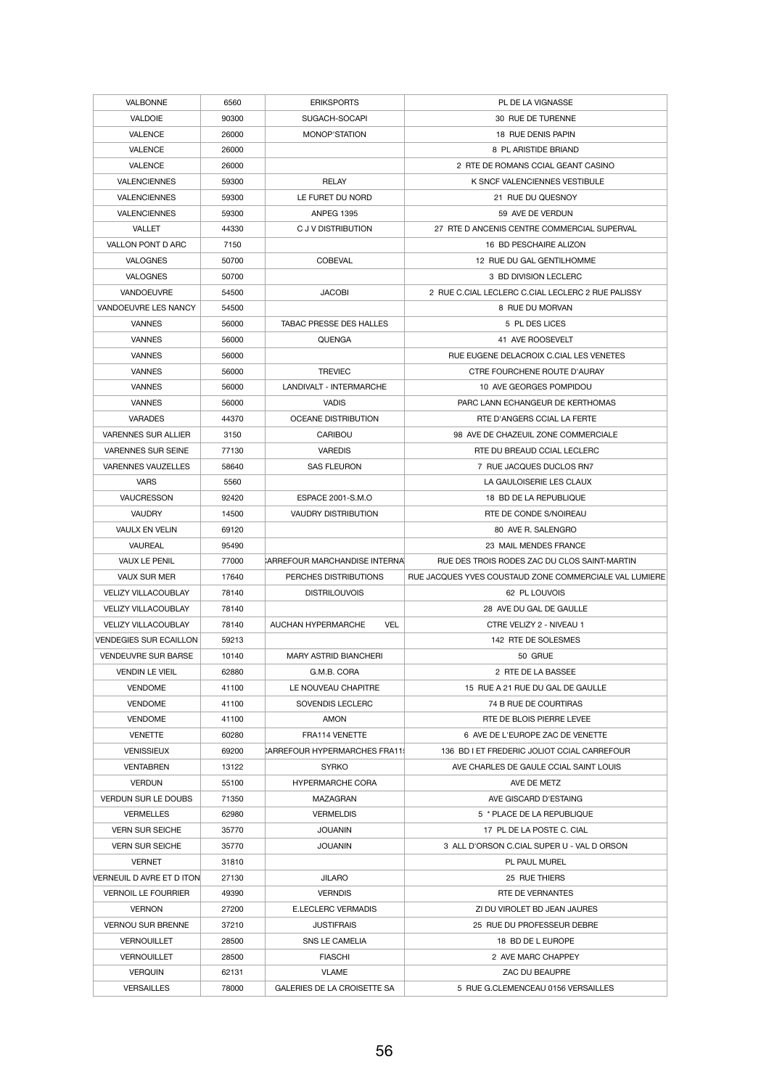| <b>VALBONNE</b>               | 6560  | <b>ERIKSPORTS</b>                       | PL DE LA VIGNASSE                                      |
|-------------------------------|-------|-----------------------------------------|--------------------------------------------------------|
| <b>VALDOIE</b>                | 90300 | SUGACH-SOCAPI                           | 30 RUE DE TURENNE                                      |
| <b>VALENCE</b>                | 26000 | MONOP'STATION                           | <b>18 RUE DENIS PAPIN</b>                              |
| <b>VALENCE</b>                | 26000 |                                         | 8 PL ARISTIDE BRIAND                                   |
| <b>VALENCE</b>                | 26000 |                                         | 2 RTE DE ROMANS CCIAL GEANT CASINO                     |
| <b>VALENCIENNES</b>           | 59300 | <b>RELAY</b>                            | K SNCF VALENCIENNES VESTIBULE                          |
| <b>VALENCIENNES</b>           | 59300 | LE FURET DU NORD                        | 21 RUE DU QUESNOY                                      |
| <b>VALENCIENNES</b>           | 59300 | <b>ANPEG 1395</b>                       | 59 AVE DE VERDUN                                       |
| <b>VALLET</b>                 | 44330 | C J V DISTRIBUTION                      | 27 RTE D ANCENIS CENTRE COMMERCIAL SUPERVAL            |
|                               |       |                                         |                                                        |
| VALLON PONT D ARC             | 7150  |                                         | 16 BD PESCHAIRE ALIZON                                 |
| <b>VALOGNES</b>               | 50700 | <b>COBEVAL</b>                          | 12 RUE DU GAL GENTILHOMME                              |
| <b>VALOGNES</b>               | 50700 |                                         | 3 BD DIVISION LECLERC                                  |
| <b>VANDOEUVRE</b>             | 54500 | <b>JACOBI</b>                           | 2 RUE C.CIAL LECLERC C.CIAL LECLERC 2 RUE PALISSY      |
| VANDOEUVRE LES NANCY          | 54500 |                                         | 8 RUE DU MORVAN                                        |
| <b>VANNES</b>                 | 56000 | <b>TABAC PRESSE DES HALLES</b>          | 5 PL DES LICES                                         |
| <b>VANNES</b>                 | 56000 | <b>QUENGA</b>                           | 41 AVE ROOSEVELT                                       |
| <b>VANNES</b>                 | 56000 |                                         | RUE EUGENE DELACROIX C.CIAL LES VENETES                |
| <b>VANNES</b>                 | 56000 | <b>TREVIEC</b>                          | CTRE FOURCHENE ROUTE D'AURAY                           |
| <b>VANNES</b>                 | 56000 | <b>LANDIVALT - INTERMARCHE</b>          | 10 AVE GEORGES POMPIDOU                                |
| <b>VANNES</b>                 | 56000 | <b>VADIS</b>                            | PARC LANN ECHANGEUR DE KERTHOMAS                       |
| <b>VARADES</b>                | 44370 | <b>OCEANE DISTRIBUTION</b>              | RTE D'ANGERS CCIAL LA FERTE                            |
| <b>VARENNES SUR ALLIER</b>    | 3150  | <b>CARIBOU</b>                          | 98 AVE DE CHAZEUIL ZONE COMMERCIALE                    |
| <b>VARENNES SUR SEINE</b>     | 77130 | <b>VAREDIS</b>                          | RTE DU BREAUD CCIAL LECLERC                            |
| <b>VARENNES VAUZELLES</b>     | 58640 | <b>SAS FLEURON</b>                      | 7 RUE JACQUES DUCLOS RN7                               |
| <b>VARS</b>                   | 5560  |                                         | LA GAULOISERIE LES CLAUX                               |
| <b>VAUCRESSON</b>             | 92420 | ESPACE 2001-S.M.O                       | 18 BD DE LA REPUBLIQUE                                 |
| <b>VAUDRY</b>                 | 14500 | <b>VAUDRY DISTRIBUTION</b>              | RTE DE CONDE S/NOIREAU                                 |
| <b>VAULX EN VELIN</b>         | 69120 |                                         | 80 AVE R. SALENGRO                                     |
|                               |       |                                         |                                                        |
| <b>VAUREAL</b>                | 95490 |                                         | 23 MAIL MENDES FRANCE                                  |
| <b>VAUX LE PENIL</b>          | 77000 | CARREFOUR MARCHANDISE INTERNAL          | RUE DES TROIS RODES ZAC DU CLOS SAINT-MARTIN           |
|                               | 17640 | PERCHES DISTRIBUTIONS                   | RUE JACQUES YVES COUSTAUD ZONE COMMERCIALE VAL LUMIERE |
| <b>VAUX SUR MER</b>           |       |                                         |                                                        |
| <b>VELIZY VILLACOUBLAY</b>    | 78140 | <b>DISTRILOUVOIS</b>                    | 62 PL LOUVOIS                                          |
| <b>VELIZY VILLACOUBLAY</b>    | 78140 |                                         | 28 AVE DU GAL DE GAULLE                                |
| <b>VELIZY VILLACOUBLAY</b>    | 78140 | <b>VEL</b><br><b>AUCHAN HYPERMARCHE</b> | CTRE VELIZY 2 - NIVEAU 1                               |
| <b>VENDEGIES SUR ECAILLON</b> | 59213 |                                         | 142 RTE DE SOLESMES                                    |
| <b>VENDEUVRE SUR BARSE</b>    | 10140 | <b>MARY ASTRID BIANCHERI</b>            | 50 GRUE                                                |
| <b>VENDIN LE VIEIL</b>        | 62880 | G.M.B. CORA                             | 2 RTE DE LA BASSEE                                     |
| <b>VENDOME</b>                | 41100 | LE NOUVEAU CHAPITRE                     | 15 RUE A 21 RUE DU GAL DE GAULLE                       |
| <b>VENDOME</b>                | 41100 | SOVENDIS LECLERC                        | 74 B RUE DE COURTIRAS                                  |
| <b>VENDOME</b>                | 41100 | <b>AMON</b>                             | RTE DE BLOIS PIERRE LEVEE                              |
| <b>VENETTE</b>                | 60280 | FRA114 VENETTE                          | 6 AVE DE L'EUROPE ZAC DE VENETTE                       |
| <b>VENISSIEUX</b>             | 69200 | CARREFOUR HYPERMARCHES FRA11            | 136 BD I ET FREDERIC JOLIOT CCIAL CARREFOUR            |
| <b>VENTABREN</b>              | 13122 | <b>SYRKO</b>                            | AVE CHARLES DE GAULE CCIAL SAINT LOUIS                 |
| <b>VERDUN</b>                 | 55100 | <b>HYPERMARCHE CORA</b>                 | AVE DE METZ                                            |
| <b>VERDUN SUR LE DOUBS</b>    | 71350 | MAZAGRAN                                | AVE GISCARD D'ESTAING                                  |
| <b>VERMELLES</b>              | 62980 | <b>VERMELDIS</b>                        | 5 * PLACE DE LA REPUBLIQUE                             |
| <b>VERN SUR SEICHE</b>        | 35770 | <b>JOUANIN</b>                          | 17 PL DE LA POSTE C. CIAL                              |
| <b>VERN SUR SEICHE</b>        | 35770 | <b>JOUANIN</b>                          | 3 ALL D'ORSON C.CIAL SUPER U - VAL D ORSON             |
| <b>VERNET</b>                 | 31810 |                                         | PL PAUL MUREL                                          |
| VERNEUIL D AVRE ET D ITON     | 27130 | <b>JILARO</b>                           | 25 RUE THIERS                                          |
| <b>VERNOIL LE FOURRIER</b>    | 49390 | <b>VERNDIS</b>                          | RTE DE VERNANTES                                       |
| <b>VERNON</b>                 | 27200 | <b>E.LECLERC VERMADIS</b>               | ZI DU VIROLET BD JEAN JAURES                           |
| <b>VERNOU SUR BRENNE</b>      | 37210 | <b>JUSTIFRAIS</b>                       | 25 RUE DU PROFESSEUR DEBRE                             |
| <b>VERNOUILLET</b>            | 28500 | SNS LE CAMELIA                          | 18 BD DE L EUROPE                                      |
| <b>VERNOUILLET</b>            | 28500 | <b>FIASCHI</b>                          | 2 AVE MARC CHAPPEY                                     |
| <b>VERQUIN</b>                | 62131 | <b>VLAME</b>                            | ZAC DU BEAUPRE                                         |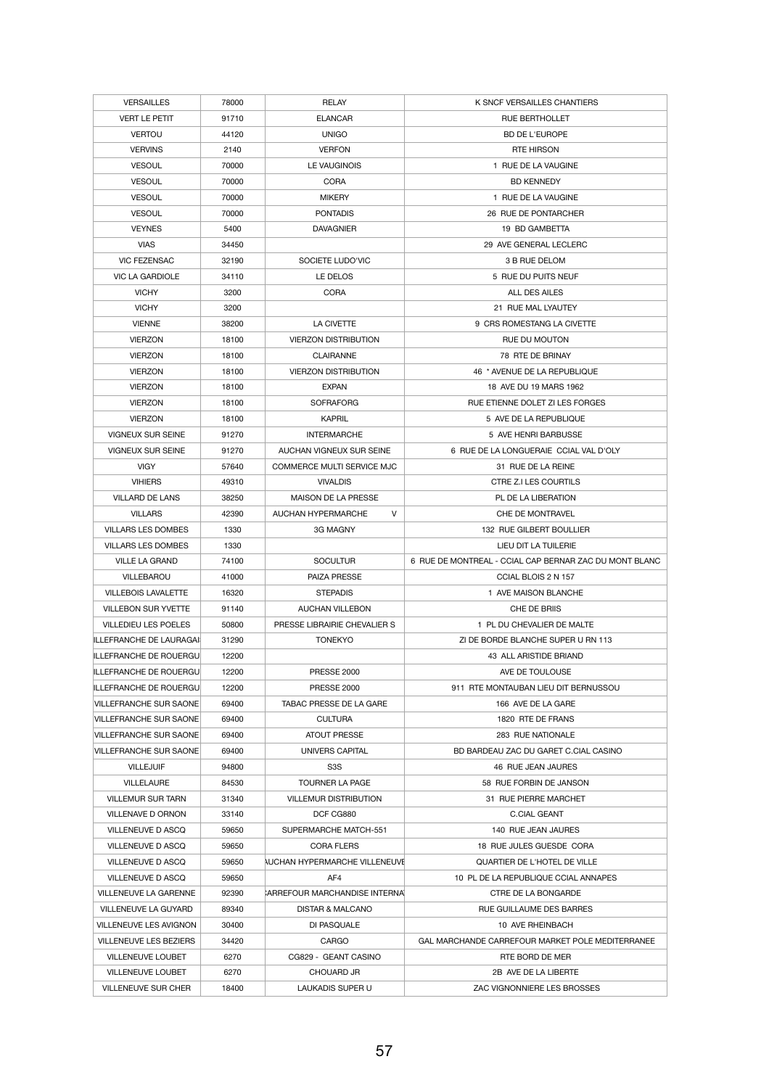| <b>VERSAILLES</b>              | 78000 | <b>RELAY</b>                         | K SNCF VERSAILLES CHANTIERS                             |
|--------------------------------|-------|--------------------------------------|---------------------------------------------------------|
| <b>VERT LE PETIT</b>           | 91710 | <b>ELANCAR</b>                       | <b>RUE BERTHOLLET</b>                                   |
| <b>VERTOU</b>                  | 44120 | <b>UNIGO</b>                         | <b>BD DE L'EUROPE</b>                                   |
| <b>VERVINS</b>                 | 2140  | <b>VERFON</b>                        | <b>RTE HIRSON</b>                                       |
| <b>VESOUL</b>                  | 70000 | LE VAUGINOIS                         | 1 RUE DE LA VAUGINE                                     |
| <b>VESOUL</b>                  | 70000 | <b>CORA</b>                          | <b>BD KENNEDY</b>                                       |
| <b>VESOUL</b>                  | 70000 | <b>MIKERY</b>                        | 1 RUE DE LA VAUGINE                                     |
| <b>VESOUL</b>                  | 70000 | <b>PONTADIS</b>                      | 26 RUE DE PONTARCHER                                    |
| <b>VEYNES</b>                  | 5400  | <b>DAVAGNIER</b>                     | 19 BD GAMBETTA                                          |
| <b>VIAS</b>                    | 34450 |                                      | 29 AVE GENERAL LECLERC                                  |
| <b>VIC FEZENSAC</b>            | 32190 | SOCIETE LUDO'VIC                     | 3 B RUE DELOM                                           |
| <b>VIC LA GARDIOLE</b>         | 34110 | LE DELOS                             | 5 RUE DU PUITS NEUF                                     |
| <b>VICHY</b>                   | 3200  | <b>CORA</b>                          | <b>ALL DES AILES</b>                                    |
| <b>VICHY</b>                   |       |                                      | 21 RUE MAL LYAUTEY                                      |
|                                | 3200  |                                      |                                                         |
| <b>VIENNE</b>                  | 38200 | <b>LA CIVETTE</b>                    | 9 CRS ROMESTANG LA CIVETTE                              |
| <b>VIERZON</b>                 | 18100 | <b>VIERZON DISTRIBUTION</b>          | RUE DU MOUTON                                           |
| <b>VIERZON</b>                 | 18100 | <b>CLAIRANNE</b>                     | 78 RTE DE BRINAY                                        |
| <b>VIERZON</b>                 | 18100 | <b>VIERZON DISTRIBUTION</b>          | 46 * AVENUE DE LA REPUBLIQUE                            |
| <b>VIERZON</b>                 | 18100 | <b>EXPAN</b>                         | 18 AVE DU 19 MARS 1962                                  |
| <b>VIERZON</b>                 | 18100 | <b>SOFRAFORG</b>                     | RUE ETIENNE DOLET ZI LES FORGES                         |
| <b>VIERZON</b>                 | 18100 | <b>KAPRIL</b>                        | 5 AVE DE LA REPUBLIQUE                                  |
| <b>VIGNEUX SUR SEINE</b>       | 91270 | <b>INTERMARCHE</b>                   | 5 AVE HENRI BARBUSSE                                    |
| <b>VIGNEUX SUR SEINE</b>       | 91270 | AUCHAN VIGNEUX SUR SEINE             | 6 RUE DE LA LONGUERAIE CCIAL VAL D'OLY                  |
| <b>VIGY</b>                    | 57640 | <b>COMMERCE MULTI SERVICE MJC</b>    | 31 RUE DE LA REINE                                      |
| <b>VIHIERS</b>                 | 49310 | <b>VIVALDIS</b>                      | CTRE Z.I LES COURTILS                                   |
| <b>VILLARD DE LANS</b>         | 38250 | <b>MAISON DE LA PRESSE</b>           | PL DE LA LIBERATION                                     |
| <b>VILLARS</b>                 | 42390 | $\vee$<br><b>AUCHAN HYPERMARCHE</b>  | CHE DE MONTRAVEL                                        |
| <b>VILLARS LES DOMBES</b>      | 1330  | 3G MAGNY                             | 132 RUE GILBERT BOULLIER                                |
| <b>VILLARS LES DOMBES</b>      | 1330  |                                      | LIEU DIT LA TUILERIE                                    |
|                                |       |                                      |                                                         |
| <b>VILLE LA GRAND</b>          | 74100 | <b>SOCULTUR</b>                      | 6 RUE DE MONTREAL - CCIAL CAP BERNAR ZAC DU MONT BLANC  |
| VILLEBAROU                     | 41000 | <b>PAIZA PRESSE</b>                  | CCIAL BLOIS 2 N 157                                     |
| <b>VILLEBOIS LAVALETTE</b>     | 16320 | <b>STEPADIS</b>                      | 1 AVE MAISON BLANCHE                                    |
| <b>VILLEBON SUR YVETTE</b>     | 91140 | <b>AUCHAN VILLEBON</b>               | CHE DE BRIIS                                            |
| <b>VILLEDIEU LES POELES</b>    | 50800 | PRESSE LIBRAIRIE CHEVALIER S         | 1 PL DU CHEVALIER DE MALTE                              |
| <b>ILLEFRANCHE DE LAURAGAI</b> | 31290 | <b>TONEKYO</b>                       | ZI DE BORDE BLANCHE SUPER U RN 113                      |
| ILLEFRANCHE DE ROUERGU         | 12200 |                                      | 43 ALL ARISTIDE BRIAND                                  |
| ILLEFRANCHE DE ROUERGU         | 12200 | <b>PRESSE 2000</b>                   | AVE DE TOULOUSE                                         |
| ILLEFRANCHE DE ROUERGU         | 12200 | <b>PRESSE 2000</b>                   | 911 RTE MONTAUBAN LIEU DIT BERNUSSOU                    |
| <b>VILLEFRANCHE SUR SAONE</b>  | 69400 | TABAC PRESSE DE LA GARE              | 166 AVE DE LA GARE                                      |
| <b>VILLEFRANCHE SUR SAONE</b>  | 69400 | <b>CULTURA</b>                       | 1820 RTE DE FRANS                                       |
| <b>VILLEFRANCHE SUR SAONE</b>  | 69400 | <b>ATOUT PRESSE</b>                  | 283 RUE NATIONALE                                       |
| <b>VILLEFRANCHE SUR SAONE</b>  | 69400 | UNIVERS CAPITAL                      | BD BARDEAU ZAC DU GARET C.CIAL CASINO                   |
| <b>VILLEJUIF</b>               | 94800 | S <sub>3</sub> S                     | 46 RUE JEAN JAURES                                      |
| <b>VILLELAURE</b>              | 84530 | <b>TOURNER LA PAGE</b>               | 58 RUE FORBIN DE JANSON                                 |
| <b>VILLEMUR SUR TARN</b>       | 31340 | <b>VILLEMUR DISTRIBUTION</b>         | 31 RUE PIERRE MARCHET                                   |
| <b>VILLENAVE D ORNON</b>       | 33140 | DCF CG880                            | <b>C.CIAL GEANT</b>                                     |
| <b>VILLENEUVE D ASCQ</b>       | 59650 | SUPERMARCHE MATCH-551                | 140 RUE JEAN JAURES                                     |
| <b>VILLENEUVE D ASCQ</b>       | 59650 | <b>CORA FLERS</b>                    | 18 RUE JULES GUESDE CORA                                |
| <b>VILLENEUVE D ASCQ</b>       | 59650 | <b>NUCHAN HYPERMARCHE VILLENEUVE</b> | QUARTIER DE L'HOTEL DE VILLE                            |
| <b>VILLENEUVE D ASCQ</b>       | 59650 | AF4                                  | 10 PL DE LA REPUBLIQUE CCIAL ANNAPES                    |
| <b>VILLENEUVE LA GARENNE</b>   | 92390 | CARREFOUR MARCHANDISE INTERNAL       | <b>CTRE DE LA BONGARDE</b>                              |
| <b>VILLENEUVE LA GUYARD</b>    | 89340 | DISTAR & MALCANO                     | RUE GUILLAUME DES BARRES                                |
| <b>VILLENEUVE LES AVIGNON</b>  | 30400 | DI PASQUALE                          | 10 AVE RHEINBACH                                        |
| <b>VILLENEUVE LES BEZIERS</b>  | 34420 | <b>CARGO</b>                         | <b>GAL MARCHANDE CARREFOUR MARKET POLE MEDITERRANEE</b> |
| <b>VILLENEUVE LOUBET</b>       | 6270  | CG829 - GEANT CASINO                 | RTE BORD DE MER                                         |
| <b>VILLENEUVE LOUBET</b>       | 6270  | <b>CHOUARD JR</b>                    | 2B AVE DE LA LIBERTE                                    |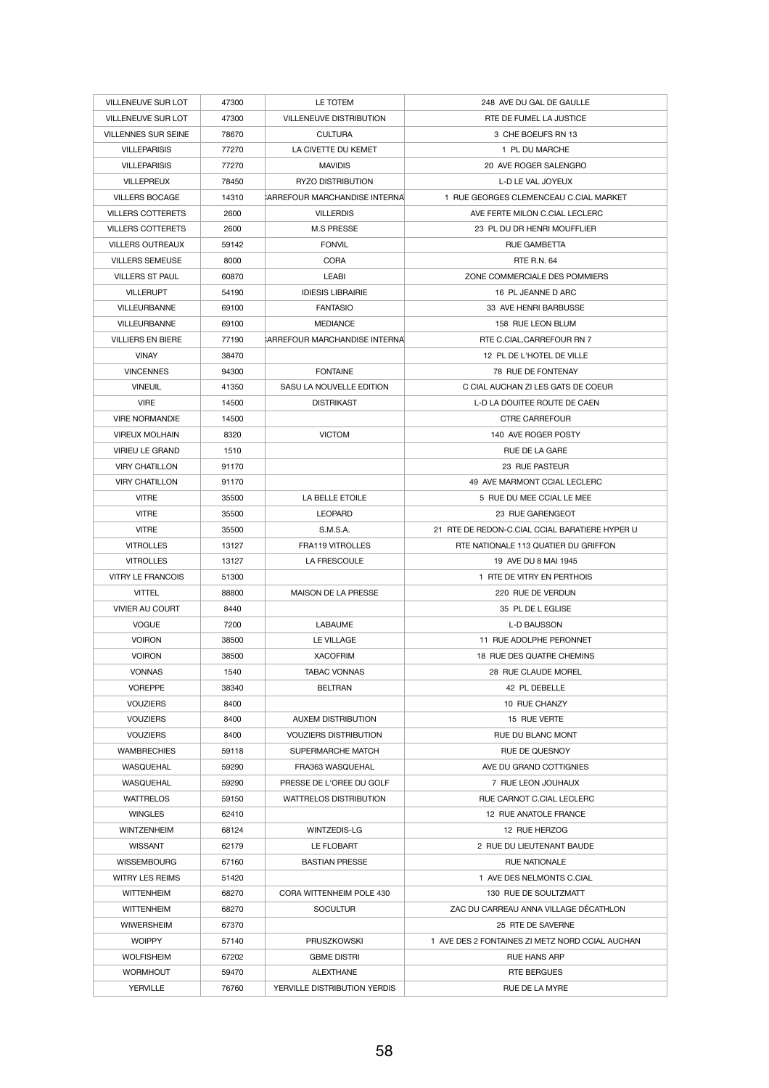| <b>VILLENEUVE SUR LOT</b>  | 47300 | LE TOTEM                       | 248 AVE DU GAL DE GAULLE                        |
|----------------------------|-------|--------------------------------|-------------------------------------------------|
| <b>VILLENEUVE SUR LOT</b>  | 47300 | <b>VILLENEUVE DISTRIBUTION</b> | RTE DE FUMEL LA JUSTICE                         |
| <b>VILLENNES SUR SEINE</b> | 78670 | <b>CULTURA</b>                 | 3 CHE BOEUFS RN 13                              |
| <b>VILLEPARISIS</b>        | 77270 | LA CIVETTE DU KEMET            | 1 PL DU MARCHE                                  |
| <b>VILLEPARISIS</b>        | 77270 | <b>MAVIDIS</b>                 | 20 AVE ROGER SALENGRO                           |
| <b>VILLEPREUX</b>          | 78450 | <b>RYZO DISTRIBUTION</b>       | L-D LE VAL JOYEUX                               |
| <b>VILLERS BOCAGE</b>      | 14310 | CARREFOUR MARCHANDISE INTERNAL | 1 RUE GEORGES CLEMENCEAU C.CIAL MARKET          |
| <b>VILLERS COTTERETS</b>   | 2600  | <b>VILLERDIS</b>               | AVE FERTE MILON C.CIAL LECLERC                  |
| <b>VILLERS COTTERETS</b>   | 2600  | <b>M.S PRESSE</b>              | 23 PL DU DR HENRI MOUFFLIER                     |
| <b>VILLERS OUTREAUX</b>    | 59142 | <b>FONVIL</b>                  | RUE GAMBETTA                                    |
| <b>VILLERS SEMEUSE</b>     | 8000  | <b>CORA</b>                    | <b>RTE R.N. 64</b>                              |
| <b>VILLERS ST PAUL</b>     | 60870 | LEABI                          | ZONE COMMERCIALE DES POMMIERS                   |
| <b>VILLERUPT</b>           | 54190 | <b>IDIESIS LIBRAIRIE</b>       | 16 PL JEANNE D ARC                              |
| VILLEURBANNE               | 69100 | <b>FANTASIO</b>                | 33 AVE HENRI BARBUSSE                           |
| <b>VILLEURBANNE</b>        | 69100 | <b>MEDIANCE</b>                | 158 RUE LEON BLUM                               |
| <b>VILLIERS EN BIERE</b>   | 77190 | CARREFOUR MARCHANDISE INTERNAL | RTE C.CIAL.CARREFOUR RN 7                       |
| <b>VINAY</b>               | 38470 |                                | 12 PL DE L'HOTEL DE VILLE                       |
| <b>VINCENNES</b>           | 94300 | <b>FONTAINE</b>                | 78 RUE DE FONTENAY                              |
| <b>VINEUIL</b>             | 41350 | SASU LA NOUVELLE EDITION       | C CIAL AUCHAN ZI LES GATS DE COEUR              |
| <b>VIRE</b>                | 14500 | <b>DISTRIKAST</b>              | L-D LA DOUITEE ROUTE DE CAEN                    |
| <b>VIRE NORMANDIE</b>      | 14500 |                                | <b>CTRE CARREFOUR</b>                           |
| <b>VIREUX MOLHAIN</b>      | 8320  | <b>VICTOM</b>                  | 140 AVE ROGER POSTY                             |
| <b>VIRIEU LE GRAND</b>     | 1510  |                                | <b>RUE DE LA GARE</b>                           |
| <b>VIRY CHATILLON</b>      | 91170 |                                | 23 RUE PASTEUR                                  |
| <b>VIRY CHATILLON</b>      | 91170 |                                | 49 AVE MARMONT CCIAL LECLERC                    |
| <b>VITRE</b>               | 35500 | LA BELLE ETOILE                | 5 RUE DU MEE CCIAL LE MEE                       |
| <b>VITRE</b>               | 35500 | <b>LEOPARD</b>                 | 23 RUE GARENGEOT                                |
| <b>VITRE</b>               | 35500 | S.M.S.A.                       | 21 RTE DE REDON-C.CIAL CCIAL BARATIERE HYPER U  |
| <b>VITROLLES</b>           | 13127 | FRA119 VITROLLES               | RTE NATIONALE 113 QUATIER DU GRIFFON            |
| <b>VITROLLES</b>           | 13127 | LA FRESCOULE                   | 19 AVE DU 8 MAI 1945                            |
| <b>VITRY LE FRANCOIS</b>   | 51300 |                                | 1 RTE DE VITRY EN PERTHOIS                      |
| <b>VITTEL</b>              | 88800 | <b>MAISON DE LA PRESSE</b>     | 220 RUE DE VERDUN                               |
| <b>VIVIER AU COURT</b>     | 8440  |                                | 35 PL DE L EGLISE                               |
| <b>VOGUE</b>               | 7200  | LABAUME                        | <b>L-D BAUSSON</b>                              |
| <b>VOIRON</b>              | 38500 | LE VILLAGE                     | 11 RUE ADOLPHE PERONNET                         |
| <b>VOIRON</b>              | 38500 | <b>XACOFRIM</b>                | 18 RUE DES QUATRE CHEMINS                       |
| <b>VONNAS</b>              | 1540  | <b>TABAC VONNAS</b>            | 28 RUE CLAUDE MOREL                             |
| <b>VOREPPE</b>             | 38340 | <b>BELTRAN</b>                 | 42 PL DEBELLE                                   |
| <b>VOUZIERS</b>            | 8400  |                                | 10 RUE CHANZY                                   |
| <b>VOUZIERS</b>            | 8400  | <b>AUXEM DISTRIBUTION</b>      | 15 RUE VERTE                                    |
| <b>VOUZIERS</b>            | 8400  | <b>VOUZIERS DISTRIBUTION</b>   | <b>RUE DU BLANC MONT</b>                        |
| <b>WAMBRECHIES</b>         | 59118 | <b>SUPERMARCHE MATCH</b>       | <b>RUE DE QUESNOY</b>                           |
| WASQUEHAL                  | 59290 | FRA363 WASQUEHAL               | AVE DU GRAND COTTIGNIES                         |
| <b>WASQUEHAL</b>           | 59290 | PRESSE DE L'OREE DU GOLF       | 7 RUE LEON JOUHAUX                              |
| <b>WATTRELOS</b>           | 59150 | <b>WATTRELOS DISTRIBUTION</b>  | RUE CARNOT C.CIAL LECLERC                       |
| <b>WINGLES</b>             | 62410 |                                | 12 RUE ANATOLE FRANCE                           |
| <b>WINTZENHEIM</b>         | 68124 | <b>WINTZEDIS-LG</b>            | 12 RUE HERZOG                                   |
| <b>WISSANT</b>             | 62179 | LE FLOBART                     | 2 RUE DU LIEUTENANT BAUDE                       |
| <b>WISSEMBOURG</b>         | 67160 | <b>BASTIAN PRESSE</b>          | <b>RUE NATIONALE</b>                            |
| <b>WITRY LES REIMS</b>     | 51420 |                                | 1 AVE DES NELMONTS C.CIAL                       |
| <b>WITTENHEIM</b>          | 68270 | CORA WITTENHEIM POLE 430       | 130 RUE DE SOULTZMATT                           |
| <b>WITTENHEIM</b>          | 68270 | <b>SOCULTUR</b>                | ZAC DU CARREAU ANNA VILLAGE DÉCATHLON           |
| <b>WIWERSHEIM</b>          | 67370 |                                | 25 RTE DE SAVERNE                               |
| <b>WOIPPY</b>              | 57140 | <b>PRUSZKOWSKI</b>             | 1 AVE DES 2 FONTAINES ZI METZ NORD CCIAL AUCHAN |
| <b>WOLFISHEIM</b>          | 67202 | <b>GBME DISTRI</b>             | <b>RUE HANS ARP</b>                             |
| <b>WORMHOUT</b>            | 59470 | <b>ALEXTHANE</b>               | <b>RTE BERGUES</b>                              |
| <b>YERVILLE</b>            | 76760 | YERVILLE DISTRIBUTION YERDIS   | RUE DE LA MYRE                                  |